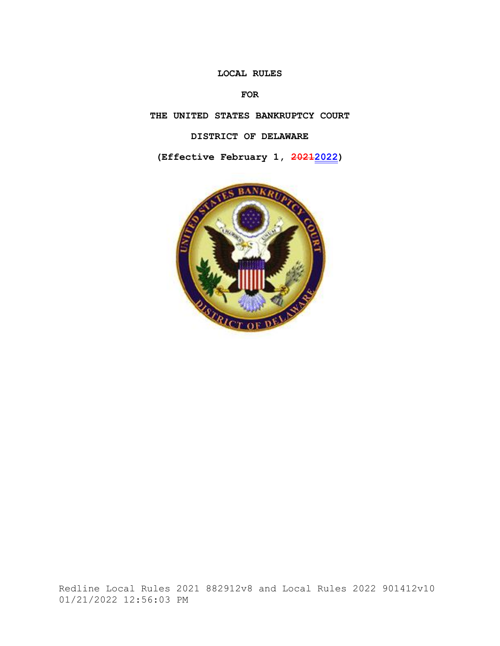#### **LOCAL RULES**

## **FOR**

**THE UNITED STATES BANKRUPTCY COURT**

# **DISTRICT OF DELAWARE**

**(Effective February 1, 20212022)**

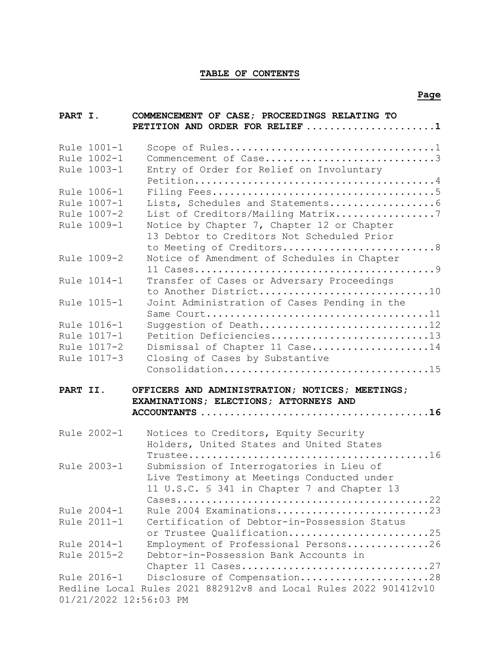### **TABLE OF CONTENTS**

| PART I.  |                                                          | COMMENCEMENT OF CASE; PROCEEDINGS RELATING TO<br>PETITION AND ORDER FOR RELIEF 1                                                                                                                                                                                                                                                                                                                                                                 |
|----------|----------------------------------------------------------|--------------------------------------------------------------------------------------------------------------------------------------------------------------------------------------------------------------------------------------------------------------------------------------------------------------------------------------------------------------------------------------------------------------------------------------------------|
|          | Rule 1001-1<br>Rule 1002-1<br>Rule 1003-1                | Commencement of Case3<br>Entry of Order for Relief on Involuntary                                                                                                                                                                                                                                                                                                                                                                                |
|          | Rule 1006-1<br>Rule 1007-1<br>Rule 1007-2<br>Rule 1009-1 | List of Creditors/Mailing Matrix7<br>Notice by Chapter 7, Chapter 12 or Chapter<br>13 Debtor to Creditors Not Scheduled Prior                                                                                                                                                                                                                                                                                                                    |
|          | Rule 1009-2                                              | to Meeting of Creditors8<br>Notice of Amendment of Schedules in Chapter                                                                                                                                                                                                                                                                                                                                                                          |
|          | Rule 1014-1                                              | Transfer of Cases or Adversary Proceedings<br>to Another District10                                                                                                                                                                                                                                                                                                                                                                              |
|          | Rule 1015-1                                              | Joint Administration of Cases Pending in the                                                                                                                                                                                                                                                                                                                                                                                                     |
|          | Rule 1016-1<br>Rule 1017-1<br>Rule 1017-2<br>Rule 1017-3 | Suggestion of Death12<br>Petition Deficiencies13<br>Dismissal of Chapter 11 Case14<br>Closing of Cases by Substantive<br>Consolidation15                                                                                                                                                                                                                                                                                                         |
| PART II. |                                                          | OFFICERS AND ADMINISTRATION; NOTICES; MEETINGS;<br>EXAMINATIONS; ELECTIONS; ATTORNEYS AND                                                                                                                                                                                                                                                                                                                                                        |
|          | Rule 2002-1                                              | Notices to Creditors, Equity Security<br>Holders, United States and United States                                                                                                                                                                                                                                                                                                                                                                |
|          | Rule 2003-1                                              | $\normalsize \texttt{Trustee} \texttt{.} \texttt{.} \texttt{.} \texttt{.} \texttt{.} \texttt{.} \texttt{.} \texttt{.} \texttt{.} \texttt{.} \texttt{.} \texttt{.} \texttt{.} \texttt{.} \texttt{.} \texttt{.} \texttt{.} \texttt{.} \texttt{.} \texttt{.} \texttt{.} \texttt{.} \texttt{.} \texttt{16}$<br>Submission of Interrogatories in Lieu of<br>Live Testimony at Meetings Conducted under<br>11 U.S.C. § 341 in Chapter 7 and Chapter 13 |
|          | Rule 2004-1<br>Rule 2011-1                               | Rule 2004 Examinations23<br>Certification of Debtor-in-Possession Status<br>or Trustee Qualification25                                                                                                                                                                                                                                                                                                                                           |
|          | Rule 2014-1<br>Rule 2015-2                               | Employment of Professional Persons26<br>Debtor-in-Possession Bank Accounts in<br>Chapter 11 Cases27                                                                                                                                                                                                                                                                                                                                              |
|          | Rule 2016-1                                              | Disclosure of Compensation28<br>Redline Local Rules 2021 882912v8 and Local Rules 2022 901412v10<br>01/21/2022 12:56:03 PM                                                                                                                                                                                                                                                                                                                       |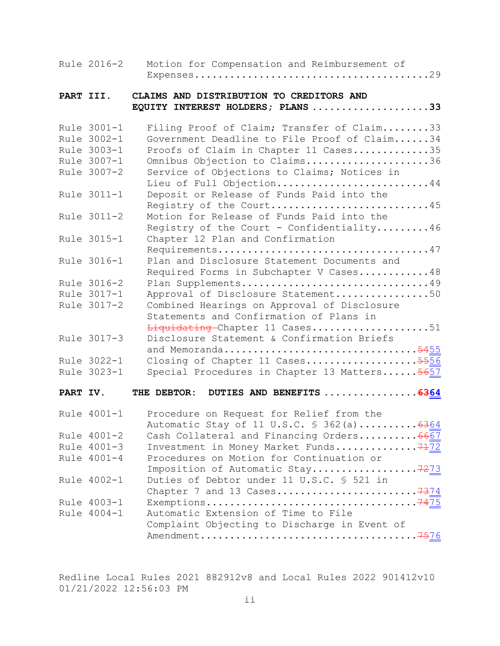|          | Rule 2016-2                                              | Motion for Compensation and Reimbursement of                                                                                                                         |  |
|----------|----------------------------------------------------------|----------------------------------------------------------------------------------------------------------------------------------------------------------------------|--|
|          | PART III.                                                | CLAIMS AND DISTRIBUTION TO CREDITORS AND<br>EQUITY INTEREST HOLDERS; PLANS 33                                                                                        |  |
|          | Rule 3001-1<br>Rule 3002-1<br>Rule 3003-1<br>Rule 3007-1 | Filing Proof of Claim; Transfer of Claim33<br>Government Deadline to File Proof of Claim34<br>Proofs of Claim in Chapter 11 Cases35<br>Omnibus Objection to Claims36 |  |
|          | Rule 3007-2                                              | Service of Objections to Claims; Notices in<br>Lieu of Full Objection44                                                                                              |  |
|          | Rule 3011-1                                              | Deposit or Release of Funds Paid into the<br>Registry of the Court45                                                                                                 |  |
|          | Rule 3011-2                                              | Motion for Release of Funds Paid into the<br>Registry of the Court - Confidentiality46                                                                               |  |
|          | Rule 3015-1<br>Rule 3016-1                               | Chapter 12 Plan and Confirmation<br>Requirements47<br>Plan and Disclosure Statement Documents and                                                                    |  |
|          | Rule 3016-2                                              | Required Forms in Subchapter V Cases48<br>Plan Supplements49                                                                                                         |  |
|          | Rule 3017-1<br>Rule 3017-2                               | Approval of Disclosure Statement50<br>Combined Hearings on Approval of Disclosure                                                                                    |  |
|          | Rule 3017-3                                              | Statements and Confirmation of Plans in<br>Liquidating-Chapter 11 Cases51<br>Disclosure Statement & Confirmation Briefs<br>and Memoranda5455                         |  |
|          | Rule 3022-1<br>Rule 3023-1                               | Closing of Chapter 11 Cases5556<br>Special Procedures in Chapter 13 Matters 5657                                                                                     |  |
| PART IV. |                                                          | THE DEBTOR: DUTIES AND BENEFITS  6364                                                                                                                                |  |
|          | Rule 4001-1                                              | Procedure on Request for Relief from the<br>Automatic Stay of 11 U.S.C. § 362(a) 6364                                                                                |  |
|          | Rule 4001-2<br>Rule 4001-3<br>Rule 4001-4                | Cash Collateral and Financing Orders 6667<br>Investment in Money Market Funds7472<br>Procedures on Motion for Continuation or<br>Imposition of Automatic Stay7273    |  |
|          | Rule 4002-1                                              | Duties of Debtor under 11 U.S.C. § 521 in                                                                                                                            |  |
|          | Rule 4003-1<br>Rule 4004-1                               | Automatic Extension of Time to File<br>Complaint Objecting to Discharge in Event of                                                                                  |  |
|          |                                                          |                                                                                                                                                                      |  |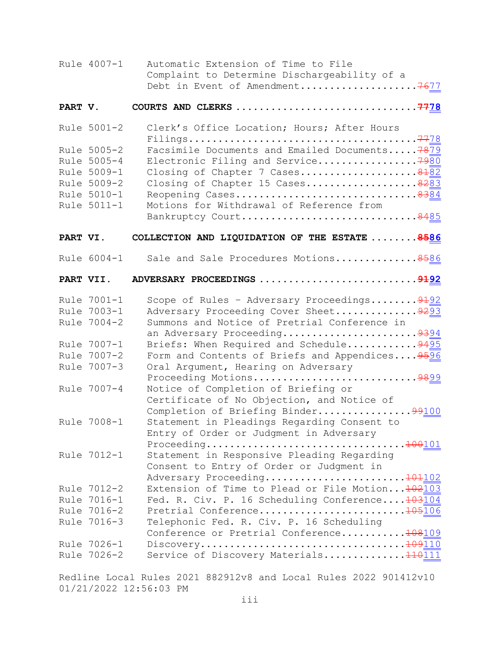Rule 4007-1 Automatic Extension of Time to File Complaint to Determine Dischargeability of a Debt in Event of Amendment.....................7677 **PART V. COURTS AND CLERKS ...............................7778** Rule 5001-2 Clerk's Office Location; Hours; After Hours Filings.......................................7778 Rule 5005-2 Facsimile Documents and Emailed Documents..... 7879 Rule 5005-4 Electronic Filing and Service..................7980 Rule 5009-1 Closing of Chapter 7 Cases.....................8182 Rule 5009-2 Closing of Chapter 15 Cases...................8283 Rule 5010-1 Reopening Cases...............................8384 Rule 5011-1 Motions for Withdrawal of Reference from Bankruptcy Court..................................8485 **PART VI. COLLECTION AND LIQUIDATION OF THE ESTATE ........8586** Rule 6004-1 Sale and Sale Procedures Motions.............. 8586 **PART VII. ADVERSARY PROCEEDINGS ...........................9192** Rule 7001-1 Scope of Rules - Adversary Proceedings........ 9192 Rule 7003-1 Adversary Proceeding Cover Sheet............... 9293 Rule 7004-2 Summons and Notice of Pretrial Conference in an Adversary Proceeding.........................9394 Rule 7007-1 Briefs: When Required and Schedule............9495 Rule 7007-2 Form and Contents of Briefs and Appendices.... 4596 Rule 7007-3 Oral Argument, Hearing on Adversary Proceeding Motions................................9899 Rule 7007-4 Notice of Completion of Briefing or Certificate of No Objection, and Notice of Completion of Briefing Binder.................99100 Rule 7008-1 Statement in Pleadings Regarding Consent to Entry of Order or Judgment in Adversary Proceeding..................................100101 Rule 7012-1 Statement in Responsive Pleading Regarding Consent to Entry of Order or Judgment in Adversary Proceeding...........................101102 Rule 7012-2 Extension of Time to Plead or File Motion... + 02103 Rule 7016-1 Fed. R. Civ. P. 16 Scheduling Conference.... 103104 Rule 7016-2 Pretrial Conference............................105106 Rule 7016-3 Telephonic Fed. R. Civ. P. 16 Scheduling Conference or Pretrial Conference...........108109 Rule 7026-1 Discovery...................................109110 Rule 7026-2 Service of Discovery Materials...............110111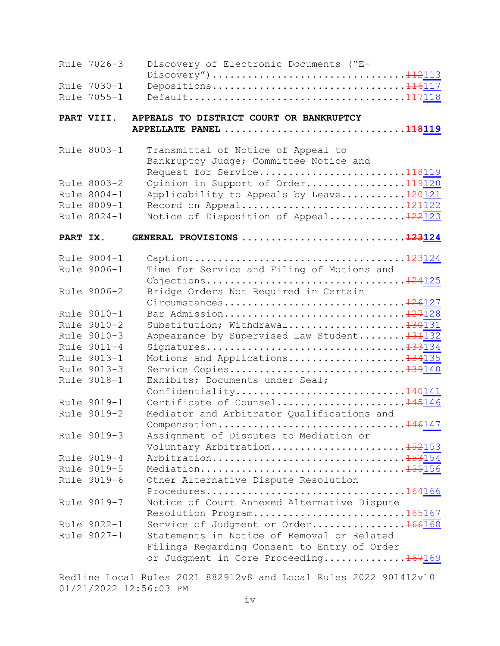|          | Rule 7026-3 | Discovery of Electronic Documents ("E-             |  |
|----------|-------------|----------------------------------------------------|--|
|          |             |                                                    |  |
|          | Rule 7030-1 |                                                    |  |
|          | Rule 7055-1 |                                                    |  |
|          | PART VIII.  | APPEALS TO DISTRICT COURT OR BANKRUPTCY            |  |
|          |             | APPELLATE PANEL 118119                             |  |
|          | Rule 8003-1 | Transmittal of Notice of Appeal to                 |  |
|          |             | Bankruptcy Judge; Committee Notice and             |  |
|          |             | Request for Service118119                          |  |
|          | Rule 8003-2 | Opinion in Support of Order119120                  |  |
|          | Rule 8004-1 | Applicability to Appeals by Leave 120121           |  |
|          | Rule 8009-1 |                                                    |  |
|          | Rule 8024-1 | Notice of Disposition of Appeal 122123             |  |
| PART IX. |             |                                                    |  |
|          | Rule 9004-1 |                                                    |  |
|          | Rule 9006-1 | Time for Service and Filing of Motions and         |  |
|          |             |                                                    |  |
|          | Rule 9006-2 | Bridge Orders Not Required in Certain              |  |
|          |             | Circumstances126127                                |  |
|          | Rule 9010-1 |                                                    |  |
|          | Rule 9010-2 | Substitution; Withdrawal130131                     |  |
|          | Rule 9010-3 | Appearance by Supervised Law Student 131132        |  |
|          | Rule 9011-4 |                                                    |  |
|          | Rule 9013-1 | Motions and Applications134135                     |  |
|          | Rule 9013-3 |                                                    |  |
|          | Rule 9018-1 | Exhibits; Documents under Seal;                    |  |
|          |             | Confidentiality140141                              |  |
|          | Rule 9019-1 | Certificate of Counsel145146                       |  |
|          | Rule 9019-2 | Mediator and Arbitrator Qualifications and         |  |
|          |             | Compensation446147                                 |  |
|          | Rule 9019-3 | Assignment of Disputes to Mediation or             |  |
|          | Rule 9019-4 | Voluntary Arbitration 152153<br>Arbitration 453154 |  |
|          | Rule 9019-5 |                                                    |  |
|          | Rule 9019-6 | Other Alternative Dispute Resolution               |  |
|          |             |                                                    |  |
|          | Rule 9019-7 | Notice of Court Annexed Alternative Dispute        |  |
|          |             | Resolution Program465167                           |  |
|          | Rule 9022-1 | Service of Judgment or Order 166168                |  |
|          | Rule 9027-1 | Statements in Notice of Removal or Related         |  |
|          |             | Filings Regarding Consent to Entry of Order        |  |
|          |             | or Judgment in Core Proceeding 167169              |  |
|          |             |                                                    |  |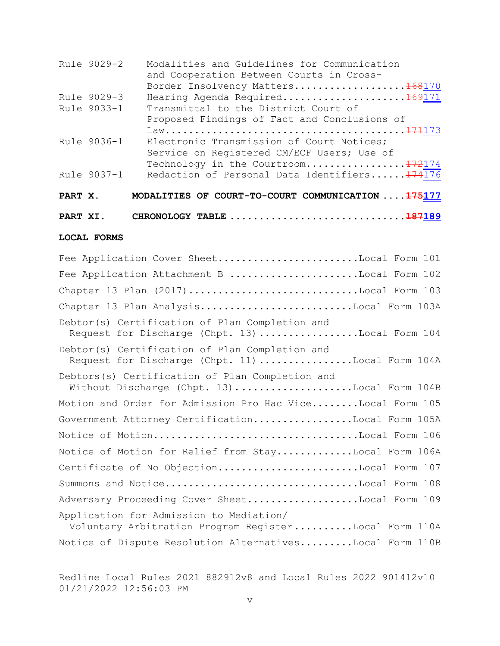|          | Rule 9029-2 | Modalities and Guidelines for Communication<br>and Cooperation Between Courts in Cross- |
|----------|-------------|-----------------------------------------------------------------------------------------|
|          |             | Border Insolvency Matters 168170                                                        |
|          | Rule 9029-3 | Hearing Agenda Required 169171                                                          |
|          | Rule 9033-1 | Transmittal to the District Court of                                                    |
|          |             | Proposed Findings of Fact and Conclusions of                                            |
|          |             |                                                                                         |
|          | Rule 9036-1 | Electronic Transmission of Court Notices;                                               |
|          |             | Service on Registered CM/ECF Users; Use of                                              |
|          |             | Technology in the Courtroom172174                                                       |
|          | Rule 9037-1 | Redaction of Personal Data Identifiers174176                                            |
|          |             |                                                                                         |
| PART X.  |             | MODALITIES OF COURT-TO-COURT COMMUNICATION  175177                                      |
| PART XI. |             |                                                                                         |

## **LOCAL FORMS**

| Fee Application Cover SheetLocal Form 101                                                          |
|----------------------------------------------------------------------------------------------------|
| Fee Application Attachment B Local Form 102                                                        |
| Chapter 13 Plan (2017)Local Form 103                                                               |
| Chapter 13 Plan AnalysisLocal Form 103A                                                            |
| Debtor(s) Certification of Plan Completion and<br>Request for Discharge (Chpt. 13) Local Form 104  |
| Debtor(s) Certification of Plan Completion and<br>Request for Discharge (Chpt. 11) Local Form 104A |
| Debtors (s) Certification of Plan Completion and<br>Without Discharge (Chpt. 13) Local Form 104B   |
| Motion and Order for Admission Pro Hac ViceLocal Form 105                                          |
| Government Attorney CertificationLocal Form 105A                                                   |
| Notice of MotionLocal Form 106                                                                     |
| Notice of Motion for Relief from StayLocal Form 106A                                               |
| Certificate of No ObjectionLocal Form 107                                                          |
| Summons and NoticeLocal Form 108                                                                   |
| Adversary Proceeding Cover SheetLocal Form 109                                                     |
| Application for Admission to Mediation/<br>Voluntary Arbitration Program RegisterLocal Form 110A   |
| Notice of Dispute Resolution AlternativesLocal Form 110B                                           |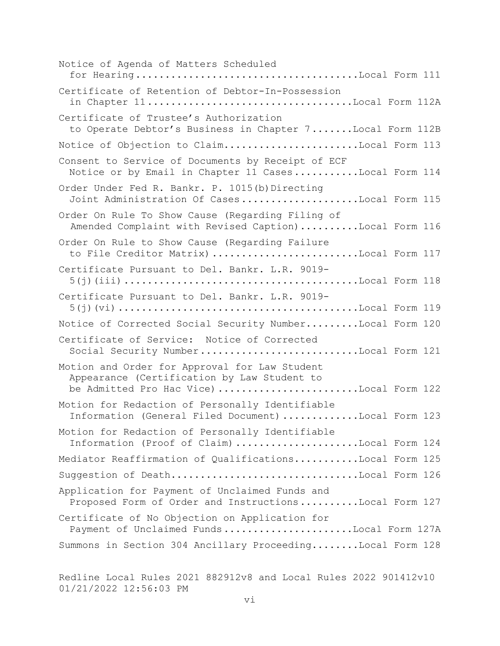| Notice of Agenda of Matters Scheduled                                                                     |
|-----------------------------------------------------------------------------------------------------------|
|                                                                                                           |
| Certificate of Retention of Debtor-In-Possession                                                          |
| in Chapter 11Local Form 112A                                                                              |
| Certificate of Trustee's Authorization<br>to Operate Debtor's Business in Chapter 7Local Form 112B        |
| Notice of Objection to ClaimLocal Form 113                                                                |
| Consent to Service of Documents by Receipt of ECF<br>Notice or by Email in Chapter 11 CasesLocal Form 114 |
| Order Under Fed R. Bankr. P. 1015(b) Directing<br>Joint Administration Of CasesLocal Form 115             |
| Order On Rule To Show Cause (Regarding Filing of<br>Amended Complaint with Revised Caption)Local Form 116 |
| Order On Rule to Show Cause (Regarding Failure<br>to File Creditor Matrix) Local Form 117                 |
| Certificate Pursuant to Del. Bankr. L.R. 9019-                                                            |
| Certificate Pursuant to Del. Bankr. L.R. 9019-                                                            |
| Notice of Corrected Social Security NumberLocal Form 120                                                  |
| Certificate of Service: Notice of Corrected<br>Social Security NumberLocal Form 121                       |
| Motion and Order for Approval for Law Student<br>Appearance (Certification by Law Student to              |
| be Admitted Pro Hac Vice) Local Form 122                                                                  |
| Motion for Redaction of Personally Identifiable<br>Information (General Filed Document) Local Form 123    |
| Motion for Redaction of Personally Identifiable<br>Information (Proof of Claim)Local Form 124             |
| Mediator Reaffirmation of QualificationsLocal Form 125                                                    |
| Suggestion of DeathLocal Form 126                                                                         |
| Application for Payment of Unclaimed Funds and<br>Proposed Form of Order and InstructionsLocal Form 127   |
| Certificate of No Objection on Application for<br>Payment of Unclaimed FundsLocal Form 127A               |
| Summons in Section 304 Ancillary ProceedingLocal Form 128                                                 |
|                                                                                                           |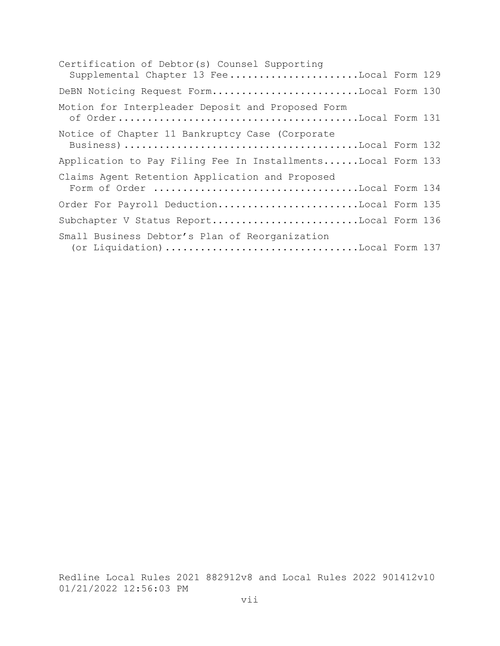| Certification of Debtor(s) Counsel Supporting<br>Supplemental Chapter 13 FeeLocal Form 129 |  |
|--------------------------------------------------------------------------------------------|--|
|                                                                                            |  |
| DeBN Noticing Request FormLocal Form 130                                                   |  |
| Motion for Interpleader Deposit and Proposed Form                                          |  |
|                                                                                            |  |
| Notice of Chapter 11 Bankruptcy Case (Corporate                                            |  |
|                                                                                            |  |
| Application to Pay Filing Fee In InstallmentsLocal Form 133                                |  |
| Claims Agent Retention Application and Proposed                                            |  |
| Form of Order Local Form 134                                                               |  |
| Order For Payroll DeductionLocal Form 135                                                  |  |
| Subchapter V Status ReportLocal Form 136                                                   |  |
| Small Business Debtor's Plan of Reorganization                                             |  |
| (or Liquidation) Local Form 137                                                            |  |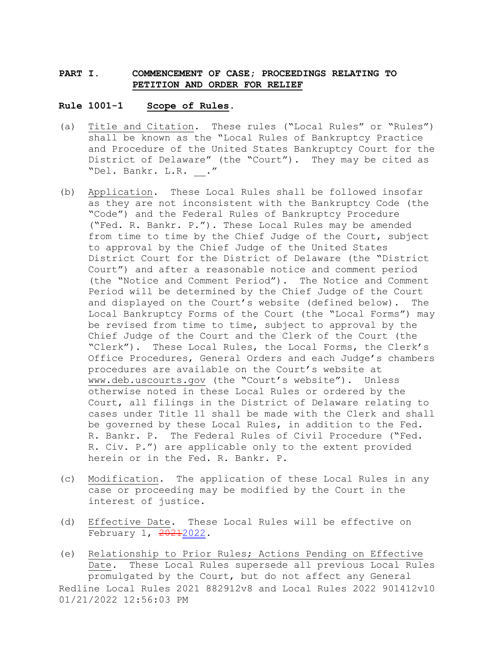## **PART I. COMMENCEMENT OF CASE; PROCEEDINGS RELATING TO PETITION AND ORDER FOR RELIEF**

#### **Rule 1001-1 Scope of Rules**.

- (a) Title and Citation. These rules ("Local Rules" or "Rules") shall be known as the "Local Rules of Bankruptcy Practice and Procedure of the United States Bankruptcy Court for the District of Delaware" (the "Court"). They may be cited as "Del. Bankr. L.R. \_\_."
- (b) Application. These Local Rules shall be followed insofar as they are not inconsistent with the Bankruptcy Code (the "Code") and the Federal Rules of Bankruptcy Procedure ("Fed. R. Bankr. P."). These Local Rules may be amended from time to time by the Chief Judge of the Court, subject to approval by the Chief Judge of the United States District Court for the District of Delaware (the "District Court") and after a reasonable notice and comment period (the "Notice and Comment Period"). The Notice and Comment Period will be determined by the Chief Judge of the Court and displayed on the Court's website (defined below). The Local Bankruptcy Forms of the Court (the "Local Forms") may be revised from time to time, subject to approval by the Chief Judge of the Court and the Clerk of the Court (the "Clerk"). These Local Rules, the Local Forms, the Clerk's Office Procedures, General Orders and each Judge's chambers procedures are available on the Court's website at www.deb.uscourts.gov (the "Court's website"). Unless otherwise noted in these Local Rules or ordered by the Court, all filings in the District of Delaware relating to cases under Title 11 shall be made with the Clerk and shall be governed by these Local Rules, in addition to the Fed. R. Bankr. P. The Federal Rules of Civil Procedure ("Fed. R. Civ. P.") are applicable only to the extent provided herein or in the Fed. R. Bankr. P.
- (c) Modification. The application of these Local Rules in any case or proceeding may be modified by the Court in the interest of justice.
- (d) Effective Date. These Local Rules will be effective on February 1, 20212022.
- Redline Local Rules 2021 882912v8 and Local Rules 2022 901412v10 01/21/2022 12:56:03 PM (e) Relationship to Prior Rules; Actions Pending on Effective Date. These Local Rules supersede all previous Local Rules promulgated by the Court, but do not affect any General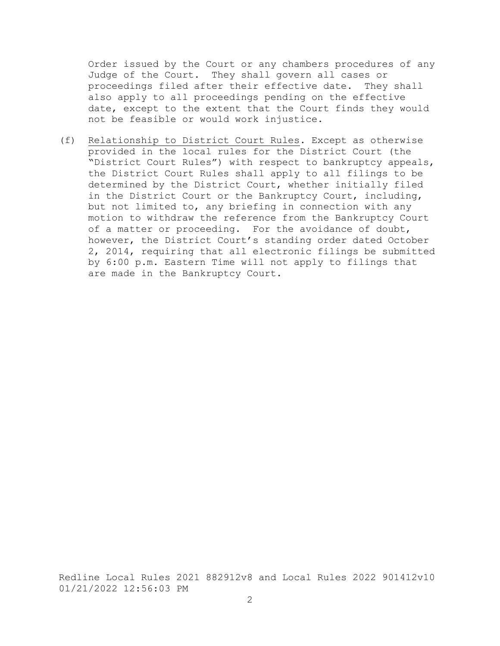Order issued by the Court or any chambers procedures of any Judge of the Court. They shall govern all cases or proceedings filed after their effective date. They shall also apply to all proceedings pending on the effective date, except to the extent that the Court finds they would not be feasible or would work injustice.

(f) Relationship to District Court Rules. Except as otherwise provided in the local rules for the District Court (the "District Court Rules") with respect to bankruptcy appeals, the District Court Rules shall apply to all filings to be determined by the District Court, whether initially filed in the District Court or the Bankruptcy Court, including, but not limited to, any briefing in connection with any motion to withdraw the reference from the Bankruptcy Court of a matter or proceeding. For the avoidance of doubt, however, the District Court's standing order dated October 2, 2014, requiring that all electronic filings be submitted by 6:00 p.m. Eastern Time will not apply to filings that are made in the Bankruptcy Court.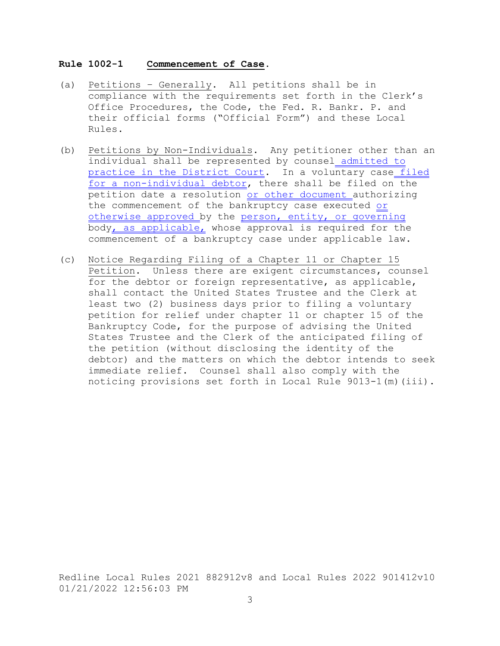### **Rule 1002-1 Commencement of Case**.

- (a) Petitions Generally. All petitions shall be in compliance with the requirements set forth in the Clerk's Office Procedures, the Code, the Fed. R. Bankr. P. and their official forms ("Official Form") and these Local Rules.
- (b) Petitions by Non-Individuals. Any petitioner other than an individual shall be represented by counsel admitted to practice in the District Court. In a voluntary case filed for a non-individual debtor, there shall be filed on the petition date a resolution or other document authorizing the commencement of the bankruptcy case executed or otherwise approved by the person, entity, or governing body, as applicable, whose approval is required for the commencement of a bankruptcy case under applicable law.
- (c) Notice Regarding Filing of a Chapter 11 or Chapter 15 Petition. Unless there are exigent circumstances, counsel for the debtor or foreign representative, as applicable, shall contact the United States Trustee and the Clerk at least two (2) business days prior to filing a voluntary petition for relief under chapter 11 or chapter 15 of the Bankruptcy Code, for the purpose of advising the United States Trustee and the Clerk of the anticipated filing of the petition (without disclosing the identity of the debtor) and the matters on which the debtor intends to seek immediate relief. Counsel shall also comply with the noticing provisions set forth in Local Rule 9013-1(m)(iii).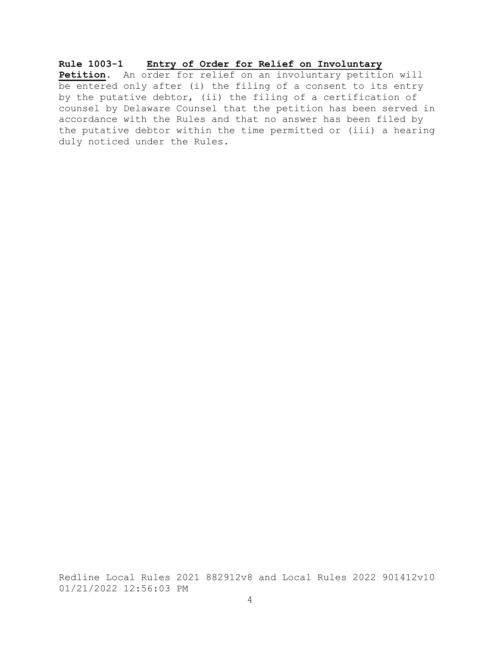# **Rule 1003-1 Entry of Order for Relief on Involuntary**

**Petition**. An order for relief on an involuntary petition will be entered only after (i) the filing of a consent to its entry by the putative debtor, (ii) the filing of a certification of counsel by Delaware Counsel that the petition has been served in accordance with the Rules and that no answer has been filed by the putative debtor within the time permitted or (iii) a hearing duly noticed under the Rules.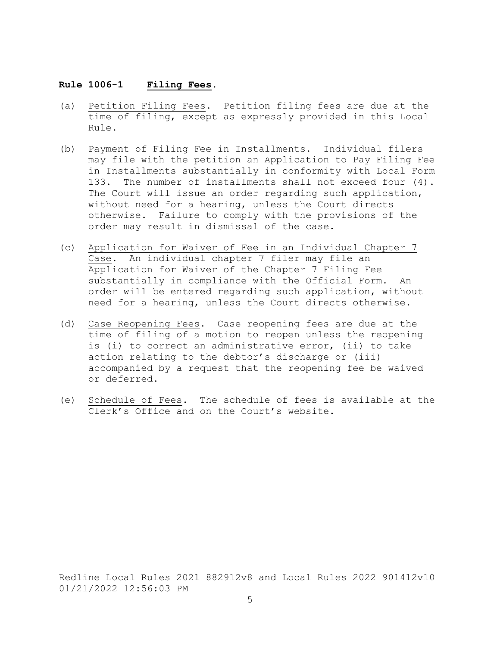#### **Rule 1006-1 Filing Fees**.

- (a) Petition Filing Fees. Petition filing fees are due at the time of filing, except as expressly provided in this Local Rule.
- (b) Payment of Filing Fee in Installments. Individual filers may file with the petition an Application to Pay Filing Fee in Installments substantially in conformity with Local Form 133. The number of installments shall not exceed four (4). The Court will issue an order regarding such application, without need for a hearing, unless the Court directs otherwise. Failure to comply with the provisions of the order may result in dismissal of the case.
- (c) Application for Waiver of Fee in an Individual Chapter 7 Case. An individual chapter 7 filer may file an Application for Waiver of the Chapter 7 Filing Fee substantially in compliance with the Official Form. An order will be entered regarding such application, without need for a hearing, unless the Court directs otherwise.
- (d) Case Reopening Fees. Case reopening fees are due at the time of filing of a motion to reopen unless the reopening is (i) to correct an administrative error, (ii) to take action relating to the debtor's discharge or (iii) accompanied by a request that the reopening fee be waived or deferred.
- (e) Schedule of Fees. The schedule of fees is available at the Clerk's Office and on the Court's website.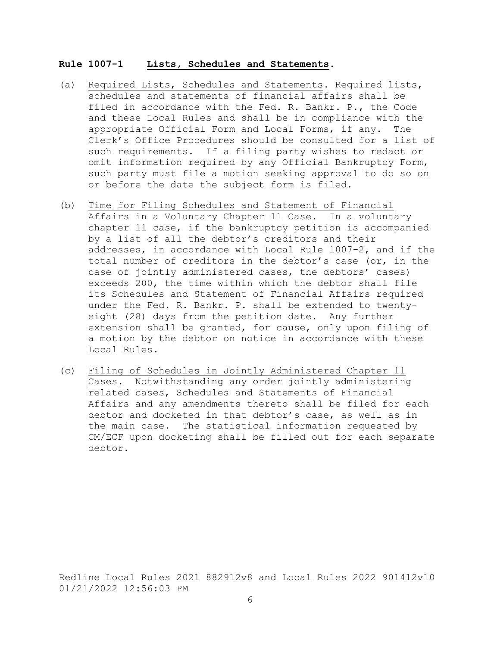#### **Rule 1007-1 Lists, Schedules and Statements**.

- (a) Required Lists, Schedules and Statements. Required lists, schedules and statements of financial affairs shall be filed in accordance with the Fed. R. Bankr. P., the Code and these Local Rules and shall be in compliance with the appropriate Official Form and Local Forms, if any. The Clerk's Office Procedures should be consulted for a list of such requirements. If a filing party wishes to redact or omit information required by any Official Bankruptcy Form, such party must file a motion seeking approval to do so on or before the date the subject form is filed.
- (b) Time for Filing Schedules and Statement of Financial Affairs in a Voluntary Chapter 11 Case. In a voluntary chapter 11 case, if the bankruptcy petition is accompanied by a list of all the debtor's creditors and their addresses, in accordance with Local Rule 1007-2, and if the total number of creditors in the debtor's case (or, in the case of jointly administered cases, the debtors' cases) exceeds 200, the time within which the debtor shall file its Schedules and Statement of Financial Affairs required under the Fed. R. Bankr. P. shall be extended to twentyeight (28) days from the petition date. Any further extension shall be granted, for cause, only upon filing of a motion by the debtor on notice in accordance with these Local Rules.
- (c) Filing of Schedules in Jointly Administered Chapter 11 Cases. Notwithstanding any order jointly administering related cases, Schedules and Statements of Financial Affairs and any amendments thereto shall be filed for each debtor and docketed in that debtor's case, as well as in the main case. The statistical information requested by CM/ECF upon docketing shall be filled out for each separate debtor.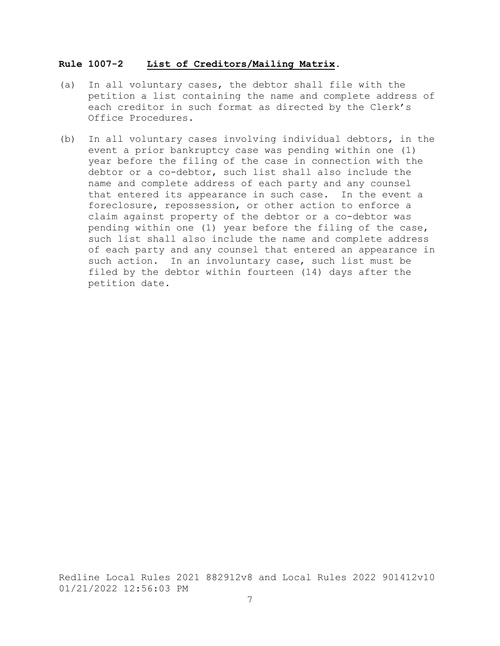### **Rule 1007-2 List of Creditors/Mailing Matrix.**

- (a) In all voluntary cases, the debtor shall file with the petition a list containing the name and complete address of each creditor in such format as directed by the Clerk's Office Procedures.
- (b) In all voluntary cases involving individual debtors, in the event a prior bankruptcy case was pending within one (1) year before the filing of the case in connection with the debtor or a co-debtor, such list shall also include the name and complete address of each party and any counsel that entered its appearance in such case. In the event a foreclosure, repossession, or other action to enforce a claim against property of the debtor or a co-debtor was pending within one (1) year before the filing of the case, such list shall also include the name and complete address of each party and any counsel that entered an appearance in such action. In an involuntary case, such list must be filed by the debtor within fourteen (14) days after the petition date.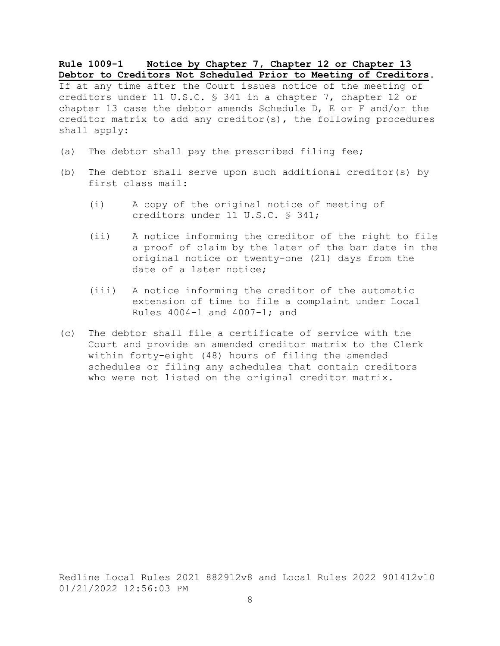## **Rule 1009-1 Notice by Chapter 7, Chapter 12 or Chapter 13 Debtor to Creditors Not Scheduled Prior to Meeting of Creditors.**

If at any time after the Court issues notice of the meeting of creditors under 11 U.S.C. § 341 in a chapter 7, chapter 12 or chapter 13 case the debtor amends Schedule D, E or F and/or the creditor matrix to add any creditor(s), the following procedures shall apply:

- (a) The debtor shall pay the prescribed filing fee;
- (b) The debtor shall serve upon such additional creditor(s) by first class mail:
	- (i) A copy of the original notice of meeting of creditors under 11 U.S.C. § 341;
	- (ii) A notice informing the creditor of the right to file a proof of claim by the later of the bar date in the original notice or twenty-one (21) days from the date of a later notice;
	- (iii) A notice informing the creditor of the automatic extension of time to file a complaint under Local Rules 4004-1 and 4007-1; and
- (c) The debtor shall file a certificate of service with the Court and provide an amended creditor matrix to the Clerk within forty-eight (48) hours of filing the amended schedules or filing any schedules that contain creditors who were not listed on the original creditor matrix.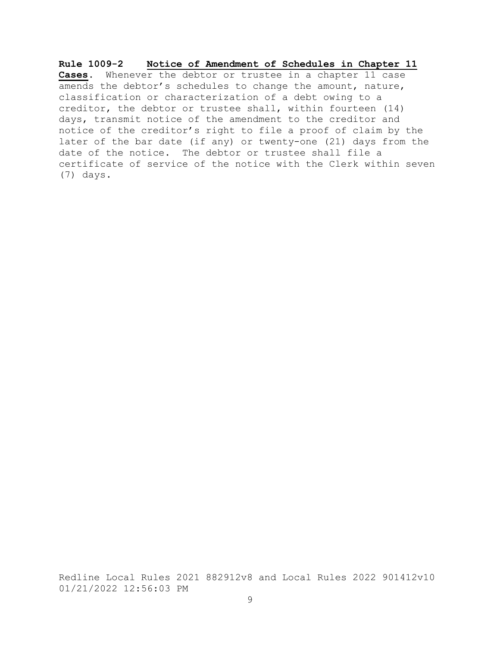**Rule 1009-2 Notice of Amendment of Schedules in Chapter 11 Cases.** Whenever the debtor or trustee in a chapter 11 case amends the debtor's schedules to change the amount, nature, classification or characterization of a debt owing to a creditor, the debtor or trustee shall, within fourteen (14) days, transmit notice of the amendment to the creditor and notice of the creditor's right to file a proof of claim by the later of the bar date (if any) or twenty-one (21) days from the date of the notice. The debtor or trustee shall file a certificate of service of the notice with the Clerk within seven (7) days.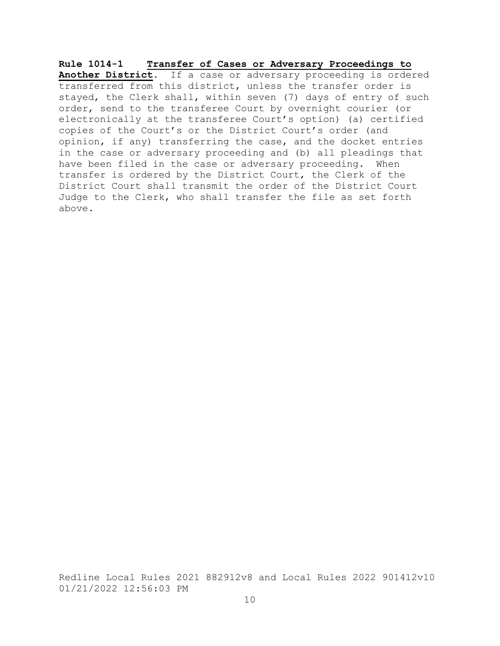**Rule 1014-1 Transfer of Cases or Adversary Proceedings to Another District**. If a case or adversary proceeding is ordered transferred from this district, unless the transfer order is stayed, the Clerk shall, within seven (7) days of entry of such order, send to the transferee Court by overnight courier (or electronically at the transferee Court's option) (a) certified copies of the Court's or the District Court's order (and opinion, if any) transferring the case, and the docket entries in the case or adversary proceeding and (b) all pleadings that have been filed in the case or adversary proceeding. When transfer is ordered by the District Court, the Clerk of the District Court shall transmit the order of the District Court Judge to the Clerk, who shall transfer the file as set forth above.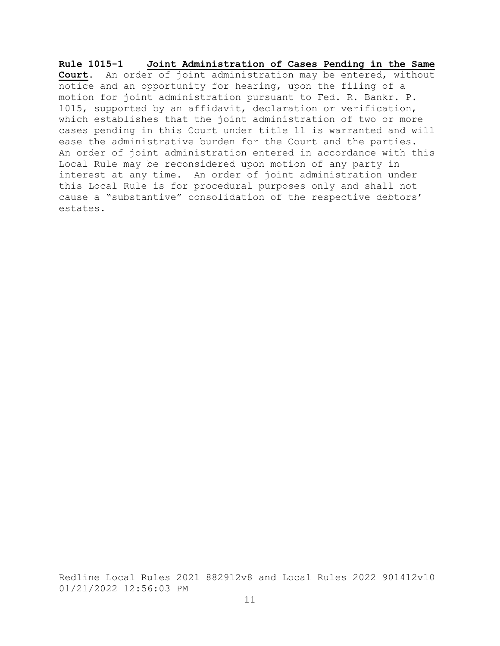**Rule 1015-1 Joint Administration of Cases Pending in the Same Court**. An order of joint administration may be entered, without notice and an opportunity for hearing, upon the filing of a motion for joint administration pursuant to Fed. R. Bankr. P. 1015, supported by an affidavit, declaration or verification, which establishes that the joint administration of two or more cases pending in this Court under title 11 is warranted and will ease the administrative burden for the Court and the parties. An order of joint administration entered in accordance with this Local Rule may be reconsidered upon motion of any party in interest at any time. An order of joint administration under this Local Rule is for procedural purposes only and shall not cause a "substantive" consolidation of the respective debtors' estates.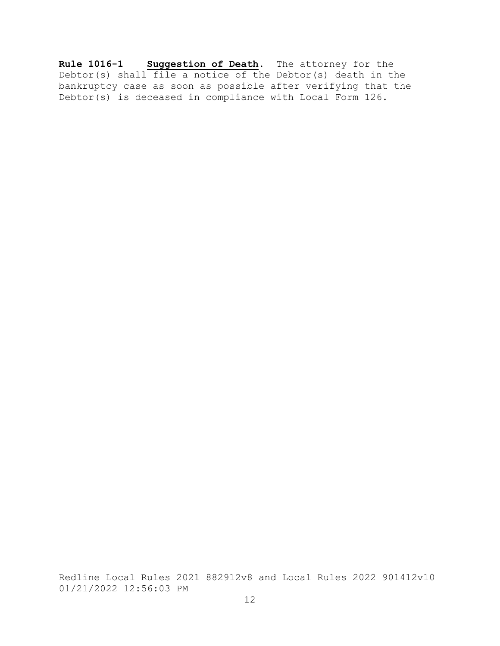**Rule 1016-1 Suggestion of Death**. The attorney for the Debtor(s) shall file a notice of the Debtor(s) death in the bankruptcy case as soon as possible after verifying that the Debtor(s) is deceased in compliance with Local Form 126.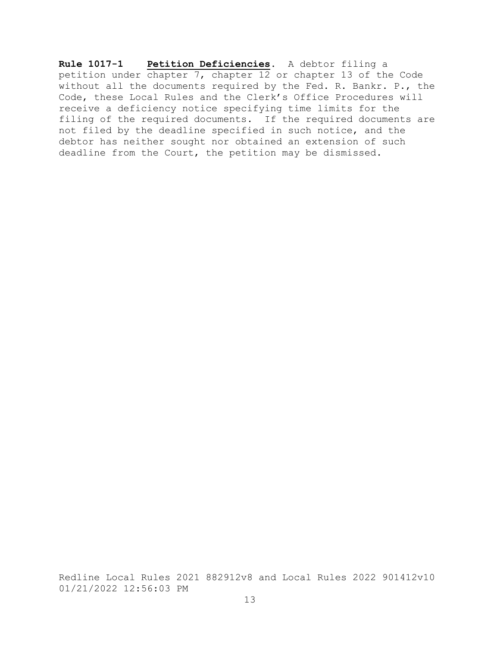**Rule 1017-1 Petition Deficiencies**. A debtor filing a petition under chapter 7, chapter 12 or chapter 13 of the Code without all the documents required by the Fed. R. Bankr. P., the Code, these Local Rules and the Clerk's Office Procedures will receive a deficiency notice specifying time limits for the filing of the required documents. If the required documents are not filed by the deadline specified in such notice, and the debtor has neither sought nor obtained an extension of such deadline from the Court, the petition may be dismissed.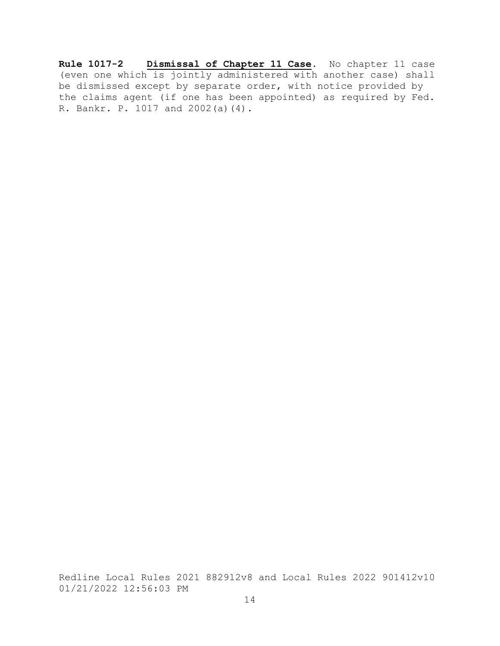**Rule 1017-2 Dismissal of Chapter 11 Case**. No chapter 11 case (even one which is jointly administered with another case) shall be dismissed except by separate order, with notice provided by the claims agent (if one has been appointed) as required by Fed. R. Bankr. P. 1017 and 2002(a)(4).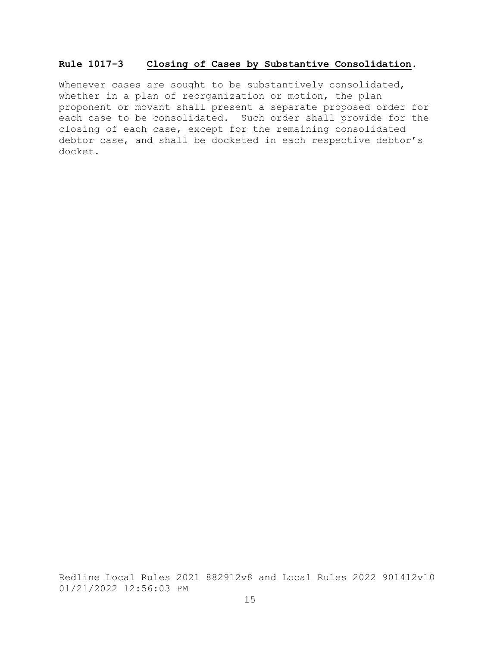### **Rule 1017-3 Closing of Cases by Substantive Consolidation.**

Whenever cases are sought to be substantively consolidated, whether in a plan of reorganization or motion, the plan proponent or movant shall present a separate proposed order for each case to be consolidated. Such order shall provide for the closing of each case, except for the remaining consolidated debtor case, and shall be docketed in each respective debtor's docket.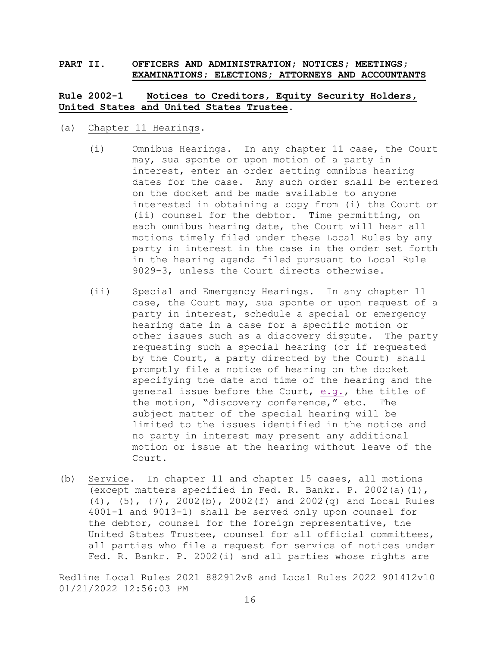# **PART II. OFFICERS AND ADMINISTRATION; NOTICES; MEETINGS; EXAMINATIONS; ELECTIONS; ATTORNEYS AND ACCOUNTANTS**

# **Rule 2002-1 Notices to Creditors, Equity Security Holders, United States and United States Trustee**.

- (a) Chapter 11 Hearings.
	- (i) Omnibus Hearings. In any chapter 11 case, the Court may, sua sponte or upon motion of a party in interest, enter an order setting omnibus hearing dates for the case. Any such order shall be entered on the docket and be made available to anyone interested in obtaining a copy from (i) the Court or (ii) counsel for the debtor. Time permitting, on each omnibus hearing date, the Court will hear all motions timely filed under these Local Rules by any party in interest in the case in the order set forth in the hearing agenda filed pursuant to Local Rule 9029-3, unless the Court directs otherwise.
	- (ii) Special and Emergency Hearings. In any chapter 11 case, the Court may, sua sponte or upon request of a party in interest, schedule a special or emergency hearing date in a case for a specific motion or other issues such as a discovery dispute. The party requesting such a special hearing (or if requested by the Court, a party directed by the Court) shall promptly file a notice of hearing on the docket specifying the date and time of the hearing and the general issue before the Court,  $e.g.,$  the title of the motion, "discovery conference," etc. The subject matter of the special hearing will be limited to the issues identified in the notice and no party in interest may present any additional motion or issue at the hearing without leave of the Court.
- (b) Service. In chapter 11 and chapter 15 cases, all motions (except matters specified in Fed. R. Bankr. P. 2002(a)(1), (4), (5), (7), 2002(b), 2002(f) and 2002(q) and Local Rules 4001-1 and 9013-1) shall be served only upon counsel for the debtor, counsel for the foreign representative, the United States Trustee, counsel for all official committees, all parties who file a request for service of notices under Fed. R. Bankr. P. 2002(i) and all parties whose rights are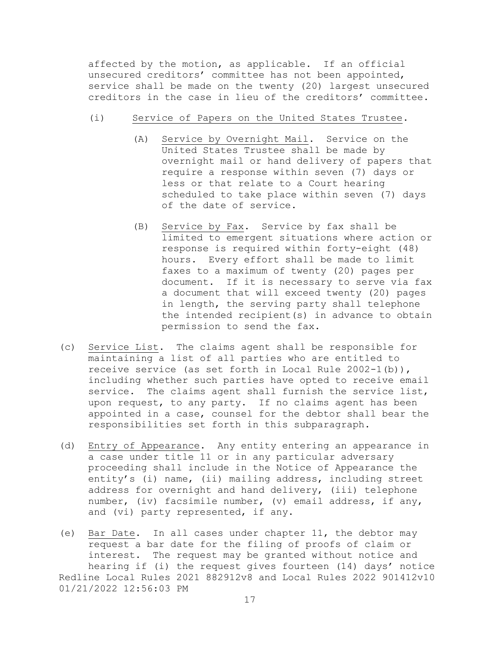affected by the motion, as applicable. If an official unsecured creditors' committee has not been appointed, service shall be made on the twenty (20) largest unsecured creditors in the case in lieu of the creditors' committee.

#### (i) Service of Papers on the United States Trustee.

- (A) Service by Overnight Mail. Service on the United States Trustee shall be made by overnight mail or hand delivery of papers that require a response within seven (7) days or less or that relate to a Court hearing scheduled to take place within seven (7) days of the date of service.
- (B) Service by Fax. Service by fax shall be limited to emergent situations where action or response is required within forty-eight (48) hours. Every effort shall be made to limit faxes to a maximum of twenty (20) pages per document. If it is necessary to serve via fax a document that will exceed twenty (20) pages in length, the serving party shall telephone the intended recipient(s) in advance to obtain permission to send the fax.
- (c) Service List. The claims agent shall be responsible for maintaining a list of all parties who are entitled to receive service (as set forth in Local Rule 2002-1(b)), including whether such parties have opted to receive email service. The claims agent shall furnish the service list, upon request, to any party. If no claims agent has been appointed in a case, counsel for the debtor shall bear the responsibilities set forth in this subparagraph.
- (d) Entry of Appearance. Any entity entering an appearance in a case under title 11 or in any particular adversary proceeding shall include in the Notice of Appearance the entity's (i) name, (ii) mailing address, including street address for overnight and hand delivery, (iii) telephone number, (iv) facsimile number, (v) email address, if any, and (vi) party represented, if any.
- Redline Local Rules 2021 882912v8 and Local Rules 2022 901412v10 01/21/2022 12:56:03 PM (e) Bar Date. In all cases under chapter 11, the debtor may request a bar date for the filing of proofs of claim or interest. The request may be granted without notice and hearing if (i) the request gives fourteen (14) days' notice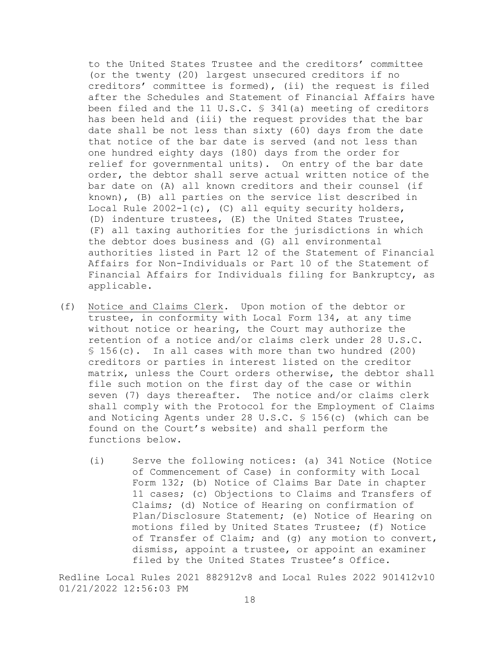to the United States Trustee and the creditors' committee (or the twenty (20) largest unsecured creditors if no creditors' committee is formed), (ii) the request is filed after the Schedules and Statement of Financial Affairs have been filed and the 11 U.S.C. § 341(a) meeting of creditors has been held and (iii) the request provides that the bar date shall be not less than sixty (60) days from the date that notice of the bar date is served (and not less than one hundred eighty days (180) days from the order for relief for governmental units). On entry of the bar date order, the debtor shall serve actual written notice of the bar date on (A) all known creditors and their counsel (if known), (B) all parties on the service list described in Local Rule  $2002-1(c)$ , (C) all equity security holders, (D) indenture trustees, (E) the United States Trustee, (F) all taxing authorities for the jurisdictions in which the debtor does business and (G) all environmental authorities listed in Part 12 of the Statement of Financial Affairs for Non-Individuals or Part 10 of the Statement of Financial Affairs for Individuals filing for Bankruptcy, as applicable.

- (f) Notice and Claims Clerk. Upon motion of the debtor or trustee, in conformity with Local Form 134, at any time without notice or hearing, the Court may authorize the retention of a notice and/or claims clerk under 28 U.S.C. § 156(c). In all cases with more than two hundred (200) creditors or parties in interest listed on the creditor matrix, unless the Court orders otherwise, the debtor shall file such motion on the first day of the case or within seven (7) days thereafter. The notice and/or claims clerk shall comply with the Protocol for the Employment of Claims and Noticing Agents under 28 U.S.C. § 156(c) (which can be found on the Court's website) and shall perform the functions below.
	- (i) Serve the following notices: (a) 341 Notice (Notice of Commencement of Case) in conformity with Local Form 132; (b) Notice of Claims Bar Date in chapter 11 cases; (c) Objections to Claims and Transfers of Claims; (d) Notice of Hearing on confirmation of Plan/Disclosure Statement; (e) Notice of Hearing on motions filed by United States Trustee; (f) Notice of Transfer of Claim; and (g) any motion to convert, dismiss, appoint a trustee, or appoint an examiner filed by the United States Trustee's Office.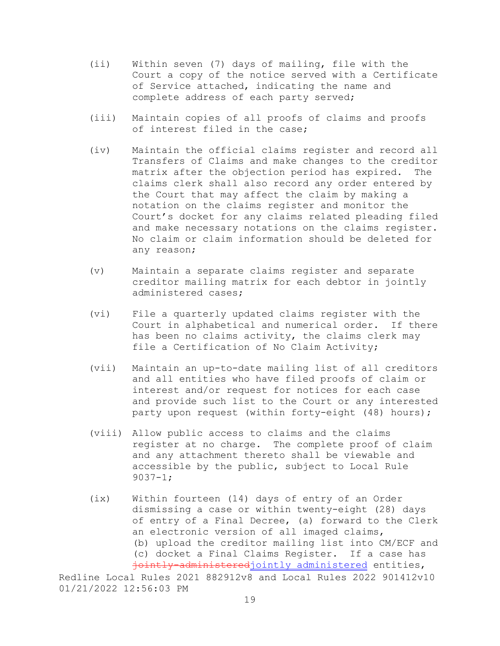- (ii) Within seven (7) days of mailing, file with the Court a copy of the notice served with a Certificate of Service attached, indicating the name and complete address of each party served;
- (iii) Maintain copies of all proofs of claims and proofs of interest filed in the case;
- (iv) Maintain the official claims register and record all Transfers of Claims and make changes to the creditor matrix after the objection period has expired. The claims clerk shall also record any order entered by the Court that may affect the claim by making a notation on the claims register and monitor the Court's docket for any claims related pleading filed and make necessary notations on the claims register. No claim or claim information should be deleted for any reason;
- (v) Maintain a separate claims register and separate creditor mailing matrix for each debtor in jointly administered cases;
- (vi) File a quarterly updated claims register with the Court in alphabetical and numerical order. If there has been no claims activity, the claims clerk may file a Certification of No Claim Activity;
- (vii) Maintain an up-to-date mailing list of all creditors and all entities who have filed proofs of claim or interest and/or request for notices for each case and provide such list to the Court or any interested party upon request (within forty-eight (48) hours);
- (viii) Allow public access to claims and the claims register at no charge. The complete proof of claim and any attachment thereto shall be viewable and accessible by the public, subject to Local Rule 9037-1;
- (ix) Within fourteen (14) days of entry of an Order dismissing a case or within twenty-eight (28) days of entry of a Final Decree, (a) forward to the Clerk an electronic version of all imaged claims, (b) upload the creditor mailing list into CM/ECF and (c) docket a Final Claims Register. If a case has jointly-administeredjointly administered entities,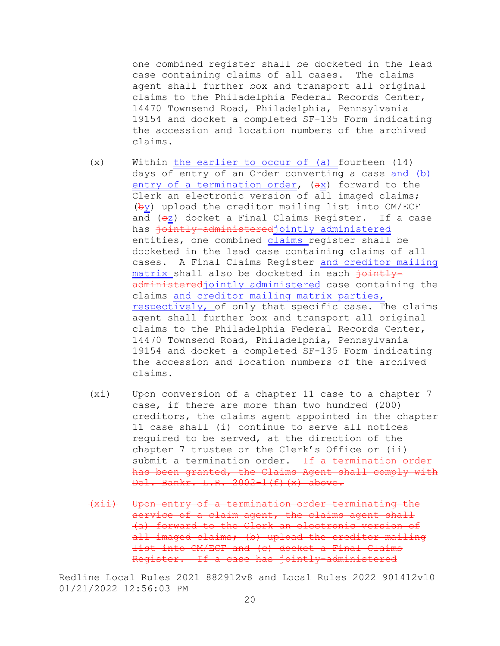one combined register shall be docketed in the lead case containing claims of all cases. The claims agent shall further box and transport all original claims to the Philadelphia Federal Records Center, 14470 Townsend Road, Philadelphia, Pennsylvania 19154 and docket a completed SF-135 Form indicating the accession and location numbers of the archived claims.

- (x) Within the earlier to occur of (a) fourteen (14) days of entry of an Order converting a case and (b) entry of a termination order,  $(ax)$  forward to the Clerk an electronic version of all imaged claims; (by) upload the creditor mailing list into CM/ECF and  $(ez)$  docket a Final Claims Register. If a case has  $\frac{1}{1}$ ointly-administeredjointly administered entities, one combined claims register shall be docketed in the lead case containing claims of all cases. A Final Claims Register and creditor mailing matrix shall also be docketed in each jointlyadministeredjointly administered case containing the claims and creditor mailing matrix parties, respectively, of only that specific case. The claims agent shall further box and transport all original claims to the Philadelphia Federal Records Center, 14470 Townsend Road, Philadelphia, Pennsylvania 19154 and docket a completed SF-135 Form indicating the accession and location numbers of the archived claims.
- (xi) Upon conversion of a chapter 11 case to a chapter 7 case, if there are more than two hundred (200) creditors, the claims agent appointed in the chapter 11 case shall (i) continue to serve all notices required to be served, at the direction of the chapter 7 trustee or the Clerk's Office or (ii) submit a termination order. If a termination order has been granted, the Claims Agent shall comply with Del. Bankr. L.R. 2002-1(f)(x) above.
- (xii) Upon entry of a termination order terminating the service of a claim agent, the claims agent shall (a) forward to the Clerk an electronic version of all imaged claims; (b) upload the creditor mailing list into CM/ECF and (c) docket a Final Claims Register. If a case has jointly-administered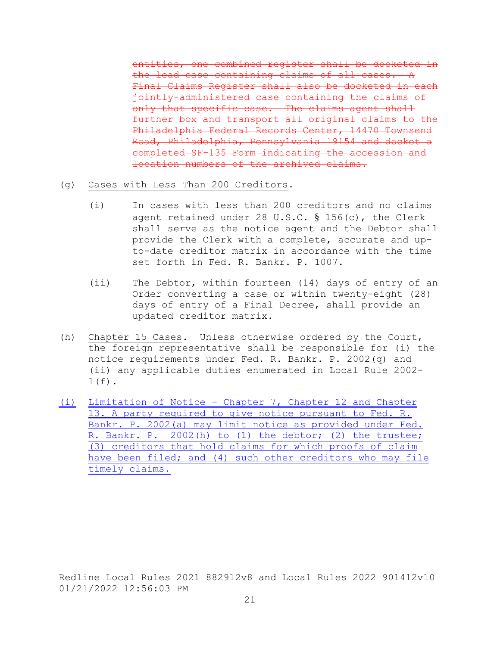entities, one combined register shall be docketed in the lead case containing claims of all cases. A Final Claims Register shall also be docketed in each jointly-administered case containing the claims of only that specific case. The claims agent shall further box and transport all original claims to the Philadelphia Federal Records Center, 14470 Townsend Road, Philadelphia, Pennsylvania 19154 and docket a completed SF-135 Form indicating the accession and location numbers of the archived claims.

- (g) Cases with Less Than 200 Creditors.
	- (i) In cases with less than 200 creditors and no claims agent retained under 28 U.S.C. § 156(c), the Clerk shall serve as the notice agent and the Debtor shall provide the Clerk with a complete, accurate and upto-date creditor matrix in accordance with the time set forth in Fed. R. Bankr. P. 1007.
	- (ii) The Debtor, within fourteen (14) days of entry of an Order converting a case or within twenty-eight (28) days of entry of a Final Decree, shall provide an updated creditor matrix.
- (h) Chapter 15 Cases. Unless otherwise ordered by the Court, the foreign representative shall be responsible for (i) the notice requirements under Fed. R. Bankr. P. 2002(q) and (ii) any applicable duties enumerated in Local Rule 2002- 1(f).
- (i) Limitation of Notice Chapter 7, Chapter 12 and Chapter 13. A party required to give notice pursuant to Fed. R. Bankr. P. 2002(a) may limit notice as provided under Fed. R. Bankr. P. 2002(h) to (1) the debtor; (2) the trustee; (3) creditors that hold claims for which proofs of claim have been filed; and (4) such other creditors who may file timely claims.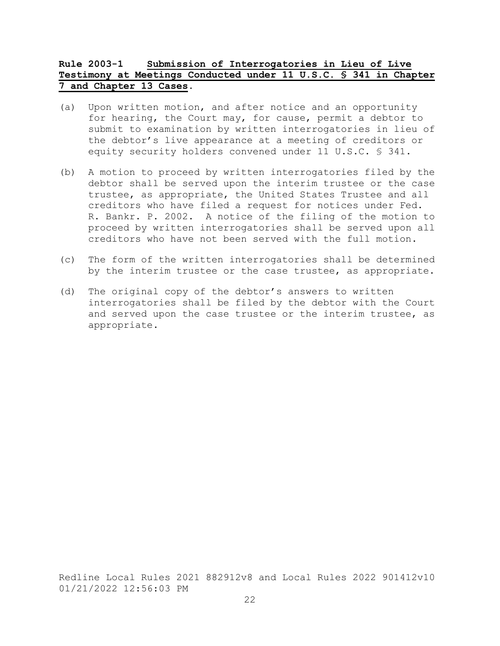# **Rule 2003-1 Submission of Interrogatories in Lieu of Live Testimony at Meetings Conducted under 11 U.S.C. § 341 in Chapter 7 and Chapter 13 Cases**.

- (a) Upon written motion, and after notice and an opportunity for hearing, the Court may, for cause, permit a debtor to submit to examination by written interrogatories in lieu of the debtor's live appearance at a meeting of creditors or equity security holders convened under 11 U.S.C. § 341.
- (b) A motion to proceed by written interrogatories filed by the debtor shall be served upon the interim trustee or the case trustee, as appropriate, the United States Trustee and all creditors who have filed a request for notices under Fed. R. Bankr. P. 2002. A notice of the filing of the motion to proceed by written interrogatories shall be served upon all creditors who have not been served with the full motion.
- (c) The form of the written interrogatories shall be determined by the interim trustee or the case trustee, as appropriate.
- (d) The original copy of the debtor's answers to written interrogatories shall be filed by the debtor with the Court and served upon the case trustee or the interim trustee, as appropriate.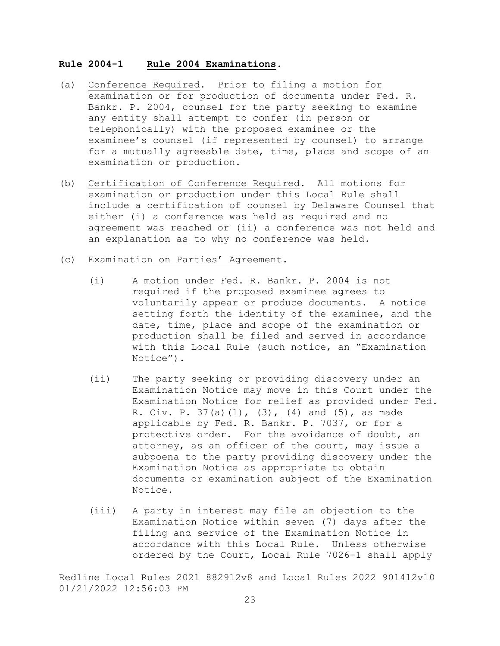#### **Rule 2004-1 Rule 2004 Examinations**.

- (a) Conference Required. Prior to filing a motion for examination or for production of documents under Fed. R. Bankr. P. 2004, counsel for the party seeking to examine any entity shall attempt to confer (in person or telephonically) with the proposed examinee or the examinee's counsel (if represented by counsel) to arrange for a mutually agreeable date, time, place and scope of an examination or production.
- (b) Certification of Conference Required. All motions for examination or production under this Local Rule shall include a certification of counsel by Delaware Counsel that either (i) a conference was held as required and no agreement was reached or (ii) a conference was not held and an explanation as to why no conference was held.
- (c) Examination on Parties' Agreement.
	- (i) A motion under Fed. R. Bankr. P. 2004 is not required if the proposed examinee agrees to voluntarily appear or produce documents. A notice setting forth the identity of the examinee, and the date, time, place and scope of the examination or production shall be filed and served in accordance with this Local Rule (such notice, an "Examination Notice").
	- (ii) The party seeking or providing discovery under an Examination Notice may move in this Court under the Examination Notice for relief as provided under Fed. R. Civ. P. 37(a)(1), (3), (4) and (5), as made applicable by Fed. R. Bankr. P. 7037, or for a protective order. For the avoidance of doubt, an attorney, as an officer of the court, may issue a subpoena to the party providing discovery under the Examination Notice as appropriate to obtain documents or examination subject of the Examination Notice.
	- (iii) A party in interest may file an objection to the Examination Notice within seven (7) days after the filing and service of the Examination Notice in accordance with this Local Rule. Unless otherwise ordered by the Court, Local Rule 7026-1 shall apply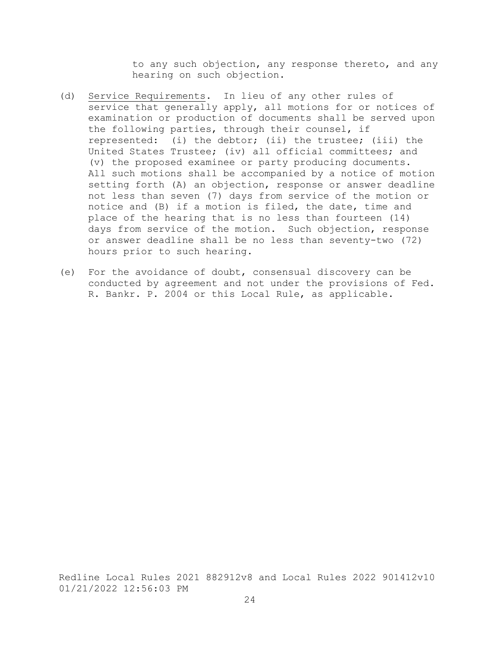to any such objection, any response thereto, and any hearing on such objection.

- (d) Service Requirements. In lieu of any other rules of service that generally apply, all motions for or notices of examination or production of documents shall be served upon the following parties, through their counsel, if represented: (i) the debtor; (ii) the trustee; (iii) the United States Trustee; (iv) all official committees; and (v) the proposed examinee or party producing documents. All such motions shall be accompanied by a notice of motion setting forth (A) an objection, response or answer deadline not less than seven (7) days from service of the motion or notice and (B) if a motion is filed, the date, time and place of the hearing that is no less than fourteen (14) days from service of the motion. Such objection, response or answer deadline shall be no less than seventy-two (72) hours prior to such hearing.
- (e) For the avoidance of doubt, consensual discovery can be conducted by agreement and not under the provisions of Fed. R. Bankr. P. 2004 or this Local Rule, as applicable.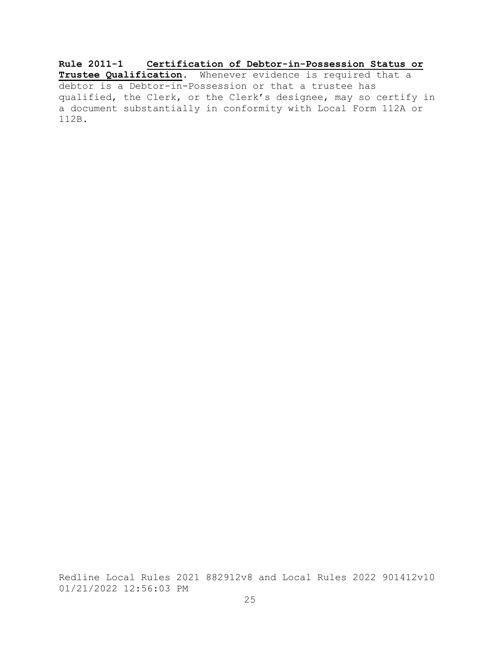**Rule 2011-1 Certification of Debtor-in-Possession Status or Trustee Qualification**. Whenever evidence is required that a debtor is a Debtor-in-Possession or that a trustee has qualified, the Clerk, or the Clerk's designee, may so certify in a document substantially in conformity with Local Form 112A or 112B.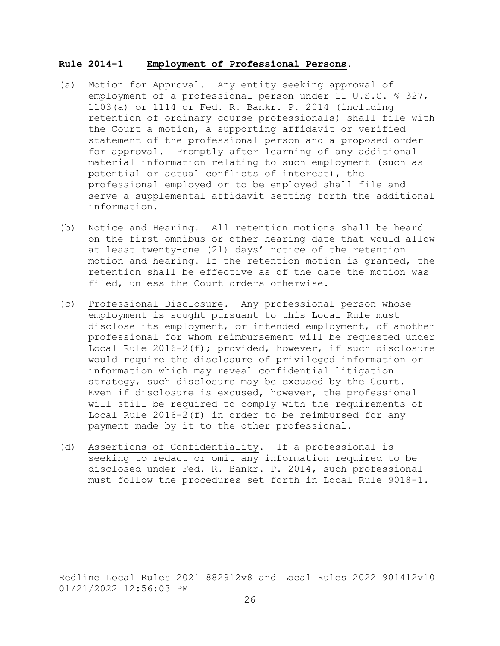#### **Rule 2014-1 Employment of Professional Persons**.

- (a) Motion for Approval. Any entity seeking approval of employment of a professional person under 11 U.S.C. § 327, 1103(a) or 1114 or Fed. R. Bankr. P. 2014 (including retention of ordinary course professionals) shall file with the Court a motion, a supporting affidavit or verified statement of the professional person and a proposed order for approval. Promptly after learning of any additional material information relating to such employment (such as potential or actual conflicts of interest), the professional employed or to be employed shall file and serve a supplemental affidavit setting forth the additional information.
- (b) Notice and Hearing. All retention motions shall be heard on the first omnibus or other hearing date that would allow at least twenty-one (21) days' notice of the retention motion and hearing. If the retention motion is granted, the retention shall be effective as of the date the motion was filed, unless the Court orders otherwise.
- (c) Professional Disclosure. Any professional person whose employment is sought pursuant to this Local Rule must disclose its employment, or intended employment, of another professional for whom reimbursement will be requested under Local Rule 2016-2(f); provided, however, if such disclosure would require the disclosure of privileged information or information which may reveal confidential litigation strategy, such disclosure may be excused by the Court. Even if disclosure is excused, however, the professional will still be required to comply with the requirements of Local Rule 2016-2(f) in order to be reimbursed for any payment made by it to the other professional.
- (d) Assertions of Confidentiality. If a professional is seeking to redact or omit any information required to be disclosed under Fed. R. Bankr. P. 2014, such professional must follow the procedures set forth in Local Rule 9018-1.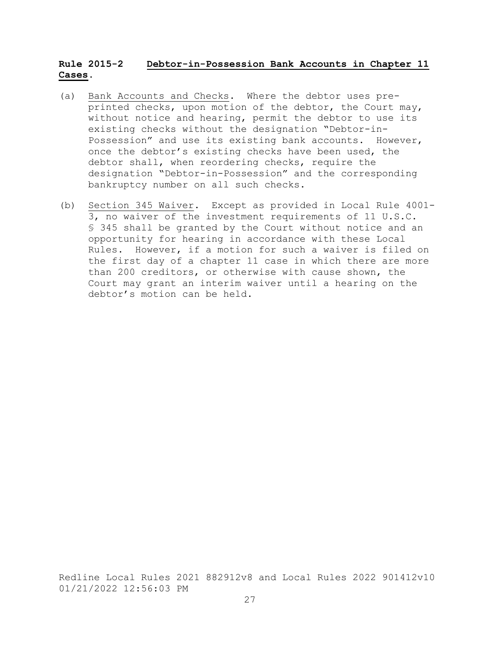# **Rule 2015-2 Debtor-in-Possession Bank Accounts in Chapter 11 Cases**.

- (a) Bank Accounts and Checks. Where the debtor uses preprinted checks, upon motion of the debtor, the Court may, without notice and hearing, permit the debtor to use its existing checks without the designation "Debtor-in-Possession" and use its existing bank accounts. However, once the debtor's existing checks have been used, the debtor shall, when reordering checks, require the designation "Debtor-in-Possession" and the corresponding bankruptcy number on all such checks.
- (b) Section 345 Waiver. Except as provided in Local Rule 4001- 3, no waiver of the investment requirements of 11 U.S.C. § 345 shall be granted by the Court without notice and an opportunity for hearing in accordance with these Local Rules. However, if a motion for such a waiver is filed on the first day of a chapter 11 case in which there are more than 200 creditors, or otherwise with cause shown, the Court may grant an interim waiver until a hearing on the debtor's motion can be held.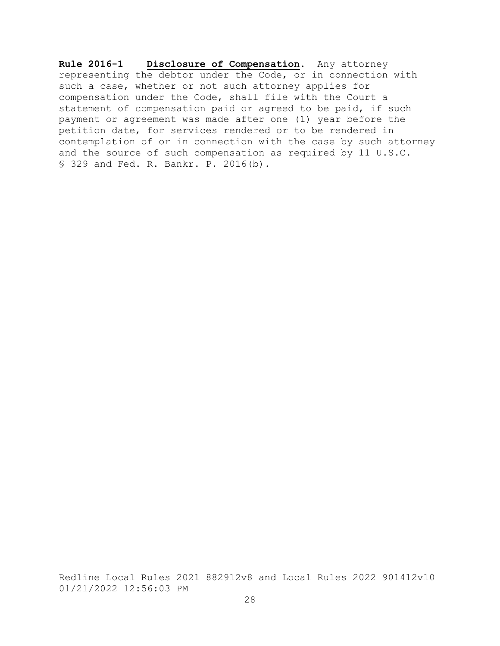**Rule 2016-1 Disclosure of Compensation**. Any attorney representing the debtor under the Code, or in connection with such a case, whether or not such attorney applies for compensation under the Code, shall file with the Court a statement of compensation paid or agreed to be paid, if such payment or agreement was made after one (1) year before the petition date, for services rendered or to be rendered in contemplation of or in connection with the case by such attorney and the source of such compensation as required by 11 U.S.C. § 329 and Fed. R. Bankr. P. 2016(b).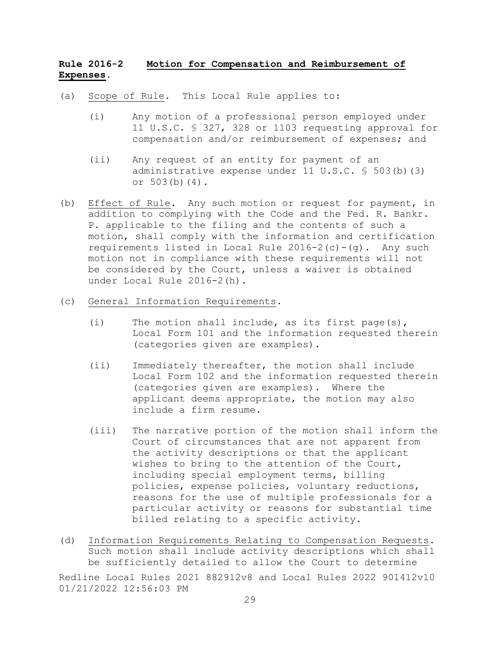# **Rule 2016-2 Motion for Compensation and Reimbursement of Expenses**.

- (a) Scope of Rule. This Local Rule applies to:
	- (i) Any motion of a professional person employed under 11 U.S.C. § 327, 328 or 1103 requesting approval for compensation and/or reimbursement of expenses; and
	- (ii) Any request of an entity for payment of an administrative expense under 11 U.S.C. § 503(b)(3) or 503(b)(4).
- (b) Effect of Rule. Any such motion or request for payment, in addition to complying with the Code and the Fed. R. Bankr. P. applicable to the filing and the contents of such a motion, shall comply with the information and certification requirements listed in Local Rule  $2016-2(c) - (q)$ . Any such motion not in compliance with these requirements will not be considered by the Court, unless a waiver is obtained under Local Rule 2016-2(h).
- (c) General Information Requirements.
	- (i) The motion shall include, as its first page(s), Local Form 101 and the information requested therein (categories given are examples).
	- (ii) Immediately thereafter, the motion shall include Local Form 102 and the information requested therein (categories given are examples). Where the applicant deems appropriate, the motion may also include a firm resume.
	- (iii) The narrative portion of the motion shall inform the Court of circumstances that are not apparent from the activity descriptions or that the applicant wishes to bring to the attention of the Court, including special employment terms, billing policies, expense policies, voluntary reductions, reasons for the use of multiple professionals for a particular activity or reasons for substantial time billed relating to a specific activity.
- (d) Information Requirements Relating to Compensation Requests. Such motion shall include activity descriptions which shall be sufficiently detailed to allow the Court to determine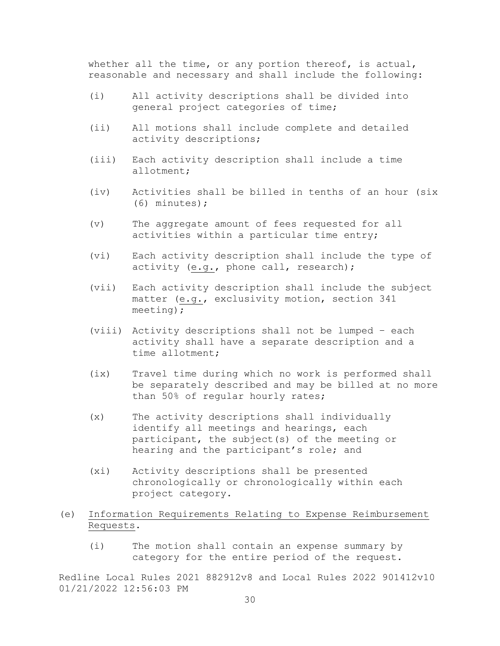whether all the time, or any portion thereof, is actual, reasonable and necessary and shall include the following:

- (i) All activity descriptions shall be divided into general project categories of time;
- (ii) All motions shall include complete and detailed activity descriptions;
- (iii) Each activity description shall include a time allotment;
- (iv) Activities shall be billed in tenths of an hour (six (6) minutes);
- (v) The aggregate amount of fees requested for all activities within a particular time entry;
- (vi) Each activity description shall include the type of activity (e.g., phone call, research);
- (vii) Each activity description shall include the subject matter (e.g., exclusivity motion, section 341 meeting);
- (viii) Activity descriptions shall not be lumped each activity shall have a separate description and a time allotment;
- (ix) Travel time during which no work is performed shall be separately described and may be billed at no more than 50% of regular hourly rates;
- (x) The activity descriptions shall individually identify all meetings and hearings, each participant, the subject(s) of the meeting or hearing and the participant's role; and
- (xi) Activity descriptions shall be presented chronologically or chronologically within each project category.

# (e) Information Requirements Relating to Expense Reimbursement Requests.

(i) The motion shall contain an expense summary by category for the entire period of the request.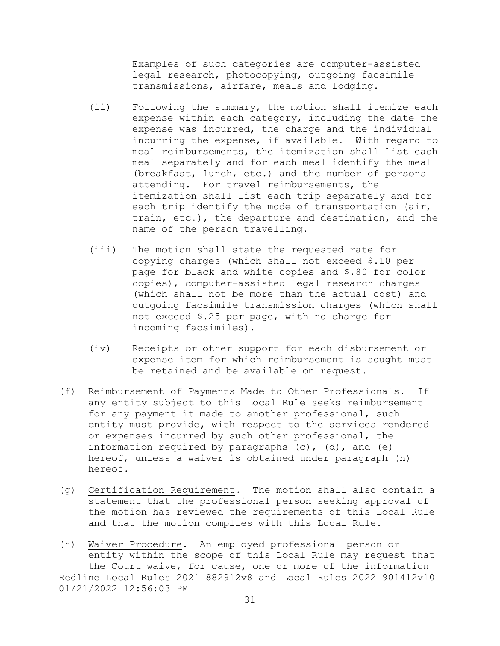Examples of such categories are computer-assisted legal research, photocopying, outgoing facsimile transmissions, airfare, meals and lodging.

- (ii) Following the summary, the motion shall itemize each expense within each category, including the date the expense was incurred, the charge and the individual incurring the expense, if available. With regard to meal reimbursements, the itemization shall list each meal separately and for each meal identify the meal (breakfast, lunch, etc.) and the number of persons attending. For travel reimbursements, the itemization shall list each trip separately and for each trip identify the mode of transportation (air, train, etc.), the departure and destination, and the name of the person travelling.
- (iii) The motion shall state the requested rate for copying charges (which shall not exceed \$.10 per page for black and white copies and \$.80 for color copies), computer-assisted legal research charges (which shall not be more than the actual cost) and outgoing facsimile transmission charges (which shall not exceed \$.25 per page, with no charge for incoming facsimiles).
- (iv) Receipts or other support for each disbursement or expense item for which reimbursement is sought must be retained and be available on request.
- (f) Reimbursement of Payments Made to Other Professionals. If any entity subject to this Local Rule seeks reimbursement for any payment it made to another professional, such entity must provide, with respect to the services rendered or expenses incurred by such other professional, the information required by paragraphs  $(c)$ ,  $(d)$ , and  $(e)$ hereof, unless a waiver is obtained under paragraph (h) hereof.
- (g) Certification Requirement. The motion shall also contain a statement that the professional person seeking approval of the motion has reviewed the requirements of this Local Rule and that the motion complies with this Local Rule.
- Redline Local Rules 2021 882912v8 and Local Rules 2022 901412v10 01/21/2022 12:56:03 PM (h) Waiver Procedure. An employed professional person or entity within the scope of this Local Rule may request that the Court waive, for cause, one or more of the information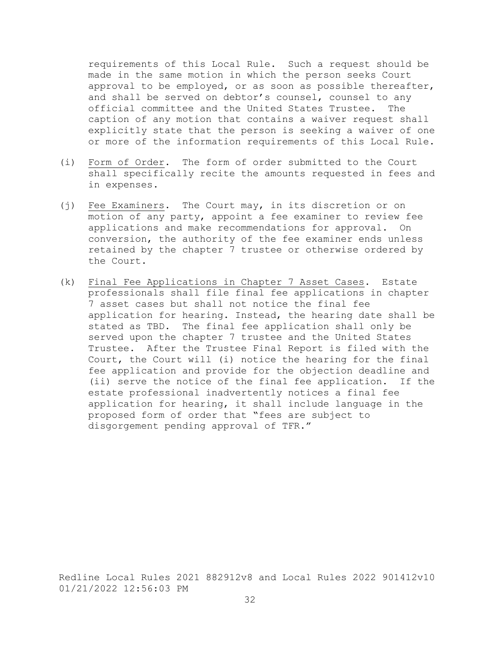requirements of this Local Rule. Such a request should be made in the same motion in which the person seeks Court approval to be employed, or as soon as possible thereafter, and shall be served on debtor's counsel, counsel to any official committee and the United States Trustee. The caption of any motion that contains a waiver request shall explicitly state that the person is seeking a waiver of one or more of the information requirements of this Local Rule.

- (i) Form of Order. The form of order submitted to the Court shall specifically recite the amounts requested in fees and in expenses.
- (j) Fee Examiners. The Court may, in its discretion or on motion of any party, appoint a fee examiner to review fee applications and make recommendations for approval. On conversion, the authority of the fee examiner ends unless retained by the chapter 7 trustee or otherwise ordered by the Court.
- (k) Final Fee Applications in Chapter 7 Asset Cases. Estate professionals shall file final fee applications in chapter 7 asset cases but shall not notice the final fee application for hearing. Instead, the hearing date shall be stated as TBD. The final fee application shall only be served upon the chapter 7 trustee and the United States Trustee. After the Trustee Final Report is filed with the Court, the Court will (i) notice the hearing for the final fee application and provide for the objection deadline and (ii) serve the notice of the final fee application. If the estate professional inadvertently notices a final fee application for hearing, it shall include language in the proposed form of order that "fees are subject to disgorgement pending approval of TFR."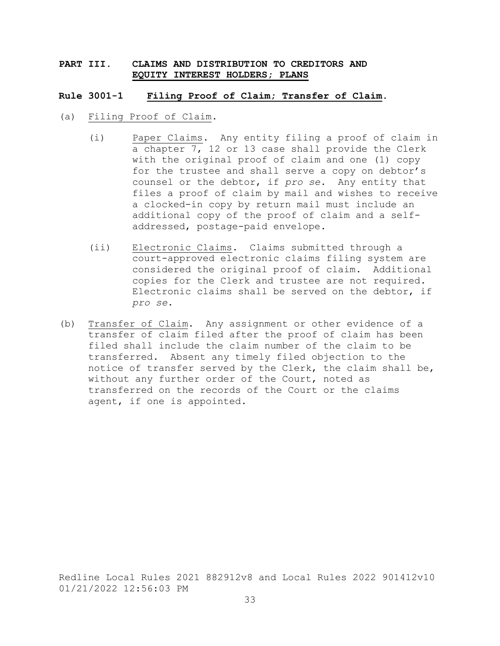### **PART III. CLAIMS AND DISTRIBUTION TO CREDITORS AND EQUITY INTEREST HOLDERS; PLANS**

### **Rule 3001-1 Filing Proof of Claim; Transfer of Claim**.

- (a) Filing Proof of Claim.
	- (i) Paper Claims. Any entity filing a proof of claim in a chapter 7, 12 or 13 case shall provide the Clerk with the original proof of claim and one (1) copy for the trustee and shall serve a copy on debtor's counsel or the debtor, if *pro se*. Any entity that files a proof of claim by mail and wishes to receive a clocked-in copy by return mail must include an additional copy of the proof of claim and a selfaddressed, postage-paid envelope.
	- (ii) Electronic Claims. Claims submitted through a court-approved electronic claims filing system are considered the original proof of claim. Additional copies for the Clerk and trustee are not required. Electronic claims shall be served on the debtor, if *pro se*.
- (b) Transfer of Claim. Any assignment or other evidence of a transfer of claim filed after the proof of claim has been filed shall include the claim number of the claim to be transferred. Absent any timely filed objection to the notice of transfer served by the Clerk, the claim shall be, without any further order of the Court, noted as transferred on the records of the Court or the claims agent, if one is appointed.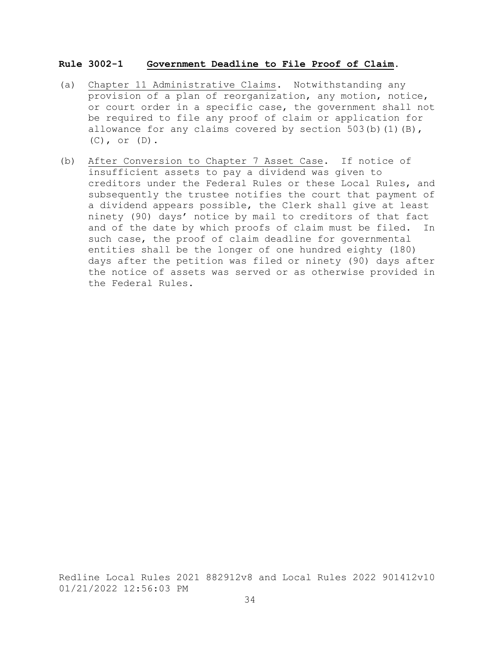### **Rule 3002-1 Government Deadline to File Proof of Claim.**

- (a) Chapter 11 Administrative Claims. Notwithstanding any provision of a plan of reorganization, any motion, notice, or court order in a specific case, the government shall not be required to file any proof of claim or application for allowance for any claims covered by section 503(b)(1)(B), (C), or (D).
- (b) After Conversion to Chapter 7 Asset Case. If notice of insufficient assets to pay a dividend was given to creditors under the Federal Rules or these Local Rules, and subsequently the trustee notifies the court that payment of a dividend appears possible, the Clerk shall give at least ninety (90) days' notice by mail to creditors of that fact and of the date by which proofs of claim must be filed. In such case, the proof of claim deadline for governmental entities shall be the longer of one hundred eighty (180) days after the petition was filed or ninety (90) days after the notice of assets was served or as otherwise provided in the Federal Rules.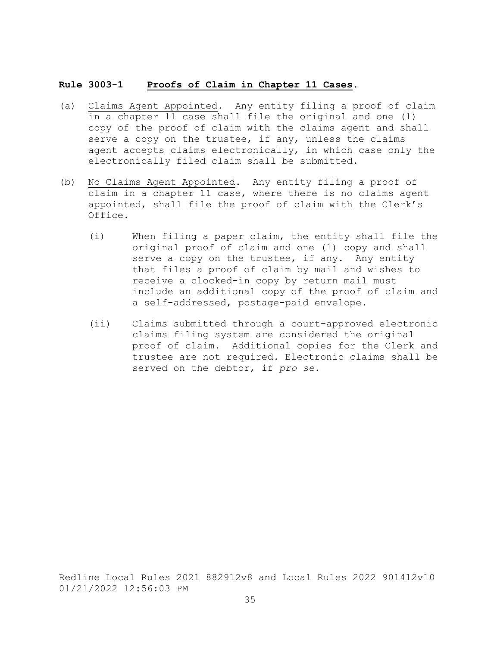### **Rule 3003-1 Proofs of Claim in Chapter 11 Cases**.

- (a) Claims Agent Appointed. Any entity filing a proof of claim in a chapter 11 case shall file the original and one (1) copy of the proof of claim with the claims agent and shall serve a copy on the trustee, if any, unless the claims agent accepts claims electronically, in which case only the electronically filed claim shall be submitted.
- (b) No Claims Agent Appointed. Any entity filing a proof of claim in a chapter 11 case, where there is no claims agent appointed, shall file the proof of claim with the Clerk's Office.
	- (i) When filing a paper claim, the entity shall file the original proof of claim and one (1) copy and shall serve a copy on the trustee, if any. Any entity that files a proof of claim by mail and wishes to receive a clocked-in copy by return mail must include an additional copy of the proof of claim and a self-addressed, postage-paid envelope.
	- (ii) Claims submitted through a court-approved electronic claims filing system are considered the original proof of claim. Additional copies for the Clerk and trustee are not required. Electronic claims shall be served on the debtor, if *pro se*.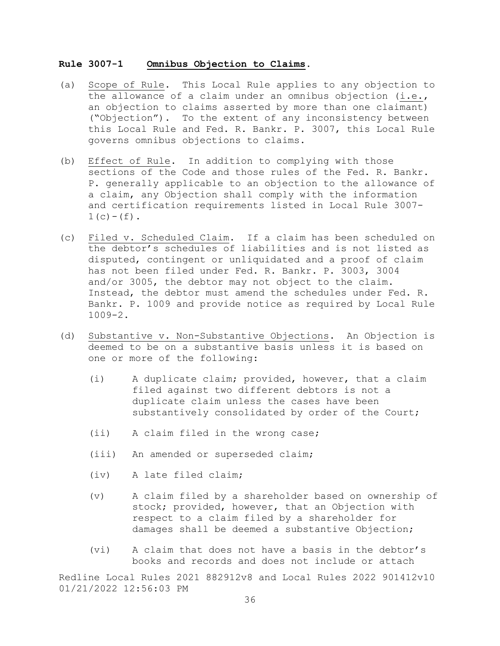#### **Rule 3007-1 Omnibus Objection to Claims**.

- (a) Scope of Rule. This Local Rule applies to any objection to the allowance of a claim under an omnibus objection (i.e., an objection to claims asserted by more than one claimant) ("Objection"). To the extent of any inconsistency between this Local Rule and Fed. R. Bankr. P. 3007, this Local Rule governs omnibus objections to claims.
- (b) Effect of Rule. In addition to complying with those sections of the Code and those rules of the Fed. R. Bankr. P. generally applicable to an objection to the allowance of a claim, any Objection shall comply with the information and certification requirements listed in Local Rule 3007-  $1(c) - (f)$ .
- (c) Filed v. Scheduled Claim. If a claim has been scheduled on the debtor's schedules of liabilities and is not listed as disputed, contingent or unliquidated and a proof of claim has not been filed under Fed. R. Bankr. P. 3003, 3004 and/or 3005, the debtor may not object to the claim. Instead, the debtor must amend the schedules under Fed. R. Bankr. P. 1009 and provide notice as required by Local Rule 1009-2.
- (d) Substantive v. Non-Substantive Objections. An Objection is deemed to be on a substantive basis unless it is based on one or more of the following:
	- (i) A duplicate claim; provided, however, that a claim filed against two different debtors is not a duplicate claim unless the cases have been substantively consolidated by order of the Court;
	- (ii) A claim filed in the wrong case;
	- (iii) An amended or superseded claim;
	- (iv) A late filed claim;
	- (v) A claim filed by a shareholder based on ownership of stock; provided, however, that an Objection with respect to a claim filed by a shareholder for damages shall be deemed a substantive Objection;
	- (vi) A claim that does not have a basis in the debtor's books and records and does not include or attach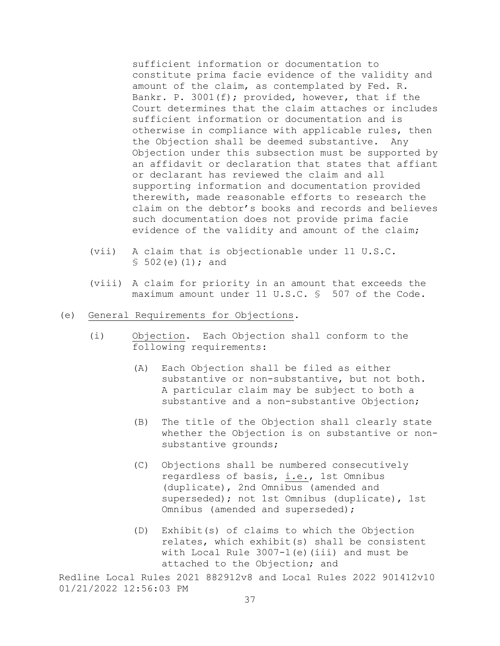sufficient information or documentation to constitute prima facie evidence of the validity and amount of the claim, as contemplated by Fed. R. Bankr. P. 3001(f); provided, however, that if the Court determines that the claim attaches or includes sufficient information or documentation and is otherwise in compliance with applicable rules, then the Objection shall be deemed substantive. Any Objection under this subsection must be supported by an affidavit or declaration that states that affiant or declarant has reviewed the claim and all supporting information and documentation provided therewith, made reasonable efforts to research the claim on the debtor's books and records and believes such documentation does not provide prima facie evidence of the validity and amount of the claim;

- (vii) A claim that is objectionable under 11 U.S.C.  $$502(e)(1);$  and
- (viii) A claim for priority in an amount that exceeds the maximum amount under 11 U.S.C. § 507 of the Code.
- (e) General Requirements for Objections.
	- (i) Objection. Each Objection shall conform to the following requirements:
		- (A) Each Objection shall be filed as either substantive or non-substantive, but not both. A particular claim may be subject to both a substantive and a non-substantive Objection;
		- (B) The title of the Objection shall clearly state whether the Objection is on substantive or nonsubstantive grounds;
		- (C) Objections shall be numbered consecutively regardless of basis, i.e., 1st Omnibus (duplicate), 2nd Omnibus (amended and superseded); not 1st Omnibus (duplicate), 1st Omnibus (amended and superseded);
		- (D) Exhibit(s) of claims to which the Objection relates, which exhibit(s) shall be consistent with Local Rule 3007-1(e)(iii) and must be attached to the Objection; and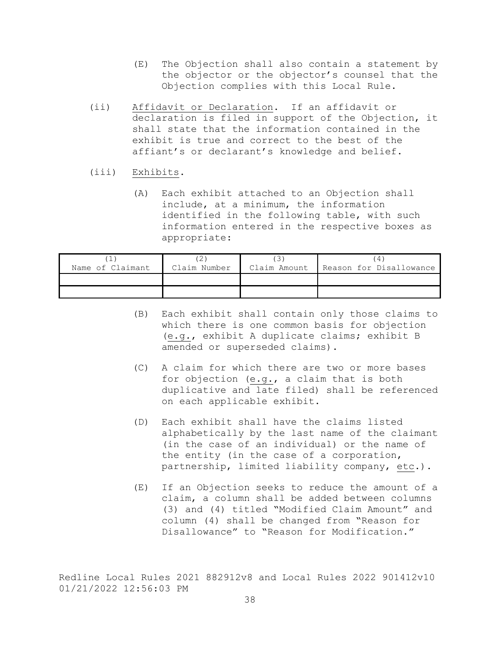- (E) The Objection shall also contain a statement by the objector or the objector's counsel that the Objection complies with this Local Rule.
- (ii) Affidavit or Declaration. If an affidavit or declaration is filed in support of the Objection, it shall state that the information contained in the exhibit is true and correct to the best of the affiant's or declarant's knowledge and belief.
- (iii) Exhibits.
	- (A) Each exhibit attached to an Objection shall include, at a minimum, the information identified in the following table, with such information entered in the respective boxes as appropriate:

| Name of Claimant | Claim Number | Claim Amount | Reason for Disallowance |
|------------------|--------------|--------------|-------------------------|
|                  |              |              |                         |
|                  |              |              |                         |

- (B) Each exhibit shall contain only those claims to which there is one common basis for objection (e.g*.*, exhibit A duplicate claims; exhibit B amended or superseded claims).
- (C) A claim for which there are two or more bases for objection (e.g., a claim that is both duplicative and late filed) shall be referenced on each applicable exhibit.
- (D) Each exhibit shall have the claims listed alphabetically by the last name of the claimant (in the case of an individual) or the name of the entity (in the case of a corporation, partnership, limited liability company, etc.).
- (E) If an Objection seeks to reduce the amount of a claim, a column shall be added between columns (3) and (4) titled "Modified Claim Amount" and column (4) shall be changed from "Reason for Disallowance" to "Reason for Modification."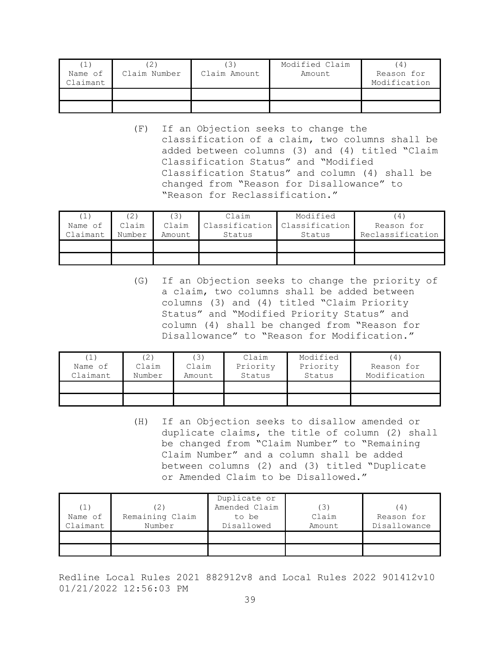| Name of<br>Claimant | Claim Number | Claim Amount | Modified Claim<br>Amount | 4<br>Reason for<br>Modification |
|---------------------|--------------|--------------|--------------------------|---------------------------------|
|                     |              |              |                          |                                 |
|                     |              |              |                          |                                 |

(F) If an Objection seeks to change the classification of a claim, two columns shall be added between columns (3) and (4) titled "Claim Classification Status" and "Modified Classification Status" and column (4) shall be changed from "Reason for Disallowance" to "Reason for Reclassification."

|          | (2)    | (3)    | Claim          | Modified       | $4^{\circ}$      |
|----------|--------|--------|----------------|----------------|------------------|
| Name of  | Claim  | Claim  | Classification | Classification | Reason for       |
| Claimant | Number | Amount | Status         | Status         | Reclassification |
|          |        |        |                |                |                  |
|          |        |        |                |                |                  |

(G) If an Objection seeks to change the priority of a claim, two columns shall be added between columns (3) and (4) titled "Claim Priority Status" and "Modified Priority Status" and column (4) shall be changed from "Reason for Disallowance" to "Reason for Modification."

|          |        |        | Claim    | Modified | (4)          |
|----------|--------|--------|----------|----------|--------------|
| Name of  | Claim  | Claim  | Priority | Priority | Reason for   |
| Claimant | Number | Amount | Status   | Status   | Modification |
|          |        |        |          |          |              |
|          |        |        |          |          |              |

(H) If an Objection seeks to disallow amended or duplicate claims, the title of column (2) shall be changed from "Claim Number" to "Remaining Claim Number" and a column shall be added between columns (2) and (3) titled "Duplicate or Amended Claim to be Disallowed."

|          |                 | Duplicate or  |        |                |
|----------|-----------------|---------------|--------|----------------|
| (1)      |                 | Amended Claim |        | 4 <sup>1</sup> |
| Name of  | Remaining Claim | to be         | Claim  | Reason for     |
| Claimant | Number          | Disallowed    | Amount | Disallowance   |
|          |                 |               |        |                |
|          |                 |               |        |                |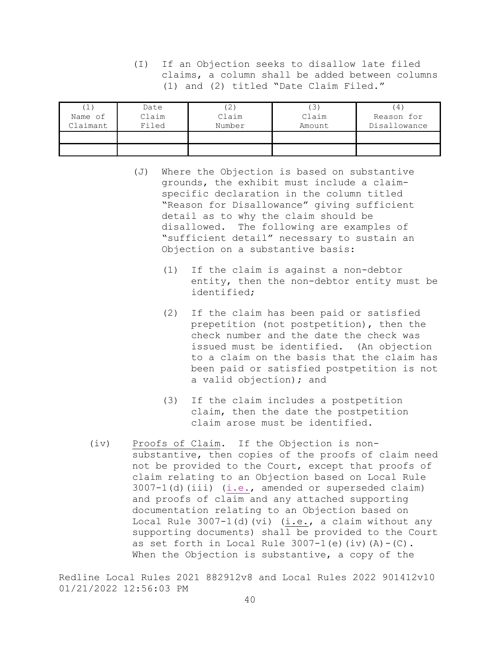(I) If an Objection seeks to disallow late filed claims, a column shall be added between columns (1) and (2) titled "Date Claim Filed."

| Name of<br>Claimant | Date<br>Claim<br>Filed | ∠<br>Claim<br>Number | Claim<br>Amount | 4<br>Reason for<br>Disallowance |
|---------------------|------------------------|----------------------|-----------------|---------------------------------|
|                     |                        |                      |                 |                                 |
|                     |                        |                      |                 |                                 |

- (J) Where the Objection is based on substantive grounds, the exhibit must include a claimspecific declaration in the column titled "Reason for Disallowance" giving sufficient detail as to why the claim should be disallowed. The following are examples of "sufficient detail" necessary to sustain an Objection on a substantive basis:
	- (1) If the claim is against a non-debtor entity, then the non-debtor entity must be identified;
	- (2) If the claim has been paid or satisfied prepetition (not postpetition), then the check number and the date the check was issued must be identified. (An objection to a claim on the basis that the claim has been paid or satisfied postpetition is not a valid objection); and
	- (3) If the claim includes a postpetition claim, then the date the postpetition claim arose must be identified.
- (iv) Proofs of Claim. If the Objection is nonsubstantive, then copies of the proofs of claim need not be provided to the Court, except that proofs of claim relating to an Objection based on Local Rule 3007-1(d)(iii) (i.e., amended or superseded claim) and proofs of claim and any attached supporting documentation relating to an Objection based on Local Rule  $3007-1$  (d) (vi) (i.e., a claim without any supporting documents) shall be provided to the Court as set forth in Local Rule  $3007-1$ (e)(iv)(A)-(C). When the Objection is substantive, a copy of the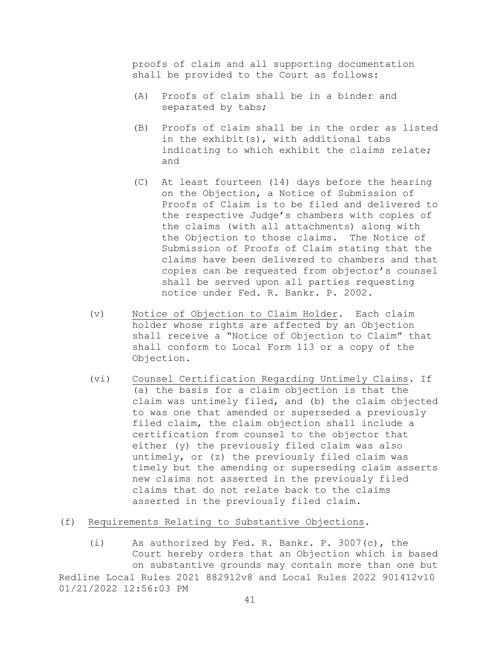proofs of claim and all supporting documentation shall be provided to the Court as follows:

- (A) Proofs of claim shall be in a binder and separated by tabs;
- (B) Proofs of claim shall be in the order as listed in the exhibit(s), with additional tabs indicating to which exhibit the claims relate; and
- (C) At least fourteen (14) days before the hearing on the Objection, a Notice of Submission of Proofs of Claim is to be filed and delivered to the respective Judge's chambers with copies of the claims (with all attachments) along with the Objection to those claims. The Notice of Submission of Proofs of Claim stating that the claims have been delivered to chambers and that copies can be requested from objector's counsel shall be served upon all parties requesting notice under Fed. R. Bankr. P. 2002.
- (v) Notice of Objection to Claim Holder. Each claim holder whose rights are affected by an Objection shall receive a "Notice of Objection to Claim" that shall conform to Local Form 113 or a copy of the Objection.
- (vi) Counsel Certification Regarding Untimely Claims. If (a) the basis for a claim objection is that the claim was untimely filed, and (b) the claim objected to was one that amended or superseded a previously filed claim, the claim objection shall include a certification from counsel to the objector that either (y) the previously filed claim was also untimely, or (z) the previously filed claim was timely but the amending or superseding claim asserts new claims not asserted in the previously filed claims that do not relate back to the claims asserted in the previously filed claim.

### (f) Requirements Relating to Substantive Objections.

Redline Local Rules 2021 882912v8 and Local Rules 2022 901412v10 01/21/2022 12:56:03 PM (i) As authorized by Fed. R. Bankr. P. 3007(c), the Court hereby orders that an Objection which is based on substantive grounds may contain more than one but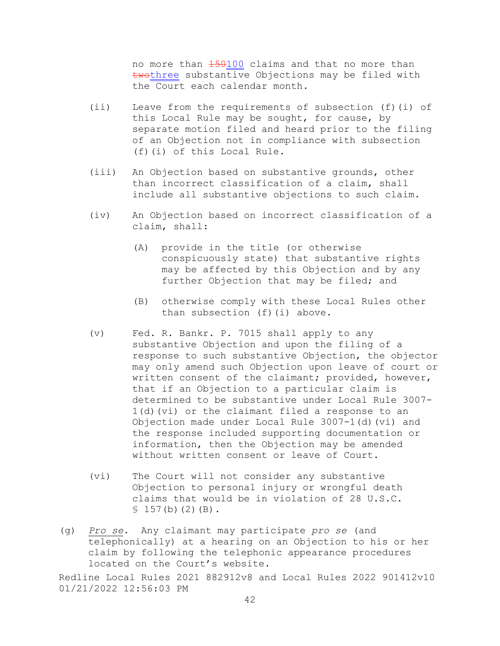no more than  $150100$  claims and that no more than twothree substantive Objections may be filed with the Court each calendar month.

- (ii) Leave from the requirements of subsection (f)(i) of this Local Rule may be sought, for cause, by separate motion filed and heard prior to the filing of an Objection not in compliance with subsection (f)(i) of this Local Rule.
- (iii) An Objection based on substantive grounds, other than incorrect classification of a claim, shall include all substantive objections to such claim.
- (iv) An Objection based on incorrect classification of a claim, shall:
	- (A) provide in the title (or otherwise conspicuously state) that substantive rights may be affected by this Objection and by any further Objection that may be filed; and
	- (B) otherwise comply with these Local Rules other than subsection (f)(i) above.
- (v) Fed. R. Bankr. P. 7015 shall apply to any substantive Objection and upon the filing of a response to such substantive Objection, the objector may only amend such Objection upon leave of court or written consent of the claimant; provided, however, that if an Objection to a particular claim is determined to be substantive under Local Rule 3007- 1(d)(vi) or the claimant filed a response to an Objection made under Local Rule 3007-1(d)(vi) and the response included supporting documentation or information, then the Objection may be amended without written consent or leave of Court.
- (vi) The Court will not consider any substantive Objection to personal injury or wrongful death claims that would be in violation of 28 U.S.C.  $$157(b)(2)(B).$
- (g) *Pro se*. Any claimant may participate *pro se* (and telephonically) at a hearing on an Objection to his or her claim by following the telephonic appearance procedures located on the Court's website.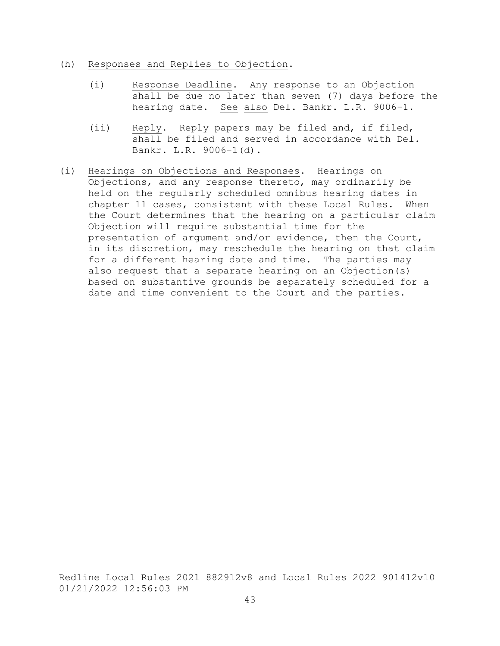### (h) Responses and Replies to Objection.

- (i) Response Deadline. Any response to an Objection shall be due no later than seven (7) days before the hearing date. See also Del. Bankr. L.R. 9006-1.
- (ii) Reply. Reply papers may be filed and, if filed, shall be filed and served in accordance with Del. Bankr. L.R. 9006-1(d).
- (i) Hearings on Objections and Responses. Hearings on Objections, and any response thereto, may ordinarily be held on the regularly scheduled omnibus hearing dates in chapter 11 cases, consistent with these Local Rules. When the Court determines that the hearing on a particular claim Objection will require substantial time for the presentation of argument and/or evidence, then the Court, in its discretion, may reschedule the hearing on that claim for a different hearing date and time. The parties may also request that a separate hearing on an Objection(s) based on substantive grounds be separately scheduled for a date and time convenient to the Court and the parties.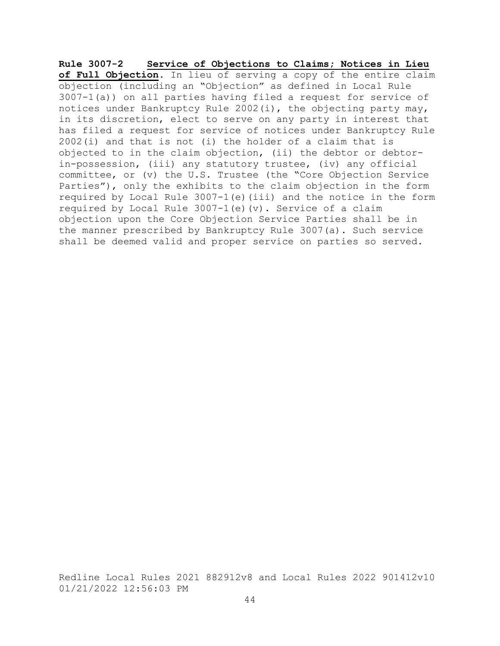**Rule 3007-2 Service of Objections to Claims; Notices in Lieu of Full Objection**. In lieu of serving a copy of the entire claim objection (including an "Objection" as defined in Local Rule 3007-1(a)) on all parties having filed a request for service of notices under Bankruptcy Rule 2002(i), the objecting party may, in its discretion, elect to serve on any party in interest that has filed a request for service of notices under Bankruptcy Rule 2002(i) and that is not (i) the holder of a claim that is objected to in the claim objection, (ii) the debtor or debtorin-possession, (iii) any statutory trustee, (iv) any official committee, or (v) the U.S. Trustee (the "Core Objection Service Parties"), only the exhibits to the claim objection in the form required by Local Rule 3007-1(e)(iii) and the notice in the form required by Local Rule 3007-1(e)(v). Service of a claim objection upon the Core Objection Service Parties shall be in the manner prescribed by Bankruptcy Rule 3007(a). Such service shall be deemed valid and proper service on parties so served.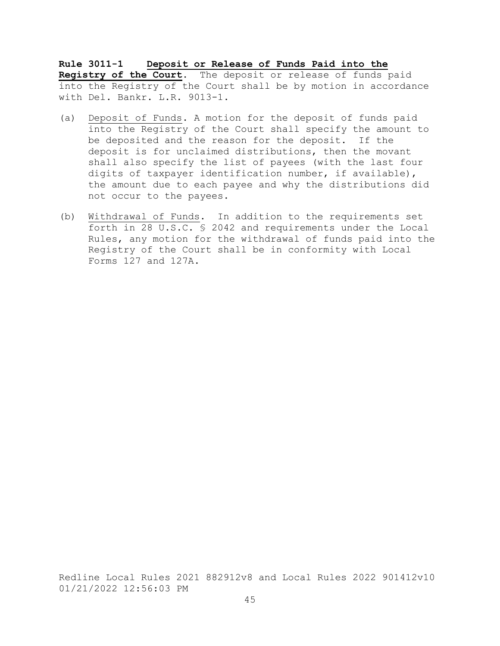**Rule 3011-1 Deposit or Release of Funds Paid into the Registry of the Court**. The deposit or release of funds paid into the Registry of the Court shall be by motion in accordance with Del. Bankr. L.R. 9013-1.

- (a) Deposit of Funds. A motion for the deposit of funds paid into the Registry of the Court shall specify the amount to be deposited and the reason for the deposit. If the deposit is for unclaimed distributions, then the movant shall also specify the list of payees (with the last four digits of taxpayer identification number, if available), the amount due to each payee and why the distributions did not occur to the payees.
- (b) Withdrawal of Funds. In addition to the requirements set forth in 28 U.S.C. § 2042 and requirements under the Local Rules, any motion for the withdrawal of funds paid into the Registry of the Court shall be in conformity with Local Forms 127 and 127A.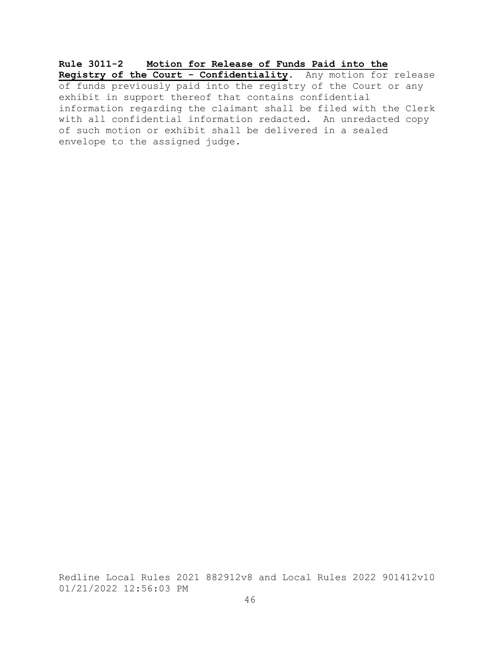**Rule 3011-2 Motion for Release of Funds Paid into the Registry of the Court - Confidentiality**. Any motion for release of funds previously paid into the registry of the Court or any exhibit in support thereof that contains confidential information regarding the claimant shall be filed with the Clerk with all confidential information redacted. An unredacted copy of such motion or exhibit shall be delivered in a sealed envelope to the assigned judge.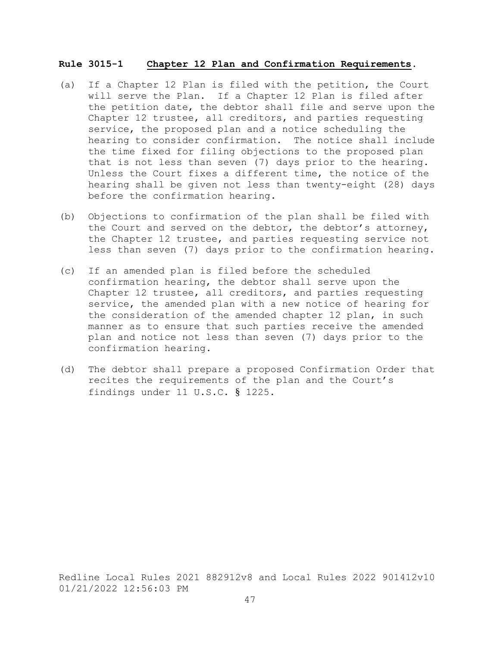#### **Rule 3015-1 Chapter 12 Plan and Confirmation Requirements**.

- (a) If a Chapter 12 Plan is filed with the petition, the Court will serve the Plan. If a Chapter 12 Plan is filed after the petition date, the debtor shall file and serve upon the Chapter 12 trustee, all creditors, and parties requesting service, the proposed plan and a notice scheduling the hearing to consider confirmation. The notice shall include the time fixed for filing objections to the proposed plan that is not less than seven (7) days prior to the hearing. Unless the Court fixes a different time, the notice of the hearing shall be given not less than twenty-eight (28) days before the confirmation hearing.
- (b) Objections to confirmation of the plan shall be filed with the Court and served on the debtor, the debtor's attorney, the Chapter 12 trustee, and parties requesting service not less than seven (7) days prior to the confirmation hearing.
- (c) If an amended plan is filed before the scheduled confirmation hearing, the debtor shall serve upon the Chapter 12 trustee, all creditors, and parties requesting service, the amended plan with a new notice of hearing for the consideration of the amended chapter 12 plan, in such manner as to ensure that such parties receive the amended plan and notice not less than seven (7) days prior to the confirmation hearing.
- (d) The debtor shall prepare a proposed Confirmation Order that recites the requirements of the plan and the Court's findings under 11 U.S.C. § 1225.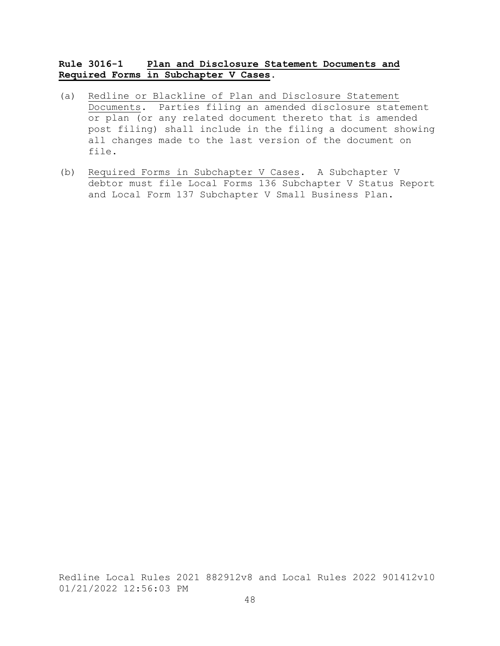# **Rule 3016-1 Plan and Disclosure Statement Documents and Required Forms in Subchapter V Cases**.

- (a) Redline or Blackline of Plan and Disclosure Statement Documents. Parties filing an amended disclosure statement or plan (or any related document thereto that is amended post filing) shall include in the filing a document showing all changes made to the last version of the document on file.
- (b) Required Forms in Subchapter V Cases. A Subchapter V debtor must file Local Forms 136 Subchapter V Status Report and Local Form 137 Subchapter V Small Business Plan.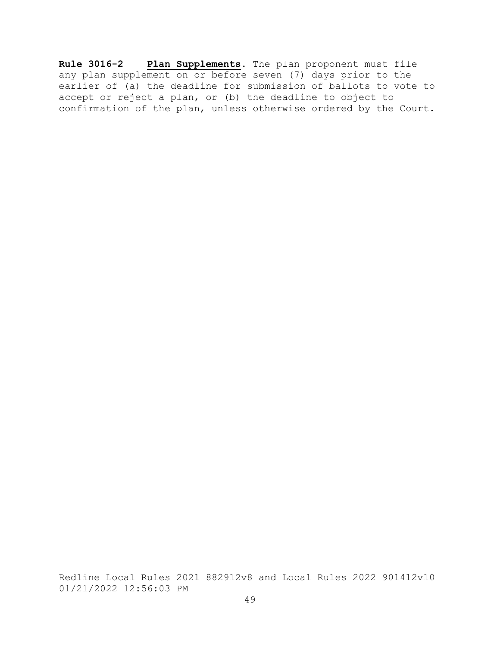**Rule 3016-2 Plan Supplements**. The plan proponent must file any plan supplement on or before seven (7) days prior to the earlier of (a) the deadline for submission of ballots to vote to accept or reject a plan, or (b) the deadline to object to confirmation of the plan, unless otherwise ordered by the Court.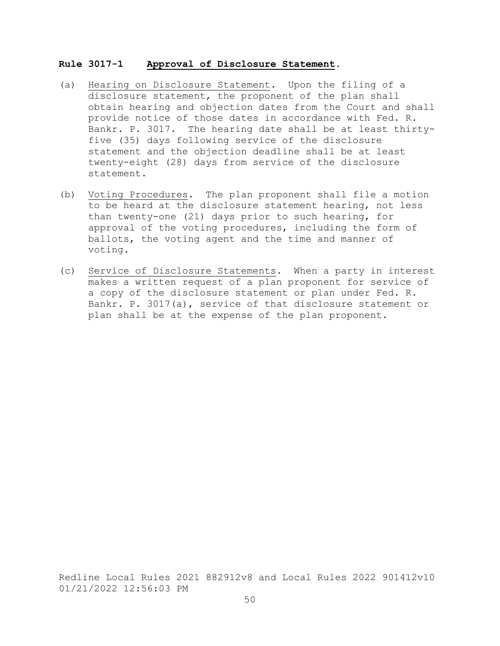#### **Rule 3017-1 Approval of Disclosure Statement.**

- (a) Hearing on Disclosure Statement. Upon the filing of a disclosure statement, the proponent of the plan shall obtain hearing and objection dates from the Court and shall provide notice of those dates in accordance with Fed. R. Bankr. P. 3017. The hearing date shall be at least thirtyfive (35) days following service of the disclosure statement and the objection deadline shall be at least twenty-eight (28) days from service of the disclosure statement.
- (b) Voting Procedures. The plan proponent shall file a motion to be heard at the disclosure statement hearing, not less than twenty-one (21) days prior to such hearing, for approval of the voting procedures, including the form of ballots, the voting agent and the time and manner of voting.
- (c) Service of Disclosure Statements. When a party in interest makes a written request of a plan proponent for service of a copy of the disclosure statement or plan under Fed. R. Bankr. P. 3017(a), service of that disclosure statement or plan shall be at the expense of the plan proponent.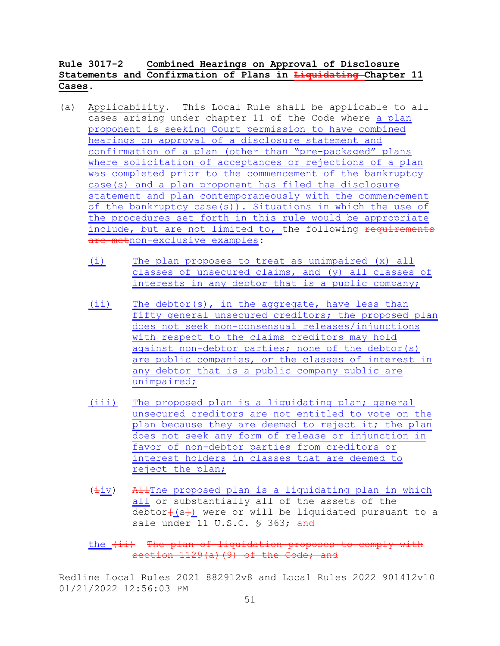**Rule 3017-2 Combined Hearings on Approval of Disclosure Statements and Confirmation of Plans in Liquidating Chapter 11 Cases.**

- (a) Applicability. This Local Rule shall be applicable to all cases arising under chapter 11 of the Code where a plan proponent is seeking Court permission to have combined hearings on approval of a disclosure statement and confirmation of a plan (other than "pre-packaged" plans where solicitation of acceptances or rejections of a plan was completed prior to the commencement of the bankruptcy case(s) and a plan proponent has filed the disclosure statement and plan contemporaneously with the commencement of the bankruptcy case(s)). Situations in which the use of the procedures set forth in this rule would be appropriate include, but are not limited to, the following requirements are metnon-exclusive examples:
	- (i) The plan proposes to treat as unimpaired (x) all classes of unsecured claims, and (y) all classes of interests in any debtor that is a public company;
	- (ii) The debtor(s), in the aggregate, have less than fifty general unsecured creditors; the proposed plan does not seek non-consensual releases/injunctions with respect to the claims creditors may hold against non-debtor parties; none of the debtor(s) are public companies, or the classes of interest in any debtor that is a public company public are unimpaired;
	- (iii) The proposed plan is a liquidating plan; general unsecured creditors are not entitled to vote on the plan because they are deemed to reject it; the plan does not seek any form of release or injunction in favor of non-debtor parties from creditors or interest holders in classes that are deemed to reject the plan;
	- $(i\pm i\nu)$  All The proposed plan is a liquidating plan in which all or substantially all of the assets of the debtor $f(s)$  were or will be liquidated pursuant to a sale under 11 U.S.C. § 363; and

# the  $(i)$  The plan of liquidation proposes to comply with section 1129(a)(9) of the Code; and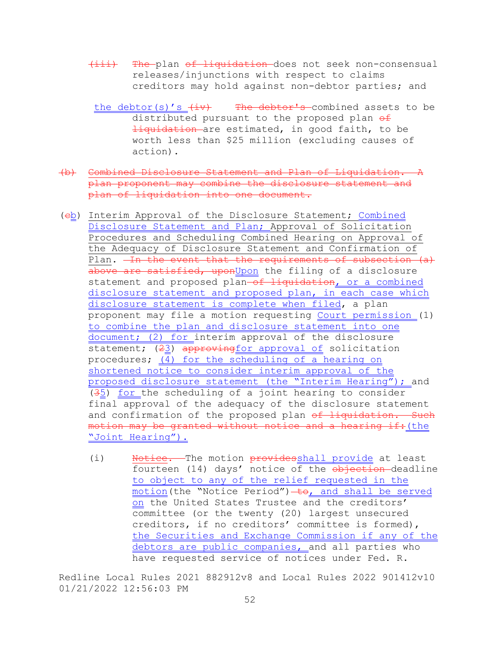- (iii) The plan of liquidation does not seek non-consensual releases/injunctions with respect to claims creditors may hold against non-debtor parties; and
- the debtor(s)'s  $\overline{+iv}$  The debtor's combined assets to be distributed pursuant to the proposed plan  $\theta$ liquidation are estimated, in good faith, to be worth less than \$25 million (excluding causes of action).
- (b) Combined Disclosure Statement and Plan of Liquidation. plan proponent may combine the disclosure statement and plan of liquidation into one document.
- (eb) Interim Approval of the Disclosure Statement; Combined Disclosure Statement and Plan; Approval of Solicitation Procedures and Scheduling Combined Hearing on Approval of the Adequacy of Disclosure Statement and Confirmation of Plan. <del>In the event that the requirements of subsection (a)</del> above are satisfied, uponUpon the filing of a disclosure statement and proposed plan-of liquidation, or a combined disclosure statement and proposed plan, in each case which disclosure statement is complete when filed, a plan proponent may file a motion requesting Court permission (1) to combine the plan and disclosure statement into one document; (2) for interim approval of the disclosure statement;  $(23)$  approving for approval of solicitation procedures;  $\overline{(4)}$  for the scheduling of a hearing on shortened notice to consider interim approval of the proposed disclosure statement (the "Interim Hearing"); and  $(35)$  for the scheduling of a joint hearing to consider final approval of the adequacy of the disclosure statement and confirmation of the proposed plan of liquidation. Such motion may be granted without notice and a hearing if: (the "Joint Hearing").
	- (i) Notice. The motion providesshall provide at least fourteen (14) days' notice of the objection-deadline to object to any of the relief requested in the motion(the "Notice Period") - to, and shall be served on the United States Trustee and the creditors' committee (or the twenty (20) largest unsecured creditors, if no creditors' committee is formed), the Securities and Exchange Commission if any of the debtors are public companies, and all parties who have requested service of notices under Fed. R.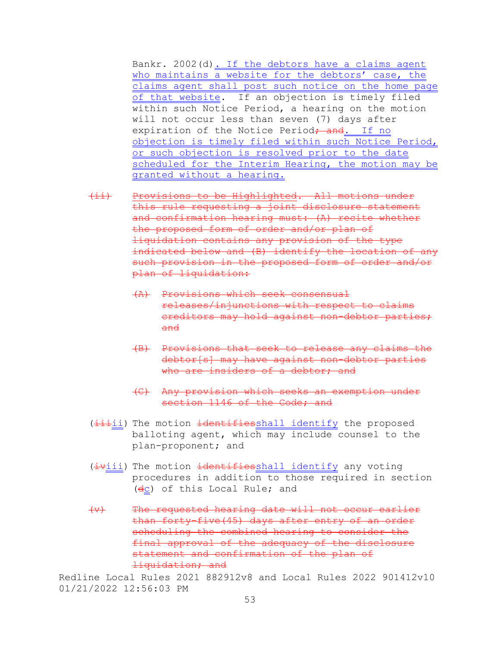Bankr. 2002(d). If the debtors have a claims agent who maintains a website for the debtors' case, the claims agent shall post such notice on the home page of that website. If an objection is timely filed within such Notice Period, a hearing on the motion will not occur less than seven (7) days after expiration of the Notice Period<sub>;</sub> and. If no objection is timely filed within such Notice Period, or such objection is resolved prior to the date scheduled for the Interim Hearing, the motion may be granted without a hearing.

- (ii) Provisions to be Highlighted. All motions under this rule requesting a joint disclosure statement and confirmation hearing must: (A) recite whether the proposed form of order and/or plan of liquidation contains any provision of the type indicated below and (B) identify the location of any such provision in the proposed form of order and/or plan of liquidation:
	- (A) Provisions which seek consensual releases/injunctions with respect to claims creditors may hold against non-debtor parties; and
	- (B) Provisions that seek to release any claims the debtor[s] may have against non-debtor parties who are insiders of a debtor; and
	- (C) Any provision which seeks an exemption under section 1146 of the Code; and
- $(i$ iii) The motion identifiesshall identify the proposed balloting agent, which may include counsel to the plan-proponent; and
- $(i+viii)$  The motion  $\frac{1}{1}$  dentifiesshall identify any voting procedures in addition to those required in section  $(d_{C})$  of this Local Rule; and
- (v) The requested hearing date will not occur earlier than forty-five(45) days after entry of an order scheduling the combined hearing to consider the final approval of the adequacy of the disclosure statement and confirmation of the plan of liquidation; and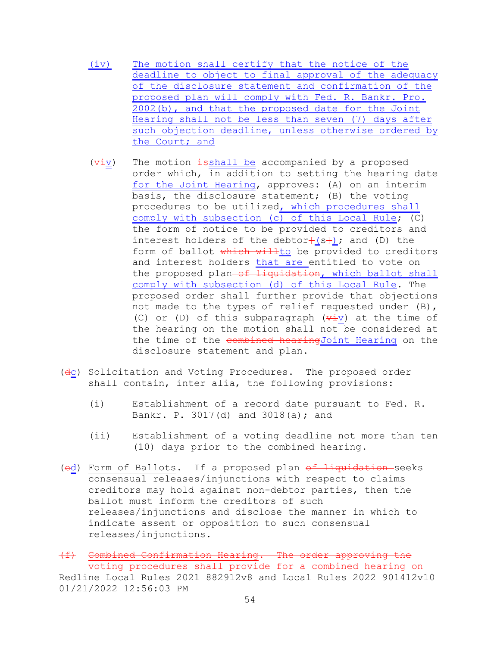- (iv) The motion shall certify that the notice of the deadline to object to final approval of the adequacy of the disclosure statement and confirmation of the proposed plan will comply with Fed. R. Bankr. Pro. 2002(b), and that the proposed date for the Joint Hearing shall not be less than seven (7) days after such objection deadline, unless otherwise ordered by the Court; and
- $(\overline{viv})$  The motion isshall be accompanied by a proposed order which, in addition to setting the hearing date for the Joint Hearing, approves: (A) on an interim basis, the disclosure statement; (B) the voting procedures to be utilized, which procedures shall comply with subsection (c) of this Local Rule; (C) the form of notice to be provided to creditors and interest holders of the debtor $+(s+)$ ; and (D) the form of ballot which willto be provided to creditors and interest holders that are entitled to vote on the proposed plan-of liquidation, which ballot shall comply with subsection (d) of this Local Rule. The proposed order shall further provide that objections not made to the types of relief requested under (B), (C) or (D) of this subparagraph  $(\overline{viv})$  at the time of the hearing on the motion shall not be considered at the time of the combined hearingJoint Hearing on the disclosure statement and plan.
- $(d_{\text{C}})$  Solicitation and Voting Procedures. The proposed order shall contain, inter alia, the following provisions:
	- (i) Establishment of a record date pursuant to Fed. R. Bankr. P. 3017(d) and 3018(a); and
	- (ii) Establishment of a voting deadline not more than ten (10) days prior to the combined hearing.
- (ed) Form of Ballots. If a proposed plan of liquidation-seeks consensual releases/injunctions with respect to claims creditors may hold against non-debtor parties, then the ballot must inform the creditors of such releases/injunctions and disclose the manner in which to indicate assent or opposition to such consensual releases/injunctions.

(f) Combined Confirmation Hearing. The order approving the voting procedures shall provide for a combined hearing on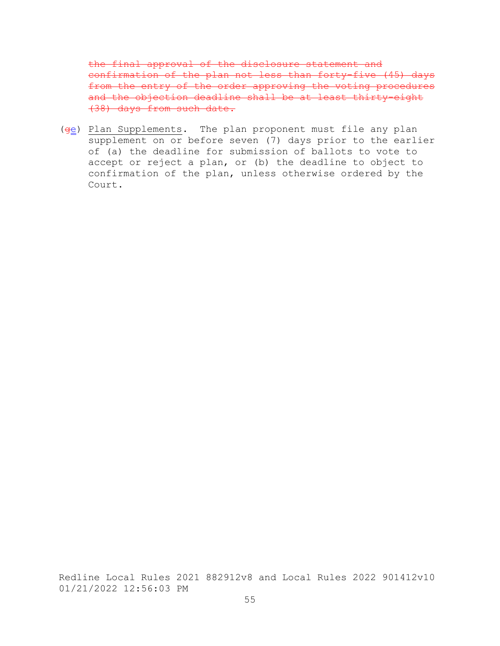the final approval of the disclosure statement and confirmation of the plan not less than forty-five (45) days from the entry of the order approving the voting procedures and the objection deadline shall be at least thirty-eight (38) days from such date.

(ge) Plan Supplements. The plan proponent must file any plan supplement on or before seven (7) days prior to the earlier of (a) the deadline for submission of ballots to vote to accept or reject a plan, or (b) the deadline to object to confirmation of the plan, unless otherwise ordered by the Court.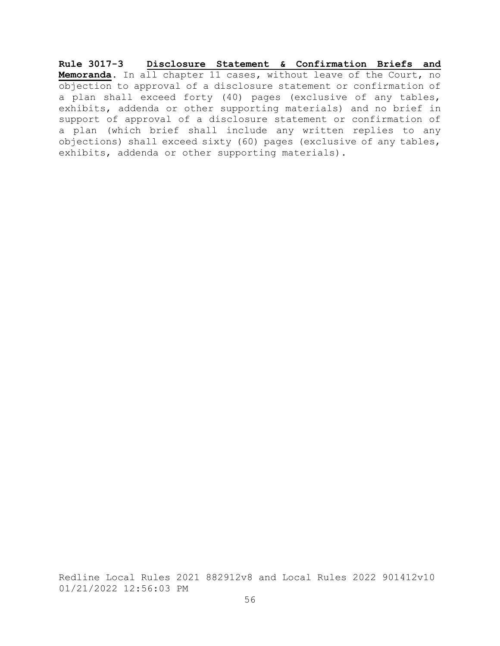**Rule 3017-3 Disclosure Statement & Confirmation Briefs and Memoranda**. In all chapter 11 cases, without leave of the Court, no objection to approval of a disclosure statement or confirmation of a plan shall exceed forty (40) pages (exclusive of any tables, exhibits, addenda or other supporting materials) and no brief in support of approval of a disclosure statement or confirmation of a plan (which brief shall include any written replies to any objections) shall exceed sixty (60) pages (exclusive of any tables, exhibits, addenda or other supporting materials).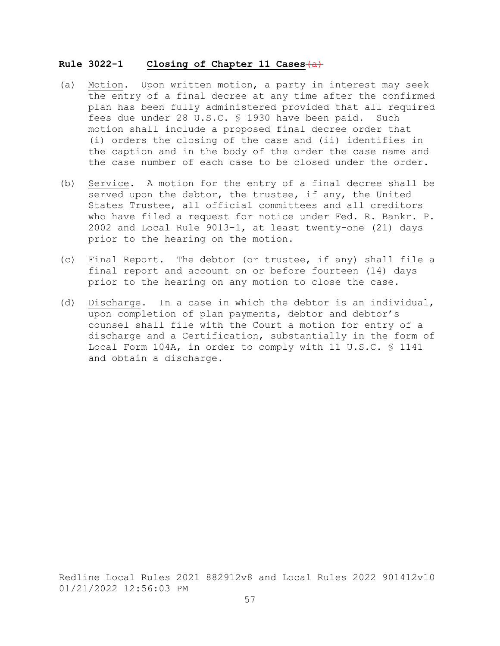### Rule 3022-1 **Closing of Chapter 11 Cases** $\overline{a}$

- (a) Motion. Upon written motion, a party in interest may seek the entry of a final decree at any time after the confirmed plan has been fully administered provided that all required fees due under 28 U.S.C. § 1930 have been paid. Such motion shall include a proposed final decree order that (i) orders the closing of the case and (ii) identifies in the caption and in the body of the order the case name and the case number of each case to be closed under the order.
- (b) Service. A motion for the entry of a final decree shall be served upon the debtor, the trustee, if any, the United States Trustee, all official committees and all creditors who have filed a request for notice under Fed. R. Bankr. P. 2002 and Local Rule 9013-1, at least twenty-one (21) days prior to the hearing on the motion.
- (c) Final Report. The debtor (or trustee, if any) shall file a final report and account on or before fourteen (14) days prior to the hearing on any motion to close the case.
- (d) Discharge. In a case in which the debtor is an individual, upon completion of plan payments, debtor and debtor's counsel shall file with the Court a motion for entry of a discharge and a Certification, substantially in the form of Local Form 104A, in order to comply with 11 U.S.C. § 1141 and obtain a discharge.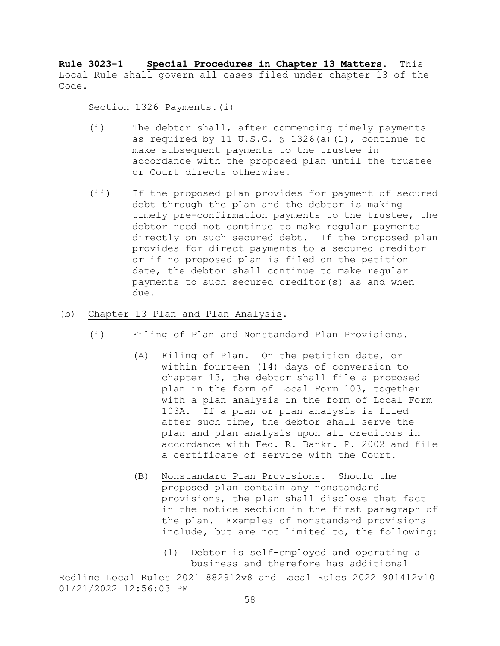**Rule 3023-1 Special Procedures in Chapter 13 Matters**. This Local Rule shall govern all cases filed under chapter 13 of the Code.

Section 1326 Payments.(i)

- (i) The debtor shall, after commencing timely payments as required by 11 U.S.C.  $\frac{1}{2}$  1326(a)(1), continue to make subsequent payments to the trustee in accordance with the proposed plan until the trustee or Court directs otherwise.
- (ii) If the proposed plan provides for payment of secured debt through the plan and the debtor is making timely pre-confirmation payments to the trustee, the debtor need not continue to make regular payments directly on such secured debt. If the proposed plan provides for direct payments to a secured creditor or if no proposed plan is filed on the petition date, the debtor shall continue to make regular payments to such secured creditor(s) as and when due.
- (b) Chapter 13 Plan and Plan Analysis.
	- (i) Filing of Plan and Nonstandard Plan Provisions.
		- (A) Filing of Plan. On the petition date, or within fourteen (14) days of conversion to chapter 13, the debtor shall file a proposed plan in the form of Local Form 103, together with a plan analysis in the form of Local Form 103A. If a plan or plan analysis is filed after such time, the debtor shall serve the plan and plan analysis upon all creditors in accordance with Fed. R. Bankr. P. 2002 and file a certificate of service with the Court.
		- (B) Nonstandard Plan Provisions. Should the proposed plan contain any nonstandard provisions, the plan shall disclose that fact in the notice section in the first paragraph of the plan. Examples of nonstandard provisions include, but are not limited to, the following:
			- (1) Debtor is self-employed and operating a business and therefore has additional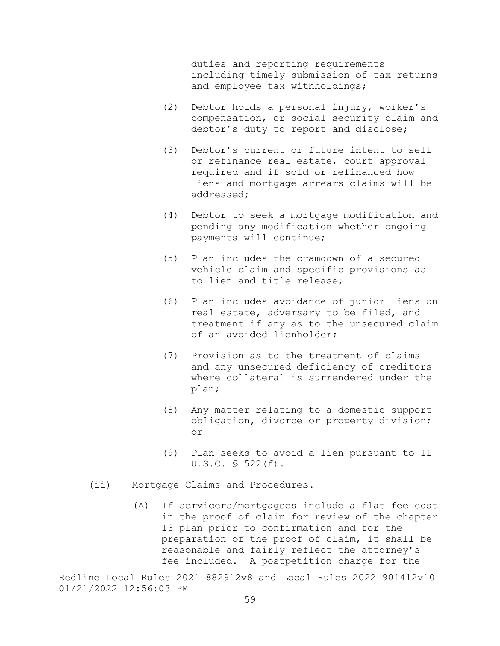duties and reporting requirements including timely submission of tax returns and employee tax withholdings;

- (2) Debtor holds a personal injury, worker's compensation, or social security claim and debtor's duty to report and disclose;
- (3) Debtor's current or future intent to sell or refinance real estate, court approval required and if sold or refinanced how liens and mortgage arrears claims will be addressed;
- (4) Debtor to seek a mortgage modification and pending any modification whether ongoing payments will continue;
- (5) Plan includes the cramdown of a secured vehicle claim and specific provisions as to lien and title release;
- (6) Plan includes avoidance of junior liens on real estate, adversary to be filed, and treatment if any as to the unsecured claim of an avoided lienholder;
- (7) Provision as to the treatment of claims and any unsecured deficiency of creditors where collateral is surrendered under the plan;
- (8) Any matter relating to a domestic support obligation, divorce or property division; or
- (9) Plan seeks to avoid a lien pursuant to 11 U.S.C. § 522(f).
- (ii) Mortgage Claims and Procedures.
	- (A) If servicers/mortgagees include a flat fee cost in the proof of claim for review of the chapter 13 plan prior to confirmation and for the preparation of the proof of claim, it shall be reasonable and fairly reflect the attorney's fee included. A postpetition charge for the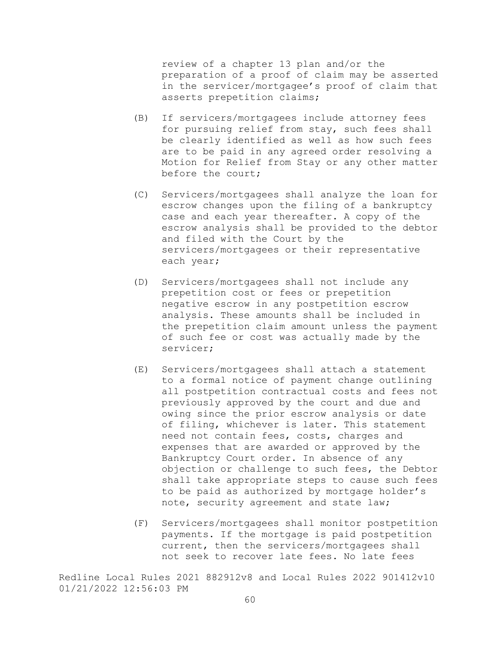review of a chapter 13 plan and/or the preparation of a proof of claim may be asserted in the servicer/mortgagee's proof of claim that asserts prepetition claims;

- (B) If servicers/mortgagees include attorney fees for pursuing relief from stay, such fees shall be clearly identified as well as how such fees are to be paid in any agreed order resolving a Motion for Relief from Stay or any other matter before the court;
- (C) Servicers/mortgagees shall analyze the loan for escrow changes upon the filing of a bankruptcy case and each year thereafter. A copy of the escrow analysis shall be provided to the debtor and filed with the Court by the servicers/mortgagees or their representative each year;
- (D) Servicers/mortgagees shall not include any prepetition cost or fees or prepetition negative escrow in any postpetition escrow analysis. These amounts shall be included in the prepetition claim amount unless the payment of such fee or cost was actually made by the servicer;
- (E) Servicers/mortgagees shall attach a statement to a formal notice of payment change outlining all postpetition contractual costs and fees not previously approved by the court and due and owing since the prior escrow analysis or date of filing, whichever is later. This statement need not contain fees, costs, charges and expenses that are awarded or approved by the Bankruptcy Court order. In absence of any objection or challenge to such fees, the Debtor shall take appropriate steps to cause such fees to be paid as authorized by mortgage holder's note, security agreement and state law;
- (F) Servicers/mortgagees shall monitor postpetition payments. If the mortgage is paid postpetition current, then the servicers/mortgagees shall not seek to recover late fees. No late fees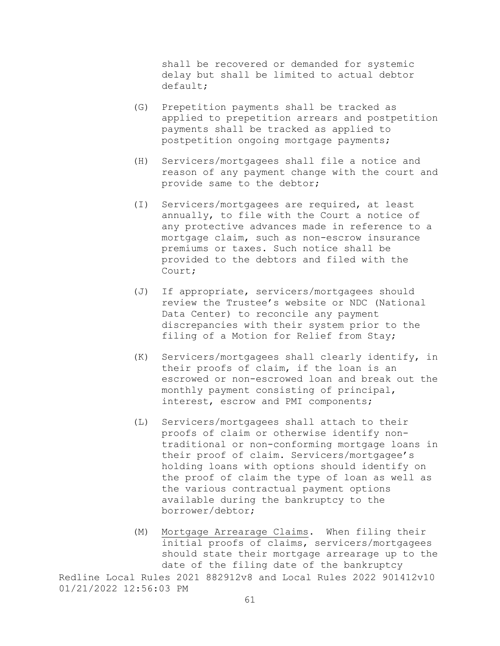shall be recovered or demanded for systemic delay but shall be limited to actual debtor default;

- (G) Prepetition payments shall be tracked as applied to prepetition arrears and postpetition payments shall be tracked as applied to postpetition ongoing mortgage payments;
- (H) Servicers/mortgagees shall file a notice and reason of any payment change with the court and provide same to the debtor;
- (I) Servicers/mortgagees are required, at least annually, to file with the Court a notice of any protective advances made in reference to a mortgage claim, such as non-escrow insurance premiums or taxes. Such notice shall be provided to the debtors and filed with the Court;
- (J) If appropriate, servicers/mortgagees should review the Trustee's website or NDC (National Data Center) to reconcile any payment discrepancies with their system prior to the filing of a Motion for Relief from Stay;
- (K) Servicers/mortgagees shall clearly identify, in their proofs of claim, if the loan is an escrowed or non-escrowed loan and break out the monthly payment consisting of principal, interest, escrow and PMI components;
- (L) Servicers/mortgagees shall attach to their proofs of claim or otherwise identify nontraditional or non-conforming mortgage loans in their proof of claim. Servicers/mortgagee's holding loans with options should identify on the proof of claim the type of loan as well as the various contractual payment options available during the bankruptcy to the borrower/debtor;
- (M) Mortgage Arrearage Claims. When filing their initial proofs of claims, servicers/mortgagees should state their mortgage arrearage up to the date of the filing date of the bankruptcy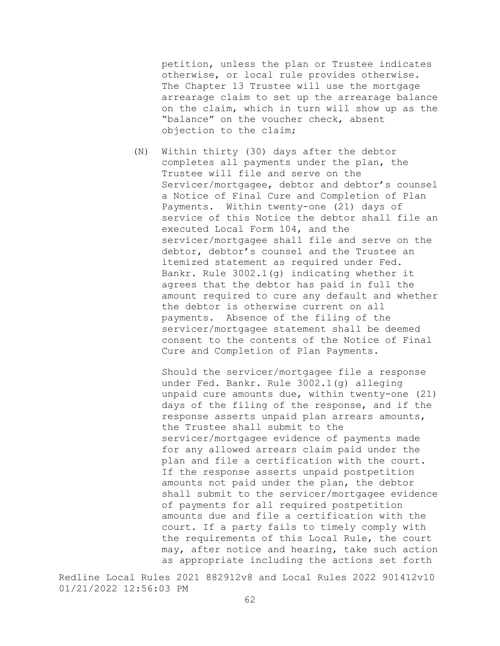petition, unless the plan or Trustee indicates otherwise, or local rule provides otherwise. The Chapter 13 Trustee will use the mortgage arrearage claim to set up the arrearage balance on the claim, which in turn will show up as the "balance" on the voucher check, absent objection to the claim;

(N) Within thirty (30) days after the debtor completes all payments under the plan, the Trustee will file and serve on the Servicer/mortgagee, debtor and debtor's counsel a Notice of Final Cure and Completion of Plan Payments. Within twenty-one (21) days of service of this Notice the debtor shall file an executed Local Form 104, and the servicer/mortgagee shall file and serve on the debtor, debtor's counsel and the Trustee an itemized statement as required under Fed. Bankr. Rule 3002.1(g) indicating whether it agrees that the debtor has paid in full the amount required to cure any default and whether the debtor is otherwise current on all payments. Absence of the filing of the servicer/mortgagee statement shall be deemed consent to the contents of the Notice of Final Cure and Completion of Plan Payments.

Should the servicer/mortgagee file a response under Fed. Bankr. Rule 3002.1(g) alleging unpaid cure amounts due, within twenty-one (21) days of the filing of the response, and if the response asserts unpaid plan arrears amounts, the Trustee shall submit to the servicer/mortgagee evidence of payments made for any allowed arrears claim paid under the plan and file a certification with the court. If the response asserts unpaid postpetition amounts not paid under the plan, the debtor shall submit to the servicer/mortgagee evidence of payments for all required postpetition amounts due and file a certification with the court. If a party fails to timely comply with the requirements of this Local Rule, the court may, after notice and hearing, take such action as appropriate including the actions set forth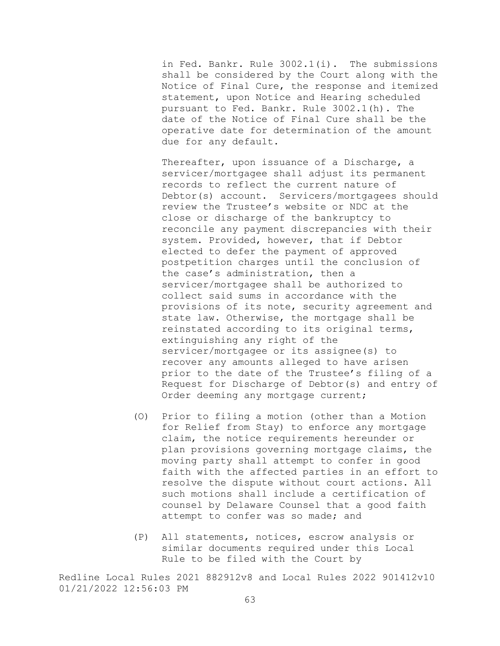in Fed. Bankr. Rule 3002.1(i). The submissions shall be considered by the Court along with the Notice of Final Cure, the response and itemized statement, upon Notice and Hearing scheduled pursuant to Fed. Bankr. Rule 3002.1(h). The date of the Notice of Final Cure shall be the operative date for determination of the amount due for any default.

Thereafter, upon issuance of a Discharge, a servicer/mortgagee shall adjust its permanent records to reflect the current nature of Debtor(s) account. Servicers/mortgagees should review the Trustee's website or NDC at the close or discharge of the bankruptcy to reconcile any payment discrepancies with their system. Provided, however, that if Debtor elected to defer the payment of approved postpetition charges until the conclusion of the case's administration, then a servicer/mortgagee shall be authorized to collect said sums in accordance with the provisions of its note, security agreement and state law. Otherwise, the mortgage shall be reinstated according to its original terms, extinguishing any right of the servicer/mortgagee or its assignee(s) to recover any amounts alleged to have arisen prior to the date of the Trustee's filing of a Request for Discharge of Debtor(s) and entry of Order deeming any mortgage current;

- (O) Prior to filing a motion (other than a Motion for Relief from Stay) to enforce any mortgage claim, the notice requirements hereunder or plan provisions governing mortgage claims, the moving party shall attempt to confer in good faith with the affected parties in an effort to resolve the dispute without court actions. All such motions shall include a certification of counsel by Delaware Counsel that a good faith attempt to confer was so made; and
- (P) All statements, notices, escrow analysis or similar documents required under this Local Rule to be filed with the Court by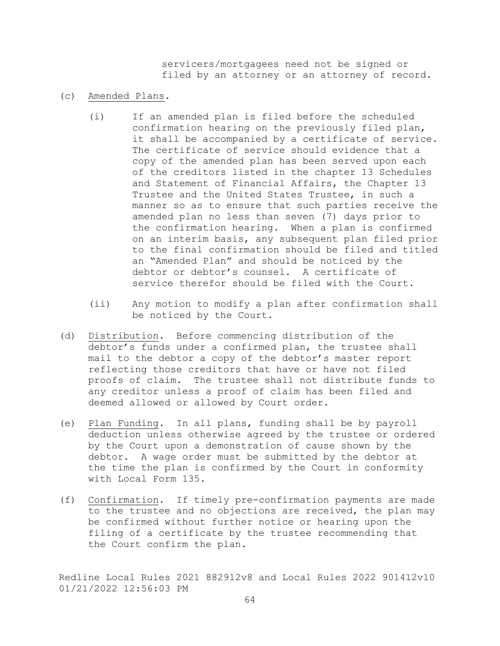servicers/mortgagees need not be signed or filed by an attorney or an attorney of record.

- (c) Amended Plans.
	- (i) If an amended plan is filed before the scheduled confirmation hearing on the previously filed plan, it shall be accompanied by a certificate of service. The certificate of service should evidence that a copy of the amended plan has been served upon each of the creditors listed in the chapter 13 Schedules and Statement of Financial Affairs, the Chapter 13 Trustee and the United States Trustee, in such a manner so as to ensure that such parties receive the amended plan no less than seven (7) days prior to the confirmation hearing. When a plan is confirmed on an interim basis, any subsequent plan filed prior to the final confirmation should be filed and titled an "Amended Plan" and should be noticed by the debtor or debtor's counsel. A certificate of service therefor should be filed with the Court.
	- (ii) Any motion to modify a plan after confirmation shall be noticed by the Court.
- (d) Distribution. Before commencing distribution of the debtor's funds under a confirmed plan, the trustee shall mail to the debtor a copy of the debtor's master report reflecting those creditors that have or have not filed proofs of claim. The trustee shall not distribute funds to any creditor unless a proof of claim has been filed and deemed allowed or allowed by Court order.
- (e) Plan Funding. In all plans, funding shall be by payroll deduction unless otherwise agreed by the trustee or ordered by the Court upon a demonstration of cause shown by the debtor. A wage order must be submitted by the debtor at the time the plan is confirmed by the Court in conformity with Local Form 135.
- (f) Confirmation. If timely pre-confirmation payments are made to the trustee and no objections are received, the plan may be confirmed without further notice or hearing upon the filing of a certificate by the trustee recommending that the Court confirm the plan.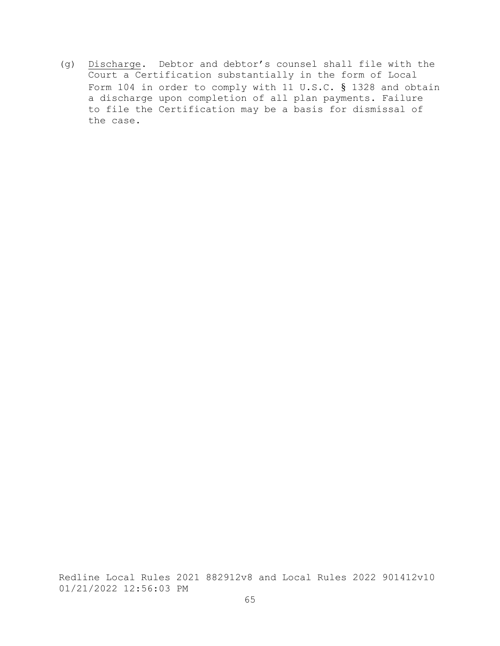(g) Discharge. Debtor and debtor's counsel shall file with the Court a Certification substantially in the form of Local Form 104 in order to comply with 11 U.S.C. § 1328 and obtain a discharge upon completion of all plan payments. Failure to file the Certification may be a basis for dismissal of the case.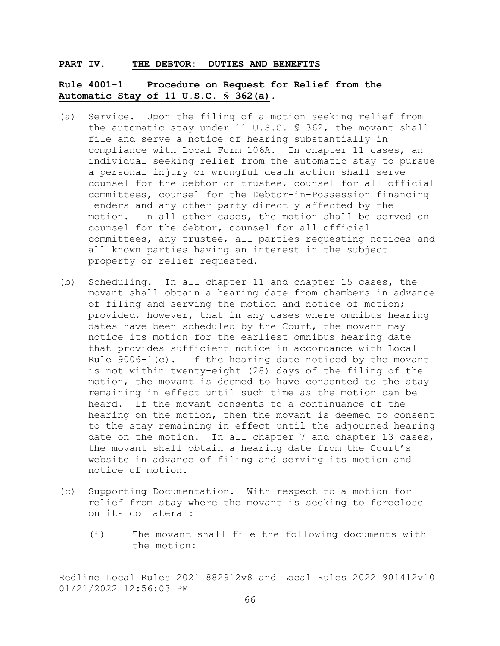#### **PART IV. THE DEBTOR: DUTIES AND BENEFITS**

# **Rule 4001-1 Procedure on Request for Relief from the Automatic Stay of 11 U.S.C. § 362(a)**.

- (a) Service. Upon the filing of a motion seeking relief from the automatic stay under 11 U.S.C. § 362, the movant shall file and serve a notice of hearing substantially in compliance with Local Form 106A. In chapter 11 cases, an individual seeking relief from the automatic stay to pursue a personal injury or wrongful death action shall serve counsel for the debtor or trustee, counsel for all official committees, counsel for the Debtor-in-Possession financing lenders and any other party directly affected by the motion. In all other cases, the motion shall be served on counsel for the debtor, counsel for all official committees, any trustee, all parties requesting notices and all known parties having an interest in the subject property or relief requested.
- (b) Scheduling. In all chapter 11 and chapter 15 cases, the movant shall obtain a hearing date from chambers in advance of filing and serving the motion and notice of motion; provided, however, that in any cases where omnibus hearing dates have been scheduled by the Court, the movant may notice its motion for the earliest omnibus hearing date that provides sufficient notice in accordance with Local Rule 9006-1(c). If the hearing date noticed by the movant is not within twenty-eight (28) days of the filing of the motion, the movant is deemed to have consented to the stay remaining in effect until such time as the motion can be heard. If the movant consents to a continuance of the hearing on the motion, then the movant is deemed to consent to the stay remaining in effect until the adjourned hearing date on the motion. In all chapter 7 and chapter 13 cases, the movant shall obtain a hearing date from the Court's website in advance of filing and serving its motion and notice of motion.
- (c) Supporting Documentation. With respect to a motion for relief from stay where the movant is seeking to foreclose on its collateral:
	- (i) The movant shall file the following documents with the motion: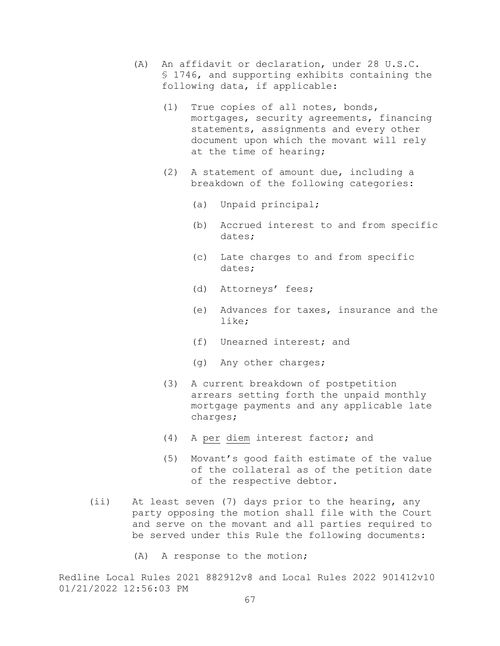- (A) An affidavit or declaration, under 28 U.S.C. § 1746, and supporting exhibits containing the following data, if applicable:
	- (1) True copies of all notes, bonds, mortgages, security agreements, financing statements, assignments and every other document upon which the movant will rely at the time of hearing;
	- (2) A statement of amount due, including a breakdown of the following categories:
		- (a) Unpaid principal;
		- (b) Accrued interest to and from specific dates;
		- (c) Late charges to and from specific dates;
		- (d) Attorneys' fees;
		- (e) Advances for taxes, insurance and the like;
		- (f) Unearned interest; and
		- (g) Any other charges;
	- (3) A current breakdown of postpetition arrears setting forth the unpaid monthly mortgage payments and any applicable late charges;
	- (4) A per diem interest factor; and
	- (5) Movant's good faith estimate of the value of the collateral as of the petition date of the respective debtor.
- (ii) At least seven (7) days prior to the hearing, any party opposing the motion shall file with the Court and serve on the movant and all parties required to be served under this Rule the following documents:
	- (A) A response to the motion;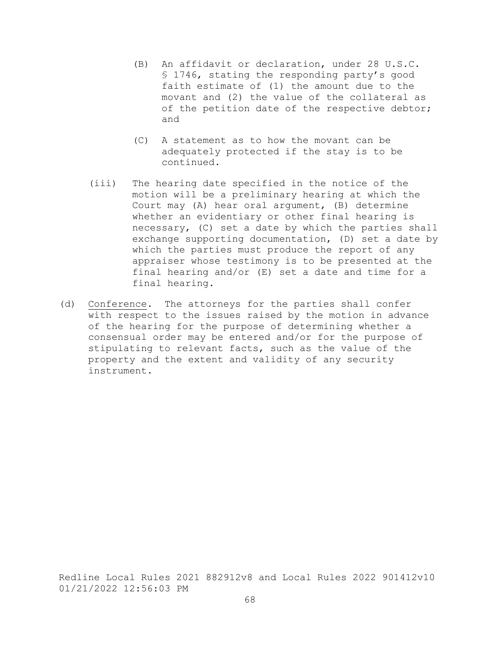- (B) An affidavit or declaration, under 28 U.S.C. § 1746, stating the responding party's good faith estimate of (1) the amount due to the movant and (2) the value of the collateral as of the petition date of the respective debtor; and
- (C) A statement as to how the movant can be adequately protected if the stay is to be continued.
- (iii) The hearing date specified in the notice of the motion will be a preliminary hearing at which the Court may (A) hear oral argument, (B) determine whether an evidentiary or other final hearing is necessary, (C) set a date by which the parties shall exchange supporting documentation, (D) set a date by which the parties must produce the report of any appraiser whose testimony is to be presented at the final hearing and/or (E) set a date and time for a final hearing.
- (d) Conference. The attorneys for the parties shall confer with respect to the issues raised by the motion in advance of the hearing for the purpose of determining whether a consensual order may be entered and/or for the purpose of stipulating to relevant facts, such as the value of the property and the extent and validity of any security instrument.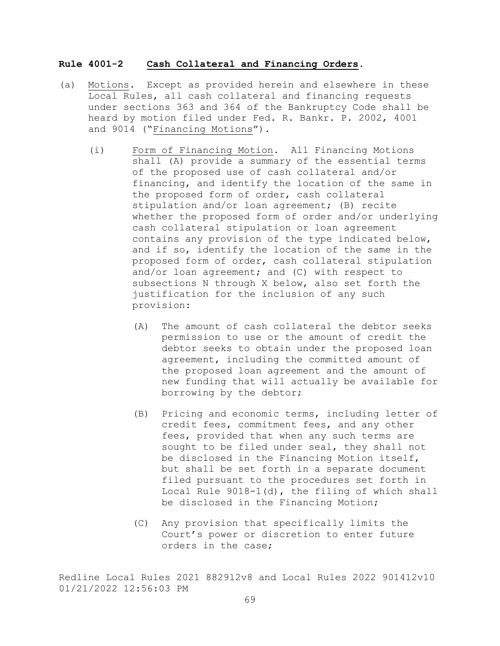## **Rule 4001-2 Cash Collateral and Financing Orders**.

- (a) Motions. Except as provided herein and elsewhere in these Local Rules, all cash collateral and financing requests under sections 363 and 364 of the Bankruptcy Code shall be heard by motion filed under Fed. R. Bankr. P. 2002, 4001 and 9014 ("Financing Motions").
	- (i) Form of Financing Motion. All Financing Motions shall (A) provide a summary of the essential terms of the proposed use of cash collateral and/or financing, and identify the location of the same in the proposed form of order, cash collateral stipulation and/or loan agreement; (B) recite whether the proposed form of order and/or underlying cash collateral stipulation or loan agreement contains any provision of the type indicated below, and if so, identify the location of the same in the proposed form of order, cash collateral stipulation and/or loan agreement; and (C) with respect to subsections N through X below, also set forth the justification for the inclusion of any such provision:
		- (A) The amount of cash collateral the debtor seeks permission to use or the amount of credit the debtor seeks to obtain under the proposed loan agreement, including the committed amount of the proposed loan agreement and the amount of new funding that will actually be available for borrowing by the debtor;
		- (B) Pricing and economic terms, including letter of credit fees, commitment fees, and any other fees, provided that when any such terms are sought to be filed under seal, they shall not be disclosed in the Financing Motion itself, but shall be set forth in a separate document filed pursuant to the procedures set forth in Local Rule 9018-1(d), the filing of which shall be disclosed in the Financing Motion;
		- (C) Any provision that specifically limits the Court's power or discretion to enter future orders in the case;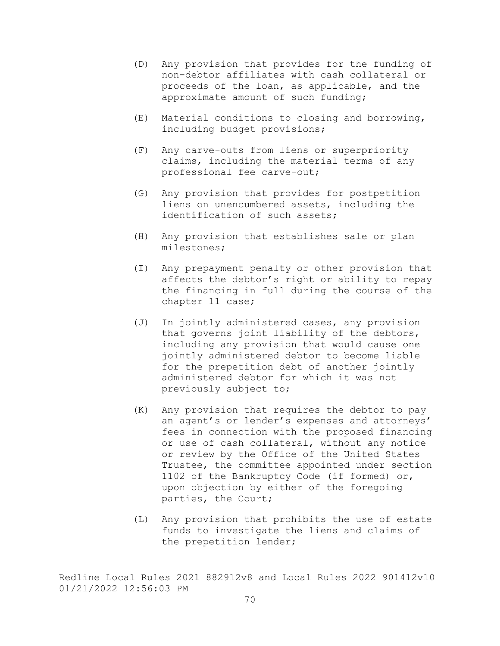- (D) Any provision that provides for the funding of non-debtor affiliates with cash collateral or proceeds of the loan, as applicable, and the approximate amount of such funding;
- (E) Material conditions to closing and borrowing, including budget provisions;
- (F) Any carve-outs from liens or superpriority claims, including the material terms of any professional fee carve-out;
- (G) Any provision that provides for postpetition liens on unencumbered assets, including the identification of such assets;
- (H) Any provision that establishes sale or plan milestones;
- (I) Any prepayment penalty or other provision that affects the debtor's right or ability to repay the financing in full during the course of the chapter 11 case;
- (J) In jointly administered cases, any provision that governs joint liability of the debtors, including any provision that would cause one jointly administered debtor to become liable for the prepetition debt of another jointly administered debtor for which it was not previously subject to;
- (K) Any provision that requires the debtor to pay an agent's or lender's expenses and attorneys' fees in connection with the proposed financing or use of cash collateral, without any notice or review by the Office of the United States Trustee, the committee appointed under section 1102 of the Bankruptcy Code (if formed) or, upon objection by either of the foregoing parties, the Court;
- (L) Any provision that prohibits the use of estate funds to investigate the liens and claims of the prepetition lender;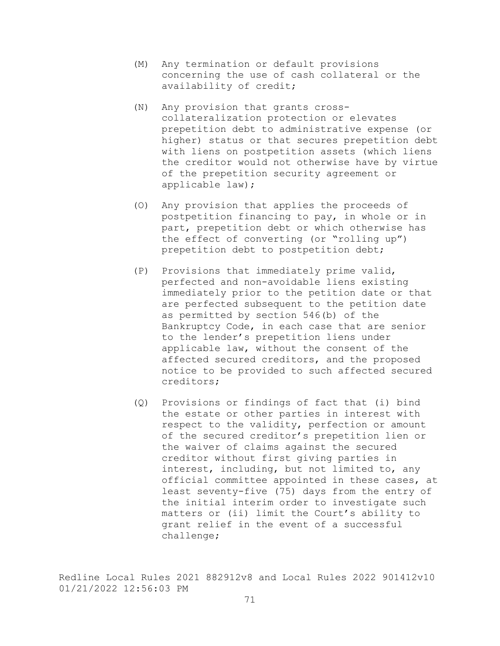- (M) Any termination or default provisions concerning the use of cash collateral or the availability of credit;
- (N) Any provision that grants crosscollateralization protection or elevates prepetition debt to administrative expense (or higher) status or that secures prepetition debt with liens on postpetition assets (which liens the creditor would not otherwise have by virtue of the prepetition security agreement or applicable law);
- (O) Any provision that applies the proceeds of postpetition financing to pay, in whole or in part, prepetition debt or which otherwise has the effect of converting (or "rolling up") prepetition debt to postpetition debt;
- (P) Provisions that immediately prime valid, perfected and non-avoidable liens existing immediately prior to the petition date or that are perfected subsequent to the petition date as permitted by section 546(b) of the Bankruptcy Code, in each case that are senior to the lender's prepetition liens under applicable law, without the consent of the affected secured creditors, and the proposed notice to be provided to such affected secured creditors;
- (Q) Provisions or findings of fact that (i) bind the estate or other parties in interest with respect to the validity, perfection or amount of the secured creditor's prepetition lien or the waiver of claims against the secured creditor without first giving parties in interest, including, but not limited to, any official committee appointed in these cases, at least seventy-five (75) days from the entry of the initial interim order to investigate such matters or (ii) limit the Court's ability to grant relief in the event of a successful challenge;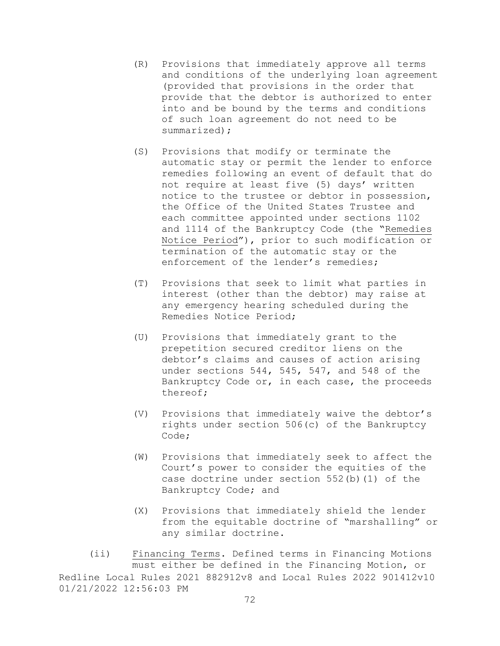- (R) Provisions that immediately approve all terms and conditions of the underlying loan agreement (provided that provisions in the order that provide that the debtor is authorized to enter into and be bound by the terms and conditions of such loan agreement do not need to be summarized);
- (S) Provisions that modify or terminate the automatic stay or permit the lender to enforce remedies following an event of default that do not require at least five (5) days' written notice to the trustee or debtor in possession, the Office of the United States Trustee and each committee appointed under sections 1102 and 1114 of the Bankruptcy Code (the "Remedies Notice Period"), prior to such modification or termination of the automatic stay or the enforcement of the lender's remedies;
- (T) Provisions that seek to limit what parties in interest (other than the debtor) may raise at any emergency hearing scheduled during the Remedies Notice Period;
- (U) Provisions that immediately grant to the prepetition secured creditor liens on the debtor's claims and causes of action arising under sections 544, 545, 547, and 548 of the Bankruptcy Code or, in each case, the proceeds thereof;
- (V) Provisions that immediately waive the debtor's rights under section 506(c) of the Bankruptcy Code;
- (W) Provisions that immediately seek to affect the Court's power to consider the equities of the case doctrine under section 552(b)(1) of the Bankruptcy Code; and
- (X) Provisions that immediately shield the lender from the equitable doctrine of "marshalling" or any similar doctrine.

Redline Local Rules 2021 882912v8 and Local Rules 2022 901412v10 01/21/2022 12:56:03 PM (ii) Financing Terms. Defined terms in Financing Motions must either be defined in the Financing Motion, or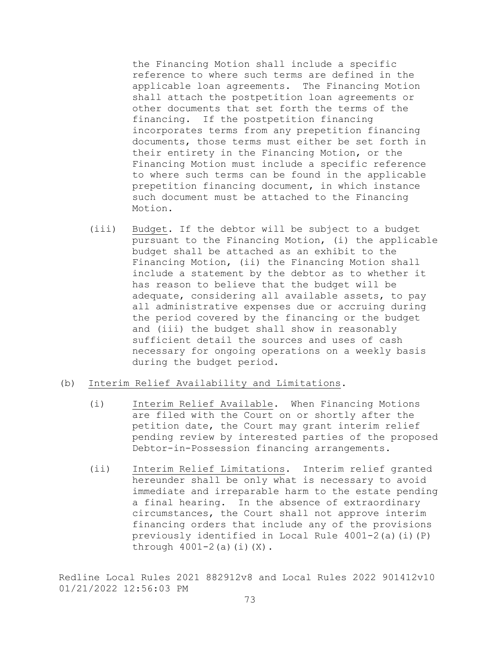the Financing Motion shall include a specific reference to where such terms are defined in the applicable loan agreements. The Financing Motion shall attach the postpetition loan agreements or other documents that set forth the terms of the financing. If the postpetition financing incorporates terms from any prepetition financing documents, those terms must either be set forth in their entirety in the Financing Motion, or the Financing Motion must include a specific reference to where such terms can be found in the applicable prepetition financing document, in which instance such document must be attached to the Financing Motion.

(iii) Budget. If the debtor will be subject to a budget pursuant to the Financing Motion, (i) the applicable budget shall be attached as an exhibit to the Financing Motion, (ii) the Financing Motion shall include a statement by the debtor as to whether it has reason to believe that the budget will be adequate, considering all available assets, to pay all administrative expenses due or accruing during the period covered by the financing or the budget and (iii) the budget shall show in reasonably sufficient detail the sources and uses of cash necessary for ongoing operations on a weekly basis during the budget period.

# (b) Interim Relief Availability and Limitations.

- (i) Interim Relief Available. When Financing Motions are filed with the Court on or shortly after the petition date, the Court may grant interim relief pending review by interested parties of the proposed Debtor-in-Possession financing arrangements.
- (ii) Interim Relief Limitations. Interim relief granted hereunder shall be only what is necessary to avoid immediate and irreparable harm to the estate pending a final hearing. In the absence of extraordinary circumstances, the Court shall not approve interim financing orders that include any of the provisions previously identified in Local Rule 4001-2(a)(i)(P) through  $4001-2(a)(i)(X)$ .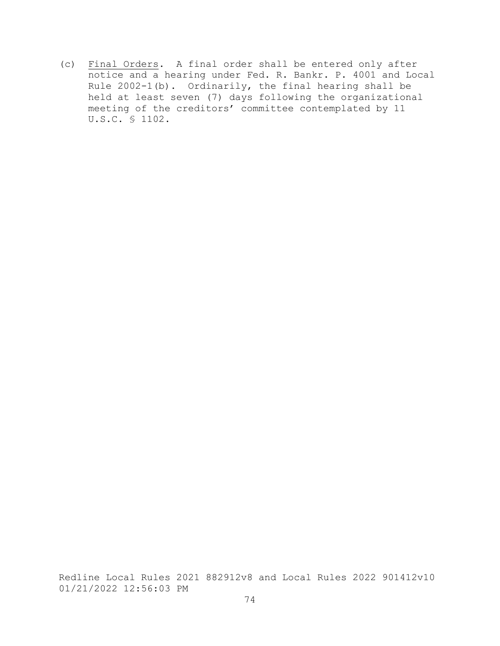(c) Final Orders. A final order shall be entered only after notice and a hearing under Fed. R. Bankr. P. 4001 and Local Rule 2002-1(b). Ordinarily, the final hearing shall be held at least seven (7) days following the organizational meeting of the creditors' committee contemplated by 11 U.S.C. § 1102.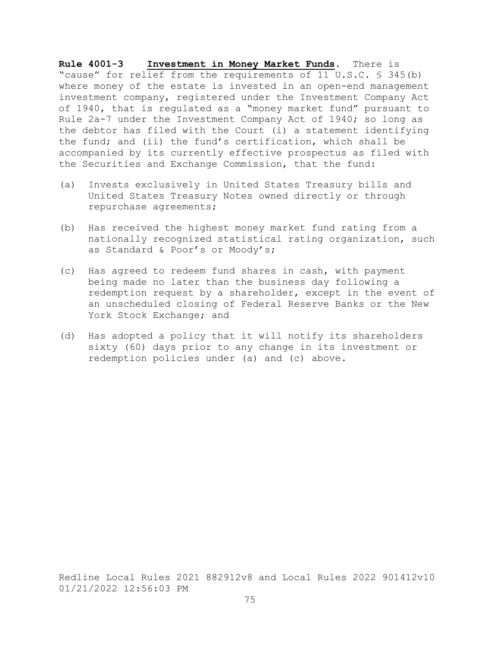**Rule 4001-3 Investment in Money Market Funds**. There is "cause" for relief from the requirements of 11 U.S.C. § 345(b) where money of the estate is invested in an open-end management investment company, registered under the Investment Company Act of 1940, that is regulated as a "money market fund" pursuant to Rule 2a-7 under the Investment Company Act of 1940; so long as the debtor has filed with the Court (i) a statement identifying the fund; and (ii) the fund's certification, which shall be accompanied by its currently effective prospectus as filed with the Securities and Exchange Commission, that the fund:

- (a) Invests exclusively in United States Treasury bills and United States Treasury Notes owned directly or through repurchase agreements;
- (b) Has received the highest money market fund rating from a nationally recognized statistical rating organization, such as Standard & Poor's or Moody's;
- (c) Has agreed to redeem fund shares in cash, with payment being made no later than the business day following a redemption request by a shareholder, except in the event of an unscheduled closing of Federal Reserve Banks or the New York Stock Exchange; and
- (d) Has adopted a policy that it will notify its shareholders sixty (60) days prior to any change in its investment or redemption policies under (a) and (c) above.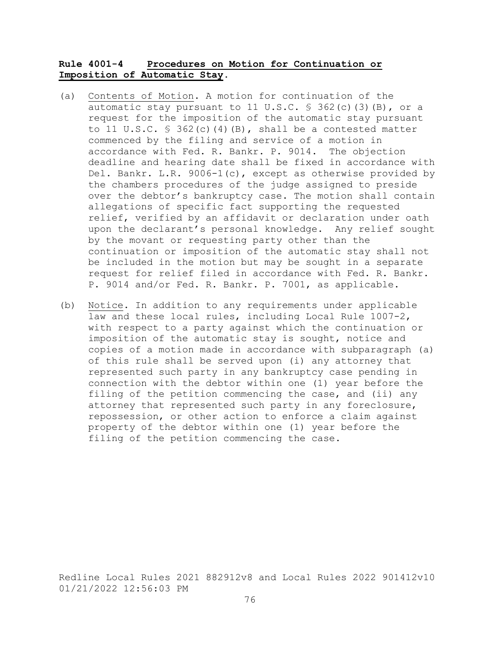# **Rule 4001-4 Procedures on Motion for Continuation or Imposition of Automatic Stay**.

- (a) Contents of Motion. A motion for continuation of the automatic stay pursuant to 11 U.S.C. § 362(c)(3)(B), or a request for the imposition of the automatic stay pursuant to 11 U.S.C.  $\frac{1}{5}$  362(c)(4)(B), shall be a contested matter commenced by the filing and service of a motion in accordance with Fed. R. Bankr. P. 9014. The objection deadline and hearing date shall be fixed in accordance with Del. Bankr. L.R. 9006-1(c), except as otherwise provided by the chambers procedures of the judge assigned to preside over the debtor's bankruptcy case. The motion shall contain allegations of specific fact supporting the requested relief, verified by an affidavit or declaration under oath upon the declarant's personal knowledge. Any relief sought by the movant or requesting party other than the continuation or imposition of the automatic stay shall not be included in the motion but may be sought in a separate request for relief filed in accordance with Fed. R. Bankr. P. 9014 and/or Fed. R. Bankr. P. 7001, as applicable.
- (b) Notice. In addition to any requirements under applicable law and these local rules, including Local Rule 1007-2, with respect to a party against which the continuation or imposition of the automatic stay is sought, notice and copies of a motion made in accordance with subparagraph (a) of this rule shall be served upon (i) any attorney that represented such party in any bankruptcy case pending in connection with the debtor within one (1) year before the filing of the petition commencing the case, and (ii) any attorney that represented such party in any foreclosure, repossession, or other action to enforce a claim against property of the debtor within one (1) year before the filing of the petition commencing the case.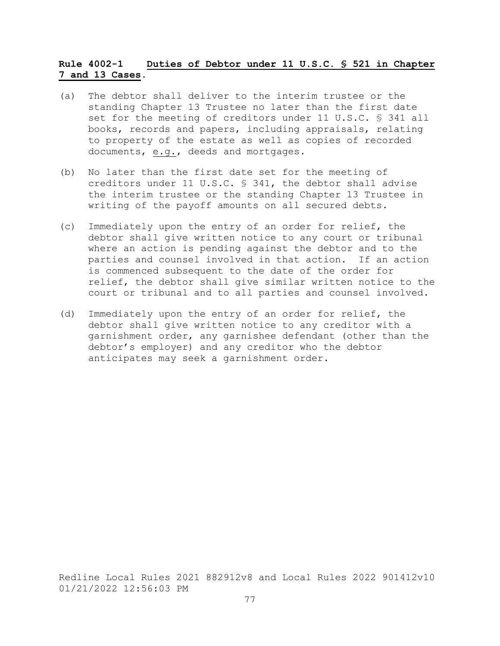# **Rule 4002-1 Duties of Debtor under 11 U.S.C. § 521 in Chapter 7 and 13 Cases**.

- (a) The debtor shall deliver to the interim trustee or the standing Chapter 13 Trustee no later than the first date set for the meeting of creditors under 11 U.S.C. § 341 all books, records and papers, including appraisals, relating to property of the estate as well as copies of recorded documents, e.g., deeds and mortgages.
- (b) No later than the first date set for the meeting of creditors under 11 U.S.C. § 341, the debtor shall advise the interim trustee or the standing Chapter 13 Trustee in writing of the payoff amounts on all secured debts.
- (c) Immediately upon the entry of an order for relief, the debtor shall give written notice to any court or tribunal where an action is pending against the debtor and to the parties and counsel involved in that action. If an action is commenced subsequent to the date of the order for relief, the debtor shall give similar written notice to the court or tribunal and to all parties and counsel involved.
- (d) Immediately upon the entry of an order for relief, the debtor shall give written notice to any creditor with a garnishment order, any garnishee defendant (other than the debtor's employer) and any creditor who the debtor anticipates may seek a garnishment order.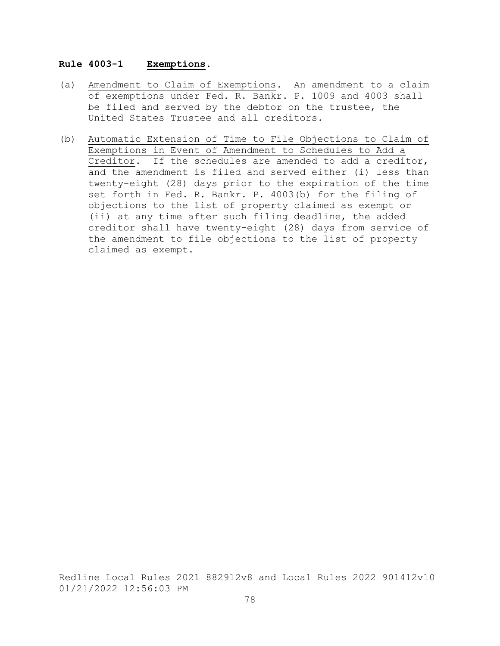# **Rule 4003-1 Exemptions**.

- (a) Amendment to Claim of Exemptions. An amendment to a claim of exemptions under Fed. R. Bankr. P. 1009 and 4003 shall be filed and served by the debtor on the trustee, the United States Trustee and all creditors.
- (b) Automatic Extension of Time to File Objections to Claim of Exemptions in Event of Amendment to Schedules to Add a Creditor. If the schedules are amended to add a creditor, and the amendment is filed and served either (i) less than twenty-eight (28) days prior to the expiration of the time set forth in Fed. R. Bankr. P. 4003(b) for the filing of objections to the list of property claimed as exempt or (ii) at any time after such filing deadline, the added creditor shall have twenty-eight (28) days from service of the amendment to file objections to the list of property claimed as exempt.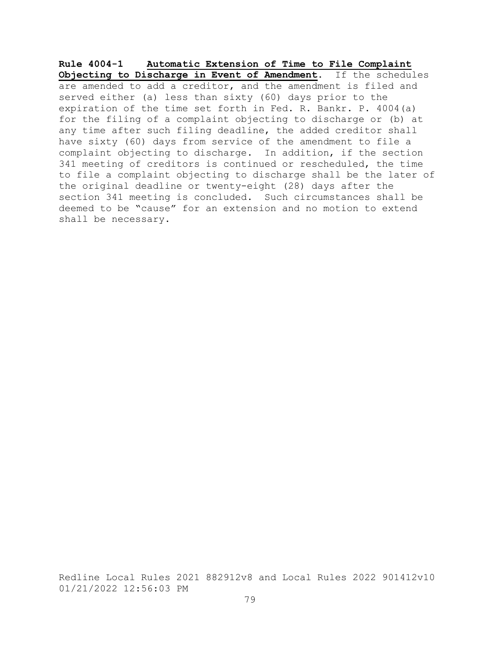**Rule 4004-1 Automatic Extension of Time to File Complaint Objecting to Discharge in Event of Amendment**. If the schedules are amended to add a creditor, and the amendment is filed and served either (a) less than sixty (60) days prior to the expiration of the time set forth in Fed. R. Bankr. P. 4004(a) for the filing of a complaint objecting to discharge or (b) at any time after such filing deadline, the added creditor shall have sixty (60) days from service of the amendment to file a complaint objecting to discharge. In addition, if the section 341 meeting of creditors is continued or rescheduled, the time to file a complaint objecting to discharge shall be the later of the original deadline or twenty-eight (28) days after the section 341 meeting is concluded. Such circumstances shall be deemed to be "cause" for an extension and no motion to extend shall be necessary.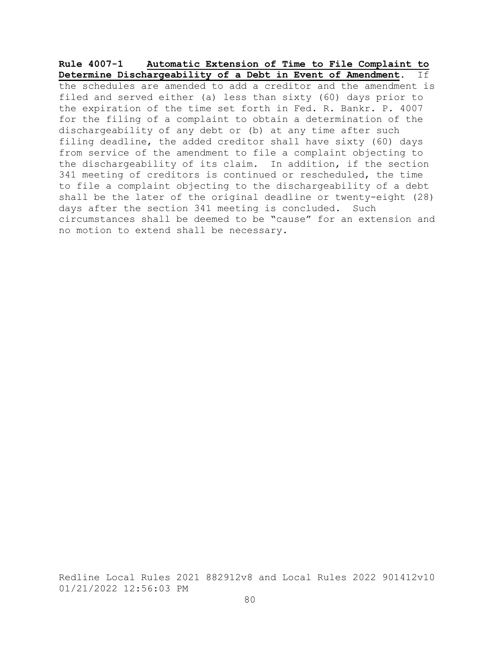# **Rule 4007-1 Automatic Extension of Time to File Complaint to Determine Dischargeability of a Debt in Event of Amendment**. If

the schedules are amended to add a creditor and the amendment is filed and served either (a) less than sixty (60) days prior to the expiration of the time set forth in Fed. R. Bankr. P. 4007 for the filing of a complaint to obtain a determination of the dischargeability of any debt or (b) at any time after such filing deadline, the added creditor shall have sixty (60) days from service of the amendment to file a complaint objecting to the dischargeability of its claim. In addition, if the section 341 meeting of creditors is continued or rescheduled, the time to file a complaint objecting to the dischargeability of a debt shall be the later of the original deadline or twenty-eight (28) days after the section 341 meeting is concluded. Such circumstances shall be deemed to be "cause" for an extension and no motion to extend shall be necessary.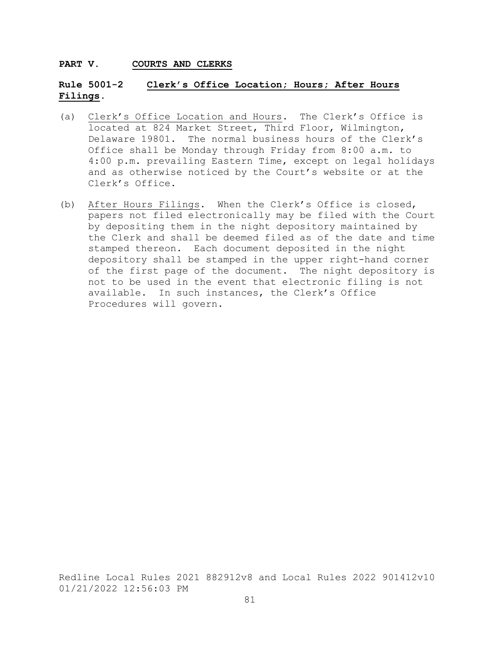#### **PART V. COURTS AND CLERKS**

# **Rule 5001-2 Clerk's Office Location; Hours; After Hours Filings**.

- (a) Clerk's Office Location and Hours. The Clerk's Office is located at 824 Market Street, Third Floor, Wilmington, Delaware 19801. The normal business hours of the Clerk's Office shall be Monday through Friday from 8:00 a.m. to 4:00 p.m. prevailing Eastern Time, except on legal holidays and as otherwise noticed by the Court's website or at the Clerk's Office.
- (b) After Hours Filings. When the Clerk's Office is closed, papers not filed electronically may be filed with the Court by depositing them in the night depository maintained by the Clerk and shall be deemed filed as of the date and time stamped thereon. Each document deposited in the night depository shall be stamped in the upper right-hand corner of the first page of the document. The night depository is not to be used in the event that electronic filing is not available. In such instances, the Clerk's Office Procedures will govern.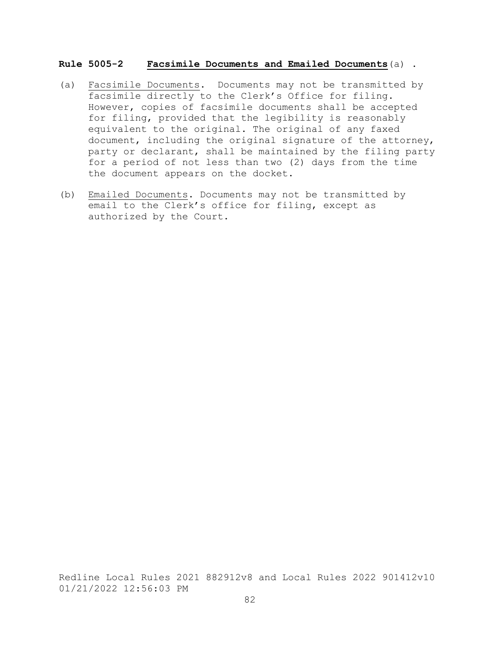# **Rule 5005-2 Facsimile Documents and Emailed Documents**(a) .

- (a) Facsimile Documents. Documents may not be transmitted by facsimile directly to the Clerk's Office for filing. However, copies of facsimile documents shall be accepted for filing, provided that the legibility is reasonably equivalent to the original. The original of any faxed document, including the original signature of the attorney, party or declarant, shall be maintained by the filing party for a period of not less than two (2) days from the time the document appears on the docket.
- (b) Emailed Documents. Documents may not be transmitted by email to the Clerk's office for filing, except as authorized by the Court.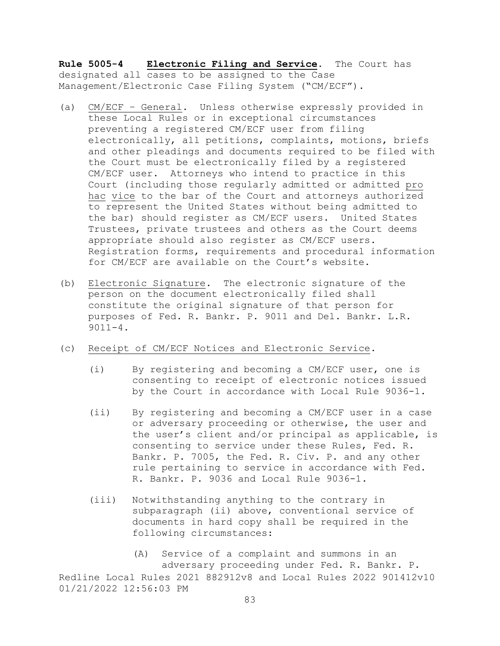**Rule 5005-4 Electronic Filing and Service**. The Court has designated all cases to be assigned to the Case Management/Electronic Case Filing System ("CM/ECF").

- (a) CM/ECF General. Unless otherwise expressly provided in these Local Rules or in exceptional circumstances preventing a registered CM/ECF user from filing electronically, all petitions, complaints, motions, briefs and other pleadings and documents required to be filed with the Court must be electronically filed by a registered CM/ECF user. Attorneys who intend to practice in this Court (including those regularly admitted or admitted pro hac vice to the bar of the Court and attorneys authorized to represent the United States without being admitted to the bar) should register as CM/ECF users. United States Trustees, private trustees and others as the Court deems appropriate should also register as CM/ECF users. Registration forms, requirements and procedural information for CM/ECF are available on the Court's website.
- (b) Electronic Signature. The electronic signature of the person on the document electronically filed shall constitute the original signature of that person for purposes of Fed. R. Bankr. P. 9011 and Del. Bankr. L.R.  $9011-4.$
- (c) Receipt of CM/ECF Notices and Electronic Service.
	- (i) By registering and becoming a CM/ECF user, one is consenting to receipt of electronic notices issued by the Court in accordance with Local Rule 9036-1.
	- (ii) By registering and becoming a CM/ECF user in a case or adversary proceeding or otherwise, the user and the user's client and/or principal as applicable, is consenting to service under these Rules, Fed. R. Bankr. P. 7005, the Fed. R. Civ. P. and any other rule pertaining to service in accordance with Fed. R. Bankr. P. 9036 and Local Rule 9036-1.
	- (iii) Notwithstanding anything to the contrary in subparagraph (ii) above, conventional service of documents in hard copy shall be required in the following circumstances:

Redline Local Rules 2021 882912v8 and Local Rules 2022 901412v10 01/21/2022 12:56:03 PM (A) Service of a complaint and summons in an adversary proceeding under Fed. R. Bankr. P.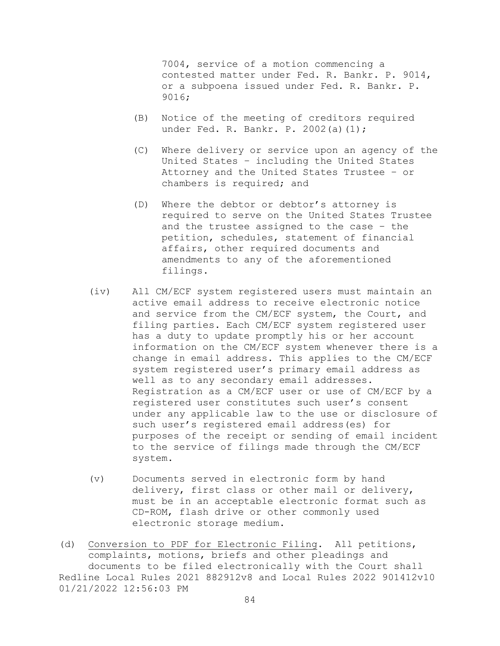7004, service of a motion commencing a contested matter under Fed. R. Bankr. P. 9014, or a subpoena issued under Fed. R. Bankr. P. 9016;

- (B) Notice of the meeting of creditors required under Fed. R. Bankr. P. 2002(a)(1);
- (C) Where delivery or service upon an agency of the United States – including the United States Attorney and the United States Trustee – or chambers is required; and
- (D) Where the debtor or debtor's attorney is required to serve on the United States Trustee and the trustee assigned to the case – the petition, schedules, statement of financial affairs, other required documents and amendments to any of the aforementioned filings.
- (iv) All CM/ECF system registered users must maintain an active email address to receive electronic notice and service from the CM/ECF system, the Court, and filing parties. Each CM/ECF system registered user has a duty to update promptly his or her account information on the CM/ECF system whenever there is a change in email address. This applies to the CM/ECF system registered user's primary email address as well as to any secondary email addresses. Registration as a CM/ECF user or use of CM/ECF by a registered user constitutes such user's consent under any applicable law to the use or disclosure of such user's registered email address(es) for purposes of the receipt or sending of email incident to the service of filings made through the CM/ECF system.
- (v) Documents served in electronic form by hand delivery, first class or other mail or delivery, must be in an acceptable electronic format such as CD-ROM, flash drive or other commonly used electronic storage medium.

Redline Local Rules 2021 882912v8 and Local Rules 2022 901412v10 01/21/2022 12:56:03 PM (d) Conversion to PDF for Electronic Filing. All petitions, complaints, motions, briefs and other pleadings and documents to be filed electronically with the Court shall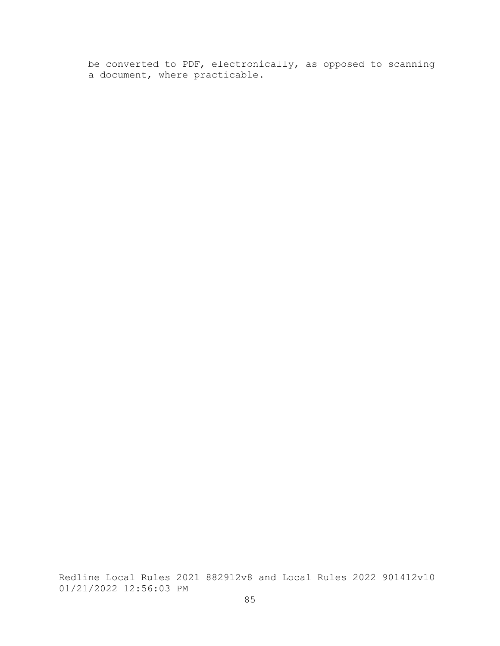be converted to PDF, electronically, as opposed to scanning a document, where practicable.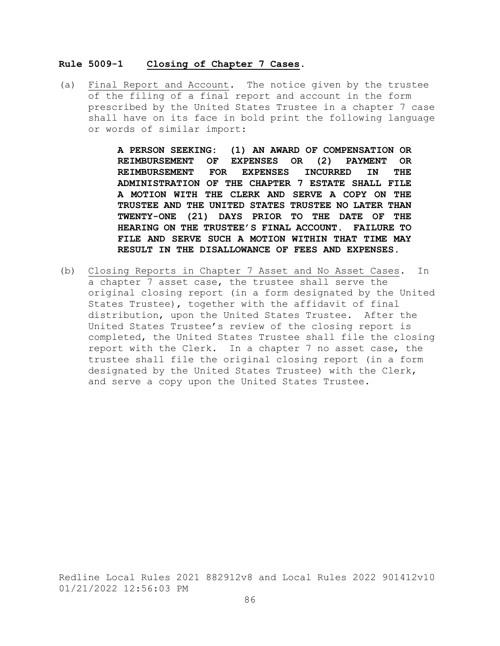## **Rule 5009-1 Closing of Chapter 7 Cases**.

(a) Final Report and Account. The notice given by the trustee of the filing of a final report and account in the form prescribed by the United States Trustee in a chapter 7 case shall have on its face in bold print the following language or words of similar import:

> **A PERSON SEEKING: (1) AN AWARD OF COMPENSATION OR REIMBURSEMENT OF EXPENSES OR (2) PAYMENT OR REIMBURSEMENT FOR EXPENSES INCURRED IN THE ADMINISTRATION OF THE CHAPTER 7 ESTATE SHALL FILE A MOTION WITH THE CLERK AND SERVE A COPY ON THE TRUSTEE AND THE UNITED STATES TRUSTEE NO LATER THAN TWENTY-ONE (21) DAYS PRIOR TO THE DATE OF THE HEARING ON THE TRUSTEE'S FINAL ACCOUNT. FAILURE TO FILE AND SERVE SUCH A MOTION WITHIN THAT TIME MAY RESULT IN THE DISALLOWANCE OF FEES AND EXPENSES.**

(b) Closing Reports in Chapter 7 Asset and No Asset Cases. In a chapter 7 asset case, the trustee shall serve the original closing report (in a form designated by the United States Trustee), together with the affidavit of final distribution, upon the United States Trustee. After the United States Trustee's review of the closing report is completed, the United States Trustee shall file the closing report with the Clerk. In a chapter 7 no asset case, the trustee shall file the original closing report (in a form designated by the United States Trustee) with the Clerk, and serve a copy upon the United States Trustee.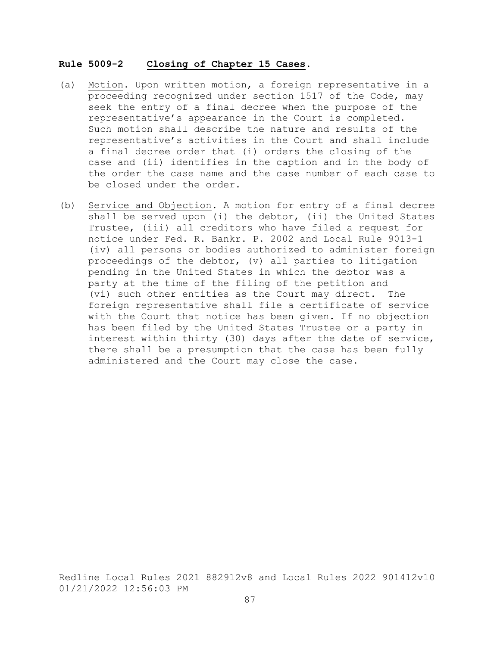## **Rule 5009-2 Closing of Chapter 15 Cases**.

- (a) Motion. Upon written motion, a foreign representative in a proceeding recognized under section 1517 of the Code, may seek the entry of a final decree when the purpose of the representative's appearance in the Court is completed. Such motion shall describe the nature and results of the representative's activities in the Court and shall include a final decree order that (i) orders the closing of the case and (ii) identifies in the caption and in the body of the order the case name and the case number of each case to be closed under the order.
- (b) Service and Objection. A motion for entry of a final decree shall be served upon (i) the debtor, (ii) the United States Trustee, (iii) all creditors who have filed a request for notice under Fed. R. Bankr. P. 2002 and Local Rule 9013-1 (iv) all persons or bodies authorized to administer foreign proceedings of the debtor, (v) all parties to litigation pending in the United States in which the debtor was a party at the time of the filing of the petition and (vi) such other entities as the Court may direct. The foreign representative shall file a certificate of service with the Court that notice has been given. If no objection has been filed by the United States Trustee or a party in interest within thirty (30) days after the date of service, there shall be a presumption that the case has been fully administered and the Court may close the case.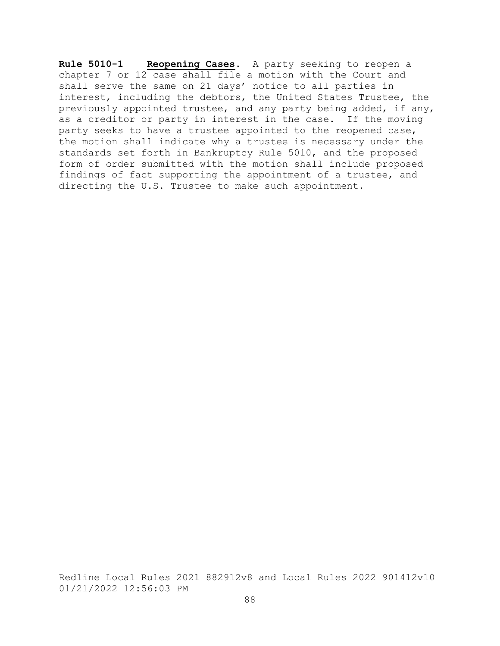**Rule 5010-1 Reopening Cases**. A party seeking to reopen a chapter 7 or 12 case shall file a motion with the Court and shall serve the same on 21 days' notice to all parties in interest, including the debtors, the United States Trustee, the previously appointed trustee, and any party being added, if any, as a creditor or party in interest in the case. If the moving party seeks to have a trustee appointed to the reopened case, the motion shall indicate why a trustee is necessary under the standards set forth in Bankruptcy Rule 5010, and the proposed form of order submitted with the motion shall include proposed findings of fact supporting the appointment of a trustee, and directing the U.S. Trustee to make such appointment.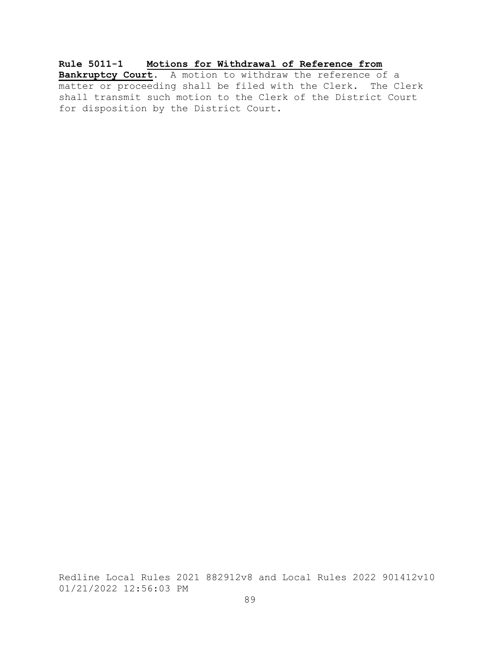# **Rule 5011-1 Motions for Withdrawal of Reference from**

**Bankruptcy Court**. A motion to withdraw the reference of a matter or proceeding shall be filed with the Clerk. The Clerk shall transmit such motion to the Clerk of the District Court for disposition by the District Court.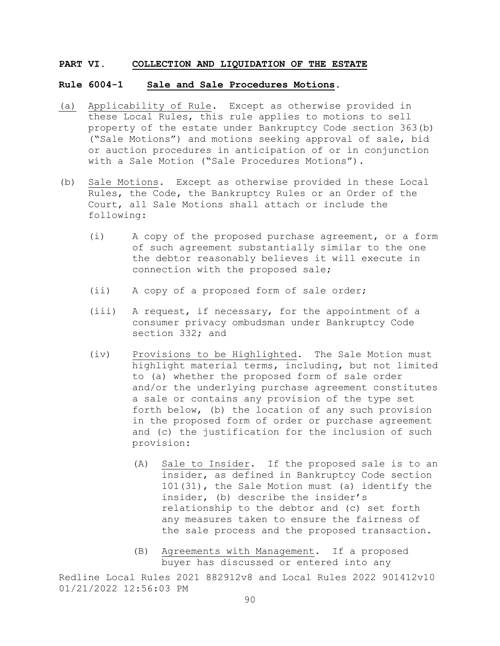#### **PART VI. COLLECTION AND LIQUIDATION OF THE ESTATE**

# **Rule 6004-1 Sale and Sale Procedures Motions**.

- (a) Applicability of Rule. Except as otherwise provided in these Local Rules, this rule applies to motions to sell property of the estate under Bankruptcy Code section 363(b) ("Sale Motions") and motions seeking approval of sale, bid or auction procedures in anticipation of or in conjunction with a Sale Motion ("Sale Procedures Motions").
- (b) Sale Motions. Except as otherwise provided in these Local Rules, the Code, the Bankruptcy Rules or an Order of the Court, all Sale Motions shall attach or include the following:
	- (i) A copy of the proposed purchase agreement, or a form of such agreement substantially similar to the one the debtor reasonably believes it will execute in connection with the proposed sale;
	- (ii) A copy of a proposed form of sale order;
	- (iii) A request, if necessary, for the appointment of a consumer privacy ombudsman under Bankruptcy Code section 332; and
	- (iv) Provisions to be Highlighted. The Sale Motion must highlight material terms, including, but not limited to (a) whether the proposed form of sale order and/or the underlying purchase agreement constitutes a sale or contains any provision of the type set forth below, (b) the location of any such provision in the proposed form of order or purchase agreement and (c) the justification for the inclusion of such provision:
		- (A) Sale to Insider. If the proposed sale is to an insider, as defined in Bankruptcy Code section 101(31), the Sale Motion must (a) identify the insider, (b) describe the insider's relationship to the debtor and (c) set forth any measures taken to ensure the fairness of the sale process and the proposed transaction.
		- (B) Agreements with Management. If a proposed buyer has discussed or entered into any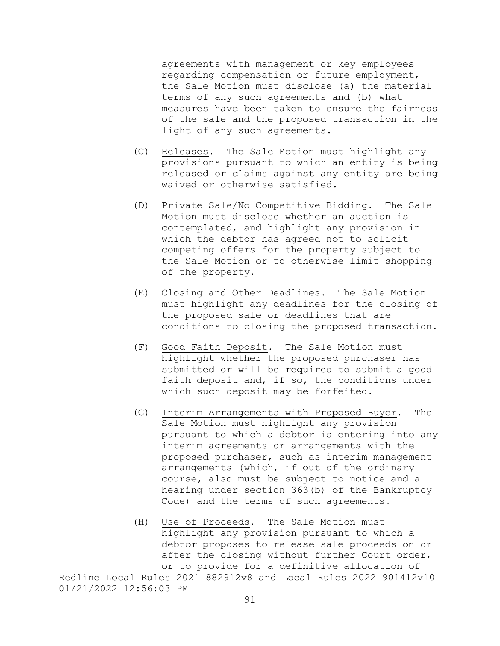agreements with management or key employees regarding compensation or future employment, the Sale Motion must disclose (a) the material terms of any such agreements and (b) what measures have been taken to ensure the fairness of the sale and the proposed transaction in the light of any such agreements.

- (C) Releases. The Sale Motion must highlight any provisions pursuant to which an entity is being released or claims against any entity are being waived or otherwise satisfied.
- (D) Private Sale/No Competitive Bidding. The Sale Motion must disclose whether an auction is contemplated, and highlight any provision in which the debtor has agreed not to solicit competing offers for the property subject to the Sale Motion or to otherwise limit shopping of the property.
- (E) Closing and Other Deadlines. The Sale Motion must highlight any deadlines for the closing of the proposed sale or deadlines that are conditions to closing the proposed transaction.
- (F) Good Faith Deposit. The Sale Motion must highlight whether the proposed purchaser has submitted or will be required to submit a good faith deposit and, if so, the conditions under which such deposit may be forfeited.
- (G) Interim Arrangements with Proposed Buyer. The Sale Motion must highlight any provision pursuant to which a debtor is entering into any interim agreements or arrangements with the proposed purchaser, such as interim management arrangements (which, if out of the ordinary course, also must be subject to notice and a hearing under section 363(b) of the Bankruptcy Code) and the terms of such agreements.
- Redline Local Rules 2021 882912v8 and Local Rules 2022 901412v10 01/21/2022 12:56:03 PM (H) Use of Proceeds. The Sale Motion must highlight any provision pursuant to which a debtor proposes to release sale proceeds on or after the closing without further Court order, or to provide for a definitive allocation of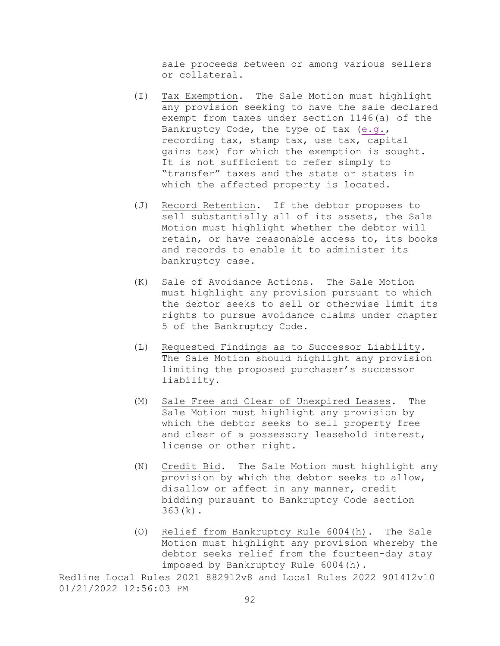sale proceeds between or among various sellers or collateral.

- (I) Tax Exemption. The Sale Motion must highlight any provision seeking to have the sale declared exempt from taxes under section 1146(a) of the Bankruptcy Code, the type of tax (e.g., recording tax, stamp tax, use tax, capital gains tax) for which the exemption is sought. It is not sufficient to refer simply to "transfer" taxes and the state or states in which the affected property is located.
- (J) Record Retention. If the debtor proposes to sell substantially all of its assets, the Sale Motion must highlight whether the debtor will retain, or have reasonable access to, its books and records to enable it to administer its bankruptcy case.
- (K) Sale of Avoidance Actions. The Sale Motion must highlight any provision pursuant to which the debtor seeks to sell or otherwise limit its rights to pursue avoidance claims under chapter 5 of the Bankruptcy Code.
- (L) Requested Findings as to Successor Liability. The Sale Motion should highlight any provision limiting the proposed purchaser's successor liability.
- (M) Sale Free and Clear of Unexpired Leases. The Sale Motion must highlight any provision by which the debtor seeks to sell property free and clear of a possessory leasehold interest, license or other right.
- (N) Credit Bid. The Sale Motion must highlight any provision by which the debtor seeks to allow, disallow or affect in any manner, credit bidding pursuant to Bankruptcy Code section 363(k).
- (O) Relief from Bankruptcy Rule 6004(h). The Sale Motion must highlight any provision whereby the debtor seeks relief from the fourteen-day stay imposed by Bankruptcy Rule 6004(h).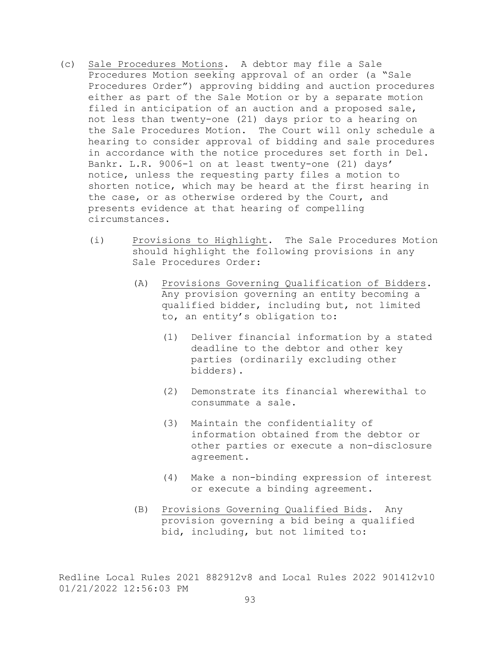- (c) Sale Procedures Motions. A debtor may file a Sale Procedures Motion seeking approval of an order (a "Sale Procedures Order") approving bidding and auction procedures either as part of the Sale Motion or by a separate motion filed in anticipation of an auction and a proposed sale, not less than twenty-one (21) days prior to a hearing on the Sale Procedures Motion. The Court will only schedule a hearing to consider approval of bidding and sale procedures in accordance with the notice procedures set forth in Del. Bankr. L.R. 9006-1 on at least twenty-one (21) days' notice, unless the requesting party files a motion to shorten notice, which may be heard at the first hearing in the case, or as otherwise ordered by the Court, and presents evidence at that hearing of compelling circumstances.
	- (i) Provisions to Highlight. The Sale Procedures Motion should highlight the following provisions in any Sale Procedures Order:
		- (A) Provisions Governing Qualification of Bidders. Any provision governing an entity becoming a qualified bidder, including but, not limited to, an entity's obligation to:
			- (1) Deliver financial information by a stated deadline to the debtor and other key parties (ordinarily excluding other bidders).
			- (2) Demonstrate its financial wherewithal to consummate a sale.
			- (3) Maintain the confidentiality of information obtained from the debtor or other parties or execute a non-disclosure agreement.
			- (4) Make a non-binding expression of interest or execute a binding agreement.
		- (B) Provisions Governing Qualified Bids. Any provision governing a bid being a qualified bid, including, but not limited to: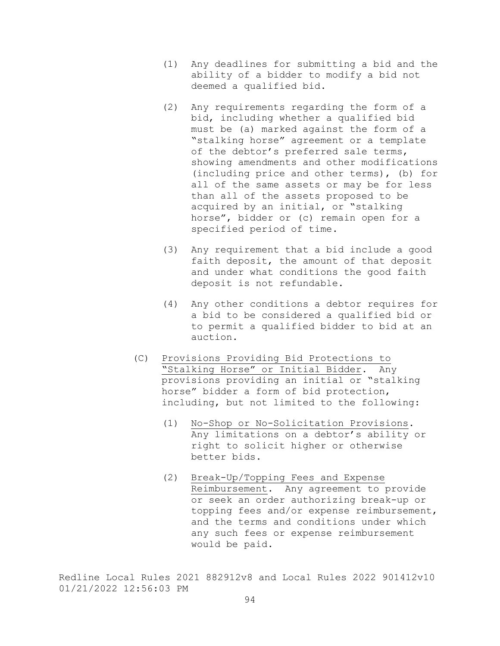- (1) Any deadlines for submitting a bid and the ability of a bidder to modify a bid not deemed a qualified bid.
- (2) Any requirements regarding the form of a bid, including whether a qualified bid must be (a) marked against the form of a "stalking horse" agreement or a template of the debtor's preferred sale terms, showing amendments and other modifications (including price and other terms), (b) for all of the same assets or may be for less than all of the assets proposed to be acquired by an initial, or "stalking horse", bidder or (c) remain open for a specified period of time.
- (3) Any requirement that a bid include a good faith deposit, the amount of that deposit and under what conditions the good faith deposit is not refundable.
- (4) Any other conditions a debtor requires for a bid to be considered a qualified bid or to permit a qualified bidder to bid at an auction.
- (C) Provisions Providing Bid Protections to "Stalking Horse" or Initial Bidder. Any provisions providing an initial or "stalking horse" bidder a form of bid protection, including, but not limited to the following:
	- (1) No-Shop or No-Solicitation Provisions. Any limitations on a debtor's ability or right to solicit higher or otherwise better bids.
	- (2) Break-Up/Topping Fees and Expense Reimbursement. Any agreement to provide or seek an order authorizing break-up or topping fees and/or expense reimbursement, and the terms and conditions under which any such fees or expense reimbursement would be paid.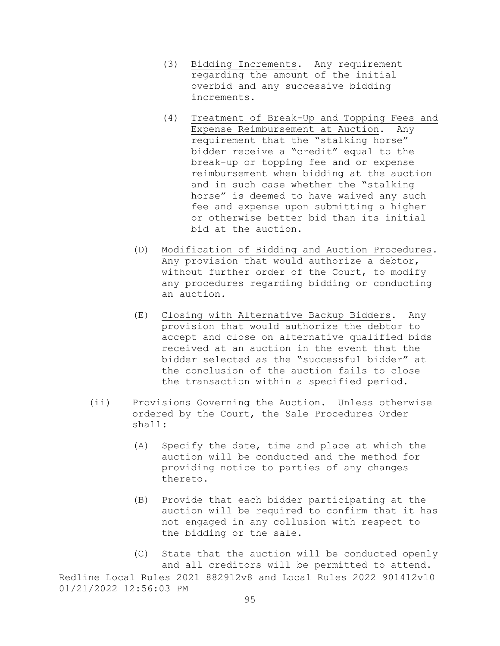- (3) Bidding Increments. Any requirement regarding the amount of the initial overbid and any successive bidding increments.
- (4) Treatment of Break-Up and Topping Fees and Expense Reimbursement at Auction. Any requirement that the "stalking horse" bidder receive a "credit" equal to the break-up or topping fee and or expense reimbursement when bidding at the auction and in such case whether the "stalking horse" is deemed to have waived any such fee and expense upon submitting a higher or otherwise better bid than its initial bid at the auction.
- (D) Modification of Bidding and Auction Procedures. Any provision that would authorize a debtor, without further order of the Court, to modify any procedures regarding bidding or conducting an auction.
- (E) Closing with Alternative Backup Bidders. Any provision that would authorize the debtor to accept and close on alternative qualified bids received at an auction in the event that the bidder selected as the "successful bidder" at the conclusion of the auction fails to close the transaction within a specified period.
- (ii) Provisions Governing the Auction. Unless otherwise ordered by the Court, the Sale Procedures Order shall:
	- (A) Specify the date, time and place at which the auction will be conducted and the method for providing notice to parties of any changes thereto.
	- (B) Provide that each bidder participating at the auction will be required to confirm that it has not engaged in any collusion with respect to the bidding or the sale.
	- (C) State that the auction will be conducted openly and all creditors will be permitted to attend.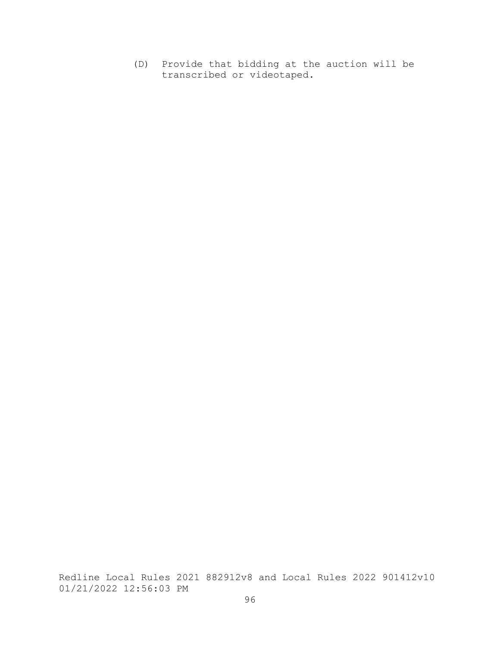(D) Provide that bidding at the auction will be transcribed or videotaped.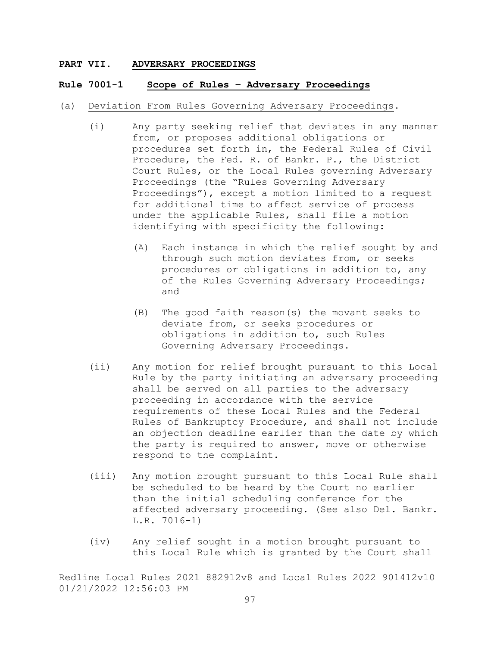## **PART VII. ADVERSARY PROCEEDINGS**

## **Rule 7001-1 Scope of Rules – Adversary Proceedings**

## (a) Deviation From Rules Governing Adversary Proceedings.

- (i) Any party seeking relief that deviates in any manner from, or proposes additional obligations or procedures set forth in, the Federal Rules of Civil Procedure, the Fed. R. of Bankr. P., the District Court Rules, or the Local Rules governing Adversary Proceedings (the "Rules Governing Adversary Proceedings"), except a motion limited to a request for additional time to affect service of process under the applicable Rules, shall file a motion identifying with specificity the following:
	- (A) Each instance in which the relief sought by and through such motion deviates from, or seeks procedures or obligations in addition to, any of the Rules Governing Adversary Proceedings; and
	- (B) The good faith reason(s) the movant seeks to deviate from, or seeks procedures or obligations in addition to, such Rules Governing Adversary Proceedings.
- (ii) Any motion for relief brought pursuant to this Local Rule by the party initiating an adversary proceeding shall be served on all parties to the adversary proceeding in accordance with the service requirements of these Local Rules and the Federal Rules of Bankruptcy Procedure, and shall not include an objection deadline earlier than the date by which the party is required to answer, move or otherwise respond to the complaint.
- (iii) Any motion brought pursuant to this Local Rule shall be scheduled to be heard by the Court no earlier than the initial scheduling conference for the affected adversary proceeding. (See also Del. Bankr. L.R. 7016-1)
- (iv) Any relief sought in a motion brought pursuant to this Local Rule which is granted by the Court shall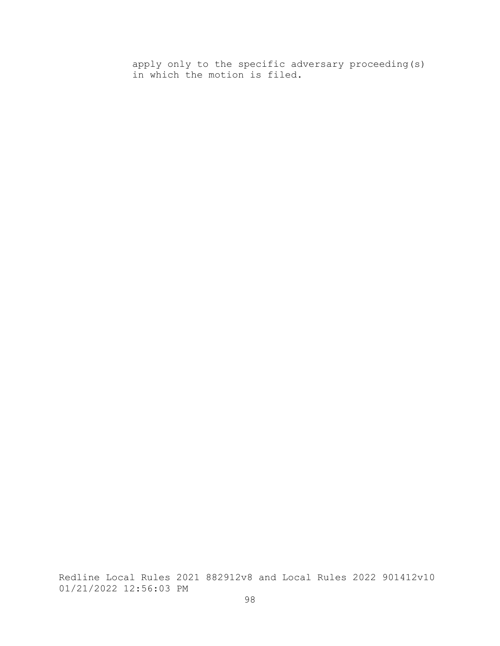apply only to the specific adversary proceeding(s) in which the motion is filed.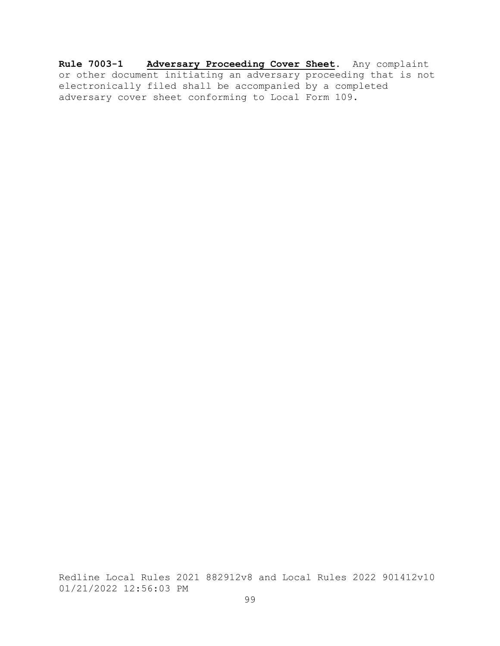**Rule 7003-1 Adversary Proceeding Cover Sheet**. Any complaint or other document initiating an adversary proceeding that is not electronically filed shall be accompanied by a completed adversary cover sheet conforming to Local Form 109.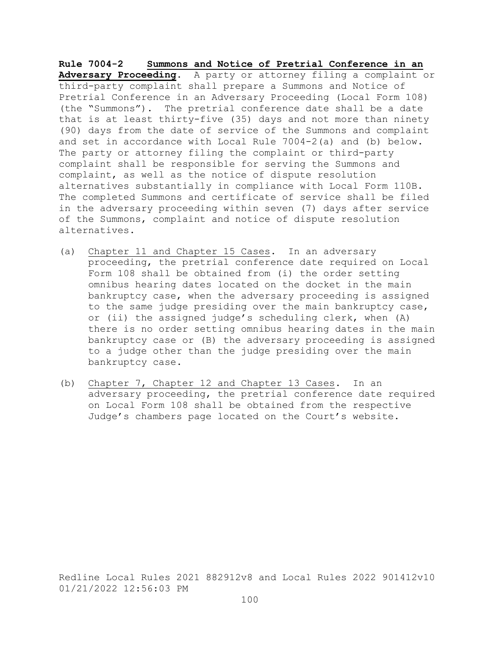**Rule 7004-2 Summons and Notice of Pretrial Conference in an Adversary Proceeding**. A party or attorney filing a complaint or third-party complaint shall prepare a Summons and Notice of Pretrial Conference in an Adversary Proceeding (Local Form 108) (the "Summons"). The pretrial conference date shall be a date that is at least thirty-five (35) days and not more than ninety (90) days from the date of service of the Summons and complaint and set in accordance with Local Rule 7004-2(a) and (b) below. The party or attorney filing the complaint or third-party complaint shall be responsible for serving the Summons and complaint, as well as the notice of dispute resolution alternatives substantially in compliance with Local Form 110B. The completed Summons and certificate of service shall be filed in the adversary proceeding within seven (7) days after service of the Summons, complaint and notice of dispute resolution alternatives.

- (a) Chapter 11 and Chapter 15 Cases. In an adversary proceeding, the pretrial conference date required on Local Form 108 shall be obtained from (i) the order setting omnibus hearing dates located on the docket in the main bankruptcy case, when the adversary proceeding is assigned to the same judge presiding over the main bankruptcy case, or (ii) the assigned judge's scheduling clerk, when (A) there is no order setting omnibus hearing dates in the main bankruptcy case or (B) the adversary proceeding is assigned to a judge other than the judge presiding over the main bankruptcy case.
- (b) Chapter 7, Chapter 12 and Chapter 13 Cases. In an adversary proceeding, the pretrial conference date required on Local Form 108 shall be obtained from the respective Judge's chambers page located on the Court's website.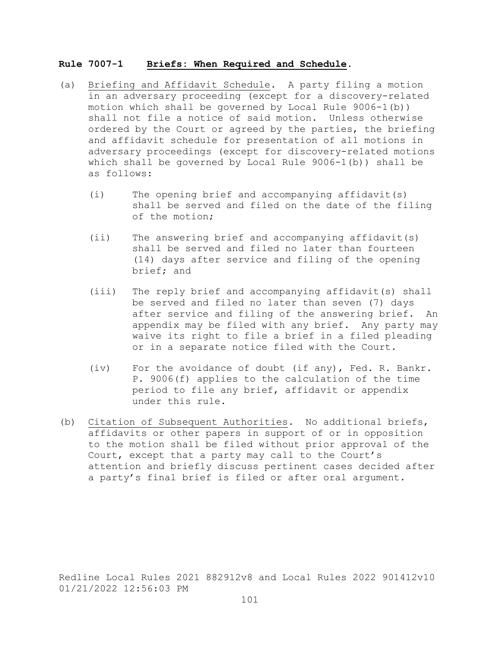### **Rule 7007-1 Briefs: When Required and Schedule**.

- (a) Briefing and Affidavit Schedule. A party filing a motion in an adversary proceeding (except for a discovery-related motion which shall be governed by Local Rule 9006-1(b)) shall not file a notice of said motion. Unless otherwise ordered by the Court or agreed by the parties, the briefing and affidavit schedule for presentation of all motions in adversary proceedings (except for discovery-related motions which shall be governed by Local Rule 9006-1(b)) shall be as follows:
	- (i) The opening brief and accompanying affidavit(s) shall be served and filed on the date of the filing of the motion;
	- (ii) The answering brief and accompanying affidavit(s) shall be served and filed no later than fourteen (14) days after service and filing of the opening brief; and
	- (iii) The reply brief and accompanying affidavit(s) shall be served and filed no later than seven (7) days after service and filing of the answering brief. An appendix may be filed with any brief. Any party may waive its right to file a brief in a filed pleading or in a separate notice filed with the Court.
	- (iv) For the avoidance of doubt (if any), Fed. R. Bankr. P. 9006(f) applies to the calculation of the time period to file any brief, affidavit or appendix under this rule.
- (b) Citation of Subsequent Authorities. No additional briefs, affidavits or other papers in support of or in opposition to the motion shall be filed without prior approval of the Court, except that a party may call to the Court's attention and briefly discuss pertinent cases decided after a party's final brief is filed or after oral argument.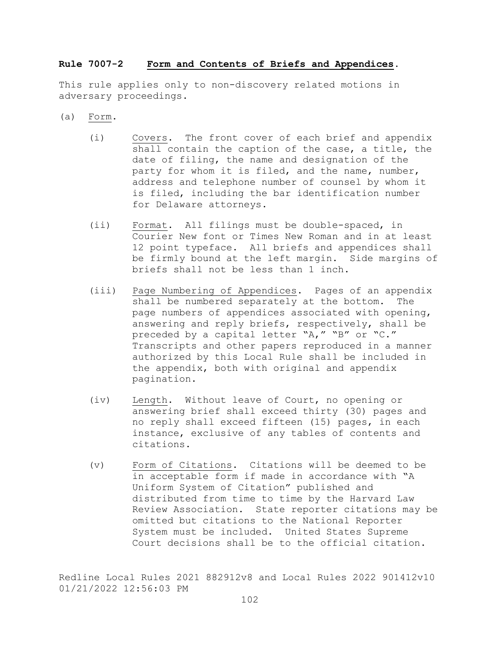### **Rule 7007-2 Form and Contents of Briefs and Appendices**.

This rule applies only to non-discovery related motions in adversary proceedings.

- (a) Form.
	- (i) Covers. The front cover of each brief and appendix shall contain the caption of the case, a title, the date of filing, the name and designation of the party for whom it is filed, and the name, number, address and telephone number of counsel by whom it is filed, including the bar identification number for Delaware attorneys.
	- (ii) Format. All filings must be double-spaced, in Courier New font or Times New Roman and in at least 12 point typeface. All briefs and appendices shall be firmly bound at the left margin. Side margins of briefs shall not be less than 1 inch.
	- (iii) Page Numbering of Appendices. Pages of an appendix shall be numbered separately at the bottom. The page numbers of appendices associated with opening, answering and reply briefs, respectively, shall be preceded by a capital letter "A," "B" or "C." Transcripts and other papers reproduced in a manner authorized by this Local Rule shall be included in the appendix, both with original and appendix pagination.
	- (iv) Length. Without leave of Court, no opening or answering brief shall exceed thirty (30) pages and no reply shall exceed fifteen (15) pages, in each instance, exclusive of any tables of contents and citations.
	- (v) Form of Citations. Citations will be deemed to be in acceptable form if made in accordance with "A Uniform System of Citation" published and distributed from time to time by the Harvard Law Review Association. State reporter citations may be omitted but citations to the National Reporter System must be included. United States Supreme Court decisions shall be to the official citation.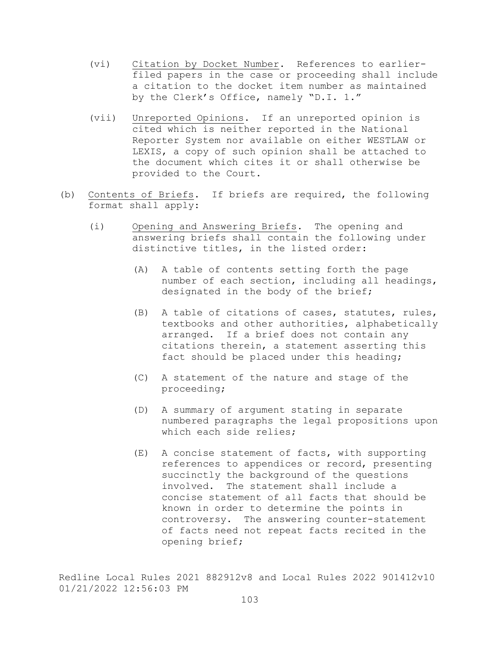- (vi) Citation by Docket Number. References to earlierfiled papers in the case or proceeding shall include a citation to the docket item number as maintained by the Clerk's Office, namely "D.I. 1."
- (vii) Unreported Opinions. If an unreported opinion is cited which is neither reported in the National Reporter System nor available on either WESTLAW or LEXIS, a copy of such opinion shall be attached to the document which cites it or shall otherwise be provided to the Court.
- (b) Contents of Briefs. If briefs are required, the following format shall apply:
	- (i) Opening and Answering Briefs. The opening and answering briefs shall contain the following under distinctive titles, in the listed order:
		- (A) A table of contents setting forth the page number of each section, including all headings, designated in the body of the brief;
		- (B) A table of citations of cases, statutes, rules, textbooks and other authorities, alphabetically arranged. If a brief does not contain any citations therein, a statement asserting this fact should be placed under this heading;
		- (C) A statement of the nature and stage of the proceeding;
		- (D) A summary of argument stating in separate numbered paragraphs the legal propositions upon which each side relies;
		- (E) A concise statement of facts, with supporting references to appendices or record, presenting succinctly the background of the questions involved. The statement shall include a concise statement of all facts that should be known in order to determine the points in controversy. The answering counter-statement of facts need not repeat facts recited in the opening brief;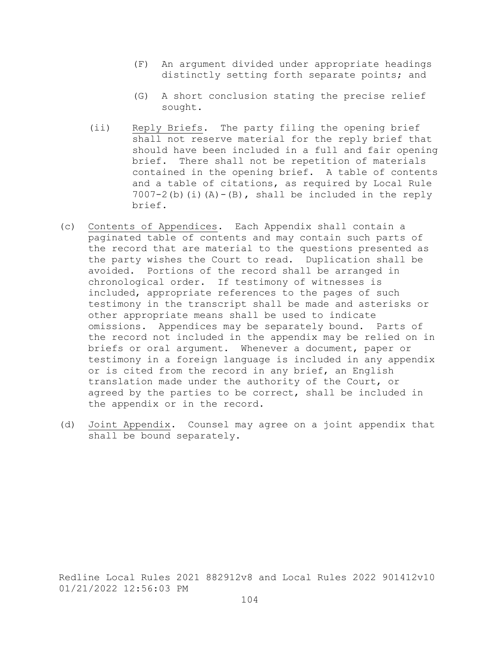- (F) An argument divided under appropriate headings distinctly setting forth separate points; and
- (G) A short conclusion stating the precise relief sought.
- (ii) Reply Briefs. The party filing the opening brief shall not reserve material for the reply brief that should have been included in a full and fair opening brief. There shall not be repetition of materials contained in the opening brief. A table of contents and a table of citations, as required by Local Rule 7007-2(b)(i)(A)-(B), shall be included in the reply brief.
- (c) Contents of Appendices. Each Appendix shall contain a paginated table of contents and may contain such parts of the record that are material to the questions presented as the party wishes the Court to read. Duplication shall be avoided. Portions of the record shall be arranged in chronological order. If testimony of witnesses is included, appropriate references to the pages of such testimony in the transcript shall be made and asterisks or other appropriate means shall be used to indicate omissions. Appendices may be separately bound. Parts of the record not included in the appendix may be relied on in briefs or oral argument. Whenever a document, paper or testimony in a foreign language is included in any appendix or is cited from the record in any brief, an English translation made under the authority of the Court, or agreed by the parties to be correct, shall be included in the appendix or in the record.
- (d) Joint Appendix. Counsel may agree on a joint appendix that shall be bound separately.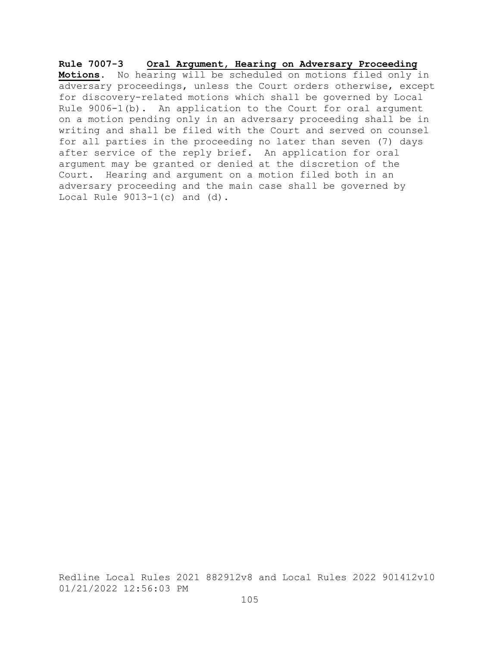**Rule 7007-3 Oral Argument, Hearing on Adversary Proceeding Motions**. No hearing will be scheduled on motions filed only in adversary proceedings, unless the Court orders otherwise, except for discovery-related motions which shall be governed by Local Rule 9006-1(b). An application to the Court for oral argument on a motion pending only in an adversary proceeding shall be in writing and shall be filed with the Court and served on counsel for all parties in the proceeding no later than seven (7) days after service of the reply brief. An application for oral argument may be granted or denied at the discretion of the Court. Hearing and argument on a motion filed both in an adversary proceeding and the main case shall be governed by Local Rule 9013-1(c) and (d).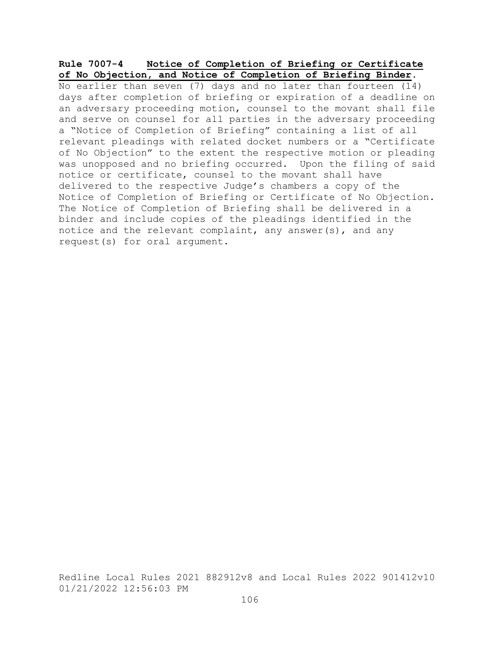### **Rule 7007-4 Notice of Completion of Briefing or Certificate of No Objection, and Notice of Completion of Briefing Binder**.

No earlier than seven (7) days and no later than fourteen (14) days after completion of briefing or expiration of a deadline on an adversary proceeding motion, counsel to the movant shall file and serve on counsel for all parties in the adversary proceeding a "Notice of Completion of Briefing" containing a list of all relevant pleadings with related docket numbers or a "Certificate of No Objection" to the extent the respective motion or pleading was unopposed and no briefing occurred. Upon the filing of said notice or certificate, counsel to the movant shall have delivered to the respective Judge's chambers a copy of the Notice of Completion of Briefing or Certificate of No Objection. The Notice of Completion of Briefing shall be delivered in a binder and include copies of the pleadings identified in the notice and the relevant complaint, any answer(s), and any request(s) for oral argument.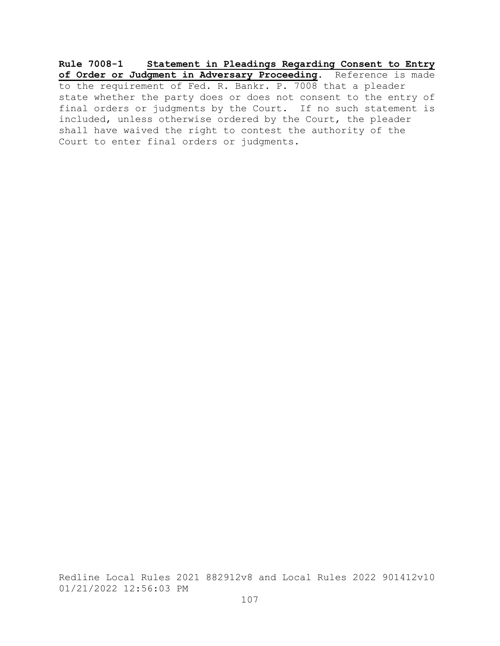**Rule 7008-1 Statement in Pleadings Regarding Consent to Entry of Order or Judgment in Adversary Proceeding**. Reference is made to the requirement of Fed. R. Bankr. P. 7008 that a pleader state whether the party does or does not consent to the entry of final orders or judgments by the Court. If no such statement is included, unless otherwise ordered by the Court, the pleader shall have waived the right to contest the authority of the Court to enter final orders or judgments.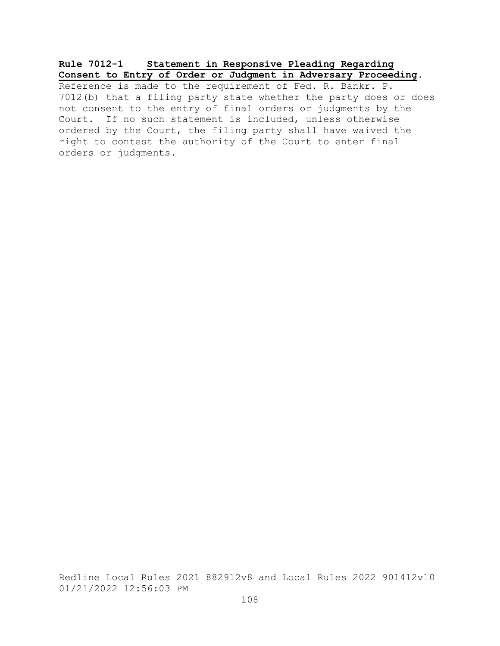## **Rule 7012-1 Statement in Responsive Pleading Regarding Consent to Entry of Order or Judgment in Adversary Proceeding**.

Reference is made to the requirement of Fed. R. Bankr. P. 7012(b) that a filing party state whether the party does or does not consent to the entry of final orders or judgments by the Court. If no such statement is included, unless otherwise ordered by the Court, the filing party shall have waived the right to contest the authority of the Court to enter final orders or judgments.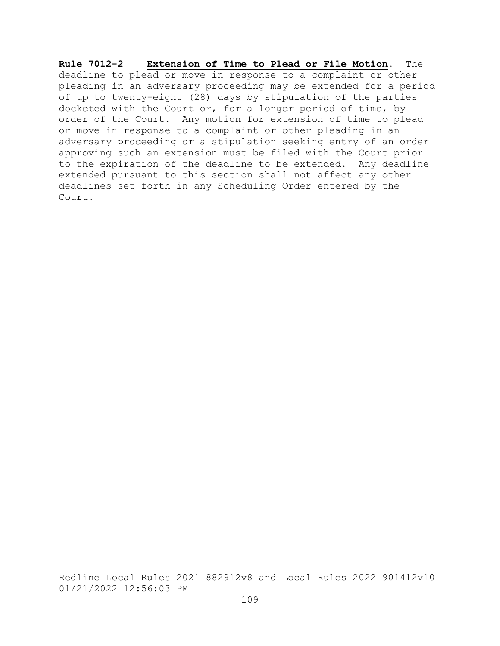**Rule 7012-2 Extension of Time to Plead or File Motion**. The deadline to plead or move in response to a complaint or other pleading in an adversary proceeding may be extended for a period of up to twenty-eight (28) days by stipulation of the parties docketed with the Court or, for a longer period of time, by order of the Court. Any motion for extension of time to plead or move in response to a complaint or other pleading in an adversary proceeding or a stipulation seeking entry of an order approving such an extension must be filed with the Court prior to the expiration of the deadline to be extended. Any deadline extended pursuant to this section shall not affect any other deadlines set forth in any Scheduling Order entered by the Court.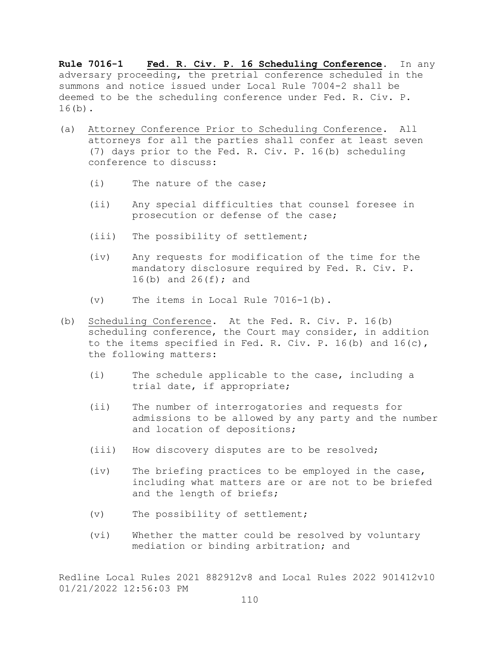**Rule 7016-1 Fed. R. Civ. P. 16 Scheduling Conference**. In any adversary proceeding, the pretrial conference scheduled in the summons and notice issued under Local Rule 7004-2 shall be deemed to be the scheduling conference under Fed. R. Civ. P. 16(b).

- (a) Attorney Conference Prior to Scheduling Conference. All attorneys for all the parties shall confer at least seven (7) days prior to the Fed. R. Civ. P. 16(b) scheduling conference to discuss:
	- (i) The nature of the case;
	- (ii) Any special difficulties that counsel foresee in prosecution or defense of the case;
	- (iii) The possibility of settlement;
	- (iv) Any requests for modification of the time for the mandatory disclosure required by Fed. R. Civ. P. 16(b) and  $26(f)$ ; and
	- (v) The items in Local Rule 7016-1(b).
- (b) Scheduling Conference. At the Fed. R. Civ. P. 16(b) scheduling conference, the Court may consider, in addition to the items specified in Fed. R. Civ. P. 16(b) and 16(c), the following matters:
	- (i) The schedule applicable to the case, including a trial date, if appropriate;
	- (ii) The number of interrogatories and requests for admissions to be allowed by any party and the number and location of depositions;
	- (iii) How discovery disputes are to be resolved;
	- (iv) The briefing practices to be employed in the case, including what matters are or are not to be briefed and the length of briefs;
	- (v) The possibility of settlement;
	- (vi) Whether the matter could be resolved by voluntary mediation or binding arbitration; and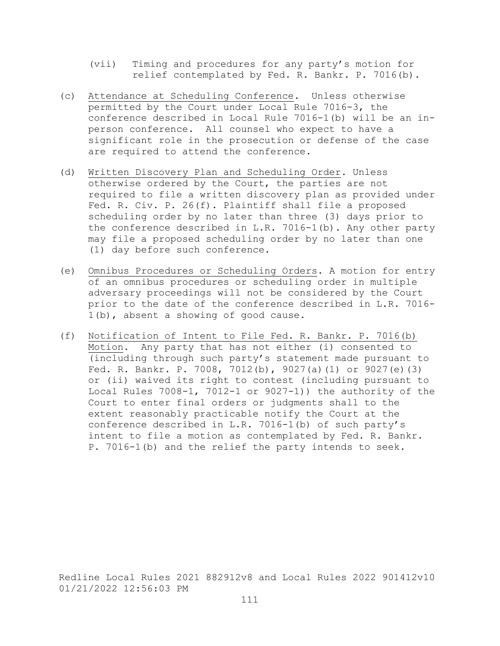- (vii) Timing and procedures for any party's motion for relief contemplated by Fed. R. Bankr. P. 7016(b).
- (c) Attendance at Scheduling Conference. Unless otherwise permitted by the Court under Local Rule 7016-3, the conference described in Local Rule 7016-1(b) will be an inperson conference. All counsel who expect to have a significant role in the prosecution or defense of the case are required to attend the conference.
- (d) Written Discovery Plan and Scheduling Order. Unless otherwise ordered by the Court, the parties are not required to file a written discovery plan as provided under Fed. R. Civ. P. 26(f). Plaintiff shall file a proposed scheduling order by no later than three (3) days prior to the conference described in L.R. 7016-1(b). Any other party may file a proposed scheduling order by no later than one (1) day before such conference.
- (e) Omnibus Procedures or Scheduling Orders. A motion for entry of an omnibus procedures or scheduling order in multiple adversary proceedings will not be considered by the Court prior to the date of the conference described in L.R. 7016- 1(b), absent a showing of good cause.
- (f) Notification of Intent to File Fed. R. Bankr. P. 7016(b) Motion. Any party that has not either (i) consented to (including through such party's statement made pursuant to Fed. R. Bankr. P. 7008, 7012(b), 9027(a)(1) or 9027(e)(3) or (ii) waived its right to contest (including pursuant to Local Rules 7008-1, 7012-1 or 9027-1)) the authority of the Court to enter final orders or judgments shall to the extent reasonably practicable notify the Court at the conference described in L.R. 7016-1(b) of such party's intent to file a motion as contemplated by Fed. R. Bankr. P. 7016-1(b) and the relief the party intends to seek.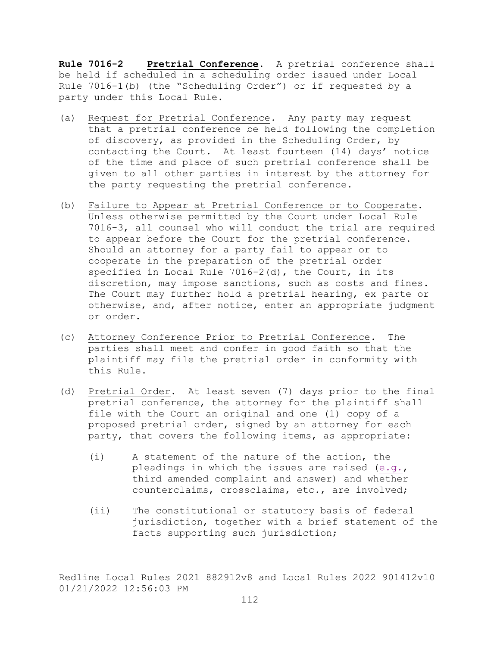**Rule 7016-2 Pretrial Conference**. A pretrial conference shall be held if scheduled in a scheduling order issued under Local Rule 7016-1(b) (the "Scheduling Order") or if requested by a party under this Local Rule.

- (a) Request for Pretrial Conference. Any party may request that a pretrial conference be held following the completion of discovery, as provided in the Scheduling Order, by contacting the Court. At least fourteen (14) days' notice of the time and place of such pretrial conference shall be given to all other parties in interest by the attorney for the party requesting the pretrial conference.
- (b) Failure to Appear at Pretrial Conference or to Cooperate. Unless otherwise permitted by the Court under Local Rule 7016-3, all counsel who will conduct the trial are required to appear before the Court for the pretrial conference. Should an attorney for a party fail to appear or to cooperate in the preparation of the pretrial order specified in Local Rule 7016-2(d), the Court, in its discretion, may impose sanctions, such as costs and fines. The Court may further hold a pretrial hearing, ex parte or otherwise, and, after notice, enter an appropriate judgment or order.
- (c) Attorney Conference Prior to Pretrial Conference. The parties shall meet and confer in good faith so that the plaintiff may file the pretrial order in conformity with this Rule.
- (d) Pretrial Order. At least seven (7) days prior to the final pretrial conference, the attorney for the plaintiff shall file with the Court an original and one (1) copy of a proposed pretrial order, signed by an attorney for each party, that covers the following items, as appropriate:
	- (i) A statement of the nature of the action, the pleadings in which the issues are raised (e.g., third amended complaint and answer) and whether counterclaims, crossclaims, etc., are involved;
	- (ii) The constitutional or statutory basis of federal jurisdiction, together with a brief statement of the facts supporting such jurisdiction;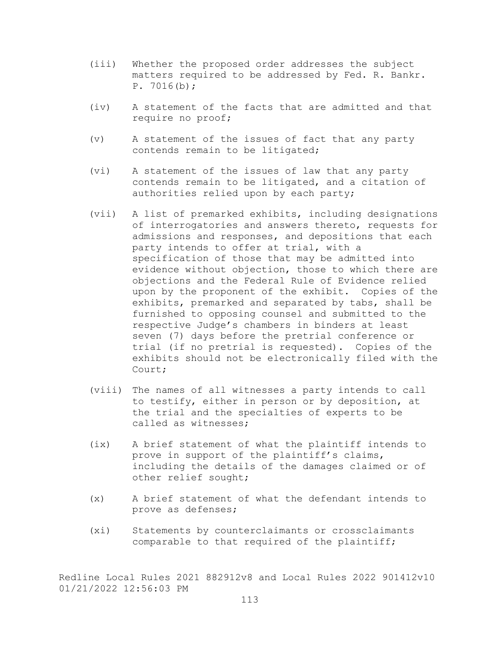- (iii) Whether the proposed order addresses the subject matters required to be addressed by Fed. R. Bankr. P. 7016(b);
- (iv) A statement of the facts that are admitted and that require no proof;
- (v) A statement of the issues of fact that any party contends remain to be litigated;
- (vi) A statement of the issues of law that any party contends remain to be litigated, and a citation of authorities relied upon by each party;
- (vii) A list of premarked exhibits, including designations of interrogatories and answers thereto, requests for admissions and responses, and depositions that each party intends to offer at trial, with a specification of those that may be admitted into evidence without objection, those to which there are objections and the Federal Rule of Evidence relied upon by the proponent of the exhibit. Copies of the exhibits, premarked and separated by tabs, shall be furnished to opposing counsel and submitted to the respective Judge's chambers in binders at least seven (7) days before the pretrial conference or trial (if no pretrial is requested). Copies of the exhibits should not be electronically filed with the Court;
- (viii) The names of all witnesses a party intends to call to testify, either in person or by deposition, at the trial and the specialties of experts to be called as witnesses;
- (ix) A brief statement of what the plaintiff intends to prove in support of the plaintiff's claims, including the details of the damages claimed or of other relief sought;
- (x) A brief statement of what the defendant intends to prove as defenses;
- (xi) Statements by counterclaimants or crossclaimants comparable to that required of the plaintiff;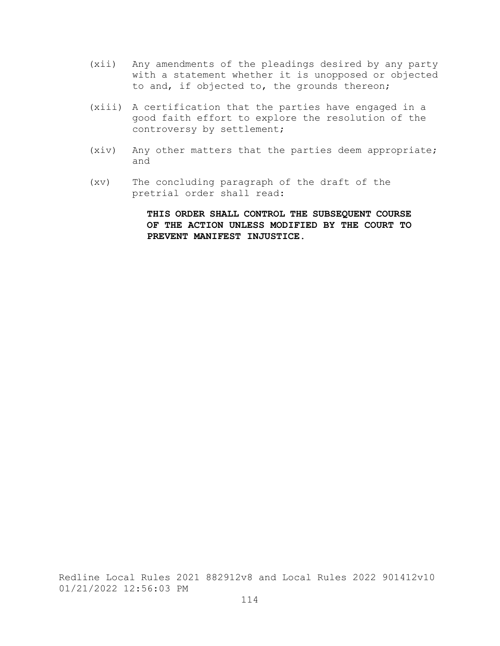- (xii) Any amendments of the pleadings desired by any party with a statement whether it is unopposed or objected to and, if objected to, the grounds thereon;
- (xiii) A certification that the parties have engaged in a good faith effort to explore the resolution of the controversy by settlement;
- (xiv) Any other matters that the parties deem appropriate; and
- (xv) The concluding paragraph of the draft of the pretrial order shall read:

**THIS ORDER SHALL CONTROL THE SUBSEQUENT COURSE OF THE ACTION UNLESS MODIFIED BY THE COURT TO PREVENT MANIFEST INJUSTICE.**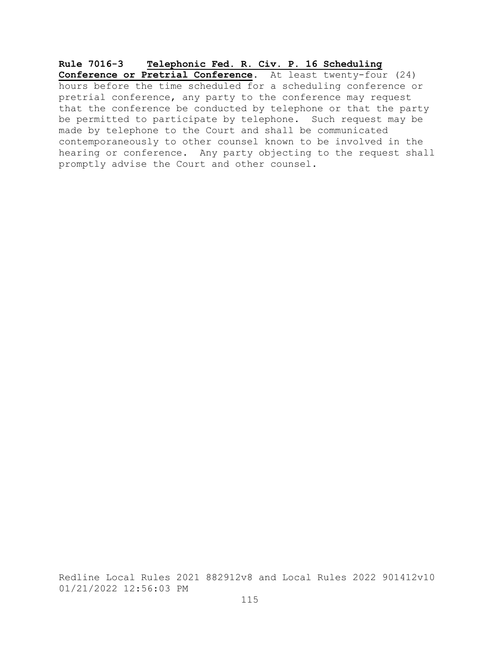**Rule 7016-3 Telephonic Fed. R. Civ. P. 16 Scheduling Conference or Pretrial Conference**. At least twenty-four (24) hours before the time scheduled for a scheduling conference or pretrial conference, any party to the conference may request that the conference be conducted by telephone or that the party be permitted to participate by telephone. Such request may be made by telephone to the Court and shall be communicated contemporaneously to other counsel known to be involved in the hearing or conference. Any party objecting to the request shall promptly advise the Court and other counsel.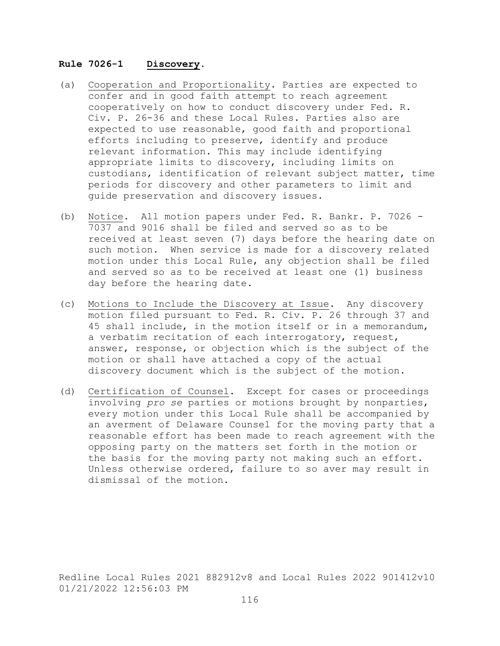### **Rule 7026-1 Discovery**.

- (a) Cooperation and Proportionality. Parties are expected to confer and in good faith attempt to reach agreement cooperatively on how to conduct discovery under Fed. R. Civ. P. 26-36 and these Local Rules. Parties also are expected to use reasonable, good faith and proportional efforts including to preserve, identify and produce relevant information. This may include identifying appropriate limits to discovery, including limits on custodians, identification of relevant subject matter, time periods for discovery and other parameters to limit and guide preservation and discovery issues.
- (b) Notice. All motion papers under Fed. R. Bankr. P. 7026 7037 and 9016 shall be filed and served so as to be received at least seven (7) days before the hearing date on such motion. When service is made for a discovery related motion under this Local Rule, any objection shall be filed and served so as to be received at least one (1) business day before the hearing date.
- (c) Motions to Include the Discovery at Issue. Any discovery motion filed pursuant to Fed. R. Civ. P. 26 through 37 and 45 shall include, in the motion itself or in a memorandum, a verbatim recitation of each interrogatory, request, answer, response, or objection which is the subject of the motion or shall have attached a copy of the actual discovery document which is the subject of the motion.
- (d) Certification of Counsel. Except for cases or proceedings involving *pro se* parties or motions brought by nonparties, every motion under this Local Rule shall be accompanied by an averment of Delaware Counsel for the moving party that a reasonable effort has been made to reach agreement with the opposing party on the matters set forth in the motion or the basis for the moving party not making such an effort. Unless otherwise ordered, failure to so aver may result in dismissal of the motion.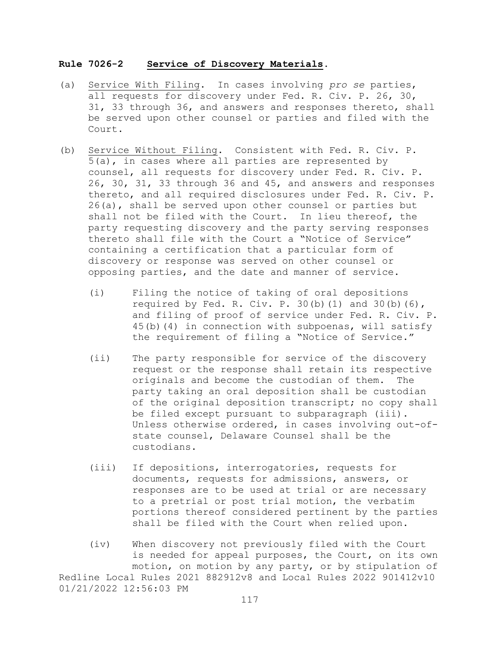### **Rule 7026-2 Service of Discovery Materials**.

- (a) Service With Filing. In cases involving *pro se* parties, all requests for discovery under Fed. R. Civ. P. 26, 30, 31, 33 through 36, and answers and responses thereto, shall be served upon other counsel or parties and filed with the Court.
- (b) Service Without Filing. Consistent with Fed. R. Civ. P. 5(a), in cases where all parties are represented by counsel, all requests for discovery under Fed. R. Civ. P. 26, 30, 31, 33 through 36 and 45, and answers and responses thereto, and all required disclosures under Fed. R. Civ. P. 26(a), shall be served upon other counsel or parties but shall not be filed with the Court. In lieu thereof, the party requesting discovery and the party serving responses thereto shall file with the Court a "Notice of Service" containing a certification that a particular form of discovery or response was served on other counsel or opposing parties, and the date and manner of service.
	- (i) Filing the notice of taking of oral depositions required by Fed. R. Civ. P.  $30(b)(1)$  and  $30(b)(6)$ , and filing of proof of service under Fed. R. Civ. P. 45(b)(4) in connection with subpoenas, will satisfy the requirement of filing a "Notice of Service."
	- (ii) The party responsible for service of the discovery request or the response shall retain its respective originals and become the custodian of them. The party taking an oral deposition shall be custodian of the original deposition transcript; no copy shall be filed except pursuant to subparagraph (iii). Unless otherwise ordered, in cases involving out-ofstate counsel, Delaware Counsel shall be the custodians.
	- (iii) If depositions, interrogatories, requests for documents, requests for admissions, answers, or responses are to be used at trial or are necessary to a pretrial or post trial motion, the verbatim portions thereof considered pertinent by the parties shall be filed with the Court when relied upon.
- Redline Local Rules 2021 882912v8 and Local Rules 2022 901412v10 01/21/2022 12:56:03 PM (iv) When discovery not previously filed with the Court is needed for appeal purposes, the Court, on its own motion, on motion by any party, or by stipulation of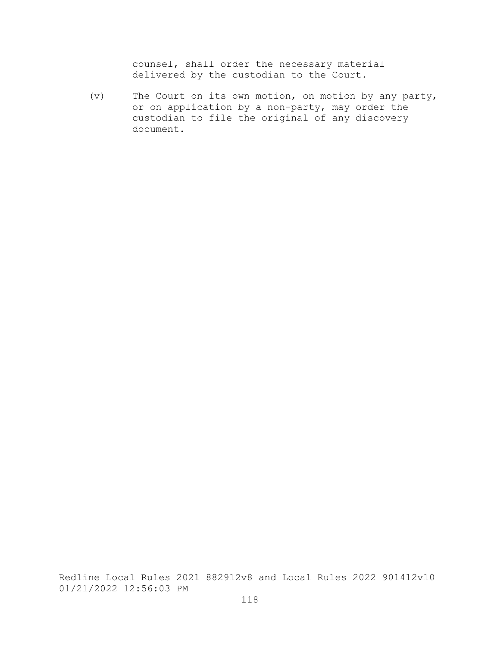counsel, shall order the necessary material delivered by the custodian to the Court.

(v) The Court on its own motion, on motion by any party, or on application by a non-party, may order the custodian to file the original of any discovery document.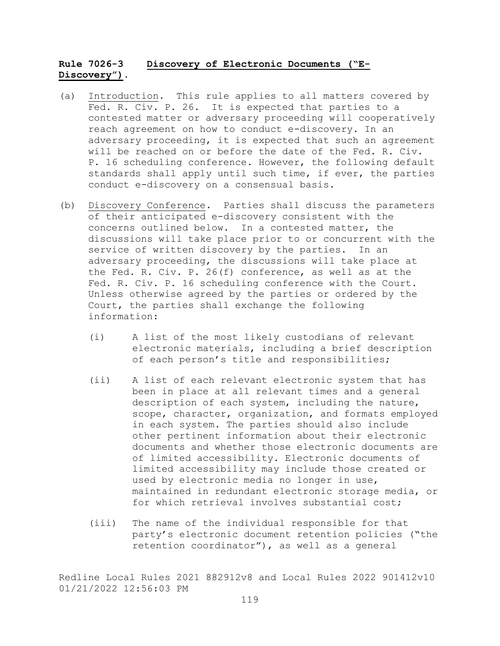# **Rule 7026-3 Discovery of Electronic Documents ("E-Discovery")**.

- (a) Introduction. This rule applies to all matters covered by Fed. R. Civ. P. 26. It is expected that parties to a contested matter or adversary proceeding will cooperatively reach agreement on how to conduct e-discovery. In an adversary proceeding, it is expected that such an agreement will be reached on or before the date of the Fed. R. Civ. P. 16 scheduling conference. However, the following default standards shall apply until such time, if ever, the parties conduct e-discovery on a consensual basis.
- (b) Discovery Conference. Parties shall discuss the parameters of their anticipated e-discovery consistent with the concerns outlined below. In a contested matter, the discussions will take place prior to or concurrent with the service of written discovery by the parties. In an adversary proceeding, the discussions will take place at the Fed. R. Civ. P. 26(f) conference, as well as at the Fed. R. Civ. P. 16 scheduling conference with the Court. Unless otherwise agreed by the parties or ordered by the Court, the parties shall exchange the following information:
	- (i) A list of the most likely custodians of relevant electronic materials, including a brief description of each person's title and responsibilities;
	- (ii) A list of each relevant electronic system that has been in place at all relevant times and a general description of each system, including the nature, scope, character, organization, and formats employed in each system. The parties should also include other pertinent information about their electronic documents and whether those electronic documents are of limited accessibility. Electronic documents of limited accessibility may include those created or used by electronic media no longer in use, maintained in redundant electronic storage media, or for which retrieval involves substantial cost;
	- (iii) The name of the individual responsible for that party's electronic document retention policies ("the retention coordinator"), as well as a general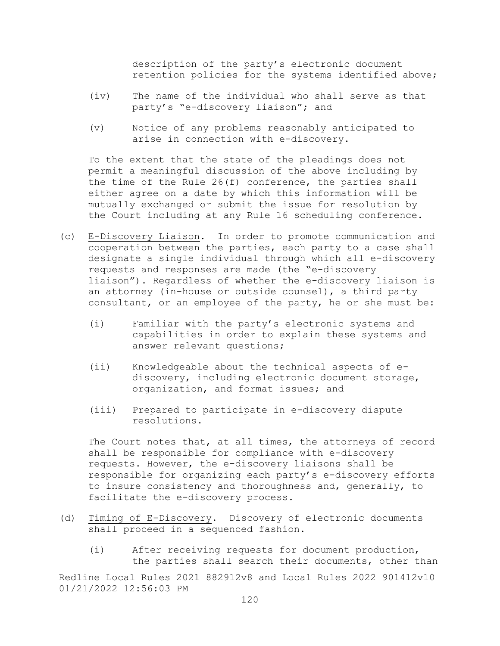description of the party's electronic document retention policies for the systems identified above;

- (iv) The name of the individual who shall serve as that party's "e-discovery liaison"; and
- (v) Notice of any problems reasonably anticipated to arise in connection with e-discovery.

To the extent that the state of the pleadings does not permit a meaningful discussion of the above including by the time of the Rule 26(f) conference, the parties shall either agree on a date by which this information will be mutually exchanged or submit the issue for resolution by the Court including at any Rule 16 scheduling conference.

- (c) E-Discovery Liaison. In order to promote communication and cooperation between the parties, each party to a case shall designate a single individual through which all e-discovery requests and responses are made (the "e-discovery liaison"). Regardless of whether the e-discovery liaison is an attorney (in-house or outside counsel), a third party consultant, or an employee of the party, he or she must be:
	- (i) Familiar with the party's electronic systems and capabilities in order to explain these systems and answer relevant questions;
	- (ii) Knowledgeable about the technical aspects of ediscovery, including electronic document storage, organization, and format issues; and
	- (iii) Prepared to participate in e-discovery dispute resolutions.

The Court notes that, at all times, the attorneys of record shall be responsible for compliance with e-discovery requests. However, the e-discovery liaisons shall be responsible for organizing each party's e-discovery efforts to insure consistency and thoroughness and, generally, to facilitate the e-discovery process.

- (d) Timing of E-Discovery. Discovery of electronic documents shall proceed in a sequenced fashion.
	- (i) After receiving requests for document production, the parties shall search their documents, other than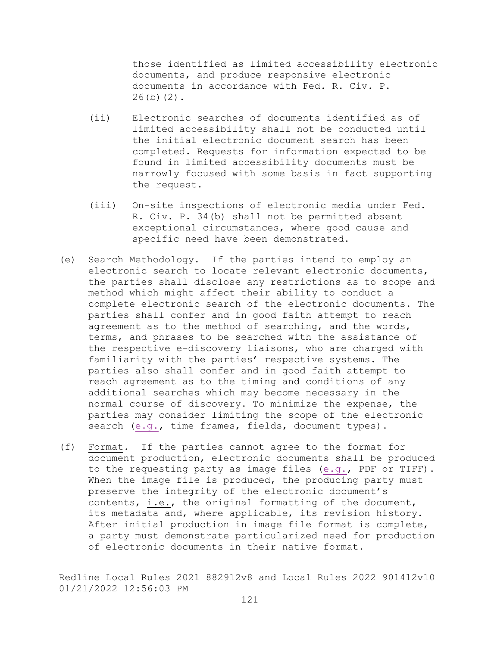those identified as limited accessibility electronic documents, and produce responsive electronic documents in accordance with Fed. R. Civ. P. 26(b)(2).

- (ii) Electronic searches of documents identified as of limited accessibility shall not be conducted until the initial electronic document search has been completed. Requests for information expected to be found in limited accessibility documents must be narrowly focused with some basis in fact supporting the request.
- (iii) On-site inspections of electronic media under Fed. R. Civ. P. 34(b) shall not be permitted absent exceptional circumstances, where good cause and specific need have been demonstrated.
- (e) Search Methodology. If the parties intend to employ an electronic search to locate relevant electronic documents, the parties shall disclose any restrictions as to scope and method which might affect their ability to conduct a complete electronic search of the electronic documents. The parties shall confer and in good faith attempt to reach agreement as to the method of searching, and the words, terms, and phrases to be searched with the assistance of the respective e-discovery liaisons, who are charged with familiarity with the parties' respective systems. The parties also shall confer and in good faith attempt to reach agreement as to the timing and conditions of any additional searches which may become necessary in the normal course of discovery. To minimize the expense, the parties may consider limiting the scope of the electronic search (e.g., time frames, fields, document types).
- (f) Format. If the parties cannot agree to the format for document production, electronic documents shall be produced to the requesting party as image files (e.g., PDF or TIFF). When the image file is produced, the producing party must preserve the integrity of the electronic document's contents, i.e., the original formatting of the document, its metadata and, where applicable, its revision history. After initial production in image file format is complete, a party must demonstrate particularized need for production of electronic documents in their native format.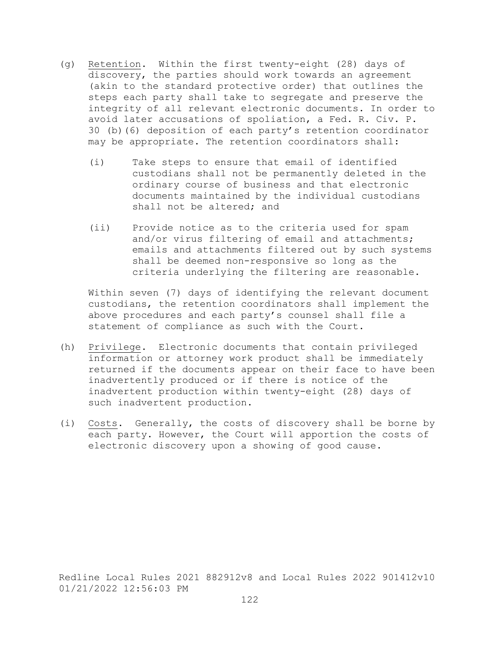- (g) Retention. Within the first twenty-eight (28) days of discovery, the parties should work towards an agreement (akin to the standard protective order) that outlines the steps each party shall take to segregate and preserve the integrity of all relevant electronic documents. In order to avoid later accusations of spoliation, a Fed. R. Civ. P. 30 (b)(6) deposition of each party's retention coordinator may be appropriate. The retention coordinators shall:
	- (i) Take steps to ensure that email of identified custodians shall not be permanently deleted in the ordinary course of business and that electronic documents maintained by the individual custodians shall not be altered; and
	- (ii) Provide notice as to the criteria used for spam and/or virus filtering of email and attachments; emails and attachments filtered out by such systems shall be deemed non-responsive so long as the criteria underlying the filtering are reasonable.

Within seven (7) days of identifying the relevant document custodians, the retention coordinators shall implement the above procedures and each party's counsel shall file a statement of compliance as such with the Court.

- (h) Privilege. Electronic documents that contain privileged information or attorney work product shall be immediately returned if the documents appear on their face to have been inadvertently produced or if there is notice of the inadvertent production within twenty-eight (28) days of such inadvertent production.
- (i) Costs. Generally, the costs of discovery shall be borne by each party. However, the Court will apportion the costs of electronic discovery upon a showing of good cause.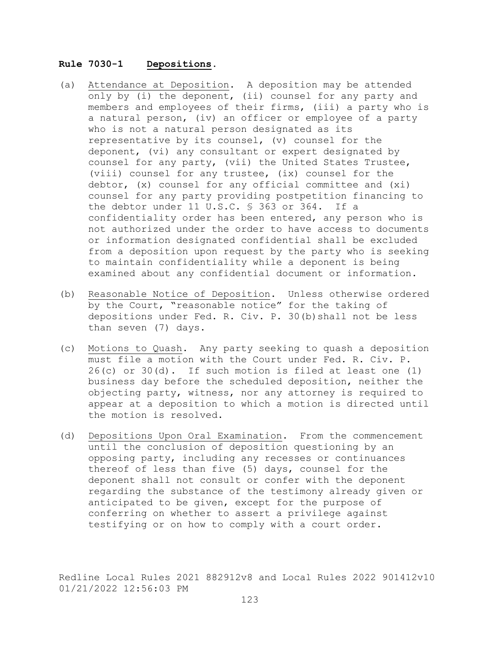### **Rule 7030-1 Depositions.**

- (a) Attendance at Deposition. A deposition may be attended only by (i) the deponent, (ii) counsel for any party and members and employees of their firms, (iii) a party who is a natural person, (iv) an officer or employee of a party who is not a natural person designated as its representative by its counsel, (v) counsel for the deponent, (vi) any consultant or expert designated by counsel for any party, (vii) the United States Trustee, (viii) counsel for any trustee, (ix) counsel for the debtor, (x) counsel for any official committee and (xi) counsel for any party providing postpetition financing to the debtor under 11 U.S.C. § 363 or 364. If a confidentiality order has been entered, any person who is not authorized under the order to have access to documents or information designated confidential shall be excluded from a deposition upon request by the party who is seeking to maintain confidentiality while a deponent is being examined about any confidential document or information.
- (b) Reasonable Notice of Deposition. Unless otherwise ordered by the Court, "reasonable notice" for the taking of depositions under Fed. R. Civ. P. 30(b)shall not be less than seven (7) days.
- (c) Motions to Quash. Any party seeking to quash a deposition must file a motion with the Court under Fed. R. Civ. P. 26(c) or 30(d). If such motion is filed at least one (1) business day before the scheduled deposition, neither the objecting party, witness, nor any attorney is required to appear at a deposition to which a motion is directed until the motion is resolved.
- (d) Depositions Upon Oral Examination. From the commencement until the conclusion of deposition questioning by an opposing party, including any recesses or continuances thereof of less than five (5) days, counsel for the deponent shall not consult or confer with the deponent regarding the substance of the testimony already given or anticipated to be given, except for the purpose of conferring on whether to assert a privilege against testifying or on how to comply with a court order.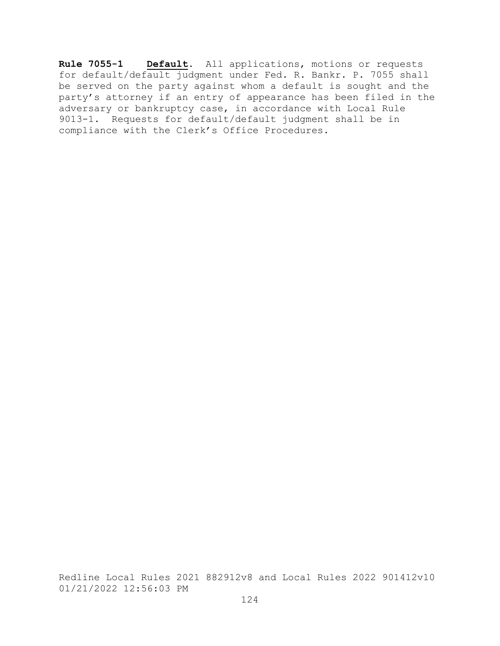**Rule 7055-1 Default**. All applications, motions or requests for default/default judgment under Fed. R. Bankr. P. 7055 shall be served on the party against whom a default is sought and the party's attorney if an entry of appearance has been filed in the adversary or bankruptcy case, in accordance with Local Rule 9013-1. Requests for default/default judgment shall be in compliance with the Clerk's Office Procedures.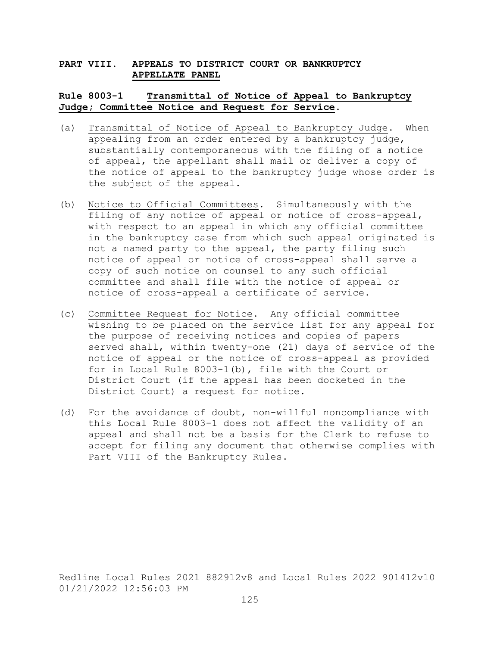### **PART VIII. APPEALS TO DISTRICT COURT OR BANKRUPTCY APPELLATE PANEL**

# **Rule 8003-1 Transmittal of Notice of Appeal to Bankruptcy Judge; Committee Notice and Request for Service**.

- (a) Transmittal of Notice of Appeal to Bankruptcy Judge. When appealing from an order entered by a bankruptcy judge, substantially contemporaneous with the filing of a notice of appeal, the appellant shall mail or deliver a copy of the notice of appeal to the bankruptcy judge whose order is the subject of the appeal.
- (b) Notice to Official Committees. Simultaneously with the filing of any notice of appeal or notice of cross-appeal, with respect to an appeal in which any official committee in the bankruptcy case from which such appeal originated is not a named party to the appeal, the party filing such notice of appeal or notice of cross-appeal shall serve a copy of such notice on counsel to any such official committee and shall file with the notice of appeal or notice of cross-appeal a certificate of service.
- (c) Committee Request for Notice. Any official committee wishing to be placed on the service list for any appeal for the purpose of receiving notices and copies of papers served shall, within twenty-one (21) days of service of the notice of appeal or the notice of cross-appeal as provided for in Local Rule 8003-1(b), file with the Court or District Court (if the appeal has been docketed in the District Court) a request for notice.
- (d) For the avoidance of doubt, non-willful noncompliance with this Local Rule 8003-1 does not affect the validity of an appeal and shall not be a basis for the Clerk to refuse to accept for filing any document that otherwise complies with Part VIII of the Bankruptcy Rules.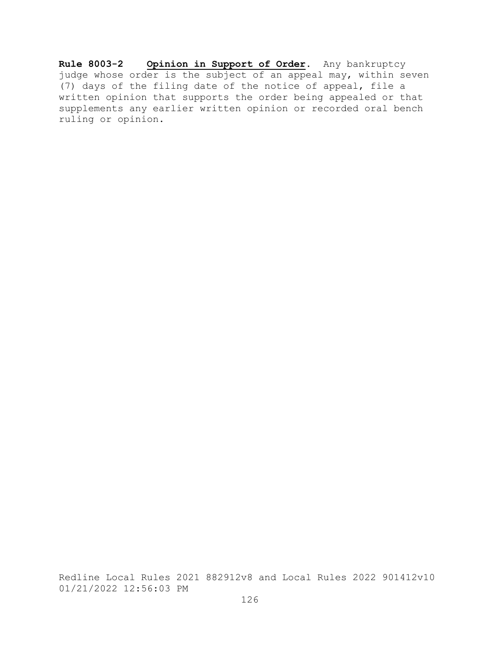**Rule 8003-2 Opinion in Support of Order**. Any bankruptcy judge whose order is the subject of an appeal may, within seven (7) days of the filing date of the notice of appeal, file a written opinion that supports the order being appealed or that supplements any earlier written opinion or recorded oral bench ruling or opinion.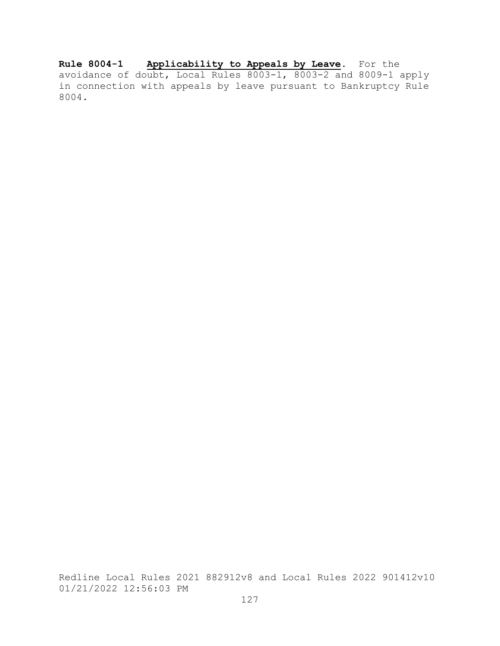**Rule 8004-1 Applicability to Appeals by Leave**. For the avoidance of doubt, Local Rules 8003-1, 8003-2 and 8009-1 apply in connection with appeals by leave pursuant to Bankruptcy Rule 8004.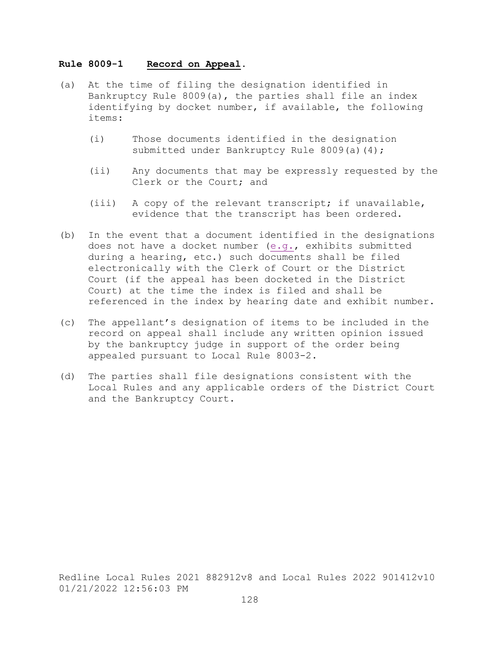### **Rule 8009-1 Record on Appeal**.

- (a) At the time of filing the designation identified in Bankruptcy Rule 8009(a), the parties shall file an index identifying by docket number, if available, the following items:
	- (i) Those documents identified in the designation submitted under Bankruptcy Rule 8009(a)(4);
	- (ii) Any documents that may be expressly requested by the Clerk or the Court; and
	- (iii) A copy of the relevant transcript; if unavailable, evidence that the transcript has been ordered.
- (b) In the event that a document identified in the designations does not have a docket number (e.g., exhibits submitted during a hearing, etc.) such documents shall be filed electronically with the Clerk of Court or the District Court (if the appeal has been docketed in the District Court) at the time the index is filed and shall be referenced in the index by hearing date and exhibit number.
- (c) The appellant's designation of items to be included in the record on appeal shall include any written opinion issued by the bankruptcy judge in support of the order being appealed pursuant to Local Rule 8003-2.
- (d) The parties shall file designations consistent with the Local Rules and any applicable orders of the District Court and the Bankruptcy Court.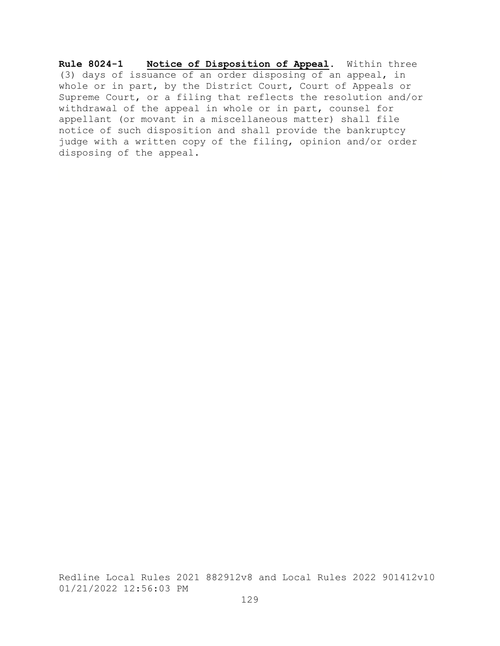**Rule 8024-1 Notice of Disposition of Appeal**. Within three (3) days of issuance of an order disposing of an appeal, in whole or in part, by the District Court, Court of Appeals or Supreme Court, or a filing that reflects the resolution and/or withdrawal of the appeal in whole or in part, counsel for appellant (or movant in a miscellaneous matter) shall file notice of such disposition and shall provide the bankruptcy judge with a written copy of the filing, opinion and/or order disposing of the appeal.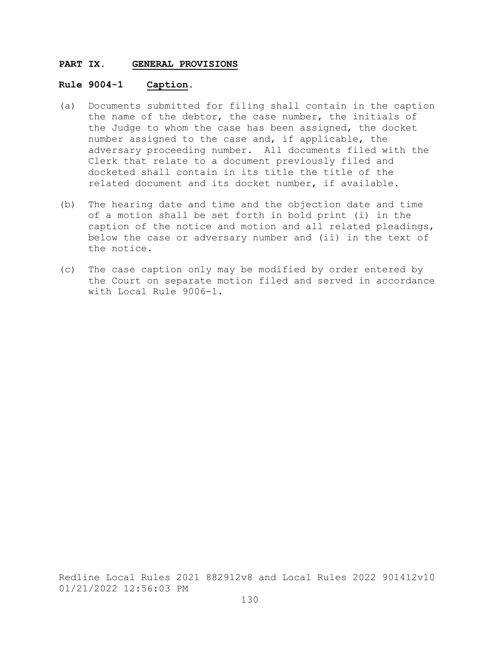#### **PART IX. GENERAL PROVISIONS**

### **Rule 9004-1 Caption**.

- (a) Documents submitted for filing shall contain in the caption the name of the debtor, the case number, the initials of the Judge to whom the case has been assigned, the docket number assigned to the case and, if applicable, the adversary proceeding number. All documents filed with the Clerk that relate to a document previously filed and docketed shall contain in its title the title of the related document and its docket number, if available.
- (b) The hearing date and time and the objection date and time of a motion shall be set forth in bold print (i) in the caption of the notice and motion and all related pleadings, below the case or adversary number and (ii) in the text of the notice.
- (c) The case caption only may be modified by order entered by the Court on separate motion filed and served in accordance with Local Rule 9006-1.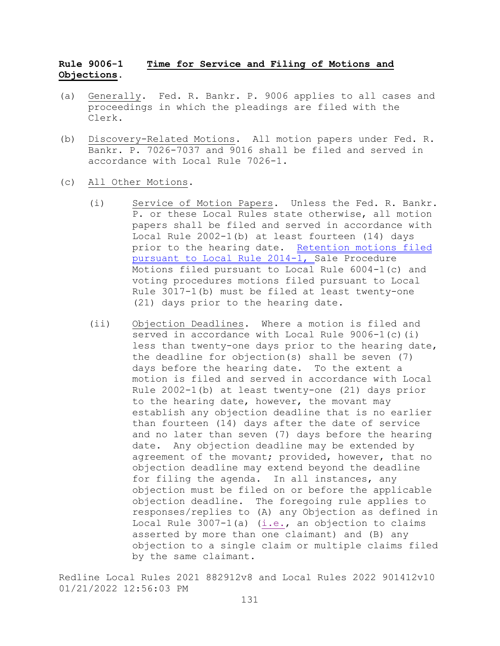## **Rule 9006-1 Time for Service and Filing of Motions and Objections**.

- (a) Generally. Fed. R. Bankr. P. 9006 applies to all cases and proceedings in which the pleadings are filed with the Clerk.
- (b) Discovery-Related Motions. All motion papers under Fed. R. Bankr. P. 7026-7037 and 9016 shall be filed and served in accordance with Local Rule 7026-1.
- (c) All Other Motions.
	- (i) Service of Motion Papers. Unless the Fed. R. Bankr. P. or these Local Rules state otherwise, all motion papers shall be filed and served in accordance with Local Rule 2002-1(b) at least fourteen (14) days prior to the hearing date. Retention motions filed pursuant to Local Rule 2014-1, Sale Procedure Motions filed pursuant to Local Rule 6004-1(c) and voting procedures motions filed pursuant to Local Rule 3017-1(b) must be filed at least twenty-one (21) days prior to the hearing date.
	- (ii) Objection Deadlines. Where a motion is filed and served in accordance with Local Rule 9006-1(c)(i) less than twenty-one days prior to the hearing date, the deadline for objection(s) shall be seven (7) days before the hearing date. To the extent a motion is filed and served in accordance with Local Rule 2002-1(b) at least twenty-one (21) days prior to the hearing date, however, the movant may establish any objection deadline that is no earlier than fourteen (14) days after the date of service and no later than seven (7) days before the hearing date. Any objection deadline may be extended by agreement of the movant; provided, however, that no objection deadline may extend beyond the deadline for filing the agenda. In all instances, any objection must be filed on or before the applicable objection deadline. The foregoing rule applies to responses/replies to (A) any Objection as defined in Local Rule 3007-1(a) (i.e., an objection to claims asserted by more than one claimant) and (B) any objection to a single claim or multiple claims filed by the same claimant.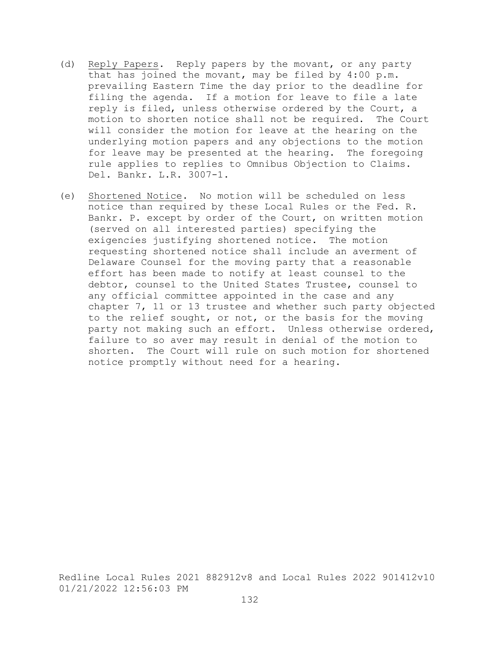- (d) Reply Papers. Reply papers by the movant, or any party that has joined the movant, may be filed by 4:00 p.m. prevailing Eastern Time the day prior to the deadline for filing the agenda. If a motion for leave to file a late reply is filed, unless otherwise ordered by the Court, a motion to shorten notice shall not be required. The Court will consider the motion for leave at the hearing on the underlying motion papers and any objections to the motion for leave may be presented at the hearing. The foregoing rule applies to replies to Omnibus Objection to Claims. Del. Bankr. L.R. 3007-1.
- (e) Shortened Notice. No motion will be scheduled on less notice than required by these Local Rules or the Fed. R. Bankr. P. except by order of the Court, on written motion (served on all interested parties) specifying the exigencies justifying shortened notice. The motion requesting shortened notice shall include an averment of Delaware Counsel for the moving party that a reasonable effort has been made to notify at least counsel to the debtor, counsel to the United States Trustee, counsel to any official committee appointed in the case and any chapter 7, 11 or 13 trustee and whether such party objected to the relief sought, or not, or the basis for the moving party not making such an effort. Unless otherwise ordered, failure to so aver may result in denial of the motion to shorten. The Court will rule on such motion for shortened notice promptly without need for a hearing.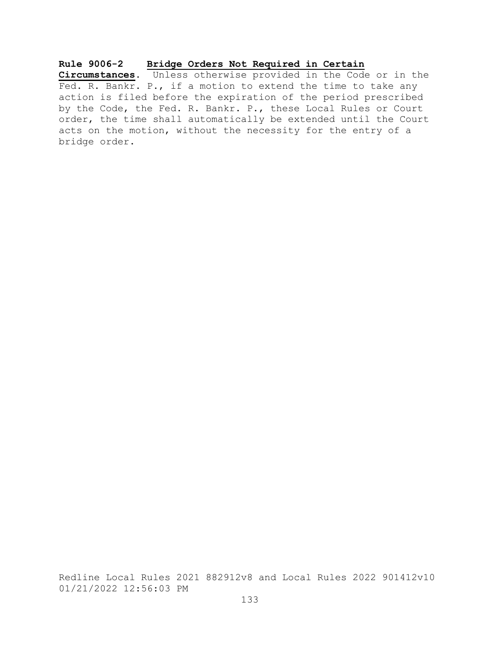**Rule 9006-2 Bridge Orders Not Required in Certain Circumstances**. Unless otherwise provided in the Code or in the Fed. R. Bankr. P., if a motion to extend the time to take any action is filed before the expiration of the period prescribed by the Code, the Fed. R. Bankr. P., these Local Rules or Court order, the time shall automatically be extended until the Court acts on the motion, without the necessity for the entry of a bridge order.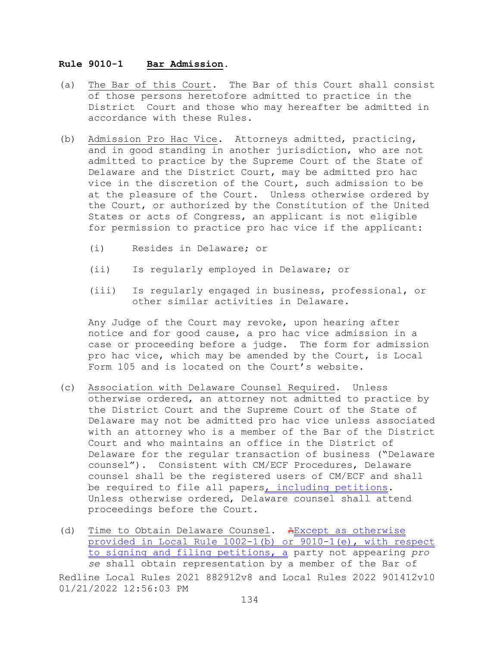### **Rule 9010-1 Bar Admission**.

- (a) The Bar of this Court. The Bar of this Court shall consist of those persons heretofore admitted to practice in the District Court and those who may hereafter be admitted in accordance with these Rules.
- (b) Admission Pro Hac Vice. Attorneys admitted, practicing, and in good standing in another jurisdiction, who are not admitted to practice by the Supreme Court of the State of Delaware and the District Court, may be admitted pro hac vice in the discretion of the Court, such admission to be at the pleasure of the Court. Unless otherwise ordered by the Court, or authorized by the Constitution of the United States or acts of Congress, an applicant is not eligible for permission to practice pro hac vice if the applicant:
	- (i) Resides in Delaware; or
	- (ii) Is regularly employed in Delaware; or
	- (iii) Is regularly engaged in business, professional, or other similar activities in Delaware.

Any Judge of the Court may revoke, upon hearing after notice and for good cause, a pro hac vice admission in a case or proceeding before a judge. The form for admission pro hac vice, which may be amended by the Court, is Local Form 105 and is located on the Court's website.

- (c) Association with Delaware Counsel Required. Unless otherwise ordered, an attorney not admitted to practice by the District Court and the Supreme Court of the State of Delaware may not be admitted pro hac vice unless associated with an attorney who is a member of the Bar of the District Court and who maintains an office in the District of Delaware for the regular transaction of business ("Delaware counsel"). Consistent with CM/ECF Procedures, Delaware counsel shall be the registered users of CM/ECF and shall be required to file all papers, including petitions. Unless otherwise ordered, Delaware counsel shall attend proceedings before the Court.
- Redline Local Rules 2021 882912v8 and Local Rules 2022 901412v10 01/21/2022 12:56:03 PM (d) Time to Obtain Delaware Counsel. AExcept as otherwise provided in Local Rule 1002-1(b) or 9010-1(e), with respect to signing and filing petitions, a party not appearing *pro se* shall obtain representation by a member of the Bar of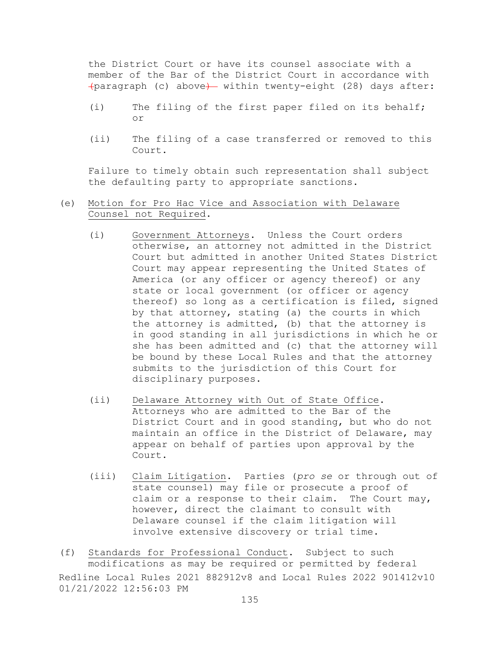the District Court or have its counsel associate with a member of the Bar of the District Court in accordance with (paragraph (c) above) within twenty-eight (28) days after:

- (i) The filing of the first paper filed on its behalf; or
- (ii) The filing of a case transferred or removed to this Court.

Failure to timely obtain such representation shall subject the defaulting party to appropriate sanctions.

- (e) Motion for Pro Hac Vice and Association with Delaware Counsel not Required.
	- (i) Government Attorneys. Unless the Court orders otherwise, an attorney not admitted in the District Court but admitted in another United States District Court may appear representing the United States of America (or any officer or agency thereof) or any state or local government (or officer or agency thereof) so long as a certification is filed, signed by that attorney, stating (a) the courts in which the attorney is admitted, (b) that the attorney is in good standing in all jurisdictions in which he or she has been admitted and (c) that the attorney will be bound by these Local Rules and that the attorney submits to the jurisdiction of this Court for disciplinary purposes.
	- (ii) Delaware Attorney with Out of State Office. Attorneys who are admitted to the Bar of the District Court and in good standing, but who do not maintain an office in the District of Delaware, may appear on behalf of parties upon approval by the Court.
	- (iii) Claim Litigation. Parties (*pro se* or through out of state counsel) may file or prosecute a proof of claim or a response to their claim. The Court may, however, direct the claimant to consult with Delaware counsel if the claim litigation will involve extensive discovery or trial time.

Redline Local Rules 2021 882912v8 and Local Rules 2022 901412v10 01/21/2022 12:56:03 PM (f) Standards for Professional Conduct. Subject to such modifications as may be required or permitted by federal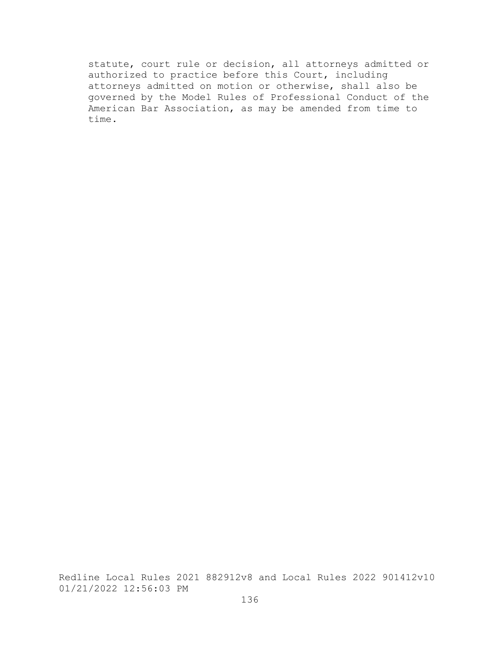statute, court rule or decision, all attorneys admitted or authorized to practice before this Court, including attorneys admitted on motion or otherwise, shall also be governed by the Model Rules of Professional Conduct of the American Bar Association, as may be amended from time to time.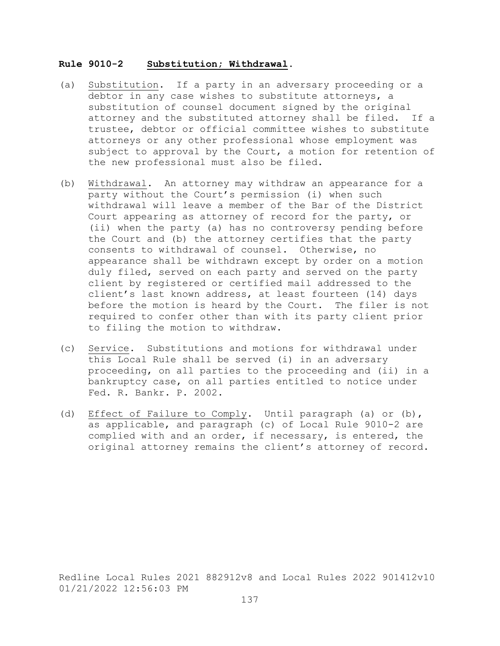#### **Rule 9010-2 Substitution; Withdrawal**.

- (a) Substitution. If a party in an adversary proceeding or a debtor in any case wishes to substitute attorneys, a substitution of counsel document signed by the original attorney and the substituted attorney shall be filed. If a trustee, debtor or official committee wishes to substitute attorneys or any other professional whose employment was subject to approval by the Court, a motion for retention of the new professional must also be filed.
- (b) Withdrawal. An attorney may withdraw an appearance for a party without the Court's permission (i) when such withdrawal will leave a member of the Bar of the District Court appearing as attorney of record for the party, or (ii) when the party (a) has no controversy pending before the Court and (b) the attorney certifies that the party consents to withdrawal of counsel. Otherwise, no appearance shall be withdrawn except by order on a motion duly filed, served on each party and served on the party client by registered or certified mail addressed to the client's last known address, at least fourteen (14) days before the motion is heard by the Court. The filer is not required to confer other than with its party client prior to filing the motion to withdraw.
- (c) Service. Substitutions and motions for withdrawal under this Local Rule shall be served (i) in an adversary proceeding, on all parties to the proceeding and (ii) in a bankruptcy case, on all parties entitled to notice under Fed. R. Bankr. P. 2002.
- (d) Effect of Failure to Comply. Until paragraph (a) or (b), as applicable, and paragraph (c) of Local Rule 9010-2 are complied with and an order, if necessary, is entered, the original attorney remains the client's attorney of record.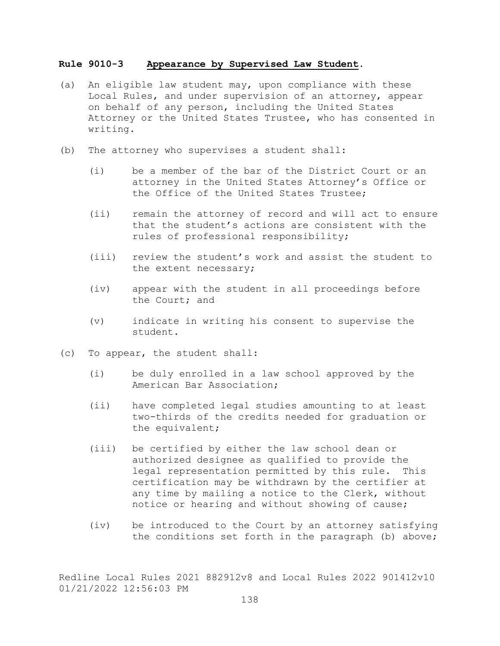#### **Rule 9010-3 Appearance by Supervised Law Student**.

- (a) An eligible law student may, upon compliance with these Local Rules, and under supervision of an attorney, appear on behalf of any person, including the United States Attorney or the United States Trustee, who has consented in writing.
- (b) The attorney who supervises a student shall:
	- (i) be a member of the bar of the District Court or an attorney in the United States Attorney's Office or the Office of the United States Trustee;
	- (ii) remain the attorney of record and will act to ensure that the student's actions are consistent with the rules of professional responsibility;
	- (iii) review the student's work and assist the student to the extent necessary;
	- (iv) appear with the student in all proceedings before the Court; and
	- (v) indicate in writing his consent to supervise the student.
- (c) To appear, the student shall:
	- (i) be duly enrolled in a law school approved by the American Bar Association;
	- (ii) have completed legal studies amounting to at least two-thirds of the credits needed for graduation or the equivalent;
	- (iii) be certified by either the law school dean or authorized designee as qualified to provide the legal representation permitted by this rule. This certification may be withdrawn by the certifier at any time by mailing a notice to the Clerk, without notice or hearing and without showing of cause;
	- (iv) be introduced to the Court by an attorney satisfying the conditions set forth in the paragraph (b) above;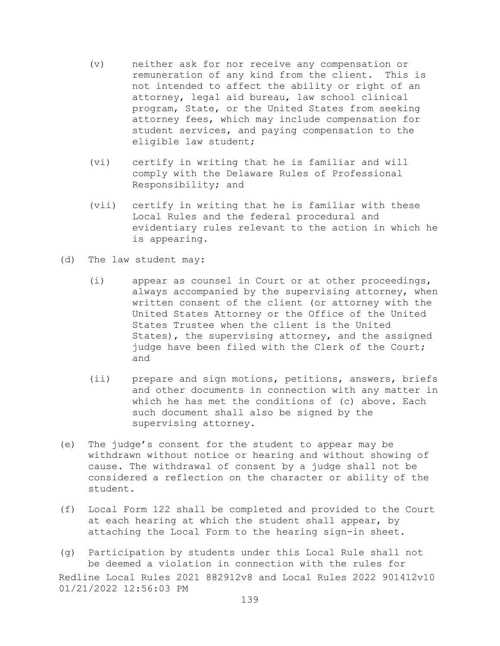- (v) neither ask for nor receive any compensation or remuneration of any kind from the client. This is not intended to affect the ability or right of an attorney, legal aid bureau, law school clinical program, State, or the United States from seeking attorney fees, which may include compensation for student services, and paying compensation to the eligible law student;
- (vi) certify in writing that he is familiar and will comply with the Delaware Rules of Professional Responsibility; and
- (vii) certify in writing that he is familiar with these Local Rules and the federal procedural and evidentiary rules relevant to the action in which he is appearing.
- (d) The law student may:
	- (i) appear as counsel in Court or at other proceedings, always accompanied by the supervising attorney, when written consent of the client (or attorney with the United States Attorney or the Office of the United States Trustee when the client is the United States), the supervising attorney, and the assigned judge have been filed with the Clerk of the Court; and
	- (ii) prepare and sign motions, petitions, answers, briefs and other documents in connection with any matter in which he has met the conditions of (c) above. Each such document shall also be signed by the supervising attorney.
- (e) The judge's consent for the student to appear may be withdrawn without notice or hearing and without showing of cause. The withdrawal of consent by a judge shall not be considered a reflection on the character or ability of the student.
- (f) Local Form 122 shall be completed and provided to the Court at each hearing at which the student shall appear, by attaching the Local Form to the hearing sign-in sheet.
- Redline Local Rules 2021 882912v8 and Local Rules 2022 901412v10 01/21/2022 12:56:03 PM (g) Participation by students under this Local Rule shall not be deemed a violation in connection with the rules for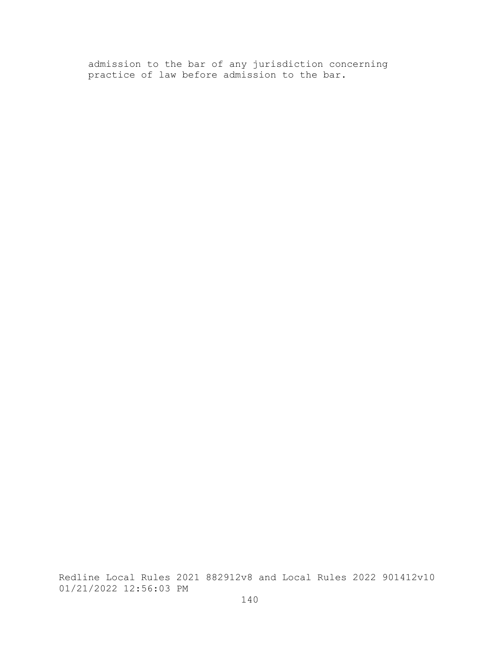admission to the bar of any jurisdiction concerning practice of law before admission to the bar.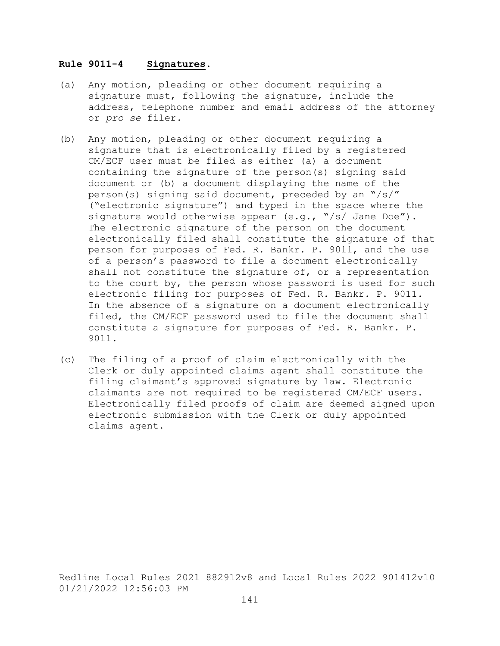### **Rule 9011-4 Signatures**.

- (a) Any motion, pleading or other document requiring a signature must, following the signature, include the address, telephone number and email address of the attorney or *pro se* filer.
- (b) Any motion, pleading or other document requiring a signature that is electronically filed by a registered CM/ECF user must be filed as either (a) a document containing the signature of the person(s) signing said document or (b) a document displaying the name of the person(s) signing said document, preceded by an "/s/" ("electronic signature") and typed in the space where the signature would otherwise appear  $(e,q, y')$  Jane Doe"). The electronic signature of the person on the document electronically filed shall constitute the signature of that person for purposes of Fed. R. Bankr. P. 9011, and the use of a person's password to file a document electronically shall not constitute the signature of, or a representation to the court by, the person whose password is used for such electronic filing for purposes of Fed. R. Bankr. P. 9011. In the absence of a signature on a document electronically filed, the CM/ECF password used to file the document shall constitute a signature for purposes of Fed. R. Bankr. P. 9011.
- (c) The filing of a proof of claim electronically with the Clerk or duly appointed claims agent shall constitute the filing claimant's approved signature by law. Electronic claimants are not required to be registered CM/ECF users. Electronically filed proofs of claim are deemed signed upon electronic submission with the Clerk or duly appointed claims agent.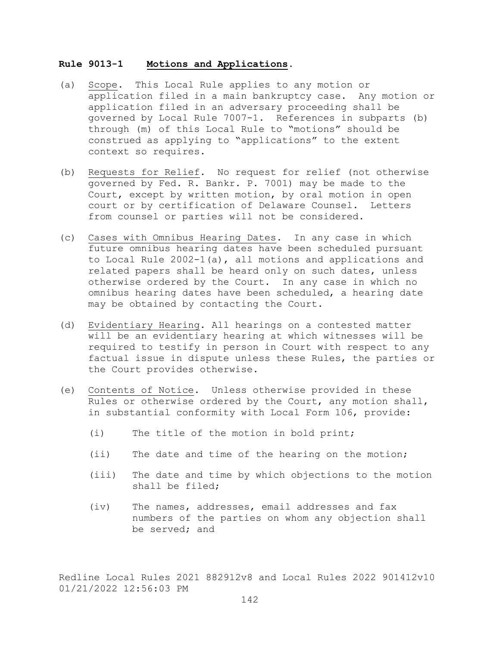#### **Rule 9013-1 Motions and Applications**.

- (a) Scope. This Local Rule applies to any motion or application filed in a main bankruptcy case. Any motion or application filed in an adversary proceeding shall be governed by Local Rule 7007-1. References in subparts (b) through (m) of this Local Rule to "motions" should be construed as applying to "applications" to the extent context so requires.
- (b) Requests for Relief. No request for relief (not otherwise governed by Fed. R. Bankr. P. 7001) may be made to the Court, except by written motion, by oral motion in open court or by certification of Delaware Counsel. Letters from counsel or parties will not be considered.
- (c) Cases with Omnibus Hearing Dates. In any case in which future omnibus hearing dates have been scheduled pursuant to Local Rule 2002-1(a), all motions and applications and related papers shall be heard only on such dates, unless otherwise ordered by the Court. In any case in which no omnibus hearing dates have been scheduled, a hearing date may be obtained by contacting the Court.
- (d) Evidentiary Hearing. All hearings on a contested matter will be an evidentiary hearing at which witnesses will be required to testify in person in Court with respect to any factual issue in dispute unless these Rules, the parties or the Court provides otherwise.
- (e) Contents of Notice. Unless otherwise provided in these Rules or otherwise ordered by the Court, any motion shall, in substantial conformity with Local Form 106, provide:
	- (i) The title of the motion in bold print;
	- (ii) The date and time of the hearing on the motion;
	- (iii) The date and time by which objections to the motion shall be filed;
	- (iv) The names, addresses, email addresses and fax numbers of the parties on whom any objection shall be served; and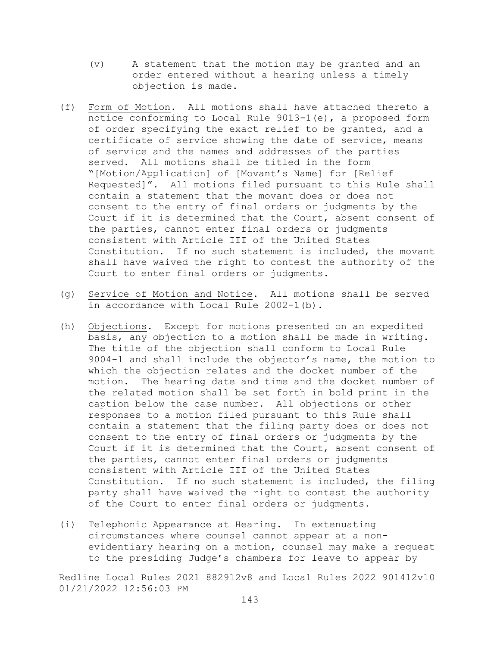- (v) A statement that the motion may be granted and an order entered without a hearing unless a timely objection is made.
- (f) Form of Motion. All motions shall have attached thereto a notice conforming to Local Rule 9013-1(e), a proposed form of order specifying the exact relief to be granted, and a certificate of service showing the date of service, means of service and the names and addresses of the parties served. All motions shall be titled in the form "[Motion/Application] of [Movant's Name] for [Relief Requested]". All motions filed pursuant to this Rule shall contain a statement that the movant does or does not consent to the entry of final orders or judgments by the Court if it is determined that the Court, absent consent of the parties, cannot enter final orders or judgments consistent with Article III of the United States Constitution. If no such statement is included, the movant shall have waived the right to contest the authority of the Court to enter final orders or judgments.
- (g) Service of Motion and Notice. All motions shall be served in accordance with Local Rule 2002-1(b).
- (h) Objections. Except for motions presented on an expedited basis, any objection to a motion shall be made in writing. The title of the objection shall conform to Local Rule 9004-1 and shall include the objector's name, the motion to which the objection relates and the docket number of the motion. The hearing date and time and the docket number of the related motion shall be set forth in bold print in the caption below the case number. All objections or other responses to a motion filed pursuant to this Rule shall contain a statement that the filing party does or does not consent to the entry of final orders or judgments by the Court if it is determined that the Court, absent consent of the parties, cannot enter final orders or judgments consistent with Article III of the United States Constitution. If no such statement is included, the filing party shall have waived the right to contest the authority of the Court to enter final orders or judgments.
- (i) Telephonic Appearance at Hearing. In extenuating circumstances where counsel cannot appear at a nonevidentiary hearing on a motion, counsel may make a request to the presiding Judge's chambers for leave to appear by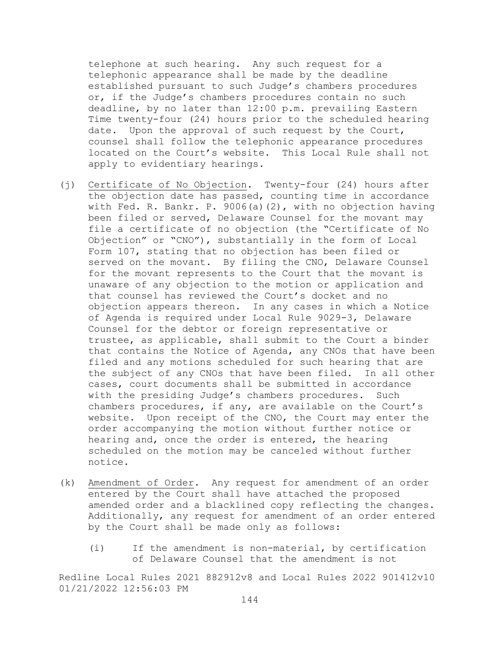telephone at such hearing. Any such request for a telephonic appearance shall be made by the deadline established pursuant to such Judge's chambers procedures or, if the Judge's chambers procedures contain no such deadline, by no later than 12:00 p.m. prevailing Eastern Time twenty-four (24) hours prior to the scheduled hearing date. Upon the approval of such request by the Court, counsel shall follow the telephonic appearance procedures located on the Court's website. This Local Rule shall not apply to evidentiary hearings.

- (j) Certificate of No Objection. Twenty-four (24) hours after the objection date has passed, counting time in accordance with Fed. R. Bankr. P. 9006(a)(2), with no objection having been filed or served, Delaware Counsel for the movant may file a certificate of no objection (the "Certificate of No Objection" or "CNO"), substantially in the form of Local Form 107, stating that no objection has been filed or served on the movant. By filing the CNO, Delaware Counsel for the movant represents to the Court that the movant is unaware of any objection to the motion or application and that counsel has reviewed the Court's docket and no objection appears thereon. In any cases in which a Notice of Agenda is required under Local Rule 9029-3, Delaware Counsel for the debtor or foreign representative or trustee, as applicable, shall submit to the Court a binder that contains the Notice of Agenda, any CNOs that have been filed and any motions scheduled for such hearing that are the subject of any CNOs that have been filed. In all other cases, court documents shall be submitted in accordance with the presiding Judge's chambers procedures. Such chambers procedures, if any, are available on the Court's website. Upon receipt of the CNO, the Court may enter the order accompanying the motion without further notice or hearing and, once the order is entered, the hearing scheduled on the motion may be canceled without further notice.
- (k) Amendment of Order. Any request for amendment of an order entered by the Court shall have attached the proposed amended order and a blacklined copy reflecting the changes. Additionally, any request for amendment of an order entered by the Court shall be made only as follows:
	- (i) If the amendment is non-material, by certification of Delaware Counsel that the amendment is not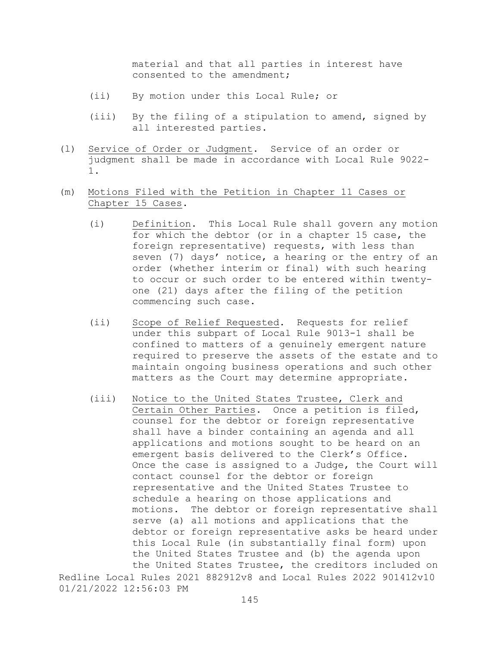material and that all parties in interest have consented to the amendment;

- (ii) By motion under this Local Rule; or
- (iii) By the filing of a stipulation to amend, signed by all interested parties.
- (l) Service of Order or Judgment. Service of an order or judgment shall be made in accordance with Local Rule 9022- 1.
- (m) Motions Filed with the Petition in Chapter 11 Cases or Chapter 15 Cases.
	- (i) Definition. This Local Rule shall govern any motion for which the debtor (or in a chapter 15 case, the foreign representative) requests, with less than seven (7) days' notice, a hearing or the entry of an order (whether interim or final) with such hearing to occur or such order to be entered within twentyone (21) days after the filing of the petition commencing such case.
	- (ii) Scope of Relief Requested. Requests for relief under this subpart of Local Rule 9013-1 shall be confined to matters of a genuinely emergent nature required to preserve the assets of the estate and to maintain ongoing business operations and such other matters as the Court may determine appropriate.
	- (iii) Notice to the United States Trustee, Clerk and Certain Other Parties. Once a petition is filed, counsel for the debtor or foreign representative shall have a binder containing an agenda and all applications and motions sought to be heard on an emergent basis delivered to the Clerk's Office. Once the case is assigned to a Judge, the Court will contact counsel for the debtor or foreign representative and the United States Trustee to schedule a hearing on those applications and motions. The debtor or foreign representative shall serve (a) all motions and applications that the debtor or foreign representative asks be heard under this Local Rule (in substantially final form) upon the United States Trustee and (b) the agenda upon the United States Trustee, the creditors included on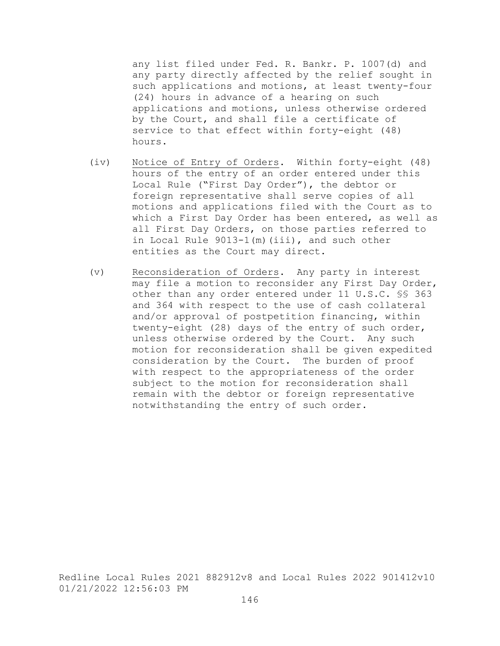any list filed under Fed. R. Bankr. P. 1007(d) and any party directly affected by the relief sought in such applications and motions, at least twenty-four (24) hours in advance of a hearing on such applications and motions, unless otherwise ordered by the Court, and shall file a certificate of service to that effect within forty-eight (48) hours.

- (iv) Notice of Entry of Orders. Within forty-eight (48) hours of the entry of an order entered under this Local Rule ("First Day Order"), the debtor or foreign representative shall serve copies of all motions and applications filed with the Court as to which a First Day Order has been entered, as well as all First Day Orders, on those parties referred to in Local Rule 9013-1(m)(iii), and such other entities as the Court may direct.
- (v) Reconsideration of Orders. Any party in interest may file a motion to reconsider any First Day Order, other than any order entered under 11 U.S.C. §§ 363 and 364 with respect to the use of cash collateral and/or approval of postpetition financing, within twenty-eight (28) days of the entry of such order, unless otherwise ordered by the Court. Any such motion for reconsideration shall be given expedited consideration by the Court. The burden of proof with respect to the appropriateness of the order subject to the motion for reconsideration shall remain with the debtor or foreign representative notwithstanding the entry of such order.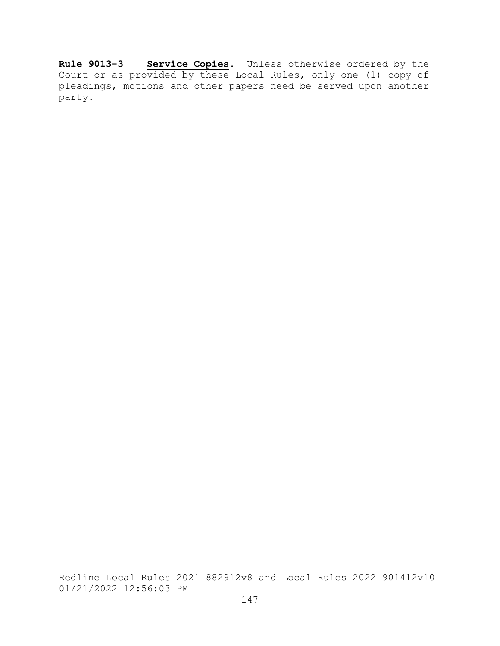**Rule 9013-3 Service Copies**. Unless otherwise ordered by the Court or as provided by these Local Rules, only one (1) copy of pleadings, motions and other papers need be served upon another party.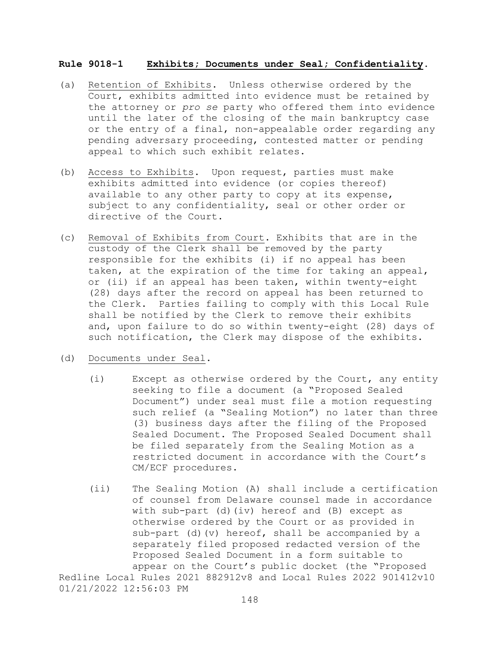## **Rule 9018-1 Exhibits; Documents under Seal; Confidentiality**.

- (a) Retention of Exhibits. Unless otherwise ordered by the Court, exhibits admitted into evidence must be retained by the attorney or *pro se* party who offered them into evidence until the later of the closing of the main bankruptcy case or the entry of a final, non-appealable order regarding any pending adversary proceeding, contested matter or pending appeal to which such exhibit relates.
- (b) Access to Exhibits. Upon request, parties must make exhibits admitted into evidence (or copies thereof) available to any other party to copy at its expense, subject to any confidentiality, seal or other order or directive of the Court.
- (c) Removal of Exhibits from Court. Exhibits that are in the custody of the Clerk shall be removed by the party responsible for the exhibits (i) if no appeal has been taken, at the expiration of the time for taking an appeal, or (ii) if an appeal has been taken, within twenty-eight (28) days after the record on appeal has been returned to the Clerk. Parties failing to comply with this Local Rule shall be notified by the Clerk to remove their exhibits and, upon failure to do so within twenty-eight (28) days of such notification, the Clerk may dispose of the exhibits.
- (d) Documents under Seal.
	- (i) Except as otherwise ordered by the Court, any entity seeking to file a document (a "Proposed Sealed Document") under seal must file a motion requesting such relief (a "Sealing Motion") no later than three (3) business days after the filing of the Proposed Sealed Document. The Proposed Sealed Document shall be filed separately from the Sealing Motion as a restricted document in accordance with the Court's CM/ECF procedures.
	- (ii) The Sealing Motion (A) shall include a certification of counsel from Delaware counsel made in accordance with sub-part (d)(iv) hereof and (B) except as otherwise ordered by the Court or as provided in sub-part (d)(v) hereof, shall be accompanied by a separately filed proposed redacted version of the Proposed Sealed Document in a form suitable to appear on the Court's public docket (the "Proposed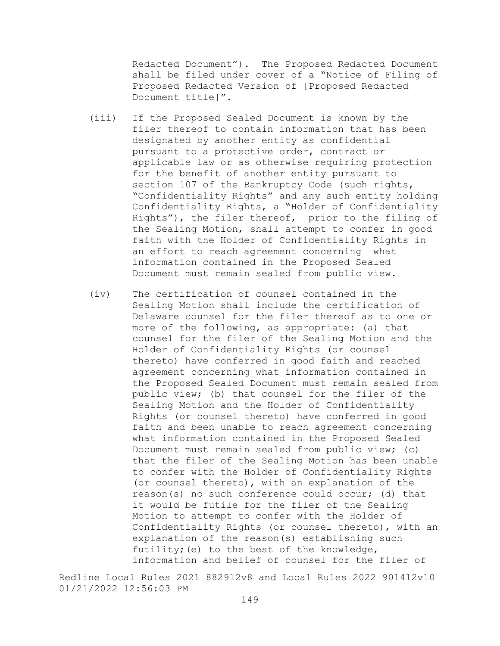Redacted Document"). The Proposed Redacted Document shall be filed under cover of a "Notice of Filing of Proposed Redacted Version of [Proposed Redacted Document title]".

- (iii) If the Proposed Sealed Document is known by the filer thereof to contain information that has been designated by another entity as confidential pursuant to a protective order, contract or applicable law or as otherwise requiring protection for the benefit of another entity pursuant to section 107 of the Bankruptcy Code (such rights, "Confidentiality Rights" and any such entity holding Confidentiality Rights, a "Holder of Confidentiality Rights"), the filer thereof, prior to the filing of the Sealing Motion, shall attempt to confer in good faith with the Holder of Confidentiality Rights in an effort to reach agreement concerning what information contained in the Proposed Sealed Document must remain sealed from public view.
- (iv) The certification of counsel contained in the Sealing Motion shall include the certification of Delaware counsel for the filer thereof as to one or more of the following, as appropriate: (a) that counsel for the filer of the Sealing Motion and the Holder of Confidentiality Rights (or counsel thereto) have conferred in good faith and reached agreement concerning what information contained in the Proposed Sealed Document must remain sealed from public view; (b) that counsel for the filer of the Sealing Motion and the Holder of Confidentiality Rights (or counsel thereto) have conferred in good faith and been unable to reach agreement concerning what information contained in the Proposed Sealed Document must remain sealed from public view; (c) that the filer of the Sealing Motion has been unable to confer with the Holder of Confidentiality Rights (or counsel thereto), with an explanation of the reason(s) no such conference could occur; (d) that it would be futile for the filer of the Sealing Motion to attempt to confer with the Holder of Confidentiality Rights (or counsel thereto), with an explanation of the reason(s) establishing such futility;(e) to the best of the knowledge, information and belief of counsel for the filer of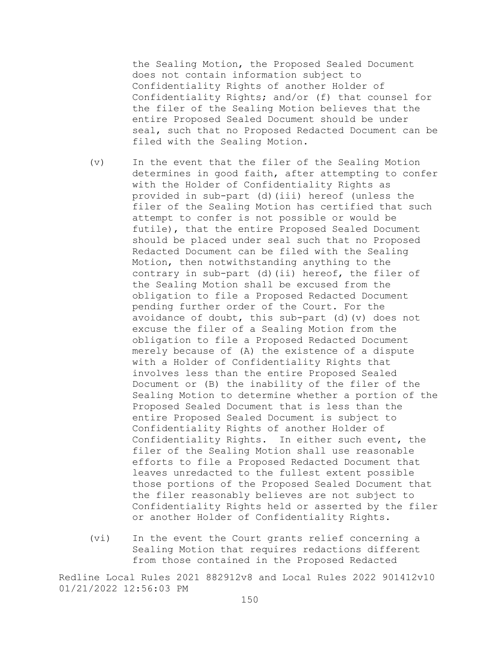the Sealing Motion, the Proposed Sealed Document does not contain information subject to Confidentiality Rights of another Holder of Confidentiality Rights; and/or (f) that counsel for the filer of the Sealing Motion believes that the entire Proposed Sealed Document should be under seal, such that no Proposed Redacted Document can be filed with the Sealing Motion.

- (v) In the event that the filer of the Sealing Motion determines in good faith, after attempting to confer with the Holder of Confidentiality Rights as provided in sub-part (d)(iii) hereof (unless the filer of the Sealing Motion has certified that such attempt to confer is not possible or would be futile), that the entire Proposed Sealed Document should be placed under seal such that no Proposed Redacted Document can be filed with the Sealing Motion, then notwithstanding anything to the contrary in sub-part (d)(ii) hereof, the filer of the Sealing Motion shall be excused from the obligation to file a Proposed Redacted Document pending further order of the Court. For the avoidance of doubt, this sub-part (d)(v) does not excuse the filer of a Sealing Motion from the obligation to file a Proposed Redacted Document merely because of (A) the existence of a dispute with a Holder of Confidentiality Rights that involves less than the entire Proposed Sealed Document or (B) the inability of the filer of the Sealing Motion to determine whether a portion of the Proposed Sealed Document that is less than the entire Proposed Sealed Document is subject to Confidentiality Rights of another Holder of Confidentiality Rights. In either such event, the filer of the Sealing Motion shall use reasonable efforts to file a Proposed Redacted Document that leaves unredacted to the fullest extent possible those portions of the Proposed Sealed Document that the filer reasonably believes are not subject to Confidentiality Rights held or asserted by the filer or another Holder of Confidentiality Rights.
- (vi) In the event the Court grants relief concerning a Sealing Motion that requires redactions different from those contained in the Proposed Redacted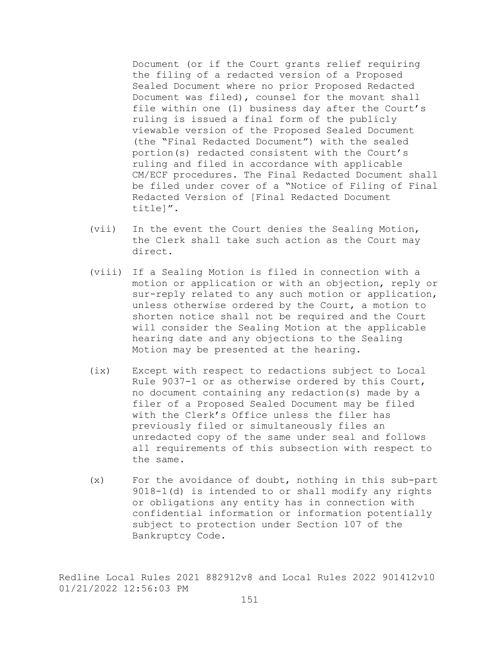Document (or if the Court grants relief requiring the filing of a redacted version of a Proposed Sealed Document where no prior Proposed Redacted Document was filed), counsel for the movant shall file within one (1) business day after the Court's ruling is issued a final form of the publicly viewable version of the Proposed Sealed Document (the "Final Redacted Document") with the sealed portion(s) redacted consistent with the Court's ruling and filed in accordance with applicable CM/ECF procedures. The Final Redacted Document shall be filed under cover of a "Notice of Filing of Final Redacted Version of [Final Redacted Document title]".

- (vii) In the event the Court denies the Sealing Motion, the Clerk shall take such action as the Court may direct.
- (viii) If a Sealing Motion is filed in connection with a motion or application or with an objection, reply or sur-reply related to any such motion or application, unless otherwise ordered by the Court, a motion to shorten notice shall not be required and the Court will consider the Sealing Motion at the applicable hearing date and any objections to the Sealing Motion may be presented at the hearing.
- (ix) Except with respect to redactions subject to Local Rule 9037-1 or as otherwise ordered by this Court, no document containing any redaction(s) made by a filer of a Proposed Sealed Document may be filed with the Clerk's Office unless the filer has previously filed or simultaneously files an unredacted copy of the same under seal and follows all requirements of this subsection with respect to the same.
- (x) For the avoidance of doubt, nothing in this sub-part 9018-1(d) is intended to or shall modify any rights or obligations any entity has in connection with confidential information or information potentially subject to protection under Section 107 of the Bankruptcy Code.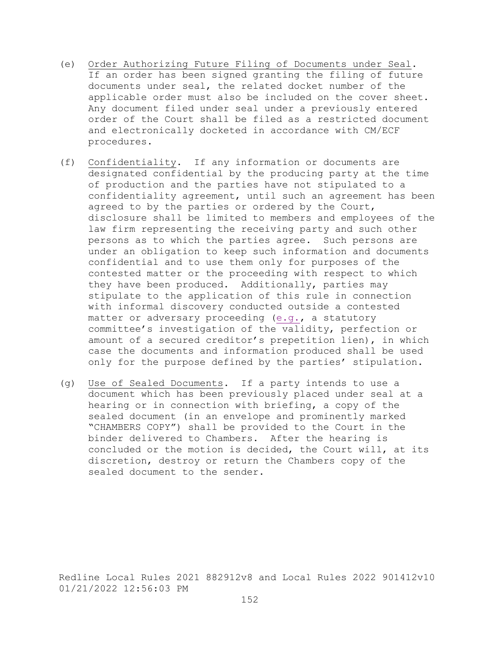- (e) Order Authorizing Future Filing of Documents under Seal. If an order has been signed granting the filing of future documents under seal, the related docket number of the applicable order must also be included on the cover sheet. Any document filed under seal under a previously entered order of the Court shall be filed as a restricted document and electronically docketed in accordance with CM/ECF procedures.
- (f) Confidentiality. If any information or documents are designated confidential by the producing party at the time of production and the parties have not stipulated to a confidentiality agreement, until such an agreement has been agreed to by the parties or ordered by the Court, disclosure shall be limited to members and employees of the law firm representing the receiving party and such other persons as to which the parties agree. Such persons are under an obligation to keep such information and documents confidential and to use them only for purposes of the contested matter or the proceeding with respect to which they have been produced. Additionally, parties may stipulate to the application of this rule in connection with informal discovery conducted outside a contested matter or adversary proceeding (e.g., a statutory committee's investigation of the validity, perfection or amount of a secured creditor's prepetition lien), in which case the documents and information produced shall be used only for the purpose defined by the parties' stipulation.
- (g) Use of Sealed Documents. If a party intends to use a document which has been previously placed under seal at a hearing or in connection with briefing, a copy of the sealed document (in an envelope and prominently marked "CHAMBERS COPY") shall be provided to the Court in the binder delivered to Chambers. After the hearing is concluded or the motion is decided, the Court will, at its discretion, destroy or return the Chambers copy of the sealed document to the sender.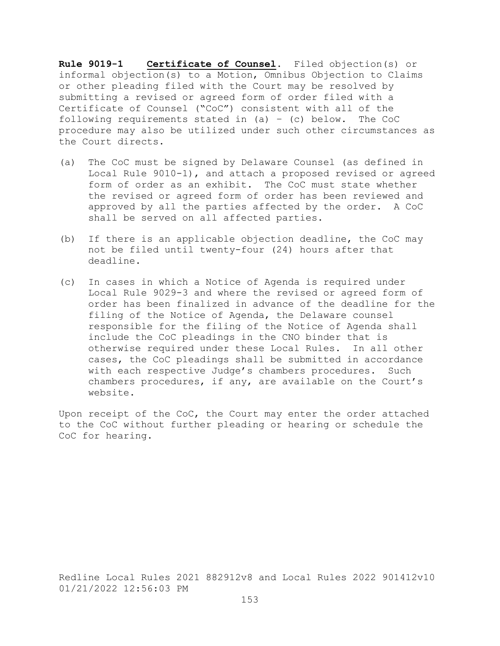**Rule 9019-1 Certificate of Counsel**. Filed objection(s) or informal objection(s) to a Motion, Omnibus Objection to Claims or other pleading filed with the Court may be resolved by submitting a revised or agreed form of order filed with a Certificate of Counsel ("CoC") consistent with all of the following requirements stated in  $(a) - (c)$  below. The CoC procedure may also be utilized under such other circumstances as the Court directs.

- (a) The CoC must be signed by Delaware Counsel (as defined in Local Rule 9010-1), and attach a proposed revised or agreed form of order as an exhibit. The CoC must state whether the revised or agreed form of order has been reviewed and approved by all the parties affected by the order. A CoC shall be served on all affected parties.
- (b) If there is an applicable objection deadline, the CoC may not be filed until twenty-four (24) hours after that deadline.
- (c) In cases in which a Notice of Agenda is required under Local Rule 9029-3 and where the revised or agreed form of order has been finalized in advance of the deadline for the filing of the Notice of Agenda, the Delaware counsel responsible for the filing of the Notice of Agenda shall include the CoC pleadings in the CNO binder that is otherwise required under these Local Rules. In all other cases, the CoC pleadings shall be submitted in accordance with each respective Judge's chambers procedures. Such chambers procedures, if any, are available on the Court's website.

Upon receipt of the CoC, the Court may enter the order attached to the CoC without further pleading or hearing or schedule the CoC for hearing.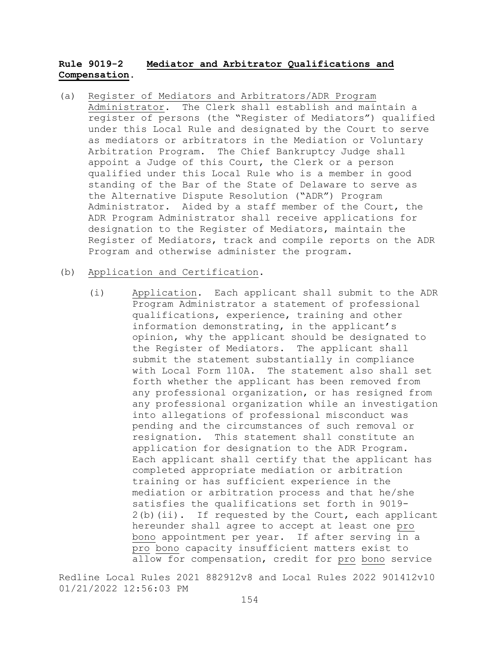# **Rule 9019-2 Mediator and Arbitrator Qualifications and Compensation**.

- (a) Register of Mediators and Arbitrators/ADR Program Administrator. The Clerk shall establish and maintain a register of persons (the "Register of Mediators") qualified under this Local Rule and designated by the Court to serve as mediators or arbitrators in the Mediation or Voluntary Arbitration Program. The Chief Bankruptcy Judge shall appoint a Judge of this Court, the Clerk or a person qualified under this Local Rule who is a member in good standing of the Bar of the State of Delaware to serve as the Alternative Dispute Resolution ("ADR") Program Administrator. Aided by a staff member of the Court, the ADR Program Administrator shall receive applications for designation to the Register of Mediators, maintain the Register of Mediators, track and compile reports on the ADR Program and otherwise administer the program.
- (b) Application and Certification.
	- (i) Application. Each applicant shall submit to the ADR Program Administrator a statement of professional qualifications, experience, training and other information demonstrating, in the applicant's opinion, why the applicant should be designated to the Register of Mediators. The applicant shall submit the statement substantially in compliance with Local Form 110A. The statement also shall set forth whether the applicant has been removed from any professional organization, or has resigned from any professional organization while an investigation into allegations of professional misconduct was pending and the circumstances of such removal or resignation. This statement shall constitute an application for designation to the ADR Program. Each applicant shall certify that the applicant has completed appropriate mediation or arbitration training or has sufficient experience in the mediation or arbitration process and that he/she satisfies the qualifications set forth in 9019- 2(b)(ii). If requested by the Court, each applicant hereunder shall agree to accept at least one pro bono appointment per year. If after serving in a pro bono capacity insufficient matters exist to allow for compensation, credit for pro bono service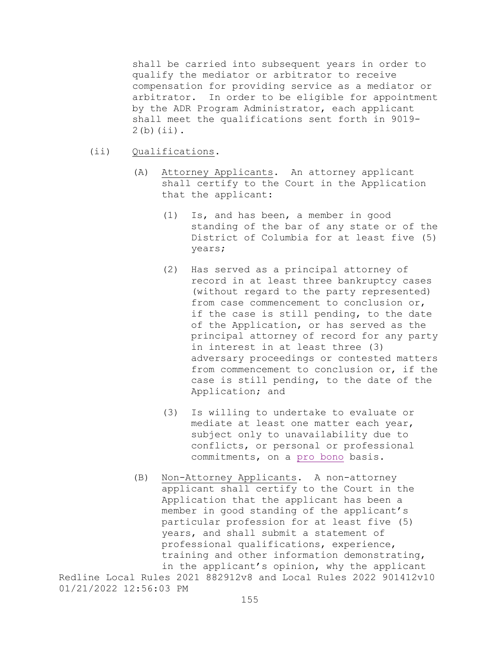shall be carried into subsequent years in order to qualify the mediator or arbitrator to receive compensation for providing service as a mediator or arbitrator. In order to be eligible for appointment by the ADR Program Administrator, each applicant shall meet the qualifications sent forth in 9019-  $2(b)(ii)$ .

- (ii) Qualifications.
	- (A) Attorney Applicants. An attorney applicant shall certify to the Court in the Application that the applicant:
		- (1) Is, and has been, a member in good standing of the bar of any state or of the District of Columbia for at least five (5) years;
		- (2) Has served as a principal attorney of record in at least three bankruptcy cases (without regard to the party represented) from case commencement to conclusion or, if the case is still pending, to the date of the Application, or has served as the principal attorney of record for any party in interest in at least three (3) adversary proceedings or contested matters from commencement to conclusion or, if the case is still pending, to the date of the Application; and
		- (3) Is willing to undertake to evaluate or mediate at least one matter each year, subject only to unavailability due to conflicts, or personal or professional commitments, on a pro bono basis.
	- (B) Non-Attorney Applicants. A non-attorney applicant shall certify to the Court in the Application that the applicant has been a member in good standing of the applicant's particular profession for at least five (5) years, and shall submit a statement of professional qualifications, experience, training and other information demonstrating, in the applicant's opinion, why the applicant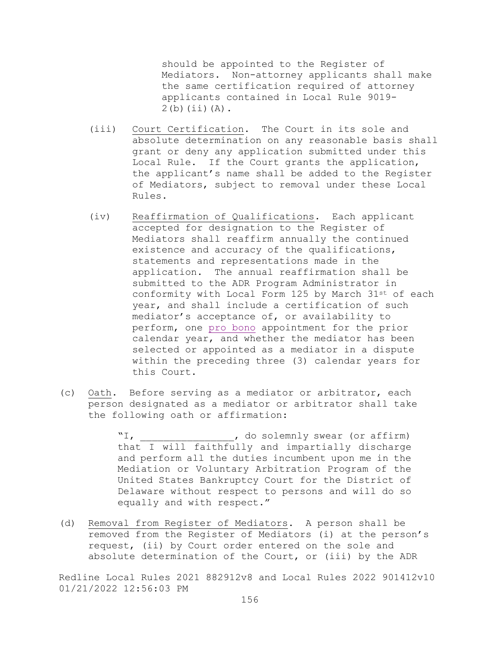should be appointed to the Register of Mediators. Non-attorney applicants shall make the same certification required of attorney applicants contained in Local Rule 9019-  $2(b)(ii)(A).$ 

- (iii) Court Certification. The Court in its sole and absolute determination on any reasonable basis shall grant or deny any application submitted under this Local Rule. If the Court grants the application, the applicant's name shall be added to the Register of Mediators, subject to removal under these Local Rules.
- (iv) Reaffirmation of Qualifications. Each applicant accepted for designation to the Register of Mediators shall reaffirm annually the continued existence and accuracy of the qualifications, statements and representations made in the application. The annual reaffirmation shall be submitted to the ADR Program Administrator in conformity with Local Form 125 by March 31st of each year, and shall include a certification of such mediator's acceptance of, or availability to perform, one pro bono appointment for the prior calendar year, and whether the mediator has been selected or appointed as a mediator in a dispute within the preceding three (3) calendar years for this Court.
- (c) Oath. Before serving as a mediator or arbitrator, each person designated as a mediator or arbitrator shall take the following oath or affirmation:

"I,  $\qquad \qquad$  , do solemnly swear (or affirm) that I will faithfully and impartially discharge and perform all the duties incumbent upon me in the Mediation or Voluntary Arbitration Program of the United States Bankruptcy Court for the District of Delaware without respect to persons and will do so equally and with respect."

(d) Removal from Register of Mediators. A person shall be removed from the Register of Mediators (i) at the person's request, (ii) by Court order entered on the sole and absolute determination of the Court, or (iii) by the ADR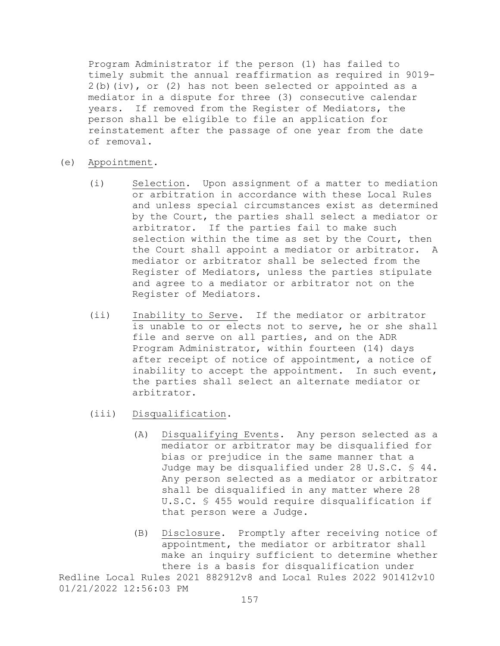Program Administrator if the person (1) has failed to timely submit the annual reaffirmation as required in 9019- 2(b)(iv), or (2) has not been selected or appointed as a mediator in a dispute for three (3) consecutive calendar years. If removed from the Register of Mediators, the person shall be eligible to file an application for reinstatement after the passage of one year from the date of removal.

- (e) Appointment.
	- (i) Selection. Upon assignment of a matter to mediation or arbitration in accordance with these Local Rules and unless special circumstances exist as determined by the Court, the parties shall select a mediator or arbitrator. If the parties fail to make such selection within the time as set by the Court, then the Court shall appoint a mediator or arbitrator. A mediator or arbitrator shall be selected from the Register of Mediators, unless the parties stipulate and agree to a mediator or arbitrator not on the Register of Mediators.
	- (ii) Inability to Serve. If the mediator or arbitrator is unable to or elects not to serve, he or she shall file and serve on all parties, and on the ADR Program Administrator, within fourteen (14) days after receipt of notice of appointment, a notice of inability to accept the appointment. In such event, the parties shall select an alternate mediator or arbitrator.
	- (iii) Disqualification.
		- (A) Disqualifying Events. Any person selected as a mediator or arbitrator may be disqualified for bias or prejudice in the same manner that a Judge may be disqualified under 28 U.S.C. § 44. Any person selected as a mediator or arbitrator shall be disqualified in any matter where 28 U.S.C. § 455 would require disqualification if that person were a Judge.
- Redline Local Rules 2021 882912v8 and Local Rules 2022 901412v10 01/21/2022 12:56:03 PM (B) Disclosure. Promptly after receiving notice of appointment, the mediator or arbitrator shall make an inquiry sufficient to determine whether there is a basis for disqualification under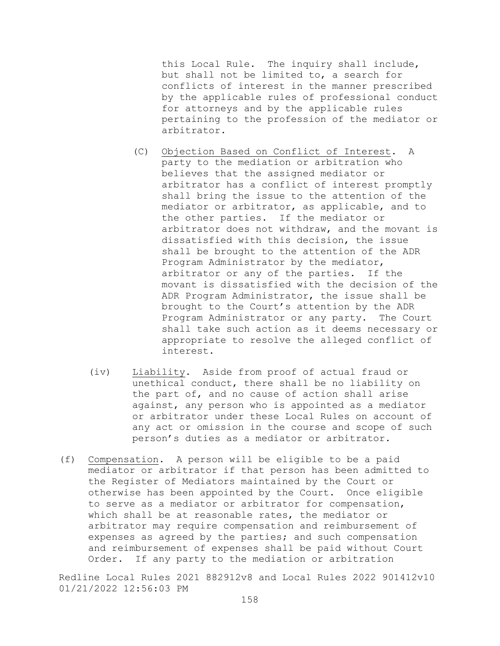this Local Rule. The inquiry shall include, but shall not be limited to, a search for conflicts of interest in the manner prescribed by the applicable rules of professional conduct for attorneys and by the applicable rules pertaining to the profession of the mediator or arbitrator.

- (C) Objection Based on Conflict of Interest. A party to the mediation or arbitration who believes that the assigned mediator or arbitrator has a conflict of interest promptly shall bring the issue to the attention of the mediator or arbitrator, as applicable, and to the other parties. If the mediator or arbitrator does not withdraw, and the movant is dissatisfied with this decision, the issue shall be brought to the attention of the ADR Program Administrator by the mediator, arbitrator or any of the parties. If the movant is dissatisfied with the decision of the ADR Program Administrator, the issue shall be brought to the Court's attention by the ADR Program Administrator or any party. The Court shall take such action as it deems necessary or appropriate to resolve the alleged conflict of interest.
- (iv) Liability. Aside from proof of actual fraud or unethical conduct, there shall be no liability on the part of, and no cause of action shall arise against, any person who is appointed as a mediator or arbitrator under these Local Rules on account of any act or omission in the course and scope of such person's duties as a mediator or arbitrator.
- (f) Compensation. A person will be eligible to be a paid mediator or arbitrator if that person has been admitted to the Register of Mediators maintained by the Court or otherwise has been appointed by the Court. Once eligible to serve as a mediator or arbitrator for compensation, which shall be at reasonable rates, the mediator or arbitrator may require compensation and reimbursement of expenses as agreed by the parties; and such compensation and reimbursement of expenses shall be paid without Court Order. If any party to the mediation or arbitration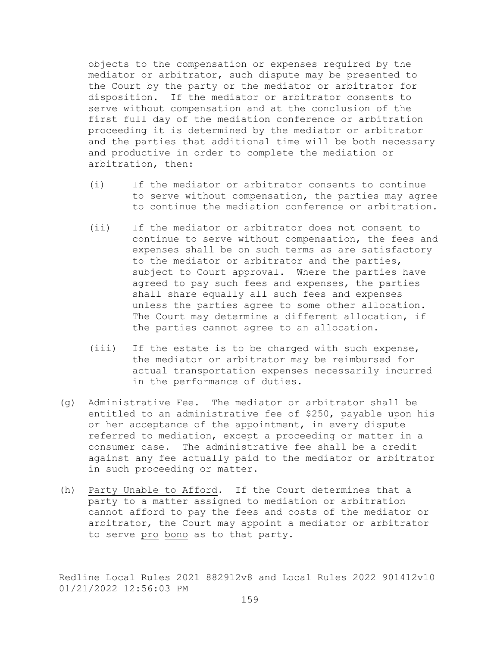objects to the compensation or expenses required by the mediator or arbitrator, such dispute may be presented to the Court by the party or the mediator or arbitrator for disposition. If the mediator or arbitrator consents to serve without compensation and at the conclusion of the first full day of the mediation conference or arbitration proceeding it is determined by the mediator or arbitrator and the parties that additional time will be both necessary and productive in order to complete the mediation or arbitration, then:

- (i) If the mediator or arbitrator consents to continue to serve without compensation, the parties may agree to continue the mediation conference or arbitration.
- (ii) If the mediator or arbitrator does not consent to continue to serve without compensation, the fees and expenses shall be on such terms as are satisfactory to the mediator or arbitrator and the parties, subject to Court approval. Where the parties have agreed to pay such fees and expenses, the parties shall share equally all such fees and expenses unless the parties agree to some other allocation. The Court may determine a different allocation, if the parties cannot agree to an allocation.
- (iii) If the estate is to be charged with such expense, the mediator or arbitrator may be reimbursed for actual transportation expenses necessarily incurred in the performance of duties.
- (g) Administrative Fee. The mediator or arbitrator shall be entitled to an administrative fee of \$250, payable upon his or her acceptance of the appointment, in every dispute referred to mediation, except a proceeding or matter in a consumer case. The administrative fee shall be a credit against any fee actually paid to the mediator or arbitrator in such proceeding or matter.
- (h) Party Unable to Afford. If the Court determines that a party to a matter assigned to mediation or arbitration cannot afford to pay the fees and costs of the mediator or arbitrator, the Court may appoint a mediator or arbitrator to serve pro bono as to that party.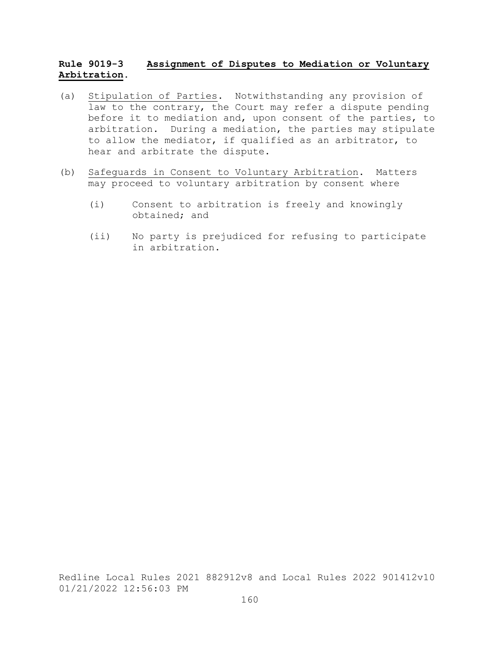# **Rule 9019-3 Assignment of Disputes to Mediation or Voluntary Arbitration**.

- (a) Stipulation of Parties. Notwithstanding any provision of law to the contrary, the Court may refer a dispute pending before it to mediation and, upon consent of the parties, to arbitration. During a mediation, the parties may stipulate to allow the mediator, if qualified as an arbitrator, to hear and arbitrate the dispute.
- (b) Safeguards in Consent to Voluntary Arbitration. Matters may proceed to voluntary arbitration by consent where
	- (i) Consent to arbitration is freely and knowingly obtained; and
	- (ii) No party is prejudiced for refusing to participate in arbitration.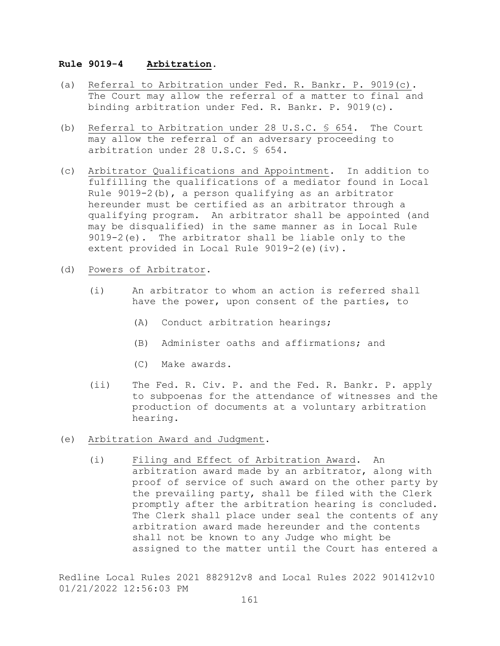## **Rule 9019-4 Arbitration**.

- (a) Referral to Arbitration under Fed. R. Bankr. P. 9019(c). The Court may allow the referral of a matter to final and binding arbitration under Fed. R. Bankr. P. 9019(c).
- (b) Referral to Arbitration under 28 U.S.C. § 654. The Court may allow the referral of an adversary proceeding to arbitration under 28 U.S.C. § 654.
- (c) Arbitrator Qualifications and Appointment. In addition to fulfilling the qualifications of a mediator found in Local Rule  $9019-2(b)$ , a person qualifying as an arbitrator hereunder must be certified as an arbitrator through a qualifying program. An arbitrator shall be appointed (and may be disqualified) in the same manner as in Local Rule 9019-2(e). The arbitrator shall be liable only to the extent provided in Local Rule 9019-2(e)(iv).
- (d) Powers of Arbitrator.
	- (i) An arbitrator to whom an action is referred shall have the power, upon consent of the parties, to
		- (A) Conduct arbitration hearings;
		- (B) Administer oaths and affirmations; and
		- (C) Make awards.
	- (ii) The Fed. R. Civ. P. and the Fed. R. Bankr. P. apply to subpoenas for the attendance of witnesses and the production of documents at a voluntary arbitration hearing.
- (e) Arbitration Award and Judgment.
	- (i) Filing and Effect of Arbitration Award. An arbitration award made by an arbitrator, along with proof of service of such award on the other party by the prevailing party, shall be filed with the Clerk promptly after the arbitration hearing is concluded. The Clerk shall place under seal the contents of any arbitration award made hereunder and the contents shall not be known to any Judge who might be assigned to the matter until the Court has entered a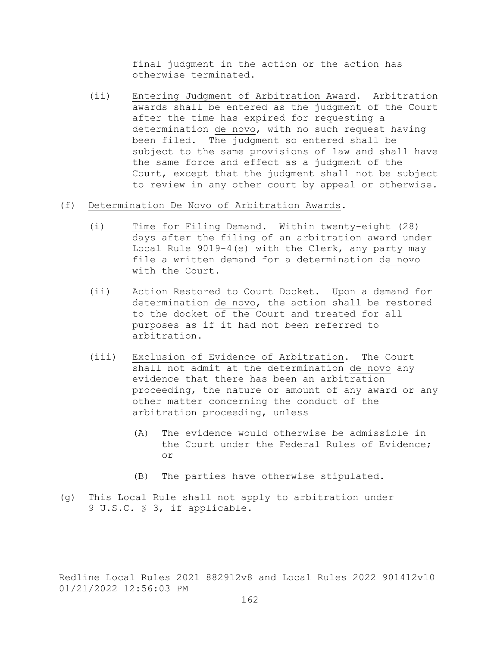final judgment in the action or the action has otherwise terminated.

(ii) Entering Judgment of Arbitration Award. Arbitration awards shall be entered as the judgment of the Court after the time has expired for requesting a determination de novo, with no such request having been filed. The judgment so entered shall be subject to the same provisions of law and shall have the same force and effect as a judgment of the Court, except that the judgment shall not be subject to review in any other court by appeal or otherwise.

### (f) Determination De Novo of Arbitration Awards.

- (i) Time for Filing Demand. Within twenty-eight (28) days after the filing of an arbitration award under Local Rule 9019-4(e) with the Clerk, any party may file a written demand for a determination de novo with the Court.
- (ii) Action Restored to Court Docket. Upon a demand for determination de novo, the action shall be restored to the docket of the Court and treated for all purposes as if it had not been referred to arbitration.
- (iii) Exclusion of Evidence of Arbitration. The Court shall not admit at the determination de novo any evidence that there has been an arbitration proceeding, the nature or amount of any award or any other matter concerning the conduct of the arbitration proceeding, unless
	- (A) The evidence would otherwise be admissible in the Court under the Federal Rules of Evidence; or
	- (B) The parties have otherwise stipulated.
- (g) This Local Rule shall not apply to arbitration under 9 U.S.C. § 3, if applicable.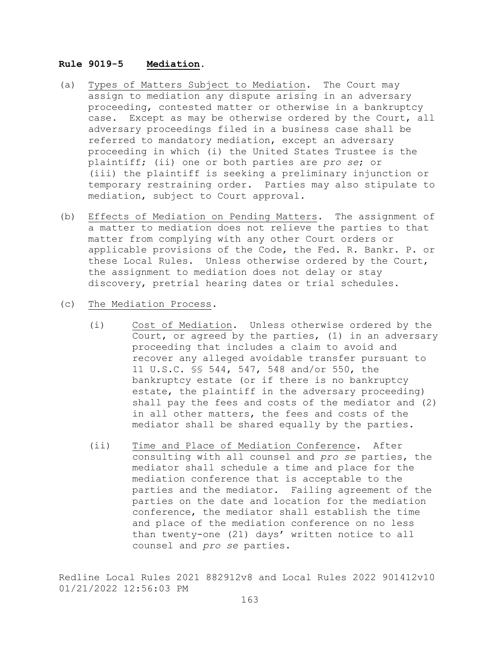### **Rule 9019-5 Mediation**.

- (a) Types of Matters Subject to Mediation. The Court may assign to mediation any dispute arising in an adversary proceeding, contested matter or otherwise in a bankruptcy case. Except as may be otherwise ordered by the Court, all adversary proceedings filed in a business case shall be referred to mandatory mediation, except an adversary proceeding in which (i) the United States Trustee is the plaintiff; (ii) one or both parties are *pro se*; or (iii) the plaintiff is seeking a preliminary injunction or temporary restraining order. Parties may also stipulate to mediation, subject to Court approval.
- (b) Effects of Mediation on Pending Matters. The assignment of a matter to mediation does not relieve the parties to that matter from complying with any other Court orders or applicable provisions of the Code, the Fed. R. Bankr. P. or these Local Rules. Unless otherwise ordered by the Court, the assignment to mediation does not delay or stay discovery, pretrial hearing dates or trial schedules.
- (c) The Mediation Process.
	- (i) Cost of Mediation. Unless otherwise ordered by the Court, or agreed by the parties, (1) in an adversary proceeding that includes a claim to avoid and recover any alleged avoidable transfer pursuant to 11 U.S.C. §§ 544, 547, 548 and/or 550, the bankruptcy estate (or if there is no bankruptcy estate, the plaintiff in the adversary proceeding) shall pay the fees and costs of the mediator and (2) in all other matters, the fees and costs of the mediator shall be shared equally by the parties.
	- (ii) Time and Place of Mediation Conference. After consulting with all counsel and *pro se* parties, the mediator shall schedule a time and place for the mediation conference that is acceptable to the parties and the mediator. Failing agreement of the parties on the date and location for the mediation conference, the mediator shall establish the time and place of the mediation conference on no less than twenty-one (21) days' written notice to all counsel and *pro se* parties.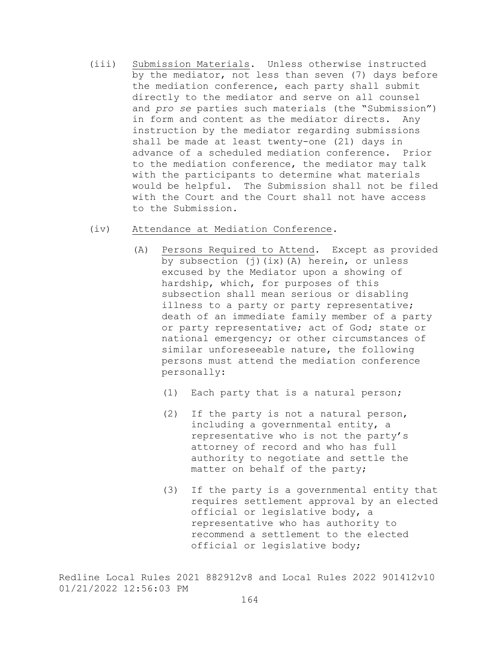- (iii) Submission Materials. Unless otherwise instructed by the mediator, not less than seven (7) days before the mediation conference, each party shall submit directly to the mediator and serve on all counsel and *pro se* parties such materials (the "Submission") in form and content as the mediator directs. Any instruction by the mediator regarding submissions shall be made at least twenty-one (21) days in advance of a scheduled mediation conference. Prior to the mediation conference, the mediator may talk with the participants to determine what materials would be helpful. The Submission shall not be filed with the Court and the Court shall not have access to the Submission.
- (iv) Attendance at Mediation Conference.
	- (A) Persons Required to Attend. Except as provided by subsection  $(j)(ix)(A)$  herein, or unless excused by the Mediator upon a showing of hardship, which, for purposes of this subsection shall mean serious or disabling illness to a party or party representative; death of an immediate family member of a party or party representative; act of God; state or national emergency; or other circumstances of similar unforeseeable nature, the following persons must attend the mediation conference personally:
		- (1) Each party that is a natural person;
		- (2) If the party is not a natural person, including a governmental entity, a representative who is not the party's attorney of record and who has full authority to negotiate and settle the matter on behalf of the party;
		- (3) If the party is a governmental entity that requires settlement approval by an elected official or legislative body, a representative who has authority to recommend a settlement to the elected official or legislative body;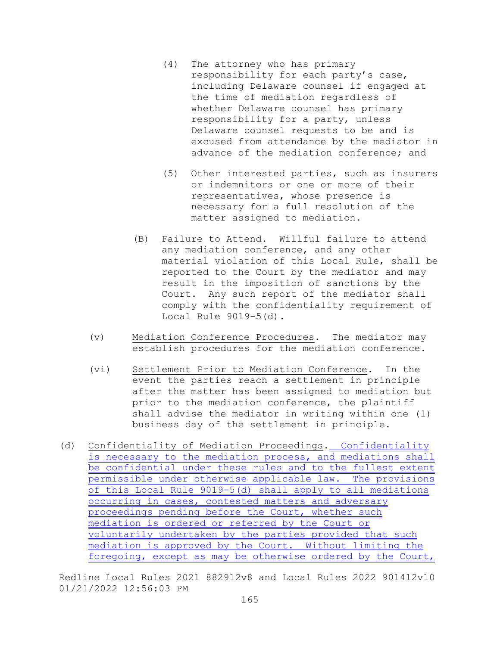- (4) The attorney who has primary responsibility for each party's case, including Delaware counsel if engaged at the time of mediation regardless of whether Delaware counsel has primary responsibility for a party, unless Delaware counsel requests to be and is excused from attendance by the mediator in advance of the mediation conference; and
- (5) Other interested parties, such as insurers or indemnitors or one or more of their representatives, whose presence is necessary for a full resolution of the matter assigned to mediation.
- (B) Failure to Attend. Willful failure to attend any mediation conference, and any other material violation of this Local Rule, shall be reported to the Court by the mediator and may result in the imposition of sanctions by the Court. Any such report of the mediator shall comply with the confidentiality requirement of Local Rule 9019-5(d).
- (v) Mediation Conference Procedures. The mediator may establish procedures for the mediation conference.
- (vi) Settlement Prior to Mediation Conference. In the event the parties reach a settlement in principle after the matter has been assigned to mediation but prior to the mediation conference, the plaintiff shall advise the mediator in writing within one (1) business day of the settlement in principle.
- (d) Confidentiality of Mediation Proceedings. Confidentiality is necessary to the mediation process, and mediations shall be confidential under these rules and to the fullest extent permissible under otherwise applicable law. The provisions of this Local Rule 9019-5(d) shall apply to all mediations occurring in cases, contested matters and adversary proceedings pending before the Court, whether such mediation is ordered or referred by the Court or voluntarily undertaken by the parties provided that such mediation is approved by the Court. Without limiting the foregoing, except as may be otherwise ordered by the Court,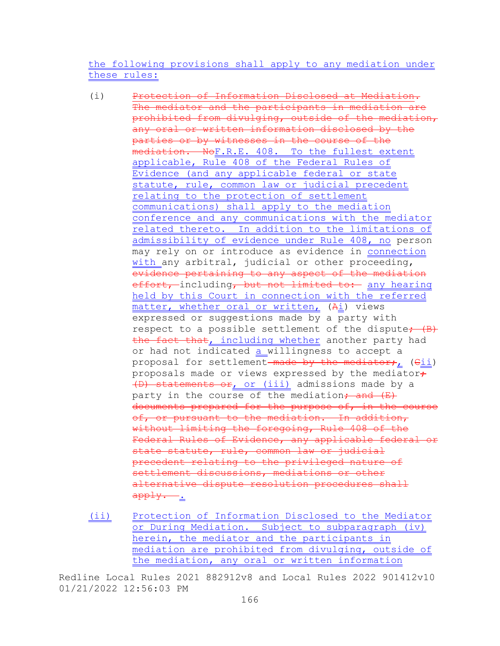# the following provisions shall apply to any mediation under these rules:

- (i) Protection of Information Disclosed at Mediat The mediator and the participants in mediation are prohibited from divulging, outside of the mediation, any oral or written information disclosed by the parties or by witnesses in the course of the mediation. NoF.R.E. 408. To the fullest extent applicable, Rule 408 of the Federal Rules of Evidence (and any applicable federal or state statute, rule, common law or judicial precedent relating to the protection of settlement communications) shall apply to the mediation conference and any communications with the mediator related thereto. In addition to the limitations of admissibility of evidence under Rule 408, no person may rely on or introduce as evidence in connection with any arbitral, judicial or other proceeding, evidence pertaining to any aspect of the mediation effort, including, but not limited to: any hearing held by this Court in connection with the referred matter, whether oral or written, (Ai) views expressed or suggestions made by a party with respect to a possible settlement of the dispute $;$   $(B)$ the fact that, including whether another party had or had not indicated a willingness to accept a proposal for settlement-made by the mediator;  $(E_1 i)$ proposals made or views expressed by the mediator+ (D) statements or, or (iii) admissions made by a party in the course of the mediation<sub></sub> and (E) documents prepared for the purpose of, in the course of, or pursuant to the mediation. In addition, without limiting the foregoing, Rule 408 of the Federal Rules of Evidence, any applicable federal or state statute, rule, common law or judicial precedent relating to the privileged nature of settlement discussions, mediations or other alternative dispute resolution procedures shall  $app1y.$
- (ii) Protection of Information Disclosed to the Mediator or During Mediation. Subject to subparagraph (iv) herein, the mediator and the participants in mediation are prohibited from divulging, outside of the mediation, any oral or written information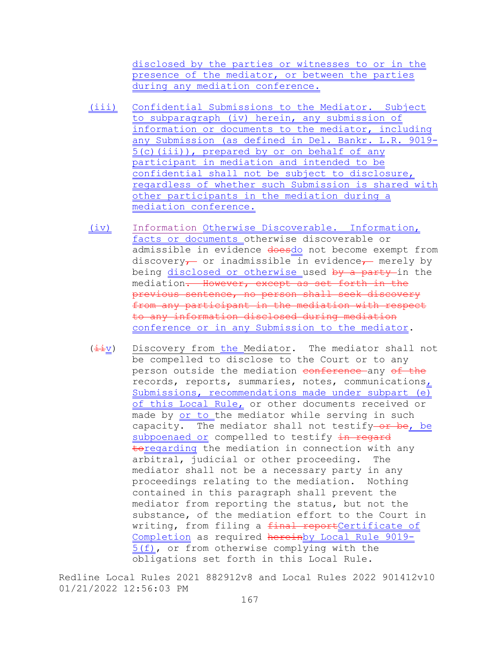disclosed by the parties or witnesses to or in the presence of the mediator, or between the parties during any mediation conference.

- (iii) Confidential Submissions to the Mediator. Subject to subparagraph (iv) herein, any submission of information or documents to the mediator, including any Submission (as defined in Del. Bankr. L.R. 9019- 5(c)(iii)), prepared by or on behalf of any participant in mediation and intended to be confidential shall not be subject to disclosure, regardless of whether such Submission is shared with other participants in the mediation during a mediation conference.
- (iv) Information Otherwise Discoverable. Information, facts or documents otherwise discoverable or admissible in evidence doesdo not become exempt from discovery $\tau$  or inadmissible in evidence $\tau$  merely by being disclosed or otherwise used by a party in the mediation. However, except as set forth in the previous sentence, no person shall seek discovery from any participant in the mediation with respect to any information disclosed during mediation conference or in any Submission to the mediator.
- $(\frac{\pm i}{\sqrt{2}})$  Discovery from the Mediator. The mediator shall not be compelled to disclose to the Court or to any person outside the mediation conference any of the records, reports, summaries, notes, communications, Submissions, recommendations made under subpart (e) of this Local Rule, or other documents received or made by or to the mediator while serving in such capacity. The mediator shall not testify-or be, be subpoenaed or compelled to testify in regard toregarding the mediation in connection with any arbitral, judicial or other proceeding. The mediator shall not be a necessary party in any proceedings relating to the mediation. Nothing contained in this paragraph shall prevent the mediator from reporting the status, but not the substance, of the mediation effort to the Court in writing, from filing a final reportCertificate of Completion as required hereinby Local Rule 9019- 5(f), or from otherwise complying with the obligations set forth in this Local Rule.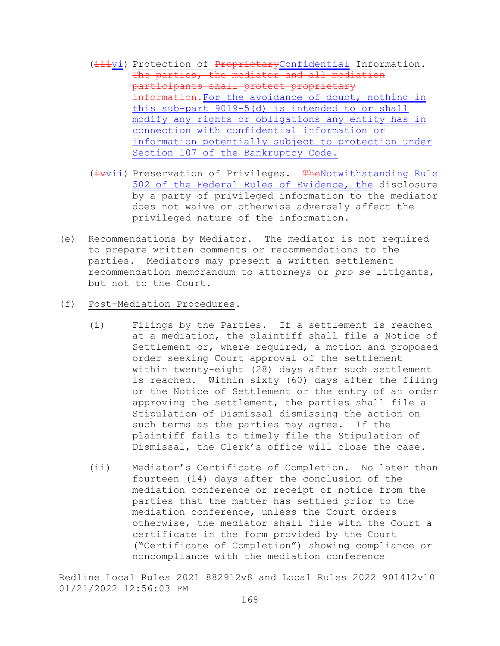- (iiivi) Protection of ProprietaryConfidential Information. The parties, the mediator and all mediation participants shall protect proprietary information. For the avoidance of doubt, nothing in this sub-part 9019-5(d) is intended to or shall modify any rights or obligations any entity has in connection with confidential information or information potentially subject to protection under Section 107 of the Bankruptcy Code.
- (ivvii) Preservation of Privileges. TheNotwithstanding Rule 502 of the Federal Rules of Evidence, the disclosure by a party of privileged information to the mediator does not waive or otherwise adversely affect the privileged nature of the information.
- (e) Recommendations by Mediator. The mediator is not required to prepare written comments or recommendations to the parties. Mediators may present a written settlement recommendation memorandum to attorneys or *pro se* litigants, but not to the Court.
- (f) Post-Mediation Procedures.
	- (i) Filings by the Parties. If a settlement is reached at a mediation, the plaintiff shall file a Notice of Settlement or, where required, a motion and proposed order seeking Court approval of the settlement within twenty-eight (28) days after such settlement is reached. Within sixty (60) days after the filing or the Notice of Settlement or the entry of an order approving the settlement, the parties shall file a Stipulation of Dismissal dismissing the action on such terms as the parties may agree. If the plaintiff fails to timely file the Stipulation of Dismissal, the Clerk's office will close the case.
	- (ii) Mediator's Certificate of Completion. No later than fourteen (14) days after the conclusion of the mediation conference or receipt of notice from the parties that the matter has settled prior to the mediation conference, unless the Court orders otherwise, the mediator shall file with the Court a certificate in the form provided by the Court ("Certificate of Completion") showing compliance or noncompliance with the mediation conference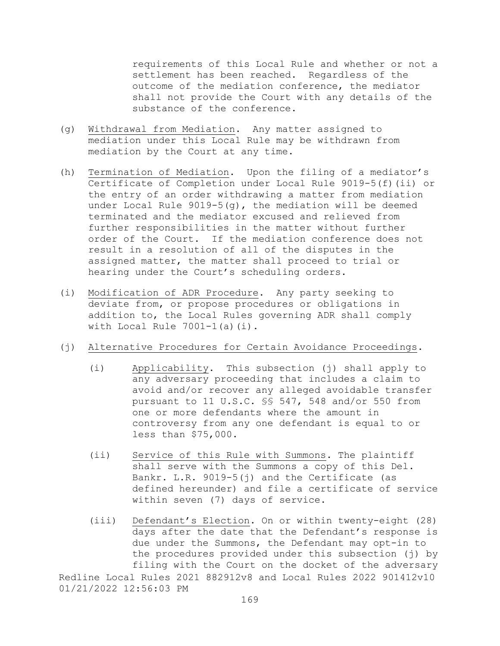requirements of this Local Rule and whether or not a settlement has been reached. Regardless of the outcome of the mediation conference, the mediator shall not provide the Court with any details of the substance of the conference.

- (g) Withdrawal from Mediation. Any matter assigned to mediation under this Local Rule may be withdrawn from mediation by the Court at any time.
- (h) Termination of Mediation. Upon the filing of a mediator's Certificate of Completion under Local Rule 9019-5(f)(ii) or the entry of an order withdrawing a matter from mediation under Local Rule 9019-5(g), the mediation will be deemed terminated and the mediator excused and relieved from further responsibilities in the matter without further order of the Court. If the mediation conference does not result in a resolution of all of the disputes in the assigned matter, the matter shall proceed to trial or hearing under the Court's scheduling orders.
- (i) Modification of ADR Procedure. Any party seeking to deviate from, or propose procedures or obligations in addition to, the Local Rules governing ADR shall comply with Local Rule  $7001-1$  (a) (i).
- (j) Alternative Procedures for Certain Avoidance Proceedings.
	- (i) Applicability. This subsection (j) shall apply to any adversary proceeding that includes a claim to avoid and/or recover any alleged avoidable transfer pursuant to 11 U.S.C. §§ 547, 548 and/or 550 from one or more defendants where the amount in controversy from any one defendant is equal to or less than \$75,000.
	- (ii) Service of this Rule with Summons. The plaintiff shall serve with the Summons a copy of this Del. Bankr. L.R. 9019-5(j) and the Certificate (as defined hereunder) and file a certificate of service within seven (7) days of service.
- Redline Local Rules 2021 882912v8 and Local Rules 2022 901412v10 (iii) Defendant's Election. On or within twenty-eight (28) days after the date that the Defendant's response is due under the Summons, the Defendant may opt-in to the procedures provided under this subsection (j) by filing with the Court on the docket of the adversary

01/21/2022 12:56:03 PM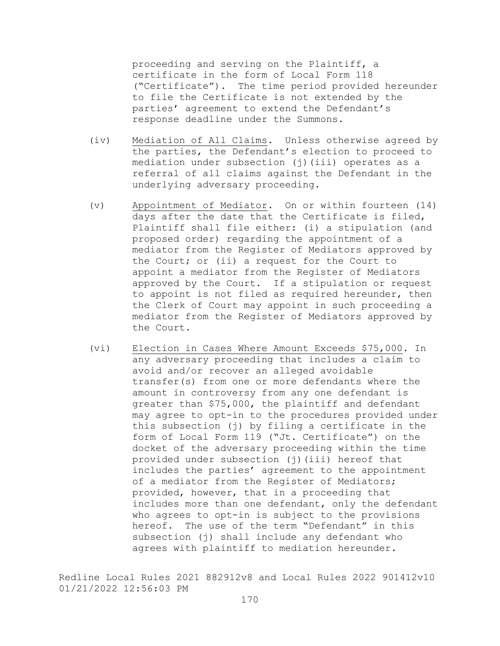proceeding and serving on the Plaintiff, a certificate in the form of Local Form 118 ("Certificate"). The time period provided hereunder to file the Certificate is not extended by the parties' agreement to extend the Defendant's response deadline under the Summons.

- (iv) Mediation of All Claims. Unless otherwise agreed by the parties, the Defendant's election to proceed to mediation under subsection (j)(iii) operates as a referral of all claims against the Defendant in the underlying adversary proceeding.
- (v) Appointment of Mediator. On or within fourteen (14) days after the date that the Certificate is filed, Plaintiff shall file either: (i) a stipulation (and proposed order) regarding the appointment of a mediator from the Register of Mediators approved by the Court; or (ii) a request for the Court to appoint a mediator from the Register of Mediators approved by the Court. If a stipulation or request to appoint is not filed as required hereunder, then the Clerk of Court may appoint in such proceeding a mediator from the Register of Mediators approved by the Court.
- (vi) Election in Cases Where Amount Exceeds \$75,000. In any adversary proceeding that includes a claim to avoid and/or recover an alleged avoidable transfer(s) from one or more defendants where the amount in controversy from any one defendant is greater than \$75,000, the plaintiff and defendant may agree to opt-in to the procedures provided under this subsection (j) by filing a certificate in the form of Local Form 119 ("Jt. Certificate") on the docket of the adversary proceeding within the time provided under subsection (j) (iii) hereof that includes the parties' agreement to the appointment of a mediator from the Register of Mediators; provided, however, that in a proceeding that includes more than one defendant, only the defendant who agrees to opt-in is subject to the provisions hereof. The use of the term "Defendant" in this subsection (j) shall include any defendant who agrees with plaintiff to mediation hereunder.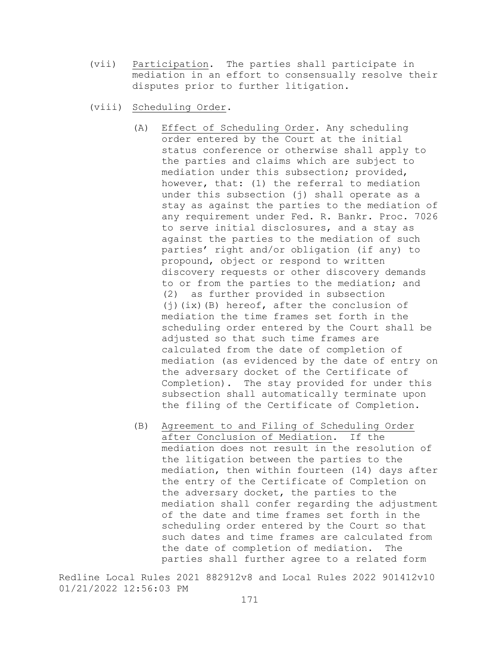- (vii) Participation. The parties shall participate in mediation in an effort to consensually resolve their disputes prior to further litigation.
- (viii) Scheduling Order.
	- (A) Effect of Scheduling Order. Any scheduling order entered by the Court at the initial status conference or otherwise shall apply to the parties and claims which are subject to mediation under this subsection; provided, however, that: (1) the referral to mediation under this subsection (j) shall operate as a stay as against the parties to the mediation of any requirement under Fed. R. Bankr. Proc. 7026 to serve initial disclosures, and a stay as against the parties to the mediation of such parties' right and/or obligation (if any) to propound, object or respond to written discovery requests or other discovery demands to or from the parties to the mediation; and (2) as further provided in subsection (j)(ix)(B) hereof, after the conclusion of mediation the time frames set forth in the scheduling order entered by the Court shall be adjusted so that such time frames are calculated from the date of completion of mediation (as evidenced by the date of entry on the adversary docket of the Certificate of Completion). The stay provided for under this subsection shall automatically terminate upon the filing of the Certificate of Completion.
	- (B) Agreement to and Filing of Scheduling Order after Conclusion of Mediation. If the mediation does not result in the resolution of the litigation between the parties to the mediation, then within fourteen (14) days after the entry of the Certificate of Completion on the adversary docket, the parties to the mediation shall confer regarding the adjustment of the date and time frames set forth in the scheduling order entered by the Court so that such dates and time frames are calculated from the date of completion of mediation. The parties shall further agree to a related form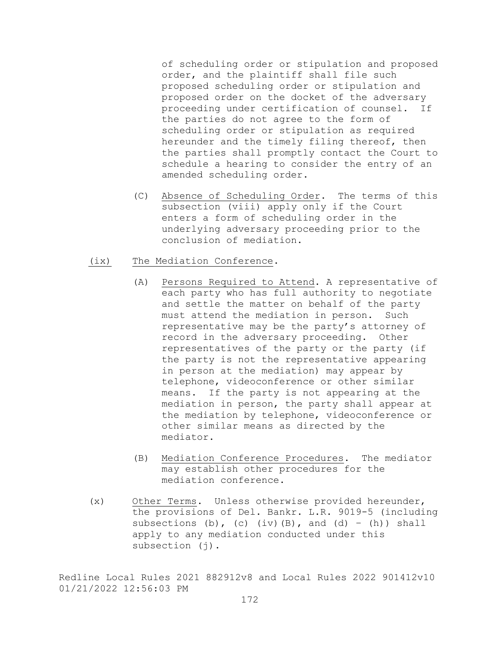of scheduling order or stipulation and proposed order, and the plaintiff shall file such proposed scheduling order or stipulation and proposed order on the docket of the adversary proceeding under certification of counsel. If the parties do not agree to the form of scheduling order or stipulation as required hereunder and the timely filing thereof, then the parties shall promptly contact the Court to schedule a hearing to consider the entry of an amended scheduling order.

(C) Absence of Scheduling Order. The terms of this subsection (viii) apply only if the Court enters a form of scheduling order in the underlying adversary proceeding prior to the conclusion of mediation.

### (ix) The Mediation Conference.

- (A) Persons Required to Attend. A representative of each party who has full authority to negotiate and settle the matter on behalf of the party must attend the mediation in person. Such representative may be the party's attorney of record in the adversary proceeding. Other representatives of the party or the party (if the party is not the representative appearing in person at the mediation) may appear by telephone, videoconference or other similar means. If the party is not appearing at the mediation in person, the party shall appear at the mediation by telephone, videoconference or other similar means as directed by the mediator.
- (B) Mediation Conference Procedures. The mediator may establish other procedures for the mediation conference.
- (x) Other Terms. Unless otherwise provided hereunder, the provisions of Del. Bankr. L.R. 9019-5 (including subsections (b), (c) (iv)(B), and (d) - (h)) shall apply to any mediation conducted under this subsection (j).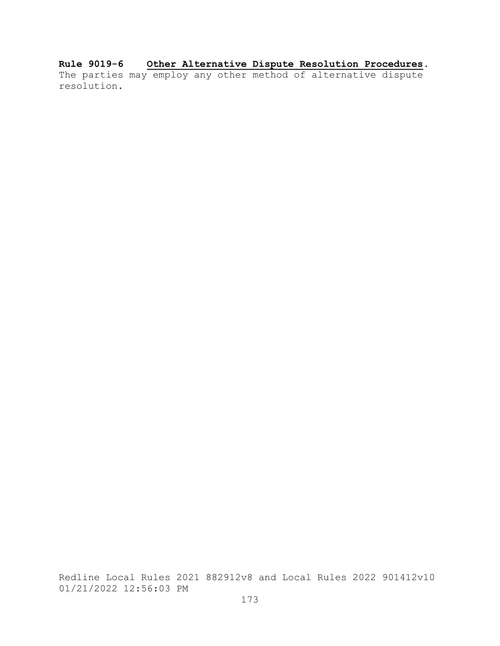**Rule 9019-6 Other Alternative Dispute Resolution Procedures**. The parties may employ any other method of alternative dispute resolution.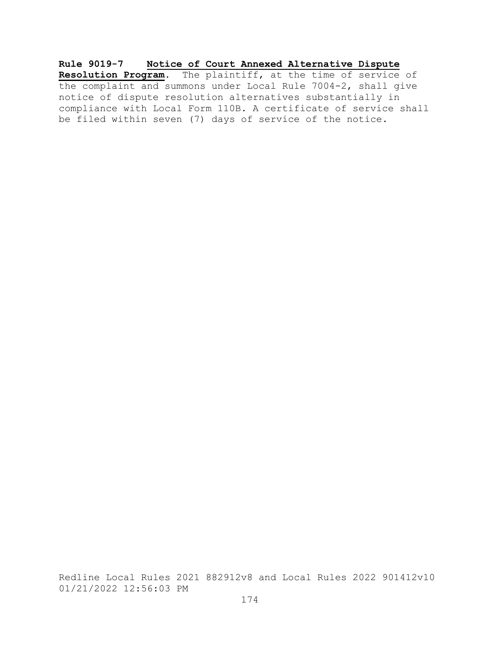**Rule 9019-7 Notice of Court Annexed Alternative Dispute Resolution Program**. The plaintiff, at the time of service of the complaint and summons under Local Rule 7004-2, shall give notice of dispute resolution alternatives substantially in compliance with Local Form 110B. A certificate of service shall be filed within seven (7) days of service of the notice.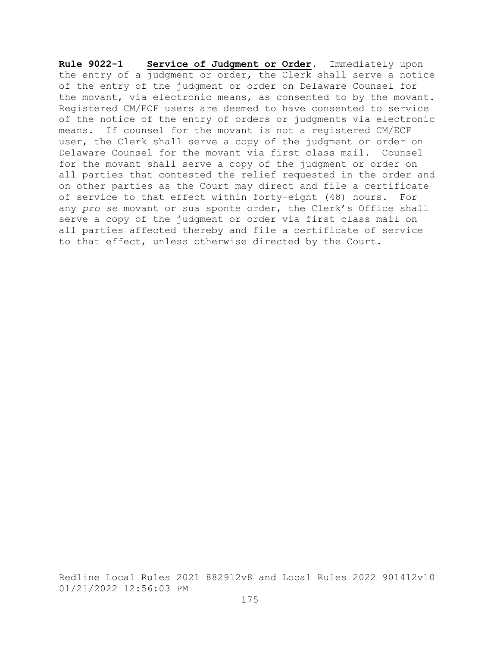**Rule 9022-1 Service of Judgment or Order**. Immediately upon the entry of a judgment or order, the Clerk shall serve a notice of the entry of the judgment or order on Delaware Counsel for the movant, via electronic means, as consented to by the movant. Registered CM/ECF users are deemed to have consented to service of the notice of the entry of orders or judgments via electronic means. If counsel for the movant is not a registered CM/ECF user, the Clerk shall serve a copy of the judgment or order on Delaware Counsel for the movant via first class mail. Counsel for the movant shall serve a copy of the judgment or order on all parties that contested the relief requested in the order and on other parties as the Court may direct and file a certificate of service to that effect within forty-eight (48) hours. For any *pro se* movant or sua sponte order, the Clerk's Office shall serve a copy of the judgment or order via first class mail on all parties affected thereby and file a certificate of service to that effect, unless otherwise directed by the Court.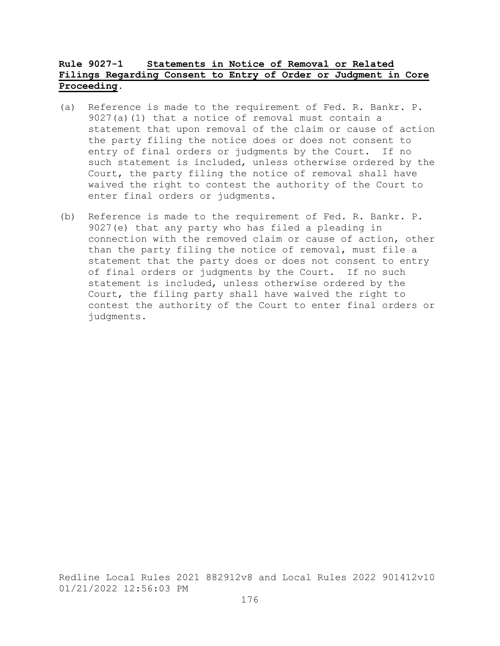# **Rule 9027-1 Statements in Notice of Removal or Related Filings Regarding Consent to Entry of Order or Judgment in Core Proceeding**.

- (a) Reference is made to the requirement of Fed. R. Bankr. P. 9027(a)(1) that a notice of removal must contain a statement that upon removal of the claim or cause of action the party filing the notice does or does not consent to entry of final orders or judgments by the Court. If no such statement is included, unless otherwise ordered by the Court, the party filing the notice of removal shall have waived the right to contest the authority of the Court to enter final orders or judgments.
- (b) Reference is made to the requirement of Fed. R. Bankr. P. 9027(e) that any party who has filed a pleading in connection with the removed claim or cause of action, other than the party filing the notice of removal, must file a statement that the party does or does not consent to entry of final orders or judgments by the Court. If no such statement is included, unless otherwise ordered by the Court, the filing party shall have waived the right to contest the authority of the Court to enter final orders or judgments.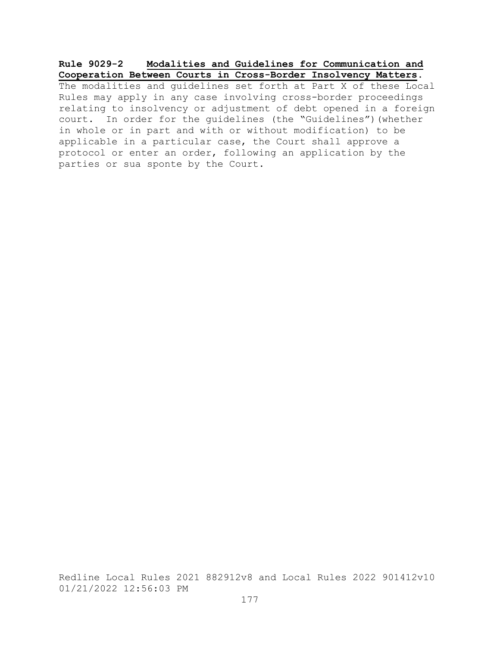# **Rule 9029-2 Modalities and Guidelines for Communication and Cooperation Between Courts in Cross-Border Insolvency Matters**.

The modalities and guidelines set forth at Part X of these Local Rules may apply in any case involving cross-border proceedings relating to insolvency or adjustment of debt opened in a foreign court. In order for the guidelines (the "Guidelines")(whether in whole or in part and with or without modification) to be applicable in a particular case, the Court shall approve a protocol or enter an order, following an application by the parties or sua sponte by the Court.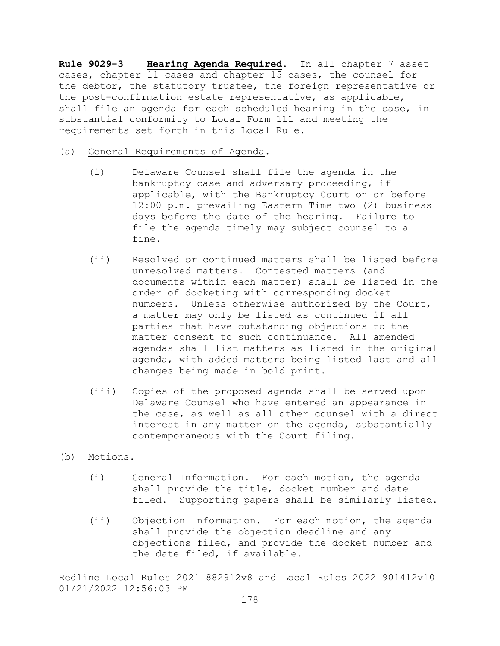**Rule 9029-3 Hearing Agenda Required**. In all chapter 7 asset cases, chapter 11 cases and chapter 15 cases, the counsel for the debtor, the statutory trustee, the foreign representative or the post-confirmation estate representative, as applicable, shall file an agenda for each scheduled hearing in the case, in substantial conformity to Local Form 111 and meeting the requirements set forth in this Local Rule.

- (a) General Requirements of Agenda.
	- (i) Delaware Counsel shall file the agenda in the bankruptcy case and adversary proceeding, if applicable, with the Bankruptcy Court on or before 12:00 p.m. prevailing Eastern Time two (2) business days before the date of the hearing. Failure to file the agenda timely may subject counsel to a fine.
	- (ii) Resolved or continued matters shall be listed before unresolved matters. Contested matters (and documents within each matter) shall be listed in the order of docketing with corresponding docket numbers. Unless otherwise authorized by the Court, a matter may only be listed as continued if all parties that have outstanding objections to the matter consent to such continuance. All amended agendas shall list matters as listed in the original agenda, with added matters being listed last and all changes being made in bold print.
	- (iii) Copies of the proposed agenda shall be served upon Delaware Counsel who have entered an appearance in the case, as well as all other counsel with a direct interest in any matter on the agenda, substantially contemporaneous with the Court filing.
- (b) Motions.
	- (i) General Information. For each motion, the agenda shall provide the title, docket number and date filed. Supporting papers shall be similarly listed.
	- (ii) Objection Information. For each motion, the agenda shall provide the objection deadline and any objections filed, and provide the docket number and the date filed, if available.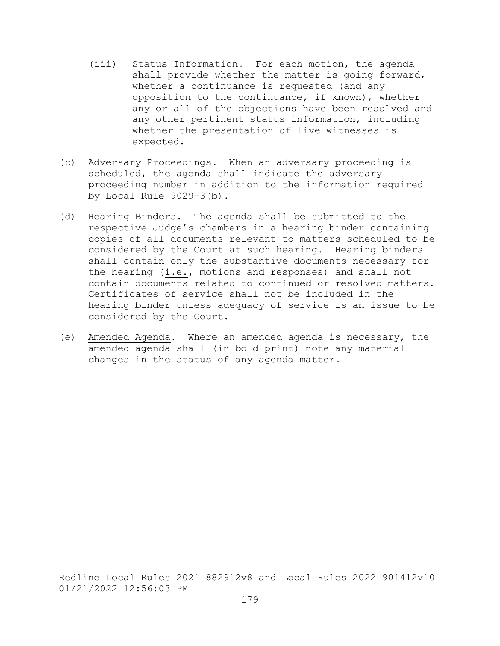- (iii) Status Information. For each motion, the agenda shall provide whether the matter is going forward, whether a continuance is requested (and any opposition to the continuance, if known), whether any or all of the objections have been resolved and any other pertinent status information, including whether the presentation of live witnesses is expected.
- (c) Adversary Proceedings. When an adversary proceeding is scheduled, the agenda shall indicate the adversary proceeding number in addition to the information required by Local Rule 9029-3(b).
- (d) Hearing Binders. The agenda shall be submitted to the respective Judge's chambers in a hearing binder containing copies of all documents relevant to matters scheduled to be considered by the Court at such hearing. Hearing binders shall contain only the substantive documents necessary for the hearing (i.e., motions and responses) and shall not contain documents related to continued or resolved matters. Certificates of service shall not be included in the hearing binder unless adequacy of service is an issue to be considered by the Court.
- (e) Amended Agenda. Where an amended agenda is necessary, the amended agenda shall (in bold print) note any material changes in the status of any agenda matter.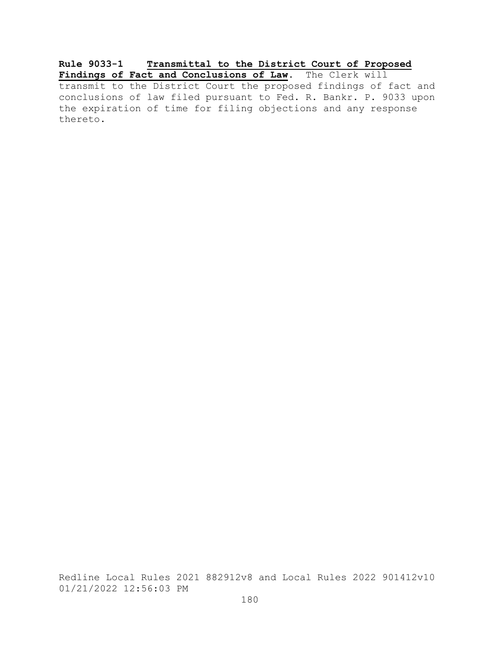# **Rule 9033-1 Transmittal to the District Court of Proposed Findings of Fact and Conclusions of Law**. The Clerk will

transmit to the District Court the proposed findings of fact and conclusions of law filed pursuant to Fed. R. Bankr. P. 9033 upon the expiration of time for filing objections and any response thereto.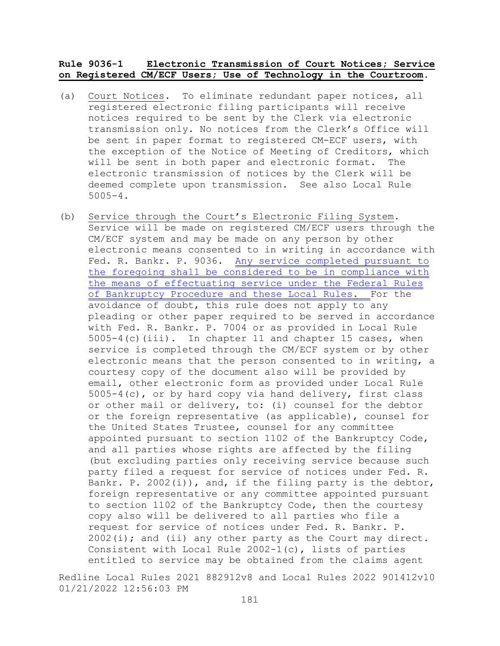# **Rule 9036-1 Electronic Transmission of Court Notices; Service on Registered CM/ECF Users; Use of Technology in the Courtroom**.

- (a) Court Notices. To eliminate redundant paper notices, all registered electronic filing participants will receive notices required to be sent by the Clerk via electronic transmission only. No notices from the Clerk's Office will be sent in paper format to registered CM-ECF users, with the exception of the Notice of Meeting of Creditors, which will be sent in both paper and electronic format. The electronic transmission of notices by the Clerk will be deemed complete upon transmission. See also Local Rule 5005-4.
- (b) Service through the Court's Electronic Filing System. Service will be made on registered CM/ECF users through the CM/ECF system and may be made on any person by other electronic means consented to in writing in accordance with Fed. R. Bankr. P. 9036. Any service completed pursuant to the foregoing shall be considered to be in compliance with the means of effectuating service under the Federal Rules of Bankruptcy Procedure and these Local Rules. For the avoidance of doubt, this rule does not apply to any pleading or other paper required to be served in accordance with Fed. R. Bankr. P. 7004 or as provided in Local Rule 5005-4(c)(iii). In chapter 11 and chapter 15 cases, when service is completed through the CM/ECF system or by other electronic means that the person consented to in writing, a courtesy copy of the document also will be provided by email, other electronic form as provided under Local Rule 5005-4(c), or by hard copy via hand delivery, first class or other mail or delivery, to: (i) counsel for the debtor or the foreign representative (as applicable), counsel for the United States Trustee, counsel for any committee appointed pursuant to section 1102 of the Bankruptcy Code, and all parties whose rights are affected by the filing (but excluding parties only receiving service because such party filed a request for service of notices under Fed. R. Bankr. P. 2002(i)), and, if the filing party is the debtor, foreign representative or any committee appointed pursuant to section 1102 of the Bankruptcy Code, then the courtesy copy also will be delivered to all parties who file a request for service of notices under Fed. R. Bankr. P. 2002(i); and (ii) any other party as the Court may direct. Consistent with Local Rule 2002-1(c), lists of parties entitled to service may be obtained from the claims agent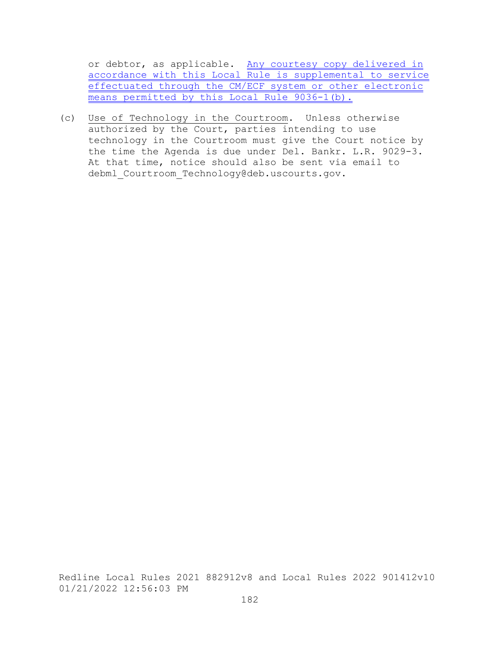or debtor, as applicable. Any courtesy copy delivered in accordance with this Local Rule is supplemental to service effectuated through the CM/ECF system or other electronic means permitted by this Local Rule 9036-1(b).

(c) Use of Technology in the Courtroom. Unless otherwise authorized by the Court, parties intending to use technology in the Courtroom must give the Court notice by the time the Agenda is due under Del. Bankr. L.R. 9029-3. At that time, notice should also be sent via email to debml Courtroom Technology@deb.uscourts.gov.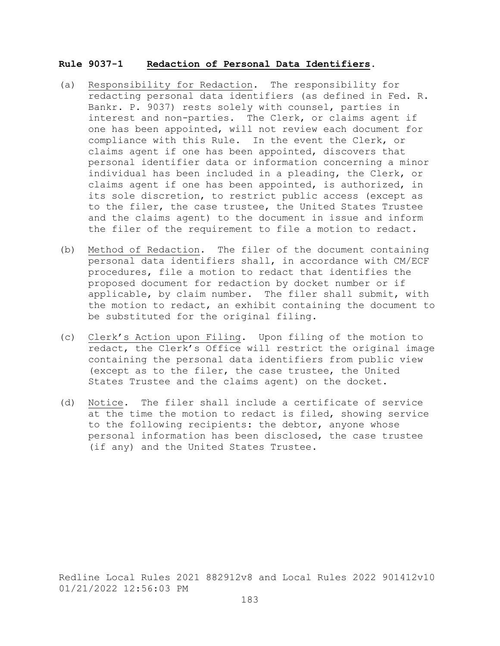#### **Rule 9037-1 Redaction of Personal Data Identifiers**.

- (a) Responsibility for Redaction. The responsibility for redacting personal data identifiers (as defined in Fed. R. Bankr. P. 9037) rests solely with counsel, parties in interest and non-parties. The Clerk, or claims agent if one has been appointed, will not review each document for compliance with this Rule. In the event the Clerk, or claims agent if one has been appointed, discovers that personal identifier data or information concerning a minor individual has been included in a pleading, the Clerk, or claims agent if one has been appointed, is authorized, in its sole discretion, to restrict public access (except as to the filer, the case trustee, the United States Trustee and the claims agent) to the document in issue and inform the filer of the requirement to file a motion to redact.
- (b) Method of Redaction. The filer of the document containing personal data identifiers shall, in accordance with CM/ECF procedures, file a motion to redact that identifies the proposed document for redaction by docket number or if applicable, by claim number. The filer shall submit, with the motion to redact, an exhibit containing the document to be substituted for the original filing.
- (c) Clerk's Action upon Filing. Upon filing of the motion to redact, the Clerk's Office will restrict the original image containing the personal data identifiers from public view (except as to the filer, the case trustee, the United States Trustee and the claims agent) on the docket.
- (d) Notice. The filer shall include a certificate of service at the time the motion to redact is filed, showing service to the following recipients: the debtor, anyone whose personal information has been disclosed, the case trustee (if any) and the United States Trustee.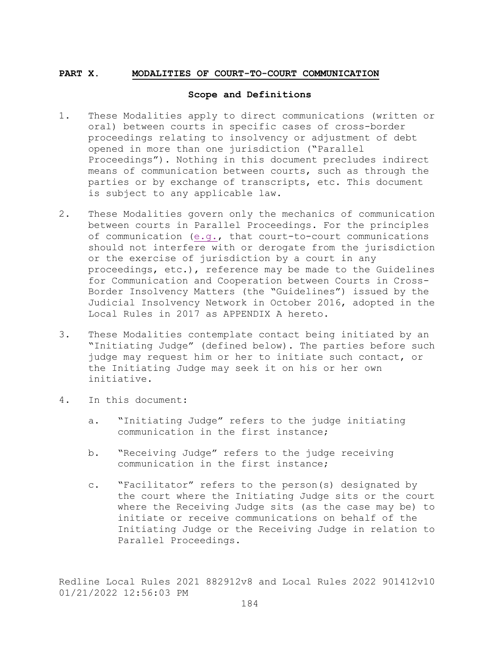## **PART X. MODALITIES OF COURT-TO-COURT COMMUNICATION**

### **Scope and Definitions**

- 1. These Modalities apply to direct communications (written or oral) between courts in specific cases of cross-border proceedings relating to insolvency or adjustment of debt opened in more than one jurisdiction ("Parallel Proceedings"). Nothing in this document precludes indirect means of communication between courts, such as through the parties or by exchange of transcripts, etc. This document is subject to any applicable law.
- 2. These Modalities govern only the mechanics of communication between courts in Parallel Proceedings. For the principles of communication (e.g., that court-to-court communications should not interfere with or derogate from the jurisdiction or the exercise of jurisdiction by a court in any proceedings, etc.), reference may be made to the Guidelines for Communication and Cooperation between Courts in Cross-Border Insolvency Matters (the "Guidelines") issued by the Judicial Insolvency Network in October 2016, adopted in the Local Rules in 2017 as APPENDIX A hereto.
- 3. These Modalities contemplate contact being initiated by an "Initiating Judge" (defined below). The parties before such judge may request him or her to initiate such contact, or the Initiating Judge may seek it on his or her own initiative.
- 4. In this document:
	- a. "Initiating Judge" refers to the judge initiating communication in the first instance;
	- b. "Receiving Judge" refers to the judge receiving communication in the first instance;
	- c. "Facilitator" refers to the person(s) designated by the court where the Initiating Judge sits or the court where the Receiving Judge sits (as the case may be) to initiate or receive communications on behalf of the Initiating Judge or the Receiving Judge in relation to Parallel Proceedings.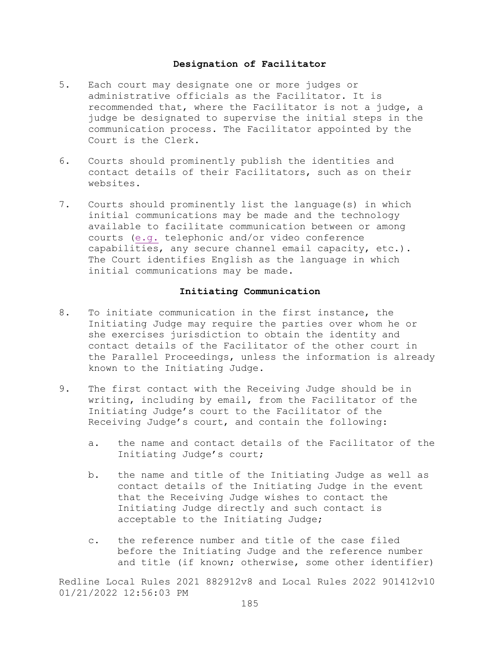#### **Designation of Facilitator**

- 5. Each court may designate one or more judges or administrative officials as the Facilitator. It is recommended that, where the Facilitator is not a judge, a judge be designated to supervise the initial steps in the communication process. The Facilitator appointed by the Court is the Clerk.
- 6. Courts should prominently publish the identities and contact details of their Facilitators, such as on their websites.
- 7. Courts should prominently list the language(s) in which initial communications may be made and the technology available to facilitate communication between or among courts (e.g. telephonic and/or video conference capabilities, any secure channel email capacity, etc.). The Court identifies English as the language in which initial communications may be made.

# **Initiating Communication**

- 8. To initiate communication in the first instance, the Initiating Judge may require the parties over whom he or she exercises jurisdiction to obtain the identity and contact details of the Facilitator of the other court in the Parallel Proceedings, unless the information is already known to the Initiating Judge.
- 9. The first contact with the Receiving Judge should be in writing, including by email, from the Facilitator of the Initiating Judge's court to the Facilitator of the Receiving Judge's court, and contain the following:
	- a. the name and contact details of the Facilitator of the Initiating Judge's court;
	- b. the name and title of the Initiating Judge as well as contact details of the Initiating Judge in the event that the Receiving Judge wishes to contact the Initiating Judge directly and such contact is acceptable to the Initiating Judge;
	- c. the reference number and title of the case filed before the Initiating Judge and the reference number and title (if known; otherwise, some other identifier)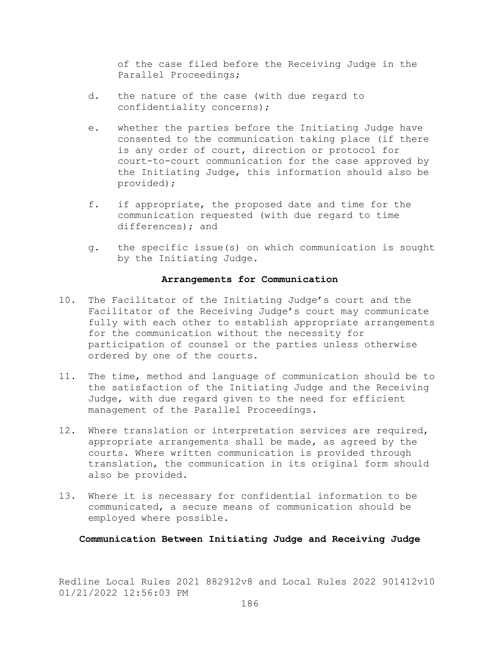of the case filed before the Receiving Judge in the Parallel Proceedings;

- d. the nature of the case (with due regard to confidentiality concerns);
- e. whether the parties before the Initiating Judge have consented to the communication taking place (if there is any order of court, direction or protocol for court-to-court communication for the case approved by the Initiating Judge, this information should also be provided);
- f. if appropriate, the proposed date and time for the communication requested (with due regard to time differences); and
- g. the specific issue(s) on which communication is sought by the Initiating Judge.

## **Arrangements for Communication**

- 10. The Facilitator of the Initiating Judge's court and the Facilitator of the Receiving Judge's court may communicate fully with each other to establish appropriate arrangements for the communication without the necessity for participation of counsel or the parties unless otherwise ordered by one of the courts.
- 11. The time, method and language of communication should be to the satisfaction of the Initiating Judge and the Receiving Judge, with due regard given to the need for efficient management of the Parallel Proceedings.
- 12. Where translation or interpretation services are required, appropriate arrangements shall be made, as agreed by the courts. Where written communication is provided through translation, the communication in its original form should also be provided.
- 13. Where it is necessary for confidential information to be communicated, a secure means of communication should be employed where possible.

**Communication Between Initiating Judge and Receiving Judge**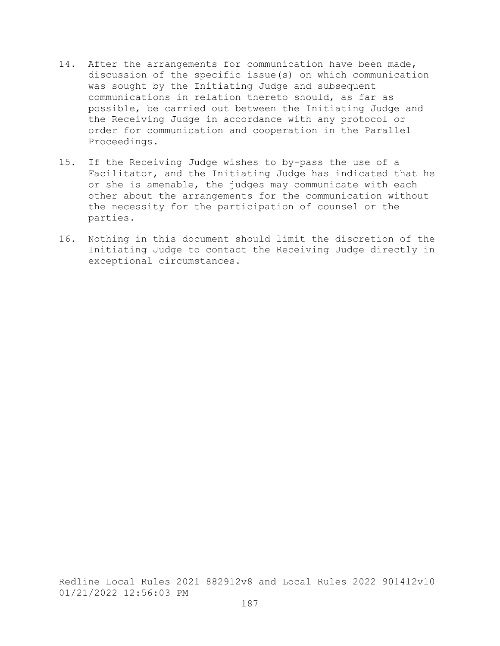- 14. After the arrangements for communication have been made, discussion of the specific issue(s) on which communication was sought by the Initiating Judge and subsequent communications in relation thereto should, as far as possible, be carried out between the Initiating Judge and the Receiving Judge in accordance with any protocol or order for communication and cooperation in the Parallel Proceedings.
- 15. If the Receiving Judge wishes to by-pass the use of a Facilitator, and the Initiating Judge has indicated that he or she is amenable, the judges may communicate with each other about the arrangements for the communication without the necessity for the participation of counsel or the parties.
- 16. Nothing in this document should limit the discretion of the Initiating Judge to contact the Receiving Judge directly in exceptional circumstances.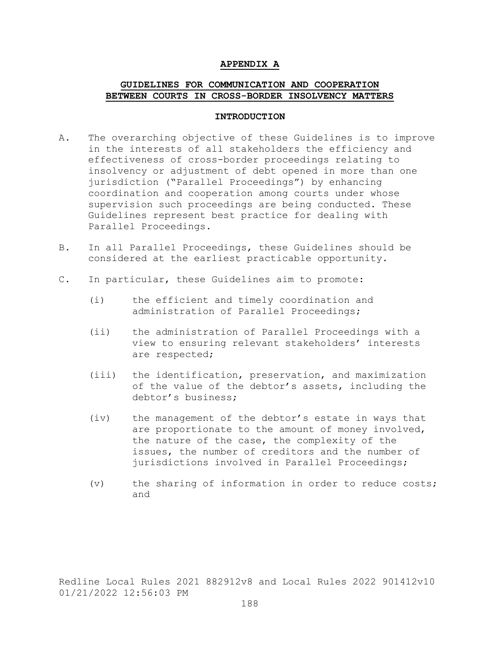### **APPENDIX A**

# **GUIDELINES FOR COMMUNICATION AND COOPERATION BETWEEN COURTS IN CROSS-BORDER INSOLVENCY MATTERS**

### **INTRODUCTION**

- A. The overarching objective of these Guidelines is to improve in the interests of all stakeholders the efficiency and effectiveness of cross-border proceedings relating to insolvency or adjustment of debt opened in more than one jurisdiction ("Parallel Proceedings") by enhancing coordination and cooperation among courts under whose supervision such proceedings are being conducted. These Guidelines represent best practice for dealing with Parallel Proceedings.
- B. In all Parallel Proceedings, these Guidelines should be considered at the earliest practicable opportunity.
- C. In particular, these Guidelines aim to promote:
	- (i) the efficient and timely coordination and administration of Parallel Proceedings;
	- (ii) the administration of Parallel Proceedings with a view to ensuring relevant stakeholders' interests are respected;
	- (iii) the identification, preservation, and maximization of the value of the debtor's assets, including the debtor's business;
	- (iv) the management of the debtor's estate in ways that are proportionate to the amount of money involved, the nature of the case, the complexity of the issues, the number of creditors and the number of jurisdictions involved in Parallel Proceedings;
	- (v) the sharing of information in order to reduce costs; and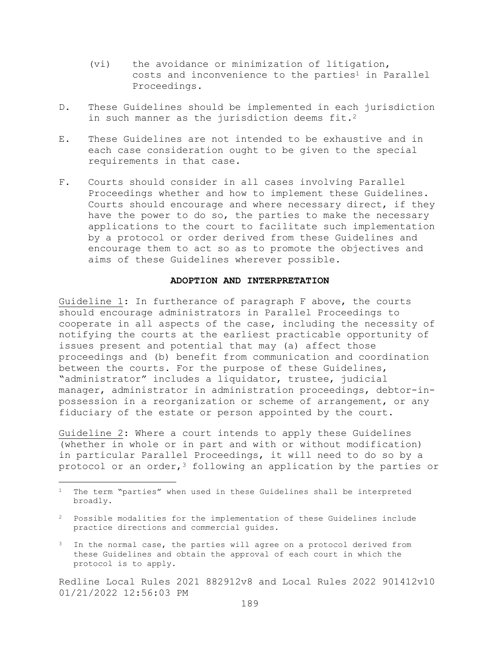- (vi) the avoidance or minimization of litigation,  $costs$  and inconvenience to the parties<sup>1</sup> in Parallel Proceedings.
- D. These Guidelines should be implemented in each jurisdiction in such manner as the jurisdiction deems fit.<sup>2</sup>
- E. These Guidelines are not intended to be exhaustive and in each case consideration ought to be given to the special requirements in that case.
- F. Courts should consider in all cases involving Parallel Proceedings whether and how to implement these Guidelines. Courts should encourage and where necessary direct, if they have the power to do so, the parties to make the necessary applications to the court to facilitate such implementation by a protocol or order derived from these Guidelines and encourage them to act so as to promote the objectives and aims of these Guidelines wherever possible.

#### **ADOPTION AND INTERPRETATION**

Guideline 1: In furtherance of paragraph F above, the courts should encourage administrators in Parallel Proceedings to cooperate in all aspects of the case, including the necessity of notifying the courts at the earliest practicable opportunity of issues present and potential that may (a) affect those proceedings and (b) benefit from communication and coordination between the courts. For the purpose of these Guidelines, "administrator" includes a liquidator, trustee, judicial manager, administrator in administration proceedings, debtor-inpossession in a reorganization or scheme of arrangement, or any fiduciary of the estate or person appointed by the court.

Guideline 2: Where a court intends to apply these Guidelines (whether in whole or in part and with or without modification) in particular Parallel Proceedings, it will need to do so by a protocol or an order,  $3$  following an application by the parties or

÷.

- <sup>2</sup> Possible modalities for the implementation of these Guidelines include practice directions and commercial guides.
- <sup>3</sup> In the normal case, the parties will agree on a protocol derived from these Guidelines and obtain the approval of each court in which the protocol is to apply.

<sup>&</sup>lt;sup>1</sup> The term "parties" when used in these Guidelines shall be interpreted broadly.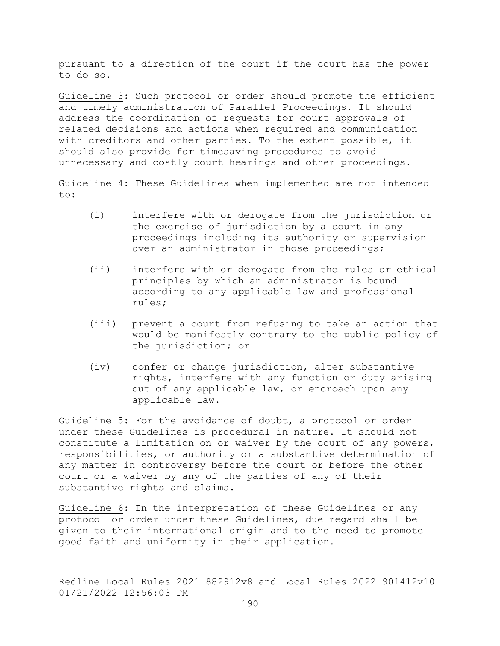pursuant to a direction of the court if the court has the power to do so.

Guideline 3: Such protocol or order should promote the efficient and timely administration of Parallel Proceedings. It should address the coordination of requests for court approvals of related decisions and actions when required and communication with creditors and other parties. To the extent possible, it should also provide for timesaving procedures to avoid unnecessary and costly court hearings and other proceedings.

Guideline 4: These Guidelines when implemented are not intended to:

- (i) interfere with or derogate from the jurisdiction or the exercise of jurisdiction by a court in any proceedings including its authority or supervision over an administrator in those proceedings;
- (ii) interfere with or derogate from the rules or ethical principles by which an administrator is bound according to any applicable law and professional rules;
- (iii) prevent a court from refusing to take an action that would be manifestly contrary to the public policy of the jurisdiction; or
- (iv) confer or change jurisdiction, alter substantive rights, interfere with any function or duty arising out of any applicable law, or encroach upon any applicable law.

Guideline 5: For the avoidance of doubt, a protocol or order under these Guidelines is procedural in nature. It should not constitute a limitation on or waiver by the court of any powers, responsibilities, or authority or a substantive determination of any matter in controversy before the court or before the other court or a waiver by any of the parties of any of their substantive rights and claims.

Guideline 6: In the interpretation of these Guidelines or any protocol or order under these Guidelines, due regard shall be given to their international origin and to the need to promote good faith and uniformity in their application.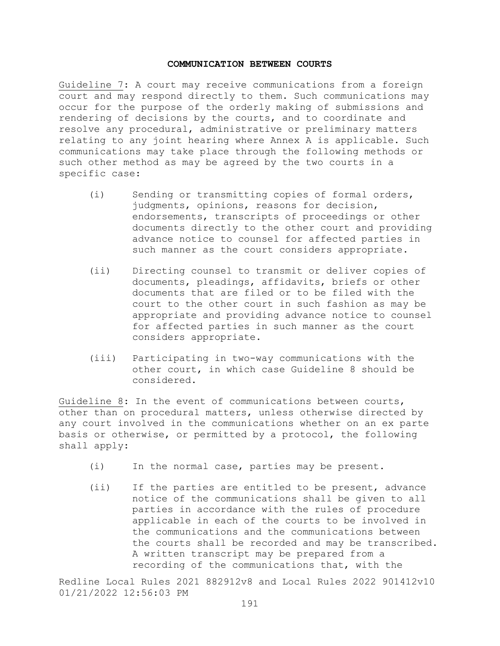### **COMMUNICATION BETWEEN COURTS**

Guideline 7: A court may receive communications from a foreign court and may respond directly to them. Such communications may occur for the purpose of the orderly making of submissions and rendering of decisions by the courts, and to coordinate and resolve any procedural, administrative or preliminary matters relating to any joint hearing where Annex A is applicable. Such communications may take place through the following methods or such other method as may be agreed by the two courts in a specific case:

- (i) Sending or transmitting copies of formal orders, judgments, opinions, reasons for decision, endorsements, transcripts of proceedings or other documents directly to the other court and providing advance notice to counsel for affected parties in such manner as the court considers appropriate.
- (ii) Directing counsel to transmit or deliver copies of documents, pleadings, affidavits, briefs or other documents that are filed or to be filed with the court to the other court in such fashion as may be appropriate and providing advance notice to counsel for affected parties in such manner as the court considers appropriate.
- (iii) Participating in two-way communications with the other court, in which case Guideline 8 should be considered.

Guideline 8: In the event of communications between courts, other than on procedural matters, unless otherwise directed by any court involved in the communications whether on an ex parte basis or otherwise, or permitted by a protocol, the following shall apply:

- (i) In the normal case, parties may be present.
- (ii) If the parties are entitled to be present, advance notice of the communications shall be given to all parties in accordance with the rules of procedure applicable in each of the courts to be involved in the communications and the communications between the courts shall be recorded and may be transcribed. A written transcript may be prepared from a recording of the communications that, with the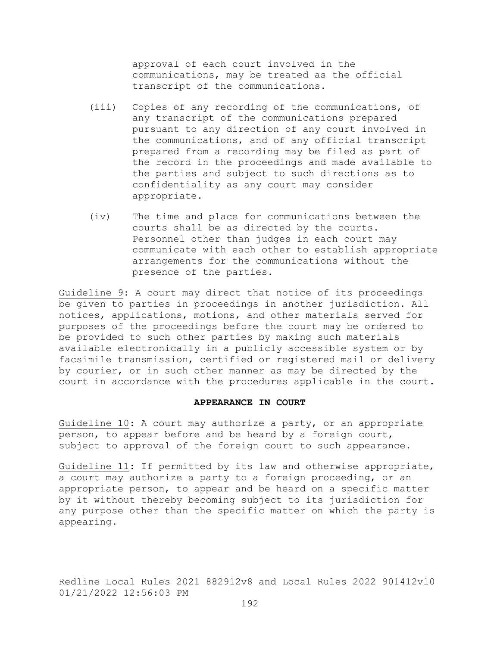approval of each court involved in the communications, may be treated as the official transcript of the communications.

- (iii) Copies of any recording of the communications, of any transcript of the communications prepared pursuant to any direction of any court involved in the communications, and of any official transcript prepared from a recording may be filed as part of the record in the proceedings and made available to the parties and subject to such directions as to confidentiality as any court may consider appropriate.
- (iv) The time and place for communications between the courts shall be as directed by the courts. Personnel other than judges in each court may communicate with each other to establish appropriate arrangements for the communications without the presence of the parties.

Guideline 9: A court may direct that notice of its proceedings be given to parties in proceedings in another jurisdiction. All notices, applications, motions, and other materials served for purposes of the proceedings before the court may be ordered to be provided to such other parties by making such materials available electronically in a publicly accessible system or by facsimile transmission, certified or registered mail or delivery by courier, or in such other manner as may be directed by the court in accordance with the procedures applicable in the court.

#### **APPEARANCE IN COURT**

Guideline 10: A court may authorize a party, or an appropriate person, to appear before and be heard by a foreign court, subject to approval of the foreign court to such appearance.

Guideline 11: If permitted by its law and otherwise appropriate, a court may authorize a party to a foreign proceeding, or an appropriate person, to appear and be heard on a specific matter by it without thereby becoming subject to its jurisdiction for any purpose other than the specific matter on which the party is appearing.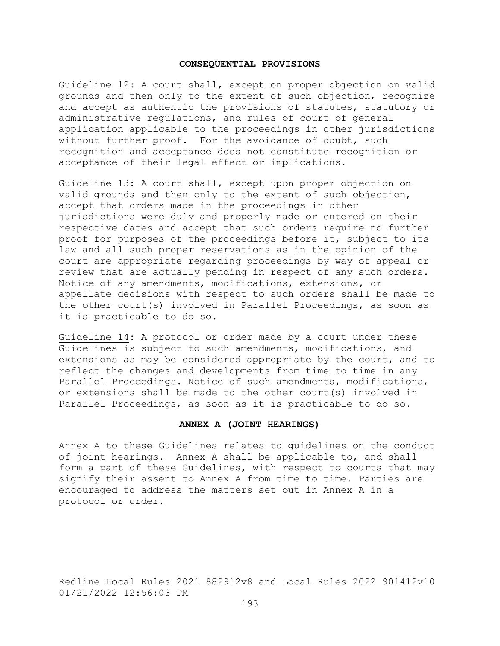#### **CONSEQUENTIAL PROVISIONS**

Guideline 12: A court shall, except on proper objection on valid grounds and then only to the extent of such objection, recognize and accept as authentic the provisions of statutes, statutory or administrative regulations, and rules of court of general application applicable to the proceedings in other jurisdictions without further proof. For the avoidance of doubt, such recognition and acceptance does not constitute recognition or acceptance of their legal effect or implications.

Guideline 13: A court shall, except upon proper objection on valid grounds and then only to the extent of such objection, accept that orders made in the proceedings in other jurisdictions were duly and properly made or entered on their respective dates and accept that such orders require no further proof for purposes of the proceedings before it, subject to its law and all such proper reservations as in the opinion of the court are appropriate regarding proceedings by way of appeal or review that are actually pending in respect of any such orders. Notice of any amendments, modifications, extensions, or appellate decisions with respect to such orders shall be made to the other court(s) involved in Parallel Proceedings, as soon as it is practicable to do so.

Guideline 14: A protocol or order made by a court under these Guidelines is subject to such amendments, modifications, and extensions as may be considered appropriate by the court, and to reflect the changes and developments from time to time in any Parallel Proceedings. Notice of such amendments, modifications, or extensions shall be made to the other court(s) involved in Parallel Proceedings, as soon as it is practicable to do so.

#### **ANNEX A (JOINT HEARINGS)**

Annex A to these Guidelines relates to guidelines on the conduct of joint hearings. Annex A shall be applicable to, and shall form a part of these Guidelines, with respect to courts that may signify their assent to Annex A from time to time. Parties are encouraged to address the matters set out in Annex A in a protocol or order.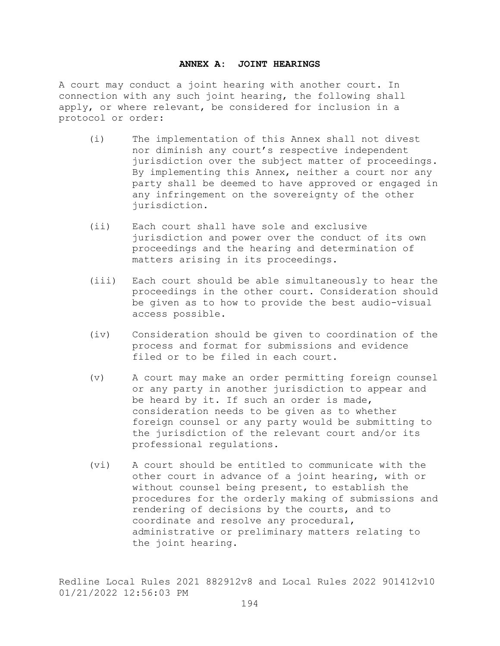### **ANNEX A: JOINT HEARINGS**

A court may conduct a joint hearing with another court. In connection with any such joint hearing, the following shall apply, or where relevant, be considered for inclusion in a protocol or order:

- (i) The implementation of this Annex shall not divest nor diminish any court's respective independent jurisdiction over the subject matter of proceedings. By implementing this Annex, neither a court nor any party shall be deemed to have approved or engaged in any infringement on the sovereignty of the other jurisdiction.
- (ii) Each court shall have sole and exclusive jurisdiction and power over the conduct of its own proceedings and the hearing and determination of matters arising in its proceedings.
- (iii) Each court should be able simultaneously to hear the proceedings in the other court. Consideration should be given as to how to provide the best audio-visual access possible.
- (iv) Consideration should be given to coordination of the process and format for submissions and evidence filed or to be filed in each court.
- (v) A court may make an order permitting foreign counsel or any party in another jurisdiction to appear and be heard by it. If such an order is made, consideration needs to be given as to whether foreign counsel or any party would be submitting to the jurisdiction of the relevant court and/or its professional regulations.
- (vi) A court should be entitled to communicate with the other court in advance of a joint hearing, with or without counsel being present, to establish the procedures for the orderly making of submissions and rendering of decisions by the courts, and to coordinate and resolve any procedural, administrative or preliminary matters relating to the joint hearing.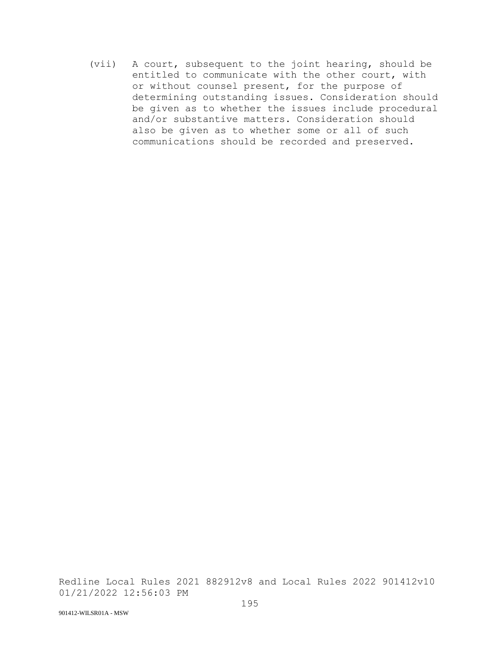(vii) A court, subsequent to the joint hearing, should be entitled to communicate with the other court, with or without counsel present, for the purpose of determining outstanding issues. Consideration should be given as to whether the issues include procedural and/or substantive matters. Consideration should also be given as to whether some or all of such communications should be recorded and preserved.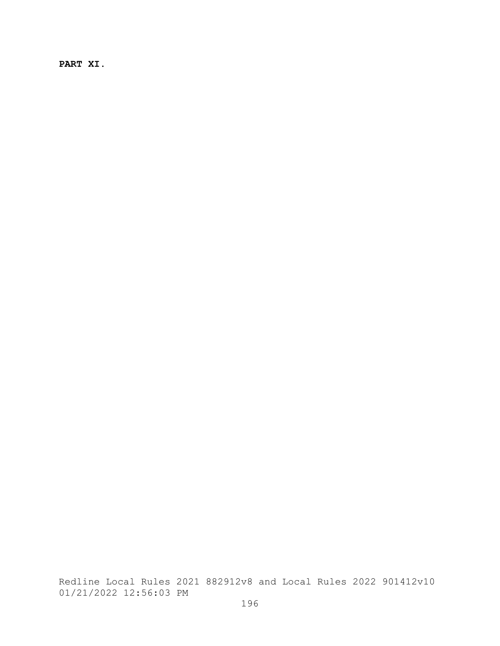**PART XI.**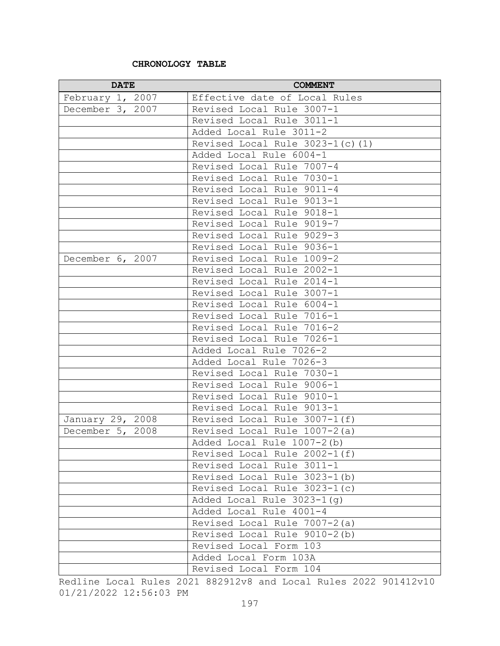# **CHRONOLOGY TABLE**

| <b>DATE</b>      | <b>COMMENT</b>                     |
|------------------|------------------------------------|
| February 1, 2007 | Effective date of Local Rules      |
| December 3, 2007 | Revised Local Rule 3007-1          |
|                  | Revised Local Rule 3011-1          |
|                  | Added Local Rule 3011-2            |
|                  | Revised Local Rule $3023-1(c)$ (1) |
|                  | Added Local Rule 6004-1            |
|                  | Revised Local Rule 7007-4          |
|                  | Revised Local Rule 7030-1          |
|                  | Revised Local Rule 9011-4          |
|                  | Revised Local Rule 9013-1          |
|                  | Revised Local Rule 9018-1          |
|                  | Revised Local Rule 9019-7          |
|                  | Revised Local Rule 9029-3          |
|                  | Revised Local Rule 9036-1          |
| December 6, 2007 | Revised Local Rule 1009-2          |
|                  | Revised Local Rule 2002-1          |
|                  | Revised Local Rule 2014-1          |
|                  | Revised Local Rule 3007-1          |
|                  | Revised Local Rule 6004-1          |
|                  | Revised Local Rule 7016-1          |
|                  | Revised Local Rule 7016-2          |
|                  | Revised Local Rule 7026-1          |
|                  | Added Local Rule 7026-2            |
|                  | Added Local Rule 7026-3            |
|                  | Revised Local Rule 7030-1          |
|                  | Revised Local Rule 9006-1          |
|                  | Revised Local Rule 9010-1          |
|                  | Revised Local Rule 9013-1          |
| January 29, 2008 | Revised Local Rule 3007-1(f)       |
| December 5, 2008 | Revised Local Rule 1007-2(a)       |
|                  | Added Local Rule 1007-2(b)         |
|                  | Revised Local Rule 2002-1(f)       |
|                  | Revised Local Rule 3011-1          |
|                  | Revised Local Rule 3023-1(b)       |
|                  | Revised Local Rule 3023-1(c)       |
|                  | Added Local Rule 3023-1(q)         |
|                  | Added Local Rule 4001-4            |
|                  | Revised Local Rule 7007-2(a)       |
|                  | Revised Local Rule 9010-2(b)       |
|                  | Revised Local Form 103             |
|                  | Added Local Form 103A              |
|                  | Revised Local Form 104             |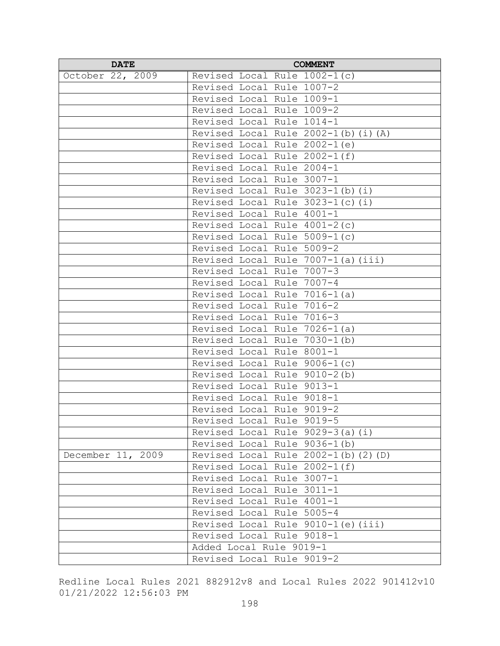| <b>DATE</b>       | <b>COMMENT</b>                            |
|-------------------|-------------------------------------------|
| October 22, 2009  | Revised Local Rule 1002-1(c)              |
|                   | Revised Local Rule 1007-2                 |
|                   | Revised Local Rule 1009-1                 |
|                   | Revised Local Rule 1009-2                 |
|                   | Revised Local Rule 1014-1                 |
|                   | Revised Local Rule $2002-1$ (b) (i) (A)   |
|                   | Revised Local Rule 2002-1(e)              |
|                   | Revised Local Rule 2002-1(f)              |
|                   | Revised Local Rule 2004-1                 |
|                   | Revised Local Rule 3007-1                 |
|                   | Revised Local Rule $3023-1$ (b) (i)       |
|                   | Revised Local Rule $3023-1(c)$ (i)        |
|                   | Revised Local Rule 4001-1                 |
|                   | Revised Local Rule 4001-2(c)              |
|                   | Revised Local Rule 5009-1(c)              |
|                   | Revised Local Rule 5009-2                 |
|                   | Revised Local Rule 7007-1(a)(iii)         |
|                   | Revised Local Rule 7007-3                 |
|                   | Revised Local Rule 7007-4                 |
|                   | Revised Local Rule 7016-1(a)              |
|                   | Revised Local Rule 7016-2                 |
|                   | Revised Local Rule 7016-3                 |
|                   | Revised Local Rule 7026-1(a)              |
|                   | Revised Local Rule 7030-1(b)              |
|                   | Revised Local Rule 8001-1                 |
|                   | Revised Local Rule 9006-1(c)              |
|                   | Revised Local Rule 9010-2(b)              |
|                   | Revised Local Rule 9013-1                 |
|                   | Revised Local Rule 9018-1                 |
|                   | Revised Local Rule 9019-2                 |
|                   | Revised Local Rule 9019-5                 |
|                   | Revised Local Rule 9029-3(a)(i)           |
|                   | Revised Local Rule 9036-1(b)              |
| December 11, 2009 | Revised Local Rule $2002-1$ (b) $(2)$ (D) |
|                   | Revised Local Rule 2002-1(f)              |
|                   | Revised Local Rule 3007-1                 |
|                   | Revised Local Rule 3011-1                 |
|                   | Revised Local Rule 4001-1                 |
|                   | Revised Local Rule 5005-4                 |
|                   | Revised Local Rule $9010-1$ (e) (iii)     |
|                   | Revised Local Rule 9018-1                 |
|                   | Added Local Rule 9019-1                   |
|                   | Revised Local Rule 9019-2                 |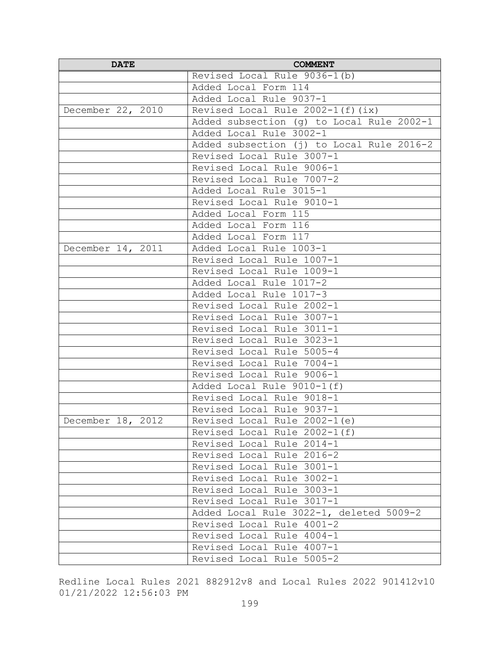| <b>DATE</b>       | <b>COMMENT</b>                            |
|-------------------|-------------------------------------------|
|                   | Revised Local Rule 9036-1(b)              |
|                   | Added Local Form 114                      |
|                   | Added Local Rule 9037-1                   |
| December 22, 2010 | Revised Local Rule $2002-1(f)(ix)$        |
|                   | Added subsection (g) to Local Rule 2002-1 |
|                   | Added Local Rule 3002-1                   |
|                   | Added subsection (j) to Local Rule 2016-2 |
|                   | Revised Local Rule 3007-1                 |
|                   | Revised Local Rule 9006-1                 |
|                   | Revised Local Rule 7007-2                 |
|                   | Added Local Rule 3015-1                   |
|                   | Revised Local Rule 9010-1                 |
|                   | Added Local Form 115                      |
|                   | Added Local Form 116                      |
|                   | Added Local Form 117                      |
| December 14, 2011 | Added Local Rule 1003-1                   |
|                   | Revised Local Rule 1007-1                 |
|                   | Revised Local Rule 1009-1                 |
|                   | Added Local Rule 1017-2                   |
|                   | Added Local Rule 1017-3                   |
|                   | Revised Local Rule 2002-1                 |
|                   | Revised Local Rule 3007-1                 |
|                   | Revised Local Rule 3011-1                 |
|                   | Revised Local Rule 3023-1                 |
|                   | Revised Local Rule 5005-4                 |
|                   | Revised Local Rule 7004-1                 |
|                   | Revised Local Rule 9006-1                 |
|                   | Added Local Rule 9010-1(f)                |
|                   | Revised Local Rule 9018-1                 |
|                   | Revised Local Rule 9037-1                 |
| December 18, 2012 | Revised Local Rule 2002-1(e)              |
|                   | Revised Local Rule 2002-1(f)              |
|                   | Revised Local Rule 2014-1                 |
|                   | Revised Local Rule 2016-2                 |
|                   | Revised Local Rule 3001-1                 |
|                   | Revised Local Rule 3002-1                 |
|                   | Revised Local Rule 3003-1                 |
|                   | Revised Local Rule 3017-1                 |
|                   | Added Local Rule 3022-1, deleted 5009-2   |
|                   | Revised Local Rule 4001-2                 |
|                   | Revised Local Rule 4004-1                 |
|                   | Revised Local Rule 4007-1                 |
|                   | Revised Local Rule 5005-2                 |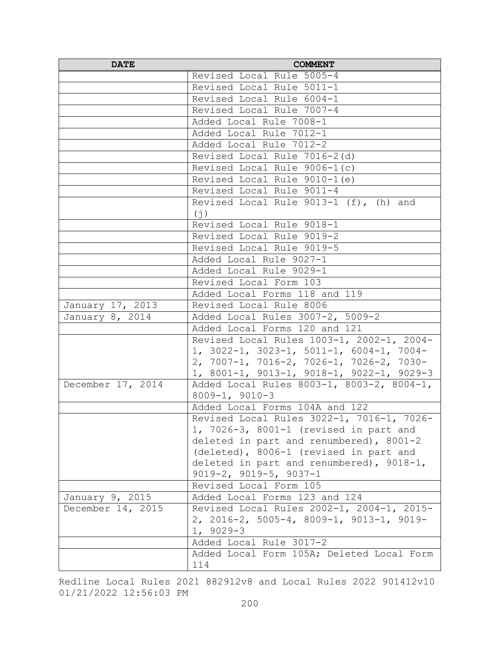| <b>DATE</b>       | <b>COMMENT</b>                                         |
|-------------------|--------------------------------------------------------|
|                   | Revised Local Rule 5005-4                              |
|                   | Revised Local Rule 5011-1                              |
|                   | Revised Local Rule 6004-1                              |
|                   | Revised Local Rule 7007-4                              |
|                   | Added Local Rule 7008-1                                |
|                   | Added Local Rule 7012-1                                |
|                   | Added Local Rule 7012-2                                |
|                   | Revised Local Rule 7016-2(d)                           |
|                   | Revised Local Rule 9006-1(c)                           |
|                   | Revised Local Rule 9010-1(e)                           |
|                   | Revised Local Rule 9011-4                              |
|                   | Revised Local Rule 9013-1 (f), (h) and                 |
|                   | (j)                                                    |
|                   | Revised Local Rule 9018-1                              |
|                   | Revised Local Rule 9019-2                              |
|                   | Revised Local Rule 9019-5                              |
|                   | Added Local Rule 9027-1                                |
|                   | Added Local Rule 9029-1                                |
|                   | Revised Local Form 103                                 |
|                   | Added Local Forms 118 and 119                          |
| January 17, 2013  | Revised Local Rule 8006                                |
| January 8, 2014   | Added Local Rules 3007-2, 5009-2                       |
|                   | Added Local Forms 120 and 121                          |
|                   | Revised Local Rules 1003-1, 2002-1, 2004-              |
|                   | 1, $3022-1$ , $3023-1$ , $5011-1$ , $6004-1$ , $7004-$ |
|                   | 2, 7007-1, 7016-2, 7026-1, 7026-2, 7030-               |
|                   | 1, 8001-1, 9013-1, 9018-1, 9022-1, 9029-3              |
| December 17, 2014 | Added Local Rules 8003-1, 8003-2, 8004-1,              |
|                   | $8009 - 1, 9010 - 3$                                   |
|                   | Added Local Forms 104A and 122                         |
|                   | Revised Local Rules 3022-1, 7016-1, 7026-              |
|                   | 1, 7026-3, 8001-1 (revised in part and                 |
|                   | deleted in part and renumbered), 8001-2                |
|                   | (deleted), 8006-1 (revised in part and                 |
|                   | deleted in part and renumbered), 9018-1,               |
|                   | $9019 - 2$ , $9019 - 5$ , $9037 - 1$                   |
|                   | Revised Local Form 105                                 |
| January 9, 2015   | Added Local Forms 123 and 124                          |
| December 14, 2015 | Revised Local Rules 2002-1, 2004-1, 2015-              |
|                   | 2, 2016-2, 5005-4, 8009-1, 9013-1, 9019-               |
|                   | $1, 9029 - 3$                                          |
|                   | Added Local Rule 3017-2                                |
|                   | Added Local Form 105A; Deleted Local Form              |
|                   | 114                                                    |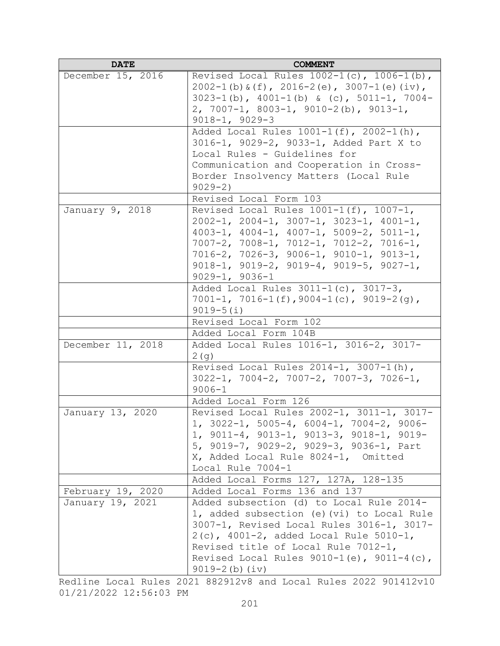| <b>DATE</b>       | <b>COMMENT</b>                                                   |
|-------------------|------------------------------------------------------------------|
| December 15, 2016 | Revised Local Rules $1002-1(c)$ , $1006-1(b)$ ,                  |
|                   | $2002-1$ (b) & (f), $2016-2$ (e), $3007-1$ (e) (iv),             |
|                   | $3023-1$ (b), $4001-1$ (b) & (c), $5011-1$ , $7004-$             |
|                   | 2, 7007-1, 8003-1, 9010-2(b), 9013-1,                            |
|                   | $9018 - 1, 9029 - 3$                                             |
|                   | Added Local Rules 1001-1(f), 2002-1(h),                          |
|                   | 3016-1, 9029-2, 9033-1, Added Part X to                          |
|                   | Local Rules - Guidelines for                                     |
|                   | Communication and Cooperation in Cross-                          |
|                   | Border Insolvency Matters (Local Rule                            |
|                   | $9029 - 2)$                                                      |
|                   | Revised Local Form 103                                           |
| January 9, 2018   | Revised Local Rules $1001-1(f)$ , $1007-1$ ,                     |
|                   | $2002 - 1$ , $2004 - 1$ , $3007 - 1$ , $3023 - 1$ , $4001 - 1$ , |
|                   | $4003-1, 4004-1, 4007-1, 5009-2, 5011-1,$                        |
|                   | $7007 - 2$ , $7008 - 1$ , $7012 - 1$ , $7012 - 2$ , $7016 - 1$ , |
|                   | $7016 - 2$ , $7026 - 3$ , $9006 - 1$ , $9010 - 1$ , $9013 - 1$   |
|                   | $9018-1, 9019-2, 9019-4, 9019-5, 9027-1,$                        |
|                   | $9029 - 1, 9036 - 1$                                             |
|                   | Added Local Rules 3011-1(c), 3017-3,                             |
|                   | 7001-1, 7016-1(f), 9004-1(c), 9019-2(g),                         |
|                   | $9019 - 5(i)$                                                    |
|                   | Revised Local Form 102                                           |
|                   | Added Local Form 104B                                            |
| December 11, 2018 | Added Local Rules 1016-1, 3016-2, 3017-                          |
|                   | 2(q)<br>Revised Local Rules $2014-1$ , $3007-1(h)$ ,             |
|                   | $3022 - 1$ , $7004 - 2$ , $7007 - 2$ , $7007 - 3$ , $7026 - 1$ , |
|                   | $9006 - 1$                                                       |
|                   | Added Local Form 126                                             |
| January 13, 2020  | Revised Local Rules 2002-1, 3011-1, 3017-                        |
|                   | 1, $3022-1$ , $5005-4$ , $6004-1$ , $7004-2$ , $9006-$           |
|                   | 1, 9011-4, 9013-1, 9013-3, 9018-1, 9019-                         |
|                   | 5, 9019-7, 9029-2, 9029-3, 9036-1, Part                          |
|                   | X, Added Local Rule 8024-1, Omitted                              |
|                   | Local Rule 7004-1                                                |
|                   | Added Local Forms 127, 127A, 128-135                             |
| February 19, 2020 | Added Local Forms 136 and 137                                    |
| January 19, 2021  | Added subsection (d) to Local Rule 2014-                         |
|                   | 1, added subsection (e) (vi) to Local Rule                       |
|                   | 3007-1, Revised Local Rules 3016-1, 3017-                        |
|                   | $2(c)$ , 4001-2, added Local Rule 5010-1,                        |
|                   | Revised title of Local Rule 7012-1,                              |
|                   | Revised Local Rules $9010-1$ (e), $9011-4$ (c),                  |
|                   | $9019 - 2(b)$ (iv)                                               |
|                   | 20 2021 882012:0 and Issal Pulsa 2022 801412:10                  |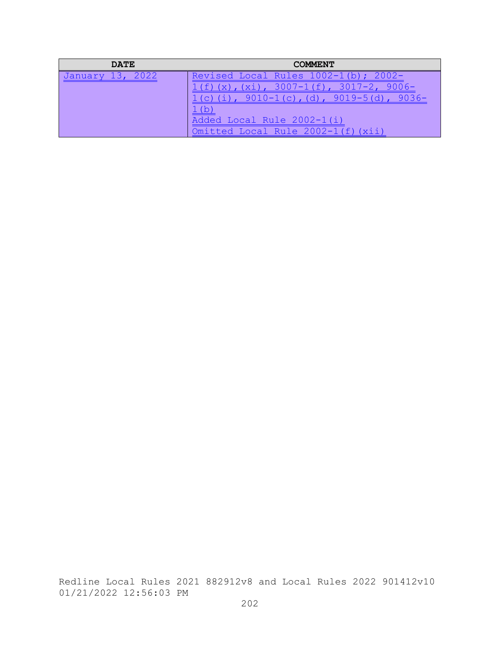| <b>DATE</b>      | <b>COMMENT</b>                               |
|------------------|----------------------------------------------|
| January 13, 2022 | Revised Local Rules 1002-1(b); 2002-         |
|                  | $1(f)(x), (xi), 3007-1(f), 3017-2, 9006-$    |
|                  | $1(c)$ (i), 9010-1(c), (d), 9019-5(d), 9036- |
|                  | <u>1 (b)</u>                                 |
|                  | Added Local Rule 2002-1(i)                   |
|                  | Omitted Local Rule 2002-1(f) (xii)           |